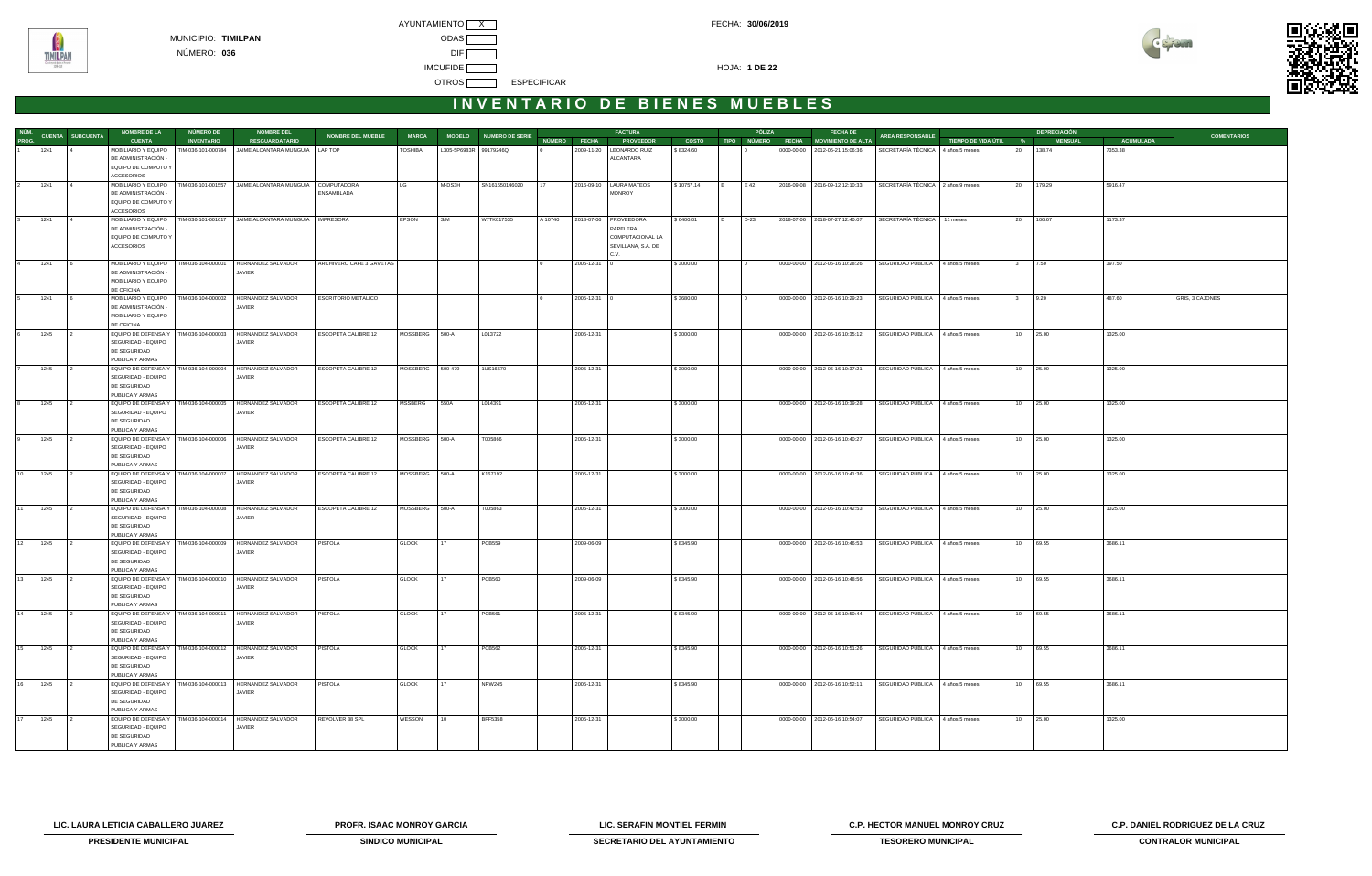



| NÚM.  |           |                         | <b>NOMBRE DE LA</b>                                             | NÚMERO DE          | <b>NOMBRE DEL</b>                                             |                            |                |                        |                        |         |              | <b>FACTURA</b>             |              |    | PÓLIZA | <b>FECHA DE</b>                      |                                   |                       |    | <b>DEPRECIACIÓN</b> |                  |                    |
|-------|-----------|-------------------------|-----------------------------------------------------------------|--------------------|---------------------------------------------------------------|----------------------------|----------------|------------------------|------------------------|---------|--------------|----------------------------|--------------|----|--------|--------------------------------------|-----------------------------------|-----------------------|----|---------------------|------------------|--------------------|
| PROG. |           | <b>CUENTA SUBCUENTA</b> | <b>CUENTA</b>                                                   | <b>INVENTARIO</b>  | <b>RESGUARDATARIO</b>                                         | <b>NOMBRE DEL MUEBLE</b>   | <b>MARCA</b>   |                        | MODELO NÚMERO DE SERIE |         | NÚMERO FECHA | <b>PROVEEDOR</b>           | <b>COSTO</b> |    |        | TIPO NÚMERO FECHA MOVIMIENTO DE ALTA | ÁREA RESPONSABLE                  | TIEMPO DE VIDA ÚTIL % |    | <b>MENSUAL</b>      | <b>ACUMULADA</b> | <b>COMENTARIOS</b> |
|       | 1241      |                         | MOBILIARIO Y EQUIPO<br>DE ADMINISTRACIÓN -                      | TIM-036-101-000784 | JAIME ALCANTARA MUNGUIA   LAP TOP                             |                            | <b>TOSHIBA</b> | L305-5P6983R 99179246Q |                        |         | 2009-11-20   | LEONARDO RUIZ<br>ALCANTARA | \$8324.60    |    |        | 0000-00-00 2012-06-21 15:06:36       | SECRETARÍA TÉCNICA 4 años 5 meses |                       | 20 | 138.74              | 7353.38          |                    |
|       |           |                         | EQUIPO DE COMPUTO Y<br><b>ACCESORIOS</b>                        |                    |                                                               |                            |                |                        |                        |         |              |                            |              |    |        |                                      |                                   |                       |    |                     |                  |                    |
|       | 1241      |                         | MOBILIARIO Y EQUIPO                                             | TIM-036-101-001557 | JAIME ALCANTARA MUNGUIA                                       | COMPUTADORA                | LG             | M-DS3H                 | SN161650146020         |         |              | 2016-09-10   LAURA MATEOS  | \$10757.14   |    | E 42   | 2016-09-08 2016-09-12 12:10:33       | SECRETARÍA TÉCNICA 2 años 9 meses |                       | 20 | 179.29              | 5916.47          |                    |
|       |           |                         | DE ADMINISTRACIÓN -<br>EQUIPO DE COMPUTO Y<br><b>ACCESORIOS</b> |                    |                                                               | ENSAMBLADA                 |                |                        |                        |         |              | <b>MONROY</b>              |              |    |        |                                      |                                   |                       |    |                     |                  |                    |
|       | 1241      | $\overline{4}$          | MOBILIARIO Y EQUIPO                                             | TIM-036-101-001617 | JAIME ALCANTARA MUNGUIA   IMPRESORA                           |                            | EPSON          | S/M                    | W7TK017535             | A 10740 |              | 2018-07-06 PROVEEDORA      | \$6400.01    | חו | D-23   | 2018-07-06 2018-07-27 12:40:07       | SECRETARÍA TÉCNICA   11 meses     |                       | 20 | 106.67              | 1173.37          |                    |
|       |           |                         | DE ADMINISTRACIÓN -                                             |                    |                                                               |                            |                |                        |                        |         |              | PAPELERA                   |              |    |        |                                      |                                   |                       |    |                     |                  |                    |
|       |           |                         | EQUIPO DE COMPUTO Y                                             |                    |                                                               |                            |                |                        |                        |         |              | COMPUTACIONAL LA           |              |    |        |                                      |                                   |                       |    |                     |                  |                    |
|       |           |                         | ACCESORIOS                                                      |                    |                                                               |                            |                |                        |                        |         |              | SEVILLANA, S.A. DE<br>C.V. |              |    |        |                                      |                                   |                       |    |                     |                  |                    |
|       | 1241      |                         | MOBILIARIO Y EQUIPO                                             | TIM-036-104-000001 | HERNANDEZ SALVADOR                                            | ARCHIVERO CAFE 3 GAVETAS   |                |                        |                        |         | 2005-12-31   |                            | \$3000.00    |    |        | 0000-00-00 2012-06-16 10:28:26       | SEGURIDAD PÚBLICA 4 años 5 meses  |                       |    | 7.50                | 397.50           |                    |
|       |           |                         | DE ADMINISTRACIÓN -<br>MOBILIARIO Y EQUIPO<br>DE OFICINA        |                    | JAVIER                                                        |                            |                |                        |                        |         |              |                            |              |    |        |                                      |                                   |                       |    |                     |                  |                    |
|       | 1241      |                         | MOBILIARIO Y EQUIPO                                             | TIM-036-104-000002 | HERNANDEZ SALVADOR                                            | <b>ESCRITORIO METALICO</b> |                |                        |                        |         | 2005-12-31 ( |                            | \$3680.00    |    |        | 0000-00-00   2012-06-16 10:29:23     | SEGURIDAD PÚBLICA                 | 4 años 5 meses        |    | 9.20                | 487.60           | GRIS, 3 CAJONES    |
|       |           |                         | DE ADMINISTRACIÓN -                                             |                    | JAVIER                                                        |                            |                |                        |                        |         |              |                            |              |    |        |                                      |                                   |                       |    |                     |                  |                    |
|       |           |                         | MOBILIARIO Y EQUIPO                                             |                    |                                                               |                            |                |                        |                        |         |              |                            |              |    |        |                                      |                                   |                       |    |                     |                  |                    |
|       | 1245      | $\overline{2}$          | DE OFICINA<br>EQUIPO DE DEFENSA Y   TIM-036-104-000003          |                    | HERNANDEZ SALVADOR                                            | <b>ESCOPETA CALIBRE 12</b> | MOSSBERG 500-A |                        | L013722                |         | 2005-12-31   |                            | \$3000.00    |    |        | 0000-00-00 2012-06-16 10:35:12       | SEGURIDAD PÚBLICA 4 años 5 meses  |                       | 10 | 25.00               | 1325.00          |                    |
|       |           |                         | SEGURIDAD - EQUIPO                                              |                    | JAVIER                                                        |                            |                |                        |                        |         |              |                            |              |    |        |                                      |                                   |                       |    |                     |                  |                    |
|       |           |                         | DE SEGURIDAD<br>PUBLICA Y ARMAS                                 |                    |                                                               |                            |                |                        |                        |         |              |                            |              |    |        |                                      |                                   |                       |    |                     |                  |                    |
|       | 1245      |                         | EQUIPO DE DEFENSA Y   TIM-036-104-000004                        |                    | HERNANDEZ SALVADOR                                            | ESCOPETA CALIBRE 12        | MOSSBERG       | 500-479                | 1US16670               |         | 2005-12-31   |                            | \$3000.00    |    |        | 0000-00-00 2012-06-16 10:37:21       | SEGURIDAD PÚBLICA 4 años 5 meses  |                       |    | 10 25.00            | 1325.00          |                    |
|       |           |                         | SEGURIDAD - EQUIPO<br>DE SEGURIDAD                              |                    | JAVIER                                                        |                            |                |                        |                        |         |              |                            |              |    |        |                                      |                                   |                       |    |                     |                  |                    |
|       |           |                         | PUBLICA Y ARMAS                                                 |                    |                                                               |                            |                |                        |                        |         |              |                            |              |    |        |                                      |                                   |                       |    |                     |                  |                    |
|       | 1245      |                         | EQUIPO DE DEFENSA Y<br>SEGURIDAD - EQUIPO                       | TIM-036-104-000005 | HERNANDEZ SALVADOR<br>JAVIER                                  | ESCOPETA CALIBRE 12        | MSSBERG        | 550A                   | L014391                |         | 2005-12-31   |                            | \$3000.00    |    |        | 0000-00-00   2012-06-16 10:39:28     | SEGURIDAD PÚBLICA                 | 4 años 5 meses        | 10 | 25.00               | 1325.00          |                    |
|       |           |                         | DE SEGURIDAD                                                    |                    |                                                               |                            |                |                        |                        |         |              |                            |              |    |        |                                      |                                   |                       |    |                     |                  |                    |
|       |           |                         | PUBLICA Y ARMAS                                                 |                    |                                                               |                            |                |                        |                        |         |              |                            |              |    |        |                                      |                                   |                       |    |                     |                  |                    |
|       | 1245      |                         | EQUIPO DE DEFENSA Y   TIM-036-104-000006                        |                    | HERNANDEZ SALVADOR                                            | <b>ESCOPETA CALIBRE 12</b> | MOSSBERG 500-A |                        | T005866                |         | 2005-12-31   |                            | \$3000.00    |    |        | 0000-00-00   2012-06-16 10:40:27     | SEGURIDAD PÚBLICA 4 años 5 meses  |                       | 10 | 25.00               | 1325.00          |                    |
|       |           |                         | SEGURIDAD - EQUIPO<br>DE SEGURIDAD                              |                    | JAVIER                                                        |                            |                |                        |                        |         |              |                            |              |    |        |                                      |                                   |                       |    |                     |                  |                    |
|       |           |                         | PUBLICA Y ARMAS                                                 |                    |                                                               |                            |                |                        |                        |         |              |                            |              |    |        |                                      |                                   |                       |    |                     |                  |                    |
| 10    | 1245      |                         | EQUIPO DE DEFENSA Y   TIM-036-104-000007                        |                    | HERNANDEZ SALVADOR                                            | ESCOPETA CALIBRE 12        | MOSSBERG       | 500-A                  | K167192                |         | 2005-12-31   |                            | \$3000.00    |    |        | 0000-00-00 2012-06-16 10:41:36       | SEGURIDAD PÚBLICA                 | 4 años 5 meses        |    | 10 25.00            | 1325.00          |                    |
|       |           |                         | SEGURIDAD - EQUIPO                                              |                    | JAVIER                                                        |                            |                |                        |                        |         |              |                            |              |    |        |                                      |                                   |                       |    |                     |                  |                    |
|       |           |                         | DE SEGURIDAD<br>PUBLICA Y ARMAS                                 |                    |                                                               |                            |                |                        |                        |         |              |                            |              |    |        |                                      |                                   |                       |    |                     |                  |                    |
| 11    | 1245      |                         | EQUIPO DE DEFENSA Y   TIM-036-104-000008                        |                    | HERNANDEZ SALVADOR                                            | ESCOPETA CALIBRE 12        | MOSSBERG 500-A |                        | T005863                |         | 2005-12-31   |                            | \$3000.00    |    |        | 0000-00-00   2012-06-16 10:42:53     | SEGURIDAD PÚBLICA 4 años 5 meses  |                       | 10 | 25.00               | 1325.00          |                    |
|       |           |                         | SEGURIDAD - EQUIPO                                              |                    | JAVIER                                                        |                            |                |                        |                        |         |              |                            |              |    |        |                                      |                                   |                       |    |                     |                  |                    |
|       |           |                         | DE SEGURIDAD                                                    |                    |                                                               |                            |                |                        |                        |         |              |                            |              |    |        |                                      |                                   |                       |    |                     |                  |                    |
| 12    | 1245      |                         | PUBLICA Y ARMAS<br>EQUIPO DE DEFENSA Y   TIM-036-104-000009     |                    | HERNANDEZ SALVADOR                                            | PISTOLA                    | <b>GLOCK</b>   | 17                     | <b>PCB559</b>          |         | 2009-06-09   |                            | \$8345.90    |    |        | 0000-00-00   2012-06-16 10:46:53     | SEGURIDAD PÚBLICA 4 años 5 meses  |                       | 10 | 69.55               | 3686.11          |                    |
|       |           |                         | SEGURIDAD - EQUIPO                                              |                    | JAVIER                                                        |                            |                |                        |                        |         |              |                            |              |    |        |                                      |                                   |                       |    |                     |                  |                    |
|       |           |                         | DE SEGURIDAD                                                    |                    |                                                               |                            |                |                        |                        |         |              |                            |              |    |        |                                      |                                   |                       |    |                     |                  |                    |
|       |           |                         | PUBLICA Y ARMAS<br>EQUIPO DE DEFENSA Y   TIM-036-104-000010     |                    | <b>HERNANDEZ SALVADOR</b>                                     |                            |                | 17                     |                        |         |              |                            |              |    |        |                                      |                                   |                       |    |                     |                  |                    |
| 13    | 1245      |                         | SEGURIDAD - EQUIPO                                              |                    | JAVIER                                                        | <b>PISTOLA</b>             | <b>GLOCK</b>   |                        | <b>PCB560</b>          |         | 2009-06-09   |                            | \$8345.90    |    |        | 0000-00-00   2012-06-16 10:48:56     | SEGURIDAD PÚBLICA                 | 4 años 5 meses        | 10 | 69.55               | 3686.11          |                    |
|       |           |                         | DE SEGURIDAD                                                    |                    |                                                               |                            |                |                        |                        |         |              |                            |              |    |        |                                      |                                   |                       |    |                     |                  |                    |
|       |           |                         | PUBLICA Y ARMAS                                                 |                    |                                                               |                            |                |                        |                        |         |              |                            |              |    |        |                                      |                                   |                       |    |                     |                  |                    |
|       | 14 1245   |                         | EQUIPO DE DEFENSA Y   TIM-036-104-000011<br>SEGURIDAD - EQUIPO  |                    | HERNANDEZ SALVADOR<br>JAVIER                                  | PISTOLA                    | <b>GLOCK</b>   | 17                     | <b>PCB561</b>          |         | 2005-12-31   |                            | \$8345.90    |    |        | 0000-00-00   2012-06-16 10:50:44     | SEGURIDAD PÚBLICA 4 años 5 meses  |                       |    | 10 69.55            | 3686.11          |                    |
|       |           |                         | DE SEGURIDAD                                                    |                    |                                                               |                            |                |                        |                        |         |              |                            |              |    |        |                                      |                                   |                       |    |                     |                  |                    |
|       |           |                         | PUBLICA Y ARMAS                                                 |                    |                                                               |                            |                |                        |                        |         |              |                            |              |    |        |                                      |                                   |                       |    |                     |                  |                    |
|       | 15 1245   | $\overline{2}$          |                                                                 |                    | EQUIPO DE DEFENSA Y   TIM-036-104-000012   HERNANDEZ SALVADOR | PISTOLA                    | <b>GLOCK</b>   | 17                     | <b>PCB562</b>          |         | 2005-12-31   |                            | \$8345.90    |    |        | 0000-00-00   2012-06-16 10:51:26     | SEGURIDAD PÚBLICA 4 años 5 meses  |                       |    | 10 69.55            | 3686.11          |                    |
|       |           |                         | SEGURIDAD - EQUIPO<br>DE SEGURIDAD                              |                    | JAVIER                                                        |                            |                |                        |                        |         |              |                            |              |    |        |                                      |                                   |                       |    |                     |                  |                    |
|       |           |                         | PUBLICA Y ARMAS                                                 |                    |                                                               |                            |                |                        |                        |         |              |                            |              |    |        |                                      |                                   |                       |    |                     |                  |                    |
|       | 16 1245 2 |                         | EQUIPO DE DEFENSA Y   TIM-036-104-000013                        |                    | HERNANDEZ SALVADOR                                            | PISTOLA                    | <b>GLOCK</b>   | 17                     | <b>NRW245</b>          |         | 2005-12-31   |                            | \$8345.90    |    |        | 0000-00-00 2012-06-16 10:52:11       | SEGURIDAD PÚBLICA 4 años 5 meses  |                       |    | 10 69.55            | 3686.11          |                    |
|       |           |                         | SEGURIDAD - EQUIPO                                              |                    | JAVIER                                                        |                            |                |                        |                        |         |              |                            |              |    |        |                                      |                                   |                       |    |                     |                  |                    |
|       |           |                         | DE SEGURIDAD<br>PUBLICA Y ARMAS                                 |                    |                                                               |                            |                |                        |                        |         |              |                            |              |    |        |                                      |                                   |                       |    |                     |                  |                    |
|       | 17 1245   | $\frac{1}{2}$           | EQUIPO DE DEFENSA Y   TIM-036-104-000014                        |                    | HERNANDEZ SALVADOR                                            | REVOLVER 38 SPL            | WESSON         | 10                     | <b>BFF5358</b>         |         | 2005-12-31   |                            | \$3000.00    |    |        | 0000-00-00 2012-06-16 10:54:07       | SEGURIDAD PÚBLICA 4 años 5 meses  |                       |    | 10 25.00            | 1325.00          |                    |
|       |           |                         | SEGURIDAD - EQUIPO                                              |                    | JAVIER                                                        |                            |                |                        |                        |         |              |                            |              |    |        |                                      |                                   |                       |    |                     |                  |                    |
|       |           |                         | DE SEGURIDAD                                                    |                    |                                                               |                            |                |                        |                        |         |              |                            |              |    |        |                                      |                                   |                       |    |                     |                  |                    |
|       |           |                         | PUBLICA Y ARMAS                                                 |                    |                                                               |                            |                |                        |                        |         |              |                            |              |    |        |                                      |                                   |                       |    |                     |                  |                    |

**LIC. LAURA LETICIA CABALLERO JUAREZ PROFR. ISAAC MONROY GARCIA LIC. SERAFIN MONTIEL FERMIN C.P. HECTOR MANUEL MONROY CRUZ C.P. DANIEL RODRIGUEZ DE LA CRUZ** 



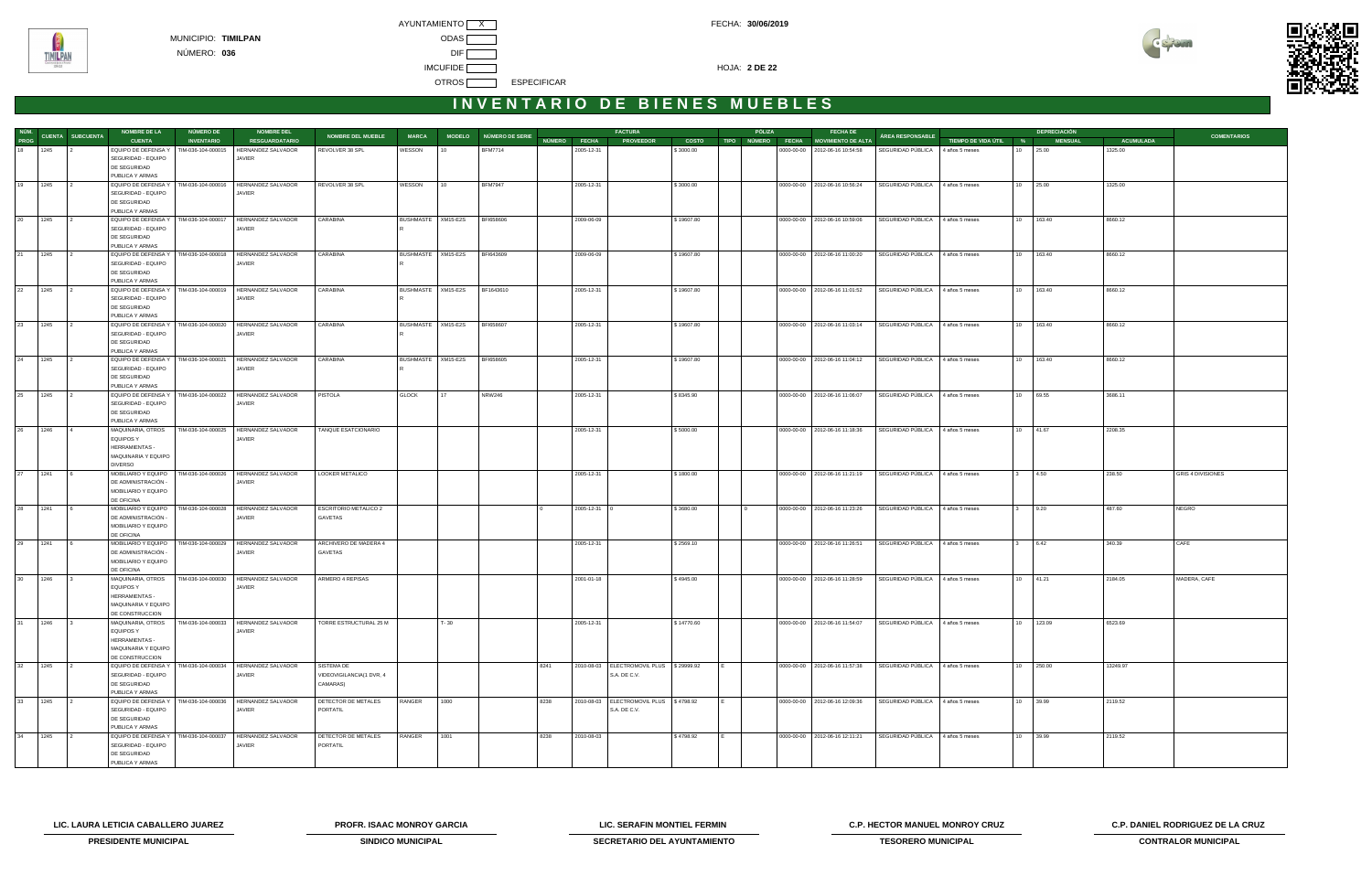



|              |      |                         |                                          |                                       |                                                               |                              |                    |                    |                        |              |            | <b>FACTURA</b>                               |              |        |                                                         |                                  |                       |              | <b>DEPRECIACIÓN</b> |                  |                          |
|--------------|------|-------------------------|------------------------------------------|---------------------------------------|---------------------------------------------------------------|------------------------------|--------------------|--------------------|------------------------|--------------|------------|----------------------------------------------|--------------|--------|---------------------------------------------------------|----------------------------------|-----------------------|--------------|---------------------|------------------|--------------------------|
| NÚM.<br>PROG |      | <b>CUENTA SUBCUENTA</b> | <b>NOMBRE DE LA</b>                      | <b>NÚMERO DE</b><br><b>INVENTARIO</b> | <b>NOMBRE DEL</b>                                             | <b>NOMBRE DEL MUEBLE</b>     | <b>MARCA</b>       |                    | MODELO NÚMERO DE SERIE | NÚMERO FECHA |            |                                              |              | PÓLIZA | <b>FECHA DE</b><br>TIPO NÚMERO FECHA MOVIMIENTO DE ALTA | ÁREA RESPONSABLE                 |                       |              |                     | <b>ACUMULADA</b> | <b>COMENTARIOS</b>       |
|              |      |                         | <b>CUENTA</b>                            |                                       | <b>RESGUARDATARIO</b>                                         |                              |                    |                    |                        |              |            | <b>PROVEEDOR</b>                             | <b>COSTO</b> |        |                                                         |                                  | TIEMPO DE VIDA ÚTIL % |              | <b>MENSUAL</b>      |                  |                          |
| $18$ 1245    |      |                         | EQUIPO DE DEFENSA Y                      | TIM-036-104-000015                    | HERNANDEZ SALVADOR                                            | REVOLVER 38 SPL              | WESSON             | l 10               | <b>BFM7714</b>         |              | 2005-12-31 |                                              | \$3000.00    |        | 0000-00-00   2012-06-16 10:54:58                        | SEGURIDAD PÚBLICA                | 4 años 5 meses        | $10-10$      | 25.00               | 1325.00          |                          |
|              |      |                         | SEGURIDAD - EQUIPO                       |                                       | JAVIER                                                        |                              |                    |                    |                        |              |            |                                              |              |        |                                                         |                                  |                       |              |                     |                  |                          |
|              |      |                         | DE SEGURIDAD                             |                                       |                                                               |                              |                    |                    |                        |              |            |                                              |              |        |                                                         |                                  |                       |              |                     |                  |                          |
|              |      |                         | PUBLICA Y ARMAS                          |                                       |                                                               |                              |                    |                    |                        |              |            |                                              |              |        |                                                         |                                  |                       |              |                     |                  |                          |
| 19 1245      |      |                         |                                          |                                       | EQUIPO DE DEFENSA Y   TIM-036-104-000016   HERNANDEZ SALVADOR | REVOLVER 38 SPL              | WESSON             | 10                 | <b>BFM7947</b>         |              | 2005-12-31 |                                              | \$3000.00    |        | 0000-00-00   2012-06-16 10:56:24                        | SEGURIDAD PÚBLICA 4 años 5 meses |                       |              | 10 25.00            | 1325.00          |                          |
|              |      |                         | SEGURIDAD - EQUIPO                       |                                       | JAVIER                                                        |                              |                    |                    |                        |              |            |                                              |              |        |                                                         |                                  |                       |              |                     |                  |                          |
|              |      |                         | DE SEGURIDAD                             |                                       |                                                               |                              |                    |                    |                        |              |            |                                              |              |        |                                                         |                                  |                       |              |                     |                  |                          |
|              |      |                         | PUBLICA Y ARMAS                          |                                       |                                                               |                              |                    |                    |                        |              |            |                                              |              |        |                                                         |                                  |                       |              |                     |                  |                          |
| 20           | 1245 |                         | EQUIPO DE DEFENSA Y   TIM-036-104-000017 |                                       | HERNANDEZ SALVADOR                                            | CARABINA                     |                    | BUSHMASTE XM15-E2S | BFI658606              |              | 2009-06-09 |                                              | \$19607.80   |        | 0000-00-00   2012-06-16 10:59:06                        | SEGURIDAD PÚBLICA 4 años 5 meses |                       |              | 10 163.40           | 8660.12          |                          |
|              |      |                         | SEGURIDAD - EQUIPO                       |                                       | JAVIER                                                        |                              |                    |                    |                        |              |            |                                              |              |        |                                                         |                                  |                       |              |                     |                  |                          |
|              |      |                         | DE SEGURIDAD                             |                                       |                                                               |                              |                    |                    |                        |              |            |                                              |              |        |                                                         |                                  |                       |              |                     |                  |                          |
|              |      |                         | PUBLICA Y ARMAS                          |                                       |                                                               |                              |                    |                    |                        |              |            |                                              |              |        |                                                         |                                  |                       |              |                     |                  |                          |
| 21 1245      |      |                         | EQUIPO DE DEFENSA Y                      | TIM-036-104-000018                    | HERNANDEZ SALVADOR                                            | CARABINA                     | BUSHMASTE XM15-E2S |                    | BFI643609              |              | 2009-06-09 |                                              | \$19607.80   |        | 0000-00-00   2012-06-16 11:00:20                        | SEGURIDAD PÚBLICA                | 4 años 5 meses        |              | 10 163.40           | 8660.12          |                          |
|              |      |                         | SEGURIDAD - EQUIPO                       |                                       | JAVIER                                                        |                              |                    |                    |                        |              |            |                                              |              |        |                                                         |                                  |                       |              |                     |                  |                          |
|              |      |                         | DE SEGURIDAD                             |                                       |                                                               |                              |                    |                    |                        |              |            |                                              |              |        |                                                         |                                  |                       |              |                     |                  |                          |
|              |      |                         | PUBLICA Y ARMAS                          |                                       |                                                               |                              |                    |                    |                        |              |            |                                              |              |        |                                                         |                                  |                       |              |                     |                  |                          |
| 22           | 1245 |                         |                                          |                                       | EQUIPO DE DEFENSA Y   TIM-036-104-000019   HERNANDEZ SALVADOR | CARABINA                     |                    | BUSHMASTE XM15-E2S | BF1643610              |              | 2005-12-31 |                                              | \$19607.80   |        | 0000-00-00   2012-06-16 11:01:52                        | SEGURIDAD PÚBLICA                | 4 años 5 meses        | 10           | 163.40              | 8660.12          |                          |
|              |      |                         | SEGURIDAD - EQUIPO                       |                                       | JAVIER                                                        |                              |                    |                    |                        |              |            |                                              |              |        |                                                         |                                  |                       |              |                     |                  |                          |
|              |      |                         | DE SEGURIDAD                             |                                       |                                                               |                              |                    |                    |                        |              |            |                                              |              |        |                                                         |                                  |                       |              |                     |                  |                          |
|              |      |                         |                                          |                                       |                                                               |                              |                    |                    |                        |              |            |                                              |              |        |                                                         |                                  |                       |              |                     |                  |                          |
|              |      |                         | PUBLICA Y ARMAS                          |                                       |                                                               |                              |                    |                    |                        |              |            |                                              |              |        |                                                         |                                  |                       |              |                     |                  |                          |
| 23           | 1245 |                         | EQUIPO DE DEFENSA Y   TIM-036-104-000020 |                                       | HERNANDEZ SALVADOR                                            | CARABINA                     | BUSHMASTE XM15-E2S |                    | BFI658607              |              | 2005-12-31 |                                              | \$19607.80   |        | 0000-00-00 2012-06-16 11:03:14                          | SEGURIDAD PÚBLICA                | 4 años 5 meses        | 10           | 163.40              | 8660.12          |                          |
|              |      |                         | SEGURIDAD - EQUIPO                       |                                       | JAVIER                                                        |                              |                    |                    |                        |              |            |                                              |              |        |                                                         |                                  |                       |              |                     |                  |                          |
|              |      |                         | DE SEGURIDAD                             |                                       |                                                               |                              |                    |                    |                        |              |            |                                              |              |        |                                                         |                                  |                       |              |                     |                  |                          |
|              |      |                         | PUBLICA Y ARMAS                          |                                       |                                                               |                              |                    |                    |                        |              |            |                                              |              |        |                                                         |                                  |                       |              |                     |                  |                          |
| 24           | 1245 |                         | EQUIPO DE DEFENSA Y                      | TIM-036-104-000021                    | HERNANDEZ SALVADOR                                            | CARABINA                     | BUSHMASTE XM15-E2S |                    | BFI658605              |              | 2005-12-31 |                                              | \$19607.80   |        | 0000-00-00   2012-06-16 11:04:12                        | SEGURIDAD PÚBLICA                | 4 años 5 meses        |              | 10 163.40           | 8660.12          |                          |
|              |      |                         | SEGURIDAD - EQUIPO                       |                                       | JAVIER                                                        |                              |                    |                    |                        |              |            |                                              |              |        |                                                         |                                  |                       |              |                     |                  |                          |
|              |      |                         | DE SEGURIDAD                             |                                       |                                                               |                              |                    |                    |                        |              |            |                                              |              |        |                                                         |                                  |                       |              |                     |                  |                          |
|              |      |                         | PUBLICA Y ARMAS                          |                                       |                                                               |                              |                    |                    |                        |              |            |                                              |              |        |                                                         |                                  |                       |              |                     |                  |                          |
| 25           | 1245 |                         |                                          |                                       | EQUIPO DE DEFENSA Y   TIM-036-104-000022   HERNANDEZ SALVADOR | PISTOLA                      | <b>GLOCK</b>       | 17                 | <b>NRW246</b>          |              | 2005-12-31 |                                              | \$8345.90    |        | 0000-00-00   2012-06-16 11:06:07                        | SEGURIDAD PÚBLICA 4 años 5 meses |                       |              | 10 69.55            | 3686.11          |                          |
|              |      |                         | SEGURIDAD - EQUIPO                       |                                       | JAVIER                                                        |                              |                    |                    |                        |              |            |                                              |              |        |                                                         |                                  |                       |              |                     |                  |                          |
|              |      |                         | DE SEGURIDAD                             |                                       |                                                               |                              |                    |                    |                        |              |            |                                              |              |        |                                                         |                                  |                       |              |                     |                  |                          |
|              |      |                         | PUBLICA Y ARMAS                          |                                       |                                                               |                              |                    |                    |                        |              |            |                                              |              |        |                                                         |                                  |                       |              |                     |                  |                          |
| 26           | 1246 |                         | MAQUINARIA, OTROS                        |                                       | TIM-036-104-000025   HERNANDEZ SALVADOR                       | TANQUE ESATCIONARIO          |                    |                    |                        |              | 2005-12-31 |                                              | \$5000.00    |        | 0000-00-00   2012-06-16 11:18:36                        | SEGURIDAD PÚBLICA 4 años 5 meses |                       |              | 10 41.67            | 2208.35          |                          |
|              |      |                         | EQUIPOS Y                                |                                       | JAVIER                                                        |                              |                    |                    |                        |              |            |                                              |              |        |                                                         |                                  |                       |              |                     |                  |                          |
|              |      |                         | HERRAMIENTAS -                           |                                       |                                                               |                              |                    |                    |                        |              |            |                                              |              |        |                                                         |                                  |                       |              |                     |                  |                          |
|              |      |                         | MAQUINARIA Y EQUIPO                      |                                       |                                                               |                              |                    |                    |                        |              |            |                                              |              |        |                                                         |                                  |                       |              |                     |                  |                          |
|              |      |                         | <b>DIVERSO</b>                           |                                       |                                                               |                              |                    |                    |                        |              |            |                                              |              |        |                                                         |                                  |                       |              |                     |                  |                          |
|              |      |                         |                                          |                                       |                                                               |                              |                    |                    |                        |              |            |                                              |              |        |                                                         |                                  |                       |              |                     |                  |                          |
| 27           | 1241 |                         | MOBILIARIO Y EQUIPO                      | TIM-036-104-000026                    | HERNANDEZ SALVADOR                                            | LOOKER METALICO              |                    |                    |                        |              | 2005-12-31 |                                              | \$1800.00    |        | 0000-00-00   2012-06-16 11:21:19                        | SEGURIDAD PÚBLICA                | 4 años 5 meses        |              | 4.50                | 238.50           | <b>GRIS 4 DIVISIONES</b> |
|              |      |                         | DE ADMINISTRACIÓN -                      |                                       | JAVIER                                                        |                              |                    |                    |                        |              |            |                                              |              |        |                                                         |                                  |                       |              |                     |                  |                          |
|              |      |                         | MOBILIARIO Y EQUIPO                      |                                       |                                                               |                              |                    |                    |                        |              |            |                                              |              |        |                                                         |                                  |                       |              |                     |                  |                          |
|              |      |                         | DE OFICINA                               |                                       |                                                               |                              |                    |                    |                        |              |            |                                              |              |        |                                                         |                                  |                       |              |                     |                  |                          |
| 28 1241      |      |                         |                                          |                                       | MOBILIARIO Y EQUIPO   TIM-036-104-000028   HERNANDEZ SALVADOR | <b>ESCRITORIO METALICO 2</b> |                    |                    |                        |              | 2005-12-31 |                                              | \$3680.00    |        | 0000-00-00   2012-06-16 11:23:26                        | SEGURIDAD PÚBLICA 4 años 5 meses |                       | $\mathbf{3}$ | 9.20                | 487.60           | NEGRO                    |
|              |      |                         | DE ADMINISTRACIÓN -                      |                                       | JAVIER                                                        | GAVETAS                      |                    |                    |                        |              |            |                                              |              |        |                                                         |                                  |                       |              |                     |                  |                          |
|              |      |                         | MOBILIARIO Y EQUIPO                      |                                       |                                                               |                              |                    |                    |                        |              |            |                                              |              |        |                                                         |                                  |                       |              |                     |                  |                          |
|              |      |                         | DE OFICINA                               |                                       |                                                               |                              |                    |                    |                        |              |            |                                              |              |        |                                                         |                                  |                       |              |                     |                  |                          |
| 29 1241      |      |                         | MOBILIARIO Y EQUIPO                      |                                       | TIM-036-104-000029   HERNANDEZ SALVADOR                       | ARCHIVERO DE MADERA 4        |                    |                    |                        |              | 2005-12-31 |                                              | \$2569.10    |        | 0000-00-00 2012-06-16 11:26:51                          | SEGURIDAD PÚBLICA 4 años 5 meses |                       |              | 6.42                | 340.39           | CAFE                     |
|              |      |                         | DE ADMINISTRACIÓN -                      |                                       | JAVIER                                                        | GAVETAS                      |                    |                    |                        |              |            |                                              |              |        |                                                         |                                  |                       |              |                     |                  |                          |
|              |      |                         | MOBILIARIO Y EQUIPO                      |                                       |                                                               |                              |                    |                    |                        |              |            |                                              |              |        |                                                         |                                  |                       |              |                     |                  |                          |
|              |      |                         | DE OFICINA                               |                                       |                                                               |                              |                    |                    |                        |              |            |                                              |              |        |                                                         |                                  |                       |              |                     |                  |                          |
| 30 1246      |      |                         | MAQUINARIA, OTROS                        |                                       | TIM-036-104-000030 HERNANDEZ SALVADOR                         | ARMERO 4 REPISAS             |                    |                    |                        |              | 2001-01-18 |                                              | \$4945.00    |        | 0000-00-00   2012-06-16 11:28:59                        | SEGURIDAD PÚBLICA                | 4 años 5 meses        | 10           | 41.21               | 2184.05          | MADERA, CAFE             |
|              |      |                         | <b>EQUIPOS Y</b>                         |                                       | JAVIER                                                        |                              |                    |                    |                        |              |            |                                              |              |        |                                                         |                                  |                       |              |                     |                  |                          |
|              |      |                         | HERRAMIENTAS -                           |                                       |                                                               |                              |                    |                    |                        |              |            |                                              |              |        |                                                         |                                  |                       |              |                     |                  |                          |
|              |      |                         | MAQUINARIA Y EQUIPO                      |                                       |                                                               |                              |                    |                    |                        |              |            |                                              |              |        |                                                         |                                  |                       |              |                     |                  |                          |
|              |      |                         | DE CONSTRUCCION                          |                                       |                                                               |                              |                    |                    |                        |              |            |                                              |              |        |                                                         |                                  |                       |              |                     |                  |                          |
| 31           |      | $\overline{3}$          |                                          |                                       |                                                               |                              |                    |                    |                        |              |            |                                              |              |        |                                                         |                                  |                       |              |                     |                  |                          |
|              | 1246 |                         |                                          |                                       | MAQUINARIA, OTROS   TIM-036-104-000033   HERNANDEZ SALVADOR   | TORRE ESTRUCTURAL 25 M       |                    | $T - 30$           |                        |              | 2005-12-31 |                                              | \$14770.60   |        | 0000-00-00   2012-06-16 11:54:07                        | SEGURIDAD PÚBLICA 4 años 5 meses |                       |              | 10 123.09           | 6523.69          |                          |
|              |      |                         | <b>EQUIPOS Y</b>                         |                                       | JAVIER                                                        |                              |                    |                    |                        |              |            |                                              |              |        |                                                         |                                  |                       |              |                     |                  |                          |
|              |      |                         | HERRAMIENTAS -                           |                                       |                                                               |                              |                    |                    |                        |              |            |                                              |              |        |                                                         |                                  |                       |              |                     |                  |                          |
|              |      |                         | MAQUINARIA Y EQUIPO                      |                                       |                                                               |                              |                    |                    |                        |              |            |                                              |              |        |                                                         |                                  |                       |              |                     |                  |                          |
|              |      |                         | DE CONSTRUCCION                          |                                       |                                                               |                              |                    |                    |                        |              |            |                                              |              |        |                                                         |                                  |                       |              |                     |                  |                          |
| 32 1245      |      | $\frac{1}{2}$           |                                          |                                       | EQUIPO DE DEFENSA Y   TIM-036-104-000034   HERNANDEZ SALVADOR | SISTEMA DE                   |                    |                    |                        | 8241         |            | 2010-08-03   ELECTROMOVIL PLUS   \$ 29999.92 |              |        | 0000-00-00 2012-06-16 11:57:38                          | SEGURIDAD PÚBLICA 4 años 5 meses |                       |              | 10 250.00           | 13249.97         |                          |
|              |      |                         | SEGURIDAD - EQUIPO                       |                                       | JAVIER                                                        | VIDEOVIGILANCIA(1 DVR, 4     |                    |                    |                        |              |            | S.A. DE C.V.                                 |              |        |                                                         |                                  |                       |              |                     |                  |                          |
|              |      |                         | DE SEGURIDAD                             |                                       |                                                               | CAMARAS)                     |                    |                    |                        |              |            |                                              |              |        |                                                         |                                  |                       |              |                     |                  |                          |
|              |      |                         | PUBLICA Y ARMAS                          |                                       |                                                               |                              |                    |                    |                        |              |            |                                              |              |        |                                                         |                                  |                       |              |                     |                  |                          |
| 33           | 1245 |                         |                                          |                                       | EQUIPO DE DEFENSA Y   TIM-036-104-000036   HERNANDEZ SALVADOR | DETECTOR DE METALES          | RANGER             | 1000               |                        | 8238         |            | 2010-08-03   ELECTROMOVIL PLUS   \$4798.92   |              |        | 0000-00-00   2012-06-16 12:09:36                        | SEGURIDAD PÚBLICA 4 años 5 meses |                       |              | 10 39.99            | 2119.52          |                          |
|              |      |                         | SEGURIDAD - EQUIPO                       |                                       | <b>JAVIER</b>                                                 | PORTATIL                     |                    |                    |                        |              |            | S.A. DE C.V.                                 |              |        |                                                         |                                  |                       |              |                     |                  |                          |
|              |      |                         | DE SEGURIDAD                             |                                       |                                                               |                              |                    |                    |                        |              |            |                                              |              |        |                                                         |                                  |                       |              |                     |                  |                          |
|              |      |                         | PUBLICA Y ARMAS                          |                                       |                                                               |                              |                    |                    |                        |              |            |                                              |              |        |                                                         |                                  |                       |              |                     |                  |                          |
| 34           | 1245 |                         | EQUIPO DE DEFENSA Y   TIM-036-104-000037 |                                       | HERNANDEZ SALVADOR                                            | DETECTOR DE METALES          | RANGER             | 1001               |                        | 8238         | 2010-08-03 |                                              | \$4798.92    |        | 0000-00-00   2012-06-16 12:11:21                        | SEGURIDAD PÚBLICA 4 años 5 meses |                       |              | 10 39.99            | 2119.52          |                          |
|              |      |                         | SEGURIDAD - EQUIPO                       |                                       | <b>JAVIER</b>                                                 | PORTATIL                     |                    |                    |                        |              |            |                                              |              |        |                                                         |                                  |                       |              |                     |                  |                          |
|              |      |                         | DE SEGURIDAD                             |                                       |                                                               |                              |                    |                    |                        |              |            |                                              |              |        |                                                         |                                  |                       |              |                     |                  |                          |
|              |      |                         | PUBLICA Y ARMAS                          |                                       |                                                               |                              |                    |                    |                        |              |            |                                              |              |        |                                                         |                                  |                       |              |                     |                  |                          |
|              |      |                         |                                          |                                       |                                                               |                              |                    |                    |                        |              |            |                                              |              |        |                                                         |                                  |                       |              |                     |                  |                          |

**LIC. LAURA LETICIA CABALLERO JUAREZ PROFR. ISAAC MONROY GARCIA LIC. SERAFIN MONTIEL FERMIN C.P. HECTOR MANUEL MONROY CRUZ C.P. DANIEL RODRIGUEZ DE LA CRUZ** 



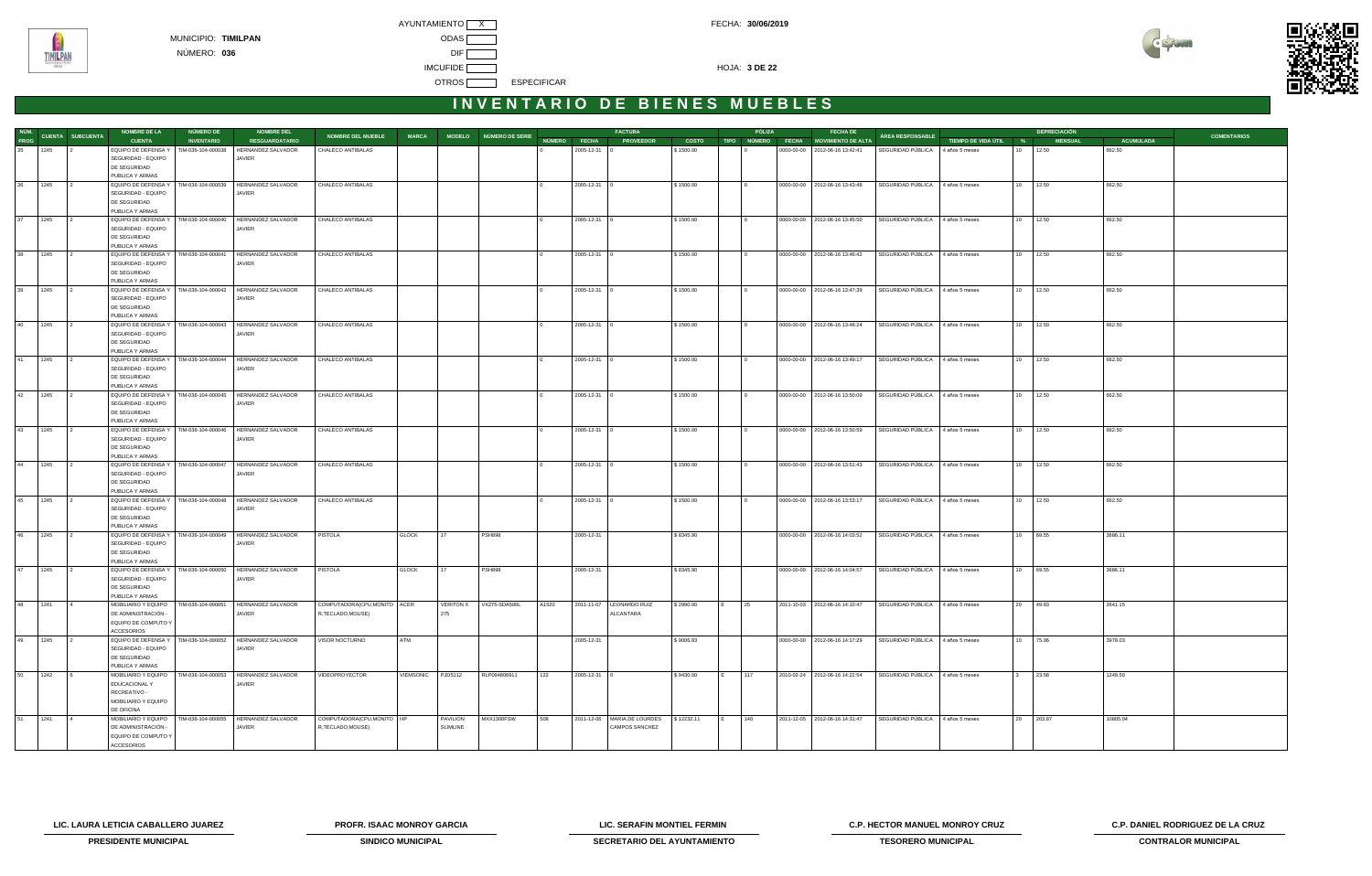



| NÚM.    |      |                         | <b>NOMBRE DE LA</b>                                            | NÚMERO DE          | <b>NOMBRE DEL</b>                                             |                              |                   |                  |                        |       |                | <b>FACTURA</b>                |            |     | PÓLIZA | <b>FECHA DE</b>                      |                                  |                       |           | <b>DEPRECIACIÓN</b> |                |                  |                    |
|---------|------|-------------------------|----------------------------------------------------------------|--------------------|---------------------------------------------------------------|------------------------------|-------------------|------------------|------------------------|-------|----------------|-------------------------------|------------|-----|--------|--------------------------------------|----------------------------------|-----------------------|-----------|---------------------|----------------|------------------|--------------------|
| PROG    |      | <b>CUENTA SUBCUENTA</b> | <b>CUENTA</b>                                                  | <b>INVENTARIO</b>  | <b>RESGUARDATARIO</b>                                         | <b>NOMBRE DEL MUEBLE</b>     | <b>MARCA</b>      |                  | MODELO NÚMERO DE SERIE |       | NÚMERO FECHA   | <b>PROVEEDOR</b>              | COSTO      |     |        | TIPO NÚMERO FECHA MOVIMIENTO DE ALTA | <b>ÁREA RESPONSABLE</b>          | TIEMPO DE VIDA ÚTIL % |           |                     | <b>MENSUAL</b> | <b>ACUMULADA</b> | <b>COMENTARIOS</b> |
| 35      | 1245 |                         | EQUIPO DE DEFENSA Y                                            | TIM-036-104-000038 | HERNANDEZ SALVADOR                                            | CHALECO ANTIBALAS            |                   |                  |                        |       | 2005-12-31     |                               | \$1500.00  |     |        | 0000-00-00 2012-06-16 13:42:41       | SEGURIDAD PÚBLICA                | 4 años 5 meses        | $10^{-7}$ | 12.50               |                | 662.50           |                    |
|         |      |                         | SEGURIDAD - EQUIPO                                             |                    | JAVIER                                                        |                              |                   |                  |                        |       |                |                               |            |     |        |                                      |                                  |                       |           |                     |                |                  |                    |
|         |      |                         | DE SEGURIDAD<br>PUBLICA Y ARMAS                                |                    |                                                               |                              |                   |                  |                        |       |                |                               |            |     |        |                                      |                                  |                       |           |                     |                |                  |                    |
| 36      | 1245 |                         | EQUIPO DE DEFENSA Y                                            | TIM-036-104-000039 | HERNANDEZ SALVADOR                                            | CHALECO ANTIBALAS            |                   |                  |                        |       | 2005-12-31 0   |                               | \$1500.00  |     |        | 0000-00-00   2012-06-16 13:43:48     | SEGURIDAD PÚBLICA 4 años 5 meses |                       | 10 12.50  |                     |                | 662.50           |                    |
|         |      |                         | SEGURIDAD - EQUIPO                                             |                    | JAVIER                                                        |                              |                   |                  |                        |       |                |                               |            |     |        |                                      |                                  |                       |           |                     |                |                  |                    |
|         |      |                         | DE SEGURIDAD                                                   |                    |                                                               |                              |                   |                  |                        |       |                |                               |            |     |        |                                      |                                  |                       |           |                     |                |                  |                    |
|         |      |                         | PUBLICA Y ARMAS                                                |                    |                                                               |                              |                   |                  |                        |       |                |                               |            |     |        |                                      |                                  |                       |           |                     |                |                  |                    |
| 37      | 1245 |                         | EQUIPO DE DEFENSA Y<br>SEGURIDAD - EQUIPO                      | TIM-036-104-000040 | HERNANDEZ SALVADOR<br>JAVIER                                  | CHALECO ANTIBALAS            |                   |                  |                        |       | 2005-12-31 0   |                               | \$1500.00  |     |        | 0000-00-00   2012-06-16 13:45:50     | SEGURIDAD PÚBLICA 4 años 5 meses |                       | 10 12.50  |                     |                | 662.50           |                    |
|         |      |                         | DE SEGURIDAD                                                   |                    |                                                               |                              |                   |                  |                        |       |                |                               |            |     |        |                                      |                                  |                       |           |                     |                |                  |                    |
|         |      |                         | PUBLICA Y ARMAS                                                |                    |                                                               |                              |                   |                  |                        |       |                |                               |            |     |        |                                      |                                  |                       |           |                     |                |                  |                    |
| 38      | 1245 |                         | EQUIPO DE DEFENSA Y                                            | TIM-036-104-000041 | HERNANDEZ SALVADOR                                            | CHALECO ANTIBALAS            |                   |                  |                        |       | 2005-12-31 0   |                               | \$1500.00  |     |        | 0000-00-00   2012-06-16 13:46:42     | SEGURIDAD PÚBLICA 4 años 5 meses |                       | 10 12.50  |                     |                | 662.50           |                    |
|         |      |                         | SEGURIDAD - EQUIPO                                             |                    | JAVIER                                                        |                              |                   |                  |                        |       |                |                               |            |     |        |                                      |                                  |                       |           |                     |                |                  |                    |
|         |      |                         | DE SEGURIDAD<br>PUBLICA Y ARMAS                                |                    |                                                               |                              |                   |                  |                        |       |                |                               |            |     |        |                                      |                                  |                       |           |                     |                |                  |                    |
| 39      | 1245 |                         | EQUIPO DE DEFENSA Y                                            |                    | TIM-036-104-000042 HERNANDEZ SALVADOR                         | CHALECO ANTIBALAS            |                   |                  |                        |       | 2005-12-31 0   |                               | \$1500.00  |     |        | 0000-00-00   2012-06-16 13:47:39     | SEGURIDAD PÚBLICA 4 años 5 meses |                       | 10 12.50  |                     |                | 662.50           |                    |
|         |      |                         | SEGURIDAD - EQUIPO                                             |                    | JAVIER                                                        |                              |                   |                  |                        |       |                |                               |            |     |        |                                      |                                  |                       |           |                     |                |                  |                    |
|         |      |                         | DE SEGURIDAD                                                   |                    |                                                               |                              |                   |                  |                        |       |                |                               |            |     |        |                                      |                                  |                       |           |                     |                |                  |                    |
| 40      | 1245 |                         | PUBLICA Y ARMAS<br>EQUIPO DE DEFENSA Y                         | TIM-036-104-000043 | HERNANDEZ SALVADOR                                            | CHALECO ANTIBALAS            |                   |                  |                        |       | 2005-12-31 0   |                               | \$1500.00  |     |        | 0000-00-00 2012-06-16 13:48:24       | SEGURIDAD PÚBLICA 4 años 5 meses |                       | 10 12.50  |                     |                | 662.50           |                    |
|         |      |                         | SEGURIDAD - EQUIPO                                             |                    | JAVIER                                                        |                              |                   |                  |                        |       |                |                               |            |     |        |                                      |                                  |                       |           |                     |                |                  |                    |
|         |      |                         | DE SEGURIDAD                                                   |                    |                                                               |                              |                   |                  |                        |       |                |                               |            |     |        |                                      |                                  |                       |           |                     |                |                  |                    |
|         |      |                         | PUBLICA Y ARMAS                                                |                    |                                                               |                              |                   |                  |                        |       |                |                               |            |     |        |                                      |                                  |                       |           |                     |                |                  |                    |
| 41      | 1245 |                         | EQUIPO DE DEFENSA Y<br>SEGURIDAD - EQUIPO                      | TIM-036-104-000044 | HERNANDEZ SALVADOR                                            | CHALECO ANTIBALAS            |                   |                  |                        |       | 2005-12-31 0   |                               | \$1500.00  |     |        | 0000-00-00 2012-06-16 13:49:17       | SEGURIDAD PÚBLICA 4 años 5 meses |                       | 10 12.50  |                     |                | 662.50           |                    |
|         |      |                         | DE SEGURIDAD                                                   |                    | JAVIER                                                        |                              |                   |                  |                        |       |                |                               |            |     |        |                                      |                                  |                       |           |                     |                |                  |                    |
|         |      |                         | PUBLICA Y ARMAS                                                |                    |                                                               |                              |                   |                  |                        |       |                |                               |            |     |        |                                      |                                  |                       |           |                     |                |                  |                    |
| 42      | 1245 |                         | EQUIPO DE DEFENSA Y                                            | TIM-036-104-000045 | HERNANDEZ SALVADOR                                            | CHALECO ANTIBALAS            |                   |                  |                        |       | 2005-12-31 0   |                               | \$1500.00  |     |        | 0000-00-00 2012-06-16 13:50:09       | SEGURIDAD PÚBLICA 4 años 5 meses |                       | 10 12.50  |                     |                | 662.50           |                    |
|         |      |                         | SEGURIDAD - EQUIPO                                             |                    | JAVIER                                                        |                              |                   |                  |                        |       |                |                               |            |     |        |                                      |                                  |                       |           |                     |                |                  |                    |
|         |      |                         | DE SEGURIDAD<br>PUBLICA Y ARMAS                                |                    |                                                               |                              |                   |                  |                        |       |                |                               |            |     |        |                                      |                                  |                       |           |                     |                |                  |                    |
| 43      | 1245 |                         | EQUIPO DE DEFENSA Y   TIM-036-104-000046                       |                    | HERNANDEZ SALVADOR                                            | CHALECO ANTIBALAS            |                   |                  |                        |       | 2005-12-31   0 |                               | \$1500.00  |     |        | 0000-00-00   2012-06-16 13:50:59     | SEGURIDAD PÚBLICA 4 años 5 meses |                       | 10 12.50  |                     |                | 662.50           |                    |
|         |      |                         | SEGURIDAD - EQUIPO                                             |                    | JAVIER                                                        |                              |                   |                  |                        |       |                |                               |            |     |        |                                      |                                  |                       |           |                     |                |                  |                    |
|         |      |                         | DE SEGURIDAD                                                   |                    |                                                               |                              |                   |                  |                        |       |                |                               |            |     |        |                                      |                                  |                       |           |                     |                |                  |                    |
| 44      |      |                         | PUBLICA Y ARMAS                                                | TIM-036-104-000047 | HERNANDEZ SALVADOR                                            | CHALECO ANTIBALAS            |                   |                  |                        |       |                |                               |            |     |        |                                      | SEGURIDAD PÚBLICA 4 años 5 meses |                       | 10 12.50  |                     |                |                  |                    |
|         | 1245 |                         | EQUIPO DE DEFENSA Y<br>SEGURIDAD - EQUIPO                      |                    | JAVIER                                                        |                              |                   |                  |                        |       | 2005-12-31 0   |                               | \$1500.00  |     |        | 0000-00-00   2012-06-16 13:51:43     |                                  |                       |           |                     |                | 662.50           |                    |
|         |      |                         | DE SEGURIDAD                                                   |                    |                                                               |                              |                   |                  |                        |       |                |                               |            |     |        |                                      |                                  |                       |           |                     |                |                  |                    |
|         |      |                         | PUBLICA Y ARMAS                                                |                    |                                                               |                              |                   |                  |                        |       |                |                               |            |     |        |                                      |                                  |                       |           |                     |                |                  |                    |
| 45      | 1245 |                         | EQUIPO DE DEFENSA Y                                            | TIM-036-104-000048 | HERNANDEZ SALVADOR                                            | CHALECO ANTIBALAS            |                   |                  |                        |       | 2005-12-31 0   |                               | \$1500.00  |     |        | 0000-00-00   2012-06-16 13:53:17     | SEGURIDAD PÚBLICA 4 años 5 meses |                       | 10 12.50  |                     |                | 662.50           |                    |
|         |      |                         | SEGURIDAD - EQUIPO<br>DE SEGURIDAD                             |                    | JAVIER                                                        |                              |                   |                  |                        |       |                |                               |            |     |        |                                      |                                  |                       |           |                     |                |                  |                    |
|         |      |                         | PUBLICA Y ARMAS                                                |                    |                                                               |                              |                   |                  |                        |       |                |                               |            |     |        |                                      |                                  |                       |           |                     |                |                  |                    |
| 46      | 1245 |                         | EQUIPO DE DEFENSA Y   TIM-036-104-000049                       |                    | HERNANDEZ SALVADOR                                            | PISTOLA                      | <b>GLOCK</b>      | 17               | <b>PSH898</b>          |       | 2005-12-31     |                               | \$8345.90  |     |        | 0000-00-00 2012-06-16 14:03:52       | SEGURIDAD PÚBLICA 4 años 5 meses |                       | 10 69.55  |                     |                | 3686.11          |                    |
|         |      |                         | SEGURIDAD - EQUIPO                                             |                    | JAVIER                                                        |                              |                   |                  |                        |       |                |                               |            |     |        |                                      |                                  |                       |           |                     |                |                  |                    |
|         |      |                         | DE SEGURIDAD<br>PUBLICA Y ARMAS                                |                    |                                                               |                              |                   |                  |                        |       |                |                               |            |     |        |                                      |                                  |                       |           |                     |                |                  |                    |
| 47      | 1245 |                         | EQUIPO DE DEFENSA Y                                            | TIM-036-104-000050 | HERNANDEZ SALVADOR                                            | PISTOLA                      | <b>GLOCK</b>      | 17               | <b>PSH899</b>          |       | 2005-12-31     |                               | \$8345.90  |     |        | 0000-00-00   2012-06-16 14:04:57     | SEGURIDAD PÚBLICA                | 4 años 5 meses        | 10        | 69.55               |                | 3686.11          |                    |
|         |      |                         | SEGURIDAD - EQUIPO                                             |                    | JAVIER                                                        |                              |                   |                  |                        |       |                |                               |            |     |        |                                      |                                  |                       |           |                     |                |                  |                    |
|         |      |                         | DE SEGURIDAD                                                   |                    |                                                               |                              |                   |                  |                        |       |                |                               |            |     |        |                                      |                                  |                       |           |                     |                |                  |                    |
| 48 1241 |      | $\overline{4}$          | PUBLICA Y ARMAS                                                |                    | MOBILIARIO Y EQUIPO   TIM-036-104-000051   HERNANDEZ SALVADOR | COMPUTADORA(CPU, MONITO ACER |                   | <b>VERITON X</b> | VX275-SDA500L          | A1520 |                | 2011-11-07   LEONARDO RUIZ    | \$2990.00  | IE. | 25     | 2011-10-03 2012-06-16 14:10:47       | SEGURIDAD PÚBLICA 4 años 5 meses |                       | 20 49.83  |                     |                | 2641.15          |                    |
|         |      |                         | DE ADMINISTRACIÓN -                                            |                    | JAVIER                                                        | R,TECLADO,MOUSE)             |                   | 275              |                        |       |                | ALCANTARA                     |            |     |        |                                      |                                  |                       |           |                     |                |                  |                    |
|         |      |                         | EQUIPO DE COMPUTO Y                                            |                    |                                                               |                              |                   |                  |                        |       |                |                               |            |     |        |                                      |                                  |                       |           |                     |                |                  |                    |
|         |      |                         | <b>ACCESORIOS</b>                                              |                    |                                                               |                              |                   |                  |                        |       |                |                               |            |     |        |                                      |                                  |                       |           |                     |                |                  |                    |
| 49      | 1245 |                         | EQUIPO DE DEFENSA Y   TIM-036-104-000052<br>SEGURIDAD - EQUIPO |                    | HERNANDEZ SALVADOR<br>JAVIER                                  | VISOR NOCTURNO               | ATM               |                  |                        |       | 2005-12-31     |                               | \$9006.83  |     |        | 0000-00-00   2012-06-16 14:17:29     | SEGURIDAD PÚBLICA 4 años 5 meses |                       | 10 75.06  |                     |                | 3978.03          |                    |
|         |      |                         | DE SEGURIDAD                                                   |                    |                                                               |                              |                   |                  |                        |       |                |                               |            |     |        |                                      |                                  |                       |           |                     |                |                  |                    |
|         |      |                         | PUBLICA Y ARMAS                                                |                    |                                                               |                              |                   |                  |                        |       |                |                               |            |     |        |                                      |                                  |                       |           |                     |                |                  |                    |
| 50      | 1242 |                         | MOBILIARIO Y EQUIPO                                            |                    | TIM-036-104-000053 HERNANDEZ SALVADOR                         | VIDEOPROYECTOR               | VIEMSONIC PJD5112 |                  | RLP094806911           | 122   | 2005-12-31 0   |                               | \$9430.00  |     | 117    | 2010-02-24 2012-06-16 14:22:54       | SEGURIDAD PÚBLICA 4 años 5 meses |                       |           | 23.58               |                | 1249.50          |                    |
|         |      |                         | EDUCACIONAL Y                                                  |                    | JAVIER                                                        |                              |                   |                  |                        |       |                |                               |            |     |        |                                      |                                  |                       |           |                     |                |                  |                    |
|         |      |                         | RECREATIVO -<br>MOBILIARIO Y EQUIPO                            |                    |                                                               |                              |                   |                  |                        |       |                |                               |            |     |        |                                      |                                  |                       |           |                     |                |                  |                    |
|         |      |                         | DE OFICINA                                                     |                    |                                                               |                              |                   |                  |                        |       |                |                               |            |     |        |                                      |                                  |                       |           |                     |                |                  |                    |
| 51      | 1241 |                         | MOBILIARIO Y EQUIPO                                            | TIM-036-104-000055 | HERNANDEZ SALVADOR                                            | COMPUTADORA(CPU, MONITO   HP |                   | <b>PAVILION</b>  | MXX1300FSW             | 508   |                | 2011-12-06   MARIA DE LOURDES | \$12232.11 |     | 140    | 2011-12-05 2012-06-16 14:31:47       | SEGURIDAD PÚBLICA 4 años 5 meses |                       |           | 20 203.87           |                | 10805.04         |                    |
|         |      |                         | DE ADMINISTRACIÓN -                                            |                    | JAVIER                                                        | R, TECLADO, MOUSE)           |                   | <b>SLIMLINE</b>  |                        |       |                | <b>CAMPOS SANCHEZ</b>         |            |     |        |                                      |                                  |                       |           |                     |                |                  |                    |
|         |      |                         | EQUIPO DE COMPUTO Y                                            |                    |                                                               |                              |                   |                  |                        |       |                |                               |            |     |        |                                      |                                  |                       |           |                     |                |                  |                    |
|         |      |                         | <b>ACCESORIOS</b>                                              |                    |                                                               |                              |                   |                  |                        |       |                |                               |            |     |        |                                      |                                  |                       |           |                     |                |                  |                    |

**LIC. LAURA LETICIA CABALLERO JUAREZ PROFR. ISAAC MONROY GARCIA LIC. SERAFIN MONTIEL FERMIN C.P. HECTOR MANUEL MONROY CRUZ C.P. DANIEL RODRIGUEZ DE LA CRUZ** 



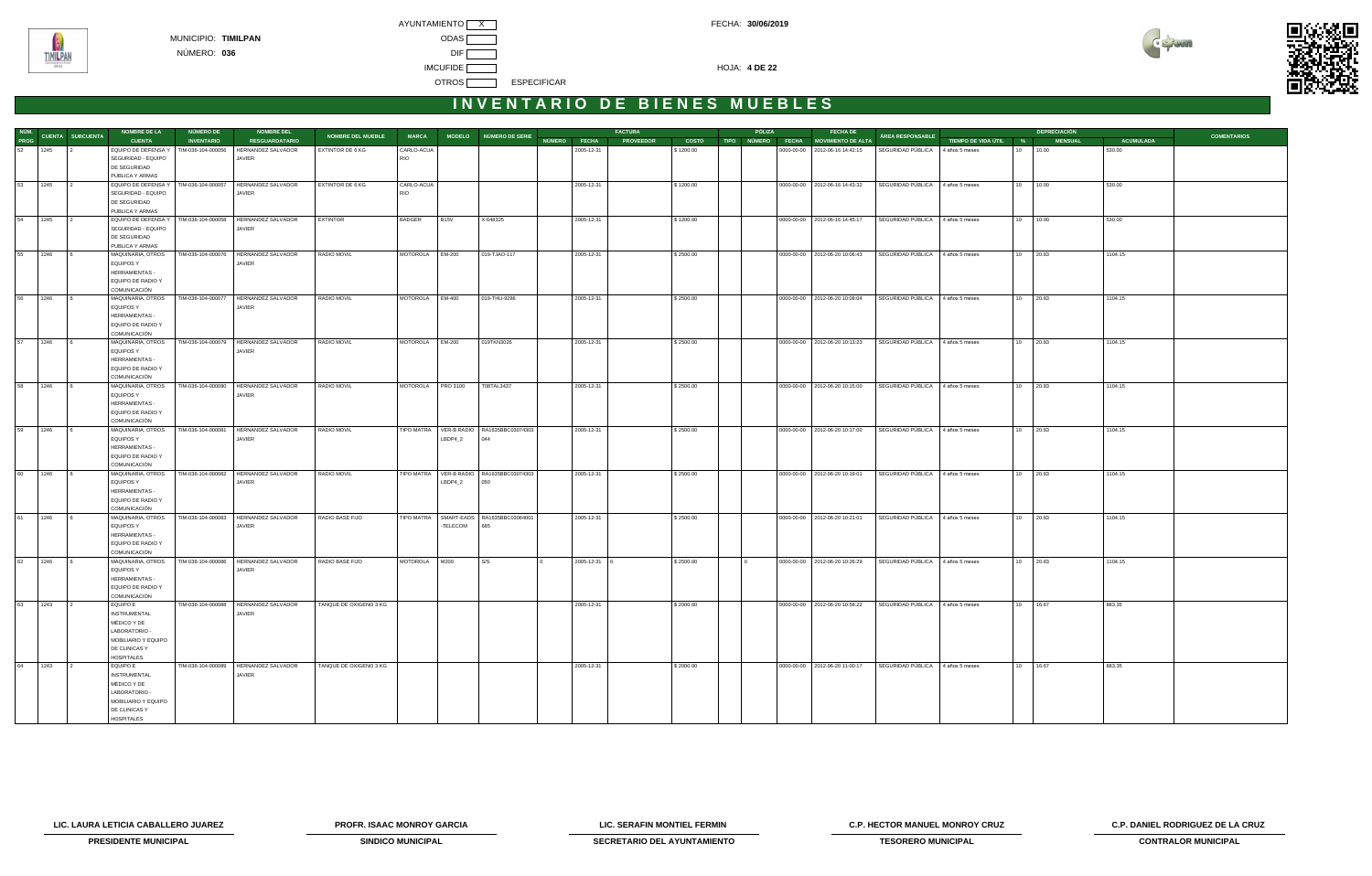



| NÚM.    |                         | <b>NOMBRE DE LA</b>               | <b>NÚMERO DE</b>   | <b>NOMBRE DEL</b>                       |                          |                   |             |                                          |              | <b>FACTURA</b>   |              | PÓLIZA | <b>FECHA DE</b>                      |                                  |                       |                 | <b>DEPRECIACIÓN</b> |                  |                    |
|---------|-------------------------|-----------------------------------|--------------------|-----------------------------------------|--------------------------|-------------------|-------------|------------------------------------------|--------------|------------------|--------------|--------|--------------------------------------|----------------------------------|-----------------------|-----------------|---------------------|------------------|--------------------|
| PROG    | <b>CUENTA SUBCUENTA</b> | <b>CUENTA</b>                     | <b>INVENTARIO</b>  | <b>RESGUARDATARIO</b>                   | <b>NOMBRE DEL MUEBLE</b> | <b>MARCA</b>      |             | MODELO NÚMERO DE SERIE                   | NÚMERO FECHA | <b>PROVEEDOR</b> | <b>COSTO</b> |        | TIPO NÚMERO FECHA MOVIMIENTO DE ALTA | ÁREA RESPONSABLE                 | TIEMPO DE VIDA ÚTIL % |                 | <b>MENSUAL</b>      | <b>ACUMULADA</b> | <b>COMENTARIOS</b> |
| 52      | 1245<br>$\overline{2}$  | EQUIPO DE DEFENSA Y               | TIM-036-104-000056 | HERNANDEZ SALVADOR                      | <b>EXTINTOR DE 6 KG</b>  | CARLO-ACUA        |             |                                          |              | 2005-12-31       | \$1200.00    |        | 0000-00-00 2012-06-16 14:42:15       | SEGURIDAD PÚBLICA                | 4 años 5 meses        | 10 <sup>1</sup> | 10.00               | 530.00           |                    |
|         |                         | SEGURIDAD - EQUIPO                |                    | JAVIER                                  |                          | <b>RIO</b>        |             |                                          |              |                  |              |        |                                      |                                  |                       |                 |                     |                  |                    |
|         |                         | DE SEGURIDAD                      |                    |                                         |                          |                   |             |                                          |              |                  |              |        |                                      |                                  |                       |                 |                     |                  |                    |
|         |                         | PUBLICA Y ARMAS                   |                    |                                         |                          |                   |             |                                          |              |                  |              |        |                                      |                                  |                       |                 |                     |                  |                    |
| 53      | 1245                    | EQUIPO DE DEFENSA Y               | TIM-036-104-000057 | HERNANDEZ SALVADOR                      | EXTINTOR DE 6 KG         | CARLO-ACUA        |             |                                          |              | 2005-12-31       | \$1200.00    |        | 0000-00-00   2012-06-16 14:43:32     | SEGURIDAD PÚBLICA 4 años 5 meses |                       | 10              | 10.00               | 530.00           |                    |
|         |                         | SEGURIDAD - EQUIPO                |                    | JAVIER                                  |                          | <b>RIO</b>        |             |                                          |              |                  |              |        |                                      |                                  |                       |                 |                     |                  |                    |
|         |                         | DE SEGURIDAD                      |                    |                                         |                          |                   |             |                                          |              |                  |              |        |                                      |                                  |                       |                 |                     |                  |                    |
|         |                         | PUBLICA Y ARMAS                   |                    |                                         |                          |                   |             |                                          |              |                  |              |        |                                      |                                  |                       |                 |                     |                  |                    |
| 54      | 1245<br>$\frac{1}{2}$   | EQUIPO DE DEFENSA Y               | TIM-036-104-000058 | HERNANDEZ SALVADOR                      | EXTINTOR                 | <b>BADGER</b>     | <b>B15V</b> | X-648325                                 |              | 2005-12-31       | \$1200.00    |        | 0000-00-00 2012-06-16 14:45:17       | SEGURIDAD PÚBLICA                | 4 años 5 meses        |                 | 10 10.00            | 530.00           |                    |
|         |                         | SEGURIDAD - EQUIPO                |                    | JAVIER                                  |                          |                   |             |                                          |              |                  |              |        |                                      |                                  |                       |                 |                     |                  |                    |
|         |                         | DE SEGURIDAD                      |                    |                                         |                          |                   |             |                                          |              |                  |              |        |                                      |                                  |                       |                 |                     |                  |                    |
|         |                         | PUBLICA Y ARMAS                   |                    |                                         |                          |                   |             |                                          |              |                  |              |        |                                      |                                  |                       |                 |                     |                  |                    |
| 55      | 1246<br>$\overline{6}$  | MAQUINARIA, OTROS                 |                    | TIM-036-104-000076 HERNANDEZ SALVADOR   | RADIO MOVIL              | MOTOROLA EM-200   |             | 019-TJAO-117                             |              | 2005-12-31       | \$2500.00    |        | 0000-00-00   2012-06-20 10:06:43     | SEGURIDAD PÚBLICA                | 4 años 5 meses        | 10              | 20.83               | 1104.15          |                    |
|         |                         | <b>EQUIPOS Y</b>                  |                    | JAVIER                                  |                          |                   |             |                                          |              |                  |              |        |                                      |                                  |                       |                 |                     |                  |                    |
|         |                         | HERRAMIENTAS -                    |                    |                                         |                          |                   |             |                                          |              |                  |              |        |                                      |                                  |                       |                 |                     |                  |                    |
|         |                         | EQUIPO DE RADIO Y                 |                    |                                         |                          |                   |             |                                          |              |                  |              |        |                                      |                                  |                       |                 |                     |                  |                    |
|         |                         | COMUNICACIÓN                      |                    |                                         |                          |                   |             |                                          |              |                  |              |        |                                      |                                  |                       |                 |                     |                  |                    |
| 56      | 1246<br>$\overline{6}$  | MAQUINARIA, OTROS                 | TIM-036-104-000077 | HERNANDEZ SALVADOR                      | RADIO MOVIL              | MOTOROLA EM-400   |             | 019-THU-9286                             |              | 2005-12-31       | \$2500.00    |        | 0000-00-00   2012-06-20 10:08:04     | SEGURIDAD PÚBLICA                | 4 años 5 meses        | 10              | 20.83               | 1104.15          |                    |
|         |                         | EQUIPOS Y                         |                    | JAVIER                                  |                          |                   |             |                                          |              |                  |              |        |                                      |                                  |                       |                 |                     |                  |                    |
|         |                         | HERRAMIENTAS -                    |                    |                                         |                          |                   |             |                                          |              |                  |              |        |                                      |                                  |                       |                 |                     |                  |                    |
|         |                         | EQUIPO DE RADIO Y                 |                    |                                         |                          |                   |             |                                          |              |                  |              |        |                                      |                                  |                       |                 |                     |                  |                    |
|         |                         | COMUNICACIÓN                      |                    |                                         |                          |                   |             |                                          |              |                  |              |        |                                      |                                  |                       |                 |                     |                  |                    |
| 57 1246 | $\sqrt{6}$              | MAQUINARIA, OTROS                 |                    | TIM-036-104-000079 HERNANDEZ SALVADOR   | RADIO MOVIL              | MOTOROLA EM-200   |             | 019TKN3026                               |              | 2005-12-31       | \$2500.00    |        | 0000-00-00   2012-06-20 10:13:23     | SEGURIDAD PÚBLICA 4 años 5 meses |                       |                 | 10 20.83            | 1104.15          |                    |
|         |                         | EQUIPOS Y                         |                    | JAVIER                                  |                          |                   |             |                                          |              |                  |              |        |                                      |                                  |                       |                 |                     |                  |                    |
|         |                         | HERRAMIENTAS -                    |                    |                                         |                          |                   |             |                                          |              |                  |              |        |                                      |                                  |                       |                 |                     |                  |                    |
|         |                         | EQUIPO DE RADIO Y                 |                    |                                         |                          |                   |             |                                          |              |                  |              |        |                                      |                                  |                       |                 |                     |                  |                    |
|         |                         | COMUNICACIÓN                      |                    |                                         |                          |                   |             |                                          |              |                  |              |        |                                      |                                  |                       |                 |                     |                  |                    |
| 58      | 1246<br>$\overline{6}$  | MAQUINARIA, OTROS                 |                    | TIM-036-104-000080 HERNANDEZ SALVADOR   | RADIO MOVIL              | MOTOROLA PRO 3100 |             | T08TAL3437                               |              | 2005-12-31       | \$2500.00    |        | 0000-00-00   2012-06-20 10:15:00     | SEGURIDAD PÚBLICA                | 4 años 5 meses        |                 | 10 20.83            | 1104.15          |                    |
|         |                         | EQUIPOS Y                         |                    | JAVIER                                  |                          |                   |             |                                          |              |                  |              |        |                                      |                                  |                       |                 |                     |                  |                    |
|         |                         | HERRAMIENTAS -                    |                    |                                         |                          |                   |             |                                          |              |                  |              |        |                                      |                                  |                       |                 |                     |                  |                    |
|         |                         | EQUIPO DE RADIO Y                 |                    |                                         |                          |                   |             |                                          |              |                  |              |        |                                      |                                  |                       |                 |                     |                  |                    |
|         |                         | COMUNICACIÓN                      |                    |                                         |                          |                   |             |                                          |              |                  |              |        |                                      |                                  |                       |                 |                     |                  |                    |
| 59      | 1246                    | MAQUINARIA, OTROS                 |                    | TIM-036-104-000081 HERNANDEZ SALVADOR   | RADIO MOVIL              |                   |             | TIPO MATRA VER-B RADIO RA1635BBC03074303 |              | 2005-12-31       | \$2500.00    |        | 0000-00-00   2012-06-20 10:17:00     | SEGURIDAD PÚBLICA                | 4 años 5 meses        |                 | 10 20.83            | 1104.15          |                    |
|         |                         | <b>EQUIPOS Y</b>                  |                    | JAVIER                                  |                          |                   | LBDP4_2     | 044                                      |              |                  |              |        |                                      |                                  |                       |                 |                     |                  |                    |
|         |                         | HERRAMIENTAS -                    |                    |                                         |                          |                   |             |                                          |              |                  |              |        |                                      |                                  |                       |                 |                     |                  |                    |
|         |                         | EQUIPO DE RADIO Y                 |                    |                                         |                          |                   |             |                                          |              |                  |              |        |                                      |                                  |                       |                 |                     |                  |                    |
|         |                         | COMUNICACIÓN                      |                    |                                         |                          |                   |             |                                          |              |                  |              |        |                                      |                                  |                       |                 |                     |                  |                    |
| 60      | 1246<br>16              | MAQUINARIA, OTROS                 |                    | TIM-036-104-000082   HERNANDEZ SALVADOR | RADIO MOVIL              |                   |             | TIPO MATRA VER-B RADIO RA1635BBC03074303 |              | 2005-12-31       | \$2500.00    |        | 0000-00-00 2012-06-20 10:19:01       | SEGURIDAD PÚBLICA                | 4 años 5 meses        |                 | 10 20.83            | 1104.15          |                    |
|         |                         | <b>EQUIPOS Y</b>                  |                    | JAVIER                                  |                          |                   | LBDP4_2     | 050                                      |              |                  |              |        |                                      |                                  |                       |                 |                     |                  |                    |
|         |                         | HERRAMIENTAS -                    |                    |                                         |                          |                   |             |                                          |              |                  |              |        |                                      |                                  |                       |                 |                     |                  |                    |
|         |                         | EQUIPO DE RADIO Y                 |                    |                                         |                          |                   |             |                                          |              |                  |              |        |                                      |                                  |                       |                 |                     |                  |                    |
|         |                         | COMUNICACIÓN                      |                    |                                         |                          |                   |             |                                          |              |                  |              |        |                                      |                                  |                       |                 |                     |                  |                    |
| 61      | 1246                    | MAQUINARIA, OTROS                 |                    | TIM-036-104-000083 HERNANDEZ SALVADOR   | RADIO BASE FIJO          |                   |             | TIPO MATRA SMART-EADS RA1635BBC03064001  |              | 2005-12-31       | \$2500.00    |        | 0000-00-00 2012-06-20 10:21:01       | SEGURIDAD PÚBLICA                | 4 años 5 meses        | 10              | 20.83               | 1104.15          |                    |
|         |                         | <b>EQUIPOS Y</b>                  |                    | JAVIER                                  |                          |                   | -TELECOM    | 685                                      |              |                  |              |        |                                      |                                  |                       |                 |                     |                  |                    |
|         |                         | HERRAMIENTAS -                    |                    |                                         |                          |                   |             |                                          |              |                  |              |        |                                      |                                  |                       |                 |                     |                  |                    |
|         |                         | EQUIPO DE RADIO Y                 |                    |                                         |                          |                   |             |                                          |              |                  |              |        |                                      |                                  |                       |                 |                     |                  |                    |
|         |                         | COMUNICACIÓN                      |                    |                                         |                          |                   |             |                                          |              |                  |              |        |                                      |                                  |                       |                 |                     |                  |                    |
| 62      | 1246                    | MAQUINARIA, OTROS                 | TIM-036-104-000086 | HERNANDEZ SALVADOR                      | RADIO BASE FIJO          | MOTOROLA          | M200        | S/S                                      |              | 2005-12-31       | \$2500.00    |        | 0000-00-00   2012-06-20 10:26:29     | SEGURIDAD PÚBLICA                | 4 años 5 meses        | 10              | 20.83               | 1104.15          |                    |
|         |                         | <b>EQUIPOS Y</b>                  |                    | JAVIER                                  |                          |                   |             |                                          |              |                  |              |        |                                      |                                  |                       |                 |                     |                  |                    |
|         |                         | HERRAMIENTAS -                    |                    |                                         |                          |                   |             |                                          |              |                  |              |        |                                      |                                  |                       |                 |                     |                  |                    |
|         |                         |                                   |                    |                                         |                          |                   |             |                                          |              |                  |              |        |                                      |                                  |                       |                 |                     |                  |                    |
|         |                         | EQUIPO DE RADIO Y<br>COMUNICACIÓN |                    |                                         |                          |                   |             |                                          |              |                  |              |        |                                      |                                  |                       |                 |                     |                  |                    |
| 63      | 1243<br>$\vert$ 2       | <b>EQUIPO E</b>                   |                    | TIM-036-104-000088 HERNANDEZ SALVADOR   | TANQUE DE OXIGENO 3 KG   |                   |             |                                          |              | 2005-12-31       | \$2000.00    |        | 0000-00-00 2012-06-20 10:58:22       | SEGURIDAD PÚBLICA 4 años 5 meses |                       |                 | 10 16.67            | 883.35           |                    |
|         |                         | <b>INSTRUMENTAL</b>               |                    | JAVIER                                  |                          |                   |             |                                          |              |                  |              |        |                                      |                                  |                       |                 |                     |                  |                    |
|         |                         | MÉDICO Y DE                       |                    |                                         |                          |                   |             |                                          |              |                  |              |        |                                      |                                  |                       |                 |                     |                  |                    |
|         |                         |                                   |                    |                                         |                          |                   |             |                                          |              |                  |              |        |                                      |                                  |                       |                 |                     |                  |                    |
|         |                         | LABORATORIO -                     |                    |                                         |                          |                   |             |                                          |              |                  |              |        |                                      |                                  |                       |                 |                     |                  |                    |
|         |                         | MOBILIARIO Y EQUIPO               |                    |                                         |                          |                   |             |                                          |              |                  |              |        |                                      |                                  |                       |                 |                     |                  |                    |
|         |                         | DE CLINICAS Y                     |                    |                                         |                          |                   |             |                                          |              |                  |              |        |                                      |                                  |                       |                 |                     |                  |                    |
|         |                         | <b>HOSPITALES</b>                 |                    |                                         |                          |                   |             |                                          |              |                  |              |        |                                      |                                  |                       |                 |                     |                  |                    |
| 64      | 1243<br>$\overline{2}$  | <b>EQUIPO E</b>                   |                    | TIM-036-104-000089 HERNANDEZ SALVADOR   | TANQUE DE OXIGENO 3 KG   |                   |             |                                          |              | 2005-12-31       | \$2000.00    |        | 0000-00-00 2012-06-20 11:00:17       | SEGURIDAD PÚBLICA 4 años 5 meses |                       | 10              | 16.67               | 883.35           |                    |
|         |                         | <b>INSTRUMENTAL</b>               |                    | JAVIER                                  |                          |                   |             |                                          |              |                  |              |        |                                      |                                  |                       |                 |                     |                  |                    |
|         |                         | MÉDICO Y DE                       |                    |                                         |                          |                   |             |                                          |              |                  |              |        |                                      |                                  |                       |                 |                     |                  |                    |
|         |                         | LABORATORIO -                     |                    |                                         |                          |                   |             |                                          |              |                  |              |        |                                      |                                  |                       |                 |                     |                  |                    |
|         |                         | MOBILIARIO Y EQUIPO               |                    |                                         |                          |                   |             |                                          |              |                  |              |        |                                      |                                  |                       |                 |                     |                  |                    |
|         |                         | DE CLINICAS Y                     |                    |                                         |                          |                   |             |                                          |              |                  |              |        |                                      |                                  |                       |                 |                     |                  |                    |
|         |                         | <b>HOSPITALES</b>                 |                    |                                         |                          |                   |             |                                          |              |                  |              |        |                                      |                                  |                       |                 |                     |                  |                    |



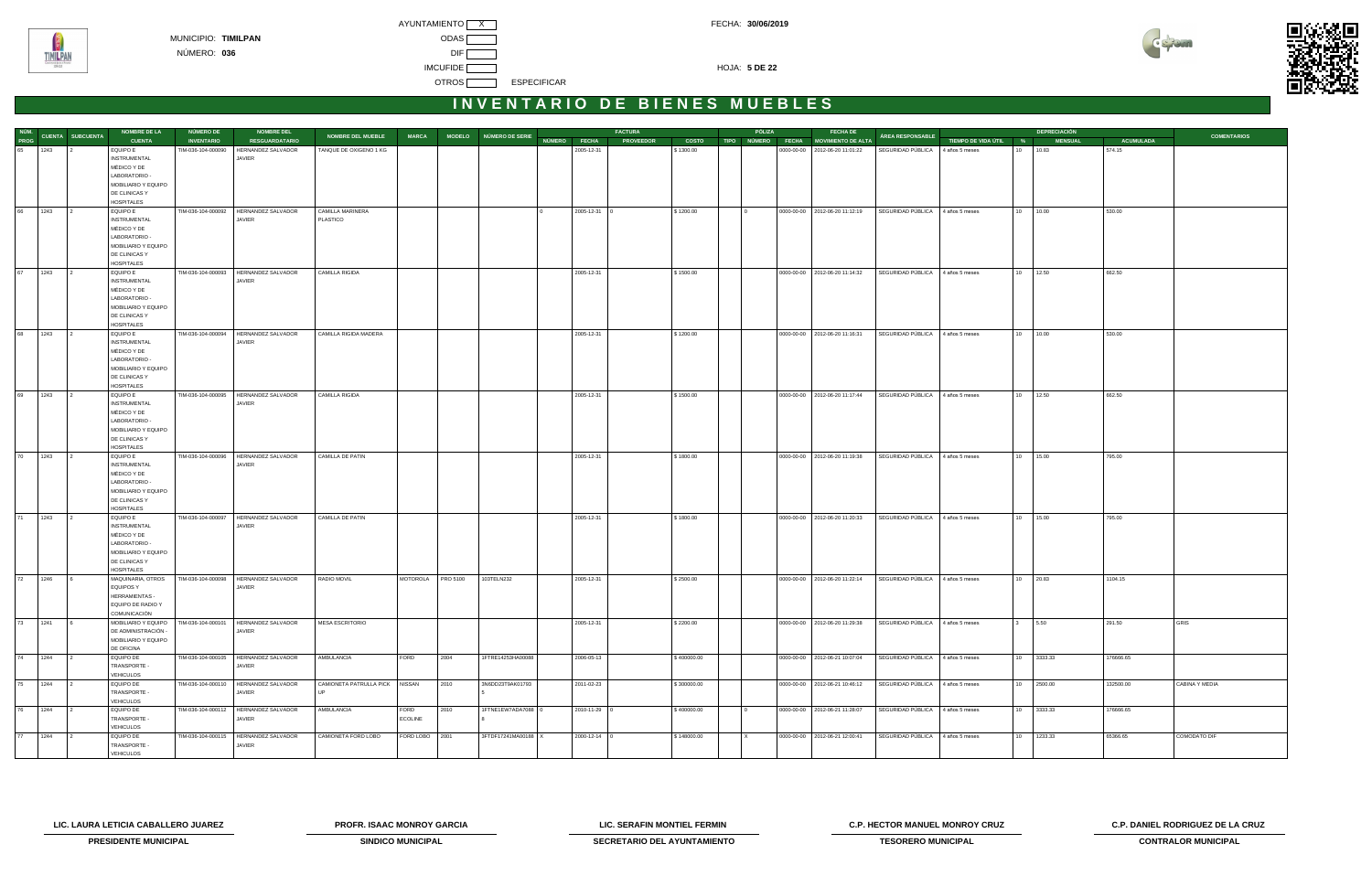



| NÚM.    |      |                         | <b>NOMBRE DE LA</b>                | <b>NÚMERO DE</b>   | <b>NOMBRE DEL</b>                                      |                                |                   |      |                        |              |                | <b>FACTURA</b>   |              | PÓLIZA   | <b>FECHA DE</b>                      |                                  |                       | <b>DEPRECIACIÓN</b> |                  |                     |
|---------|------|-------------------------|------------------------------------|--------------------|--------------------------------------------------------|--------------------------------|-------------------|------|------------------------|--------------|----------------|------------------|--------------|----------|--------------------------------------|----------------------------------|-----------------------|---------------------|------------------|---------------------|
| PROG    |      | <b>CUENTA SUBCUENTA</b> | <b>CUENTA</b>                      | <b>INVENTARIO</b>  | <b>RESGUARDATARIO</b>                                  | NOMBRE DEL MUEBLE              | <b>MARCA</b>      |      | MODELO NÚMERO DE SERIE | NÚMERO FECHA |                | <b>PROVEEDOR</b> | <b>COSTO</b> |          | TIPO NÚMERO FECHA MOVIMIENTO DE ALTA | ÁREA RESPONSABLE                 | TIEMPO DE VIDA ÚTIL % | <b>MENSUAL</b>      | <b>ACUMULADA</b> | <b>COMENTARIOS</b>  |
| 65 1243 |      |                         | <b>EQUIPO E</b>                    | TIM-036-104-000090 | HERNANDEZ SALVADOR                                     | TANQUE DE OXIGENO 1 KG         |                   |      |                        |              | 2005-12-31     |                  | \$1300.00    |          | 0000-00-00   2012-06-20 11:01:22     | SEGURIDAD PÚBLICA 4 años 5 meses |                       | 10 10.83            | 574.15           |                     |
|         |      |                         | <b>INSTRUMENTAL</b>                |                    | JAVIER                                                 |                                |                   |      |                        |              |                |                  |              |          |                                      |                                  |                       |                     |                  |                     |
|         |      |                         | MÉDICO Y DE                        |                    |                                                        |                                |                   |      |                        |              |                |                  |              |          |                                      |                                  |                       |                     |                  |                     |
|         |      |                         | LABORATORIO -                      |                    |                                                        |                                |                   |      |                        |              |                |                  |              |          |                                      |                                  |                       |                     |                  |                     |
|         |      |                         | MOBILIARIO Y EQUIPO                |                    |                                                        |                                |                   |      |                        |              |                |                  |              |          |                                      |                                  |                       |                     |                  |                     |
|         |      |                         | DE CLINICAS Y                      |                    |                                                        |                                |                   |      |                        |              |                |                  |              |          |                                      |                                  |                       |                     |                  |                     |
|         |      |                         | <b>HOSPITALES</b>                  |                    |                                                        |                                |                   |      |                        |              |                |                  |              |          |                                      |                                  |                       |                     |                  |                     |
| 66      | 1243 |                         | EQUIPO E                           |                    | TIM-036-104-000092 HERNANDEZ SALVADOR                  | CAMILLA MARINERA               |                   |      |                        |              | 2005-12-31 0   |                  | \$1200.00    |          | 0000-00-00 2012-06-20 11:12:19       | SEGURIDAD PÚBLICA 4 años 5 meses |                       | 10 10.00            | 530.00           |                     |
|         |      |                         | <b>INSTRUMENTAL</b>                |                    | JAVIER                                                 | PLASTICO                       |                   |      |                        |              |                |                  |              |          |                                      |                                  |                       |                     |                  |                     |
|         |      |                         | MÉDICO Y DE                        |                    |                                                        |                                |                   |      |                        |              |                |                  |              |          |                                      |                                  |                       |                     |                  |                     |
|         |      |                         | LABORATORIO -                      |                    |                                                        |                                |                   |      |                        |              |                |                  |              |          |                                      |                                  |                       |                     |                  |                     |
|         |      |                         | MOBILIARIO Y EQUIPO                |                    |                                                        |                                |                   |      |                        |              |                |                  |              |          |                                      |                                  |                       |                     |                  |                     |
|         |      |                         | DE CLINICAS Y                      |                    |                                                        |                                |                   |      |                        |              |                |                  |              |          |                                      |                                  |                       |                     |                  |                     |
|         |      |                         | <b>HOSPITALES</b>                  |                    |                                                        |                                |                   |      |                        |              |                |                  |              |          |                                      |                                  |                       |                     |                  |                     |
| 67      | 1243 |                         | EQUIPO E<br><b>INSTRUMENTAL</b>    |                    | TIM-036-104-000093 HERNANDEZ SALVADOR<br><b>JAVIER</b> | CAMILLA RIGIDA                 |                   |      |                        |              | 2005-12-31     |                  | \$1500.00    |          | 0000-00-00   2012-06-20 11:14:32     | SEGURIDAD PÚBLICA 4 años 5 meses |                       | 10 12.50            | 662.50           |                     |
|         |      |                         | MÉDICO Y DE                        |                    |                                                        |                                |                   |      |                        |              |                |                  |              |          |                                      |                                  |                       |                     |                  |                     |
|         |      |                         | LABORATORIO -                      |                    |                                                        |                                |                   |      |                        |              |                |                  |              |          |                                      |                                  |                       |                     |                  |                     |
|         |      |                         | MOBILIARIO Y EQUIPO                |                    |                                                        |                                |                   |      |                        |              |                |                  |              |          |                                      |                                  |                       |                     |                  |                     |
|         |      |                         | DE CLINICAS Y                      |                    |                                                        |                                |                   |      |                        |              |                |                  |              |          |                                      |                                  |                       |                     |                  |                     |
|         |      |                         | <b>HOSPITALES</b>                  |                    |                                                        |                                |                   |      |                        |              |                |                  |              |          |                                      |                                  |                       |                     |                  |                     |
| 68      | 1243 |                         | <b>EQUIPO E</b>                    |                    | TIM-036-104-000094   HERNANDEZ SALVADOR                | CAMILLA RIGIDA MADERA          |                   |      |                        |              | 2005-12-31     |                  | \$1200.00    |          | 0000-00-00 2012-06-20 11:16:31       | SEGURIDAD PÚBLICA 4 años 5 meses |                       | 10 10.00            | 530.00           |                     |
|         |      |                         | <b>INSTRUMENTAL</b>                |                    | <b>JAVIER</b>                                          |                                |                   |      |                        |              |                |                  |              |          |                                      |                                  |                       |                     |                  |                     |
|         |      |                         | MÉDICO Y DE                        |                    |                                                        |                                |                   |      |                        |              |                |                  |              |          |                                      |                                  |                       |                     |                  |                     |
|         |      |                         | LABORATORIO -                      |                    |                                                        |                                |                   |      |                        |              |                |                  |              |          |                                      |                                  |                       |                     |                  |                     |
|         |      |                         | MOBILIARIO Y EQUIPO                |                    |                                                        |                                |                   |      |                        |              |                |                  |              |          |                                      |                                  |                       |                     |                  |                     |
|         |      |                         | DE CLINICAS Y                      |                    |                                                        |                                |                   |      |                        |              |                |                  |              |          |                                      |                                  |                       |                     |                  |                     |
| 69      | 1243 |                         | <b>HOSPITALES</b><br>EQUIPO E      |                    | TIM-036-104-000095 HERNANDEZ SALVADOR                  | CAMILLA RIGIDA                 |                   |      |                        |              | 2005-12-31     |                  | \$1500.00    |          | 0000-00-00 2012-06-20 11:17:44       | SEGURIDAD PÚBLICA 4 años 5 meses |                       | 10 12.50            | 662.50           |                     |
|         |      |                         | <b>INSTRUMENTAL</b>                |                    | JAVIER                                                 |                                |                   |      |                        |              |                |                  |              |          |                                      |                                  |                       |                     |                  |                     |
|         |      |                         | MÉDICO Y DE                        |                    |                                                        |                                |                   |      |                        |              |                |                  |              |          |                                      |                                  |                       |                     |                  |                     |
|         |      |                         | LABORATORIO -                      |                    |                                                        |                                |                   |      |                        |              |                |                  |              |          |                                      |                                  |                       |                     |                  |                     |
|         |      |                         | MOBILIARIO Y EQUIPO                |                    |                                                        |                                |                   |      |                        |              |                |                  |              |          |                                      |                                  |                       |                     |                  |                     |
|         |      |                         | DE CLINICAS Y                      |                    |                                                        |                                |                   |      |                        |              |                |                  |              |          |                                      |                                  |                       |                     |                  |                     |
|         |      |                         | <b>HOSPITALES</b>                  |                    |                                                        |                                |                   |      |                        |              |                |                  |              |          |                                      |                                  |                       |                     |                  |                     |
| 70      | 1243 |                         | EQUIPO E                           | TIM-036-104-000096 | HERNANDEZ SALVADOR                                     | CAMILLA DE PATIN               |                   |      |                        |              | 2005-12-31     |                  | \$1800.00    |          | 0000-00-00   2012-06-20 11:19:38     | SEGURIDAD PÚBLICA                | 4 años 5 meses        | 10 15.00            | 795.00           |                     |
|         |      |                         | <b>INSTRUMENTAL</b>                |                    | JAVIER                                                 |                                |                   |      |                        |              |                |                  |              |          |                                      |                                  |                       |                     |                  |                     |
|         |      |                         | MÉDICO Y DE<br>LABORATORIO -       |                    |                                                        |                                |                   |      |                        |              |                |                  |              |          |                                      |                                  |                       |                     |                  |                     |
|         |      |                         | MOBILIARIO Y EQUIPO                |                    |                                                        |                                |                   |      |                        |              |                |                  |              |          |                                      |                                  |                       |                     |                  |                     |
|         |      |                         | DE CLINICAS Y                      |                    |                                                        |                                |                   |      |                        |              |                |                  |              |          |                                      |                                  |                       |                     |                  |                     |
|         |      |                         | <b>HOSPITALES</b>                  |                    |                                                        |                                |                   |      |                        |              |                |                  |              |          |                                      |                                  |                       |                     |                  |                     |
| 71      | 1243 |                         | EQUIPO E                           | TIM-036-104-000097 | HERNANDEZ SALVADOR                                     | CAMILLA DE PATIN               |                   |      |                        |              | 2005-12-31     |                  | \$1800.00    |          | 0000-00-00 2012-06-20 11:20:33       | SEGURIDAD PÚBLICA 4 años 5 meses |                       | 10 15.00            | 795.00           |                     |
|         |      |                         | <b>INSTRUMENTAL</b>                |                    | <b>JAVIER</b>                                          |                                |                   |      |                        |              |                |                  |              |          |                                      |                                  |                       |                     |                  |                     |
|         |      |                         | MÉDICO Y DE                        |                    |                                                        |                                |                   |      |                        |              |                |                  |              |          |                                      |                                  |                       |                     |                  |                     |
|         |      |                         | LABORATORIO -                      |                    |                                                        |                                |                   |      |                        |              |                |                  |              |          |                                      |                                  |                       |                     |                  |                     |
|         |      |                         | MOBILIARIO Y EQUIPO                |                    |                                                        |                                |                   |      |                        |              |                |                  |              |          |                                      |                                  |                       |                     |                  |                     |
|         |      |                         | DE CLINICAS Y<br><b>HOSPITALES</b> |                    |                                                        |                                |                   |      |                        |              |                |                  |              |          |                                      |                                  |                       |                     |                  |                     |
| 72 1246 |      |                         | MAQUINARIA, OTROS                  |                    | TIM-036-104-000098   HERNANDEZ SALVADOR                | RADIO MOVIL                    | MOTOROLA PRO 5100 |      | 103TELN232             |              | 2005-12-31     |                  | \$2500.00    |          | 0000-00-00 2012-06-20 11:22:14       | SEGURIDAD PÚBLICA 4 años 5 meses |                       | 10 20.83            | 1104.15          |                     |
|         |      |                         | EQUIPOS Y                          |                    | JAVIER                                                 |                                |                   |      |                        |              |                |                  |              |          |                                      |                                  |                       |                     |                  |                     |
|         |      |                         | HERRAMIENTAS -                     |                    |                                                        |                                |                   |      |                        |              |                |                  |              |          |                                      |                                  |                       |                     |                  |                     |
|         |      |                         | EQUIPO DE RADIO Y                  |                    |                                                        |                                |                   |      |                        |              |                |                  |              |          |                                      |                                  |                       |                     |                  |                     |
|         |      |                         | COMUNICACIÓN                       |                    |                                                        |                                |                   |      |                        |              |                |                  |              |          |                                      |                                  |                       |                     |                  |                     |
| 73 1241 |      |                         | MOBILIARIO Y EQUIPO                |                    | TIM-036-104-000101 HERNANDEZ SALVADOR                  | <b>MESA ESCRITORIO</b>         |                   |      |                        |              | 2005-12-31     |                  | \$2200.00    |          | 0000-00-00   2012-06-20 11:29:38     | SEGURIDAD PÚBLICA 4 años 5 meses |                       | $3 \qquad 5.50$     | 291.50           | GRIS                |
|         |      |                         | DE ADMINISTRACIÓN -                |                    | JAVIER                                                 |                                |                   |      |                        |              |                |                  |              |          |                                      |                                  |                       |                     |                  |                     |
|         |      |                         | MOBILIARIO Y EQUIPO<br>DE OFICINA  |                    |                                                        |                                |                   |      |                        |              |                |                  |              |          |                                      |                                  |                       |                     |                  |                     |
|         |      |                         | EQUIPO DE                          |                    | TIM-036-104-000105 HERNANDEZ SALVADOR                  | AMBULANCIA                     | FORD              | 2004 | 1FTRE14253HA00088      |              | 2006-05-13     |                  | \$400000.00  |          | 0000-00-00 2012-06-21 10:07:04       | SEGURIDAD PÚBLICA 4 años 5 meses |                       | 10 3333.33          | 176666.65        |                     |
|         |      |                         | TRANSPORTE -                       |                    | JAVIER                                                 |                                |                   |      |                        |              |                |                  |              |          |                                      |                                  |                       |                     |                  |                     |
|         |      |                         | VEHICULOS                          |                    |                                                        |                                |                   |      |                        |              |                |                  |              |          |                                      |                                  |                       |                     |                  |                     |
| 75 1244 |      |                         | EQUIPO DE                          |                    | TIM-036-104-000110   HERNANDEZ SALVADOR                | CAMIONETA PATRULLA PICK NISSAN |                   | 2010 | 3N6DD23T9AK01793       |              | 2011-02-23     |                  | \$300000.00  |          | 0000-00-00 2012-06-21 10:46:12       | SEGURIDAD PÚBLICA 4 años 5 meses |                       | 10 2500.00          | 132500.00        | CABINA Y MEDIA      |
|         |      |                         | TRANSPORTE -                       |                    | JAVIER                                                 |                                |                   |      |                        |              |                |                  |              |          |                                      |                                  |                       |                     |                  |                     |
|         |      |                         | VEHICULOS                          |                    |                                                        |                                |                   |      |                        |              |                |                  |              |          |                                      |                                  |                       |                     |                  |                     |
| 76 1244 |      | $\vert$ 2               | <b>EQUIPO DE</b>                   |                    | TIM-036-104-000112 HERNANDEZ SALVADOR                  | AMBULANCIA                     | FORD              | 2010 | 1FTNE1EW7ADA7088 0     |              | 2010-11-29 0   |                  | \$400000.00  | $\Omega$ | 0000-00-00 2012-06-21 11:28:07       | SEGURIDAD PÚBLICA 4 años 5 meses |                       | 10 3333.33          | 176666.65        |                     |
|         |      |                         | TRANSPORTE -                       |                    | JAVIER                                                 |                                | <b>ECOLINE</b>    |      |                        |              |                |                  |              |          |                                      |                                  |                       |                     |                  |                     |
| 77 1244 |      |                         | VEHICULOS<br><b>EQUIPO DE</b>      |                    | TIM-036-104-000115 HERNANDEZ SALVADOR                  | CAMIONETA FORD LOBO            | FORD LOBO 2001    |      | 3FTDF17241MA00188 X    |              | $2000-12-14$ 0 |                  | \$148000.00  |          | 0000-00-00 2012-06-21 12:00:41       | SEGURIDAD PÚBLICA 4 años 5 meses |                       | 10 1233.33          | 65366.65         | <b>COMODATO DIF</b> |
|         |      |                         | TRANSPORTE -                       |                    | JAVIER                                                 |                                |                   |      |                        |              |                |                  |              |          |                                      |                                  |                       |                     |                  |                     |
|         |      |                         | <b>VEHICULOS</b>                   |                    |                                                        |                                |                   |      |                        |              |                |                  |              |          |                                      |                                  |                       |                     |                  |                     |
|         |      |                         |                                    |                    |                                                        |                                |                   |      |                        |              |                |                  |              |          |                                      |                                  |                       |                     |                  |                     |

**LIC. LAURA LETICIA CABALLERO JUAREZ PROFR. ISAAC MONROY GARCIA LIC. SERAFIN MONTIEL FERMIN C.P. HECTOR MANUEL MONROY CRUZ C.P. DANIEL RODRIGUEZ DE LA CRUZ** 



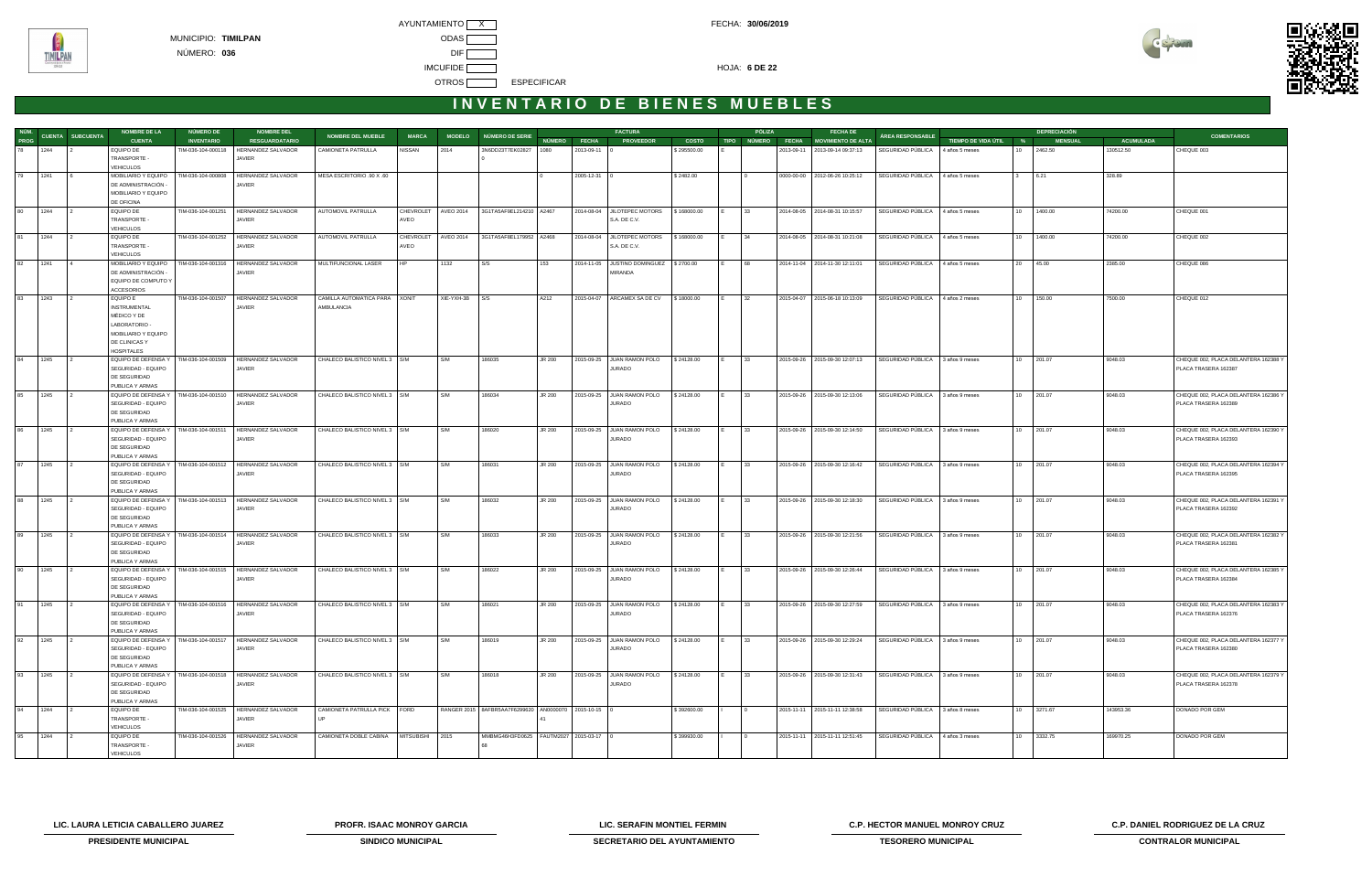

| NÚM.        |                                    | <b>NOMBRE DE LA</b>                        | NÚMERO DE          | <b>NOMBRE DEL</b>                       |                                 |                  |                       |                                                              |        |              | <b>FACTURA</b>                         |              |             | PÓLIZA       | <b>FECHA DE</b>                  |                                  |                       |                  | <b>DEPRECIACIÓN</b> |                  |                                                              |
|-------------|------------------------------------|--------------------------------------------|--------------------|-----------------------------------------|---------------------------------|------------------|-----------------------|--------------------------------------------------------------|--------|--------------|----------------------------------------|--------------|-------------|--------------|----------------------------------|----------------------------------|-----------------------|------------------|---------------------|------------------|--------------------------------------------------------------|
| <b>PROG</b> | CUENTA SUBCUENTA                   | <b>CUENTA</b>                              | <b>INVENTARIO</b>  | <b>RESGUARDATARIO</b>                   | <b>NOMBRE DEL MUEBLE</b>        | <b>MARCA</b>     | <b>MODELO</b>         | NÚMERO DE SERIE                                              | NÚMERO | <b>FECHA</b> | <b>PROVEEDOR</b>                       | <b>COSTO</b> | <b>TIPO</b> | NÚMERO FECHA | MOVIMIENTO DE ALTA               | <b>ÁREA RESPONSABLE</b>          | TIEMPO DE VIDA ÚTIL % |                  | <b>MENSUAL</b>      | <b>ACUMULADA</b> | <b>COMENTARIOS</b>                                           |
| 78          | 1244                               | EQUIPO DE                                  | TIM-036-104-000118 | HERNANDEZ SALVADOR                      | CAMIONETA PATRULLA              | <b>NISSAN</b>    | 2014                  | 3N6DD23T7EK02827                                             | 1080   | 2013-09-11 0 |                                        | \$295500.00  |             |              | 2013-09-11 2013-09-14 09:37:13   | SEGURIDAD PÚBLICA                | 4 años 5 meses        | 10               | 2462.50             | 130512.50        | CHEQUE 003                                                   |
|             |                                    | TRANSPORTE -                               |                    | JAVIER                                  |                                 |                  |                       |                                                              |        |              |                                        |              |             |              |                                  |                                  |                       |                  |                     |                  |                                                              |
| 79          | 1241                               | <b>VEHICULOS</b>                           | TIM-036-104-000808 |                                         |                                 |                  |                       |                                                              |        |              |                                        |              |             |              |                                  |                                  |                       |                  | 6.21                | 328.89           |                                                              |
|             |                                    | MOBILIARIO Y EQUIPO<br>DE ADMINISTRACIÓN - |                    | HERNANDEZ SALVADOR<br>JAVIER            | MESA ESCRITORIO .90 X .60       |                  |                       |                                                              |        | 2005-12-31   |                                        | \$2482.00    |             |              | 0000-00-00   2012-06-26 10:25:12 | SEGURIDAD PÚBLICA                | 4 años 5 meses        |                  |                     |                  |                                                              |
|             |                                    | MOBILIARIO Y EQUIPO                        |                    |                                         |                                 |                  |                       |                                                              |        |              |                                        |              |             |              |                                  |                                  |                       |                  |                     |                  |                                                              |
|             |                                    | DE OFICINA                                 |                    |                                         |                                 |                  |                       |                                                              |        |              |                                        |              |             |              |                                  |                                  |                       |                  |                     |                  |                                                              |
| 80          | 1244                               | EQUIPO DE                                  | TIM-036-104-001251 | HERNANDEZ SALVADOR                      | AUTOMOVIL PATRULLA              |                  | CHEVROLET   AVEO 2014 | 3G1TA5AF9EL214210 A2467                                      |        |              | 2014-08-04 JILOTEPEC MOTORS            | \$168000.00  |             | 33           | 2014-08-05 2014-08-31 10:15:57   | SEGURIDAD PÚBLICA 4 años 5 meses |                       | 10 <sup>1</sup>  | 1400.00             | 74200.00         | CHEQUE 001                                                   |
|             |                                    | <b>TRANSPORTE</b>                          |                    | JAVIER                                  |                                 | AVEO             |                       |                                                              |        |              | S.A. DE C.V.                           |              |             |              |                                  |                                  |                       |                  |                     |                  |                                                              |
|             |                                    | <b>VEHICULOS</b>                           |                    |                                         |                                 |                  |                       |                                                              |        |              |                                        |              |             |              |                                  |                                  |                       |                  |                     |                  |                                                              |
| 81          | 1244                               | EQUIPO DE                                  |                    | TIM-036-104-001252   HERNANDEZ SALVADOR | AUTOMOVIL PATRULLA              | <b>CHEVROLET</b> | <b>AVEO 2014</b>      | 3G1TA5AF8EL179952 A2468                                      |        |              | 2014-08-04 JILOTEPEC MOTORS            | \$168000.00  |             | 34           | 2014-08-05 2014-08-31 10:21:08   | SEGURIDAD PÚBLICA 4 años 5 meses |                       | 10 <sup>1</sup>  | 1400.00             | 74200.00         | CHEQUE 002                                                   |
|             |                                    | TRANSPORTE -<br><b>VEHICULOS</b>           |                    | JAVIER                                  |                                 | AVEO             |                       |                                                              |        |              | S.A. DE C.V.                           |              |             |              |                                  |                                  |                       |                  |                     |                  |                                                              |
| 82          | 1241<br>$\overline{14}$            | MOBILIARIO Y EQUIPO                        | TIM-036-104-001316 | HERNANDEZ SALVADOR                      | MULTIFUNCIONAL LASER            |                  | 1132                  | S/S                                                          | 153    |              | 2014-11-05 JUSTINO DOMINGUEZ S 2700.00 |              |             | 68           | 2014-11-04 2014-11-30 12:11:01   | SEGURIDAD PÚBLICA 4 años 5 meses |                       | 20               | 45.00               | 2385.00          | CHEQUE 086                                                   |
|             |                                    | DE ADMINISTRACIÓN                          |                    | JAVIER                                  |                                 |                  |                       |                                                              |        |              | <b>MIRANDA</b>                         |              |             |              |                                  |                                  |                       |                  |                     |                  |                                                              |
|             |                                    | EQUIPO DE COMPUTO Y                        |                    |                                         |                                 |                  |                       |                                                              |        |              |                                        |              |             |              |                                  |                                  |                       |                  |                     |                  |                                                              |
|             |                                    | <b>ACCESORIOS</b>                          |                    |                                         |                                 |                  |                       |                                                              |        |              |                                        |              |             |              |                                  |                                  |                       |                  |                     |                  |                                                              |
| 83          | 1243<br>$\overline{2}$             | EQUIPO E                                   | TIM-036-104-001507 | <b>HERNANDEZ SALVADOR</b>               | CAMILLA AUTOMATICA PARA XONIT   |                  | XIE-YXH-3B S/S        |                                                              | A212   |              | 2015-04-07   ARCAMEX SA DE CV          | \$18000.00   |             | 32           | 2015-04-07 2015-06-18 10:13:09   | SEGURIDAD PÚBLICA                | 4 años 2 meses        | 10 <sup>1</sup>  | 150.00              | 7500.00          | CHEQUE 012                                                   |
|             |                                    | <b>INSTRUMENTAL</b>                        |                    | JAVIER                                  | AMBULANCIA                      |                  |                       |                                                              |        |              |                                        |              |             |              |                                  |                                  |                       |                  |                     |                  |                                                              |
|             |                                    | MÉDICO Y DE<br>LABORATORIO -               |                    |                                         |                                 |                  |                       |                                                              |        |              |                                        |              |             |              |                                  |                                  |                       |                  |                     |                  |                                                              |
|             |                                    | MOBILIARIO Y EQUIPO                        |                    |                                         |                                 |                  |                       |                                                              |        |              |                                        |              |             |              |                                  |                                  |                       |                  |                     |                  |                                                              |
|             |                                    | DE CLINICAS Y                              |                    |                                         |                                 |                  |                       |                                                              |        |              |                                        |              |             |              |                                  |                                  |                       |                  |                     |                  |                                                              |
|             |                                    | <b>HOSPITALES</b>                          |                    |                                         |                                 |                  |                       |                                                              |        |              |                                        |              |             |              |                                  |                                  |                       |                  |                     |                  |                                                              |
| 84          | 1245                               | EQUIPO DE DEFENSA Y                        | TIM-036-104-001509 | <b>HERNANDEZ SALVADOR</b>               | CHALECO BALISTICO NIVEL 3   S/M |                  | S/M                   | 186035                                                       | JR 200 |              | 2015-09-25 JUAN RAMON POLO             | \$24128.00   |             | 33           | 2015-09-26 2015-09-30 12:07:13   | SEGURIDAD PÚBLICA                | 3 años 9 meses        | 10 <sup>1</sup>  | 201.07              | 9048.03          | CHEQUE 002, PLACA DELANTERA 162388 Y                         |
|             |                                    | SEGURIDAD - EQUIPO                         |                    | JAVIER                                  |                                 |                  |                       |                                                              |        |              | <b>JURADO</b>                          |              |             |              |                                  |                                  |                       |                  |                     |                  | PLACA TRASERA 162387                                         |
|             |                                    | DE SEGURIDAD                               |                    |                                         |                                 |                  |                       |                                                              |        |              |                                        |              |             |              |                                  |                                  |                       |                  |                     |                  |                                                              |
|             |                                    | PUBLICA Y ARMAS                            |                    |                                         |                                 |                  |                       |                                                              |        |              |                                        |              |             |              |                                  |                                  |                       |                  |                     |                  |                                                              |
| 85          | 1245                               | EQUIPO DE DEFENSA Y<br>SEGURIDAD - EQUIPO  | TIM-036-104-001510 | HERNANDEZ SALVADOR<br>JAVIER            | CHALECO BALISTICO NIVEL 3   S/M |                  | S/M                   | 186034                                                       | JR 200 |              | 2015-09-25 JUAN RAMON POLO<br>JURADO   | \$24128.00   |             | 33           | 2015-09-26 2015-09-30 12:13:06   | SEGURIDAD PÚBLICA 3 años 9 meses |                       | 10               | 201.07              | 9048.03          | CHEQUE 002, PLACA DELANTERA 162386 Y<br>PLACA TRASERA 162389 |
|             |                                    | DE SEGURIDAD                               |                    |                                         |                                 |                  |                       |                                                              |        |              |                                        |              |             |              |                                  |                                  |                       |                  |                     |                  |                                                              |
|             |                                    | PUBLICA Y ARMAS                            |                    |                                         |                                 |                  |                       |                                                              |        |              |                                        |              |             |              |                                  |                                  |                       |                  |                     |                  |                                                              |
| 86          | 1245                               | EQUIPO DE DEFENSA Y                        | TIM-036-104-001511 | HERNANDEZ SALVADOR                      | CHALECO BALISTICO NIVEL 3   S/M |                  | S/M                   | 186020                                                       | JR 200 |              | 2015-09-25 JUAN RAMON POLO             | \$24128.00   |             | 33           | 2015-09-26 2015-09-30 12:14:50   | SEGURIDAD PÚBLICA                | 3 años 9 meses        | 10               | 201.07              | 9048.03          | CHEQUE 002, PLACA DELANTERA 162390 Y                         |
|             |                                    | SEGURIDAD - EQUIPO                         |                    | JAVIER                                  |                                 |                  |                       |                                                              |        |              | <b>JURADO</b>                          |              |             |              |                                  |                                  |                       |                  |                     |                  | PLACA TRASERA 162393                                         |
|             |                                    | DE SEGURIDAD                               |                    |                                         |                                 |                  |                       |                                                              |        |              |                                        |              |             |              |                                  |                                  |                       |                  |                     |                  |                                                              |
|             |                                    | PUBLICA Y ARMAS                            |                    |                                         |                                 |                  |                       |                                                              |        |              |                                        |              |             |              |                                  |                                  |                       |                  |                     |                  |                                                              |
| 87          | 1245                               | EQUIPO DE DEFENSA Y                        | TIM-036-104-001512 | HERNANDEZ SALVADOR                      | CHALECO BALISTICO NIVEL 3   S/M |                  | S/M                   | 186031                                                       | JR 200 |              | 2015-09-25 JUAN RAMON POLO             | \$24128.00   |             | 33           | 2015-09-26 2015-09-30 12:16:42   | SEGURIDAD PÚBLICA                | 3 años 9 meses        | 10               | 201.07              | 9048.03          | CHEQUE 002, PLACA DELANTERA 162394 Y                         |
|             |                                    | SEGURIDAD - EQUIPO<br>DE SEGURIDAD         |                    | JAVIER                                  |                                 |                  |                       |                                                              |        |              | JURADO                                 |              |             |              |                                  |                                  |                       |                  |                     |                  | PLACA TRASERA 162395                                         |
|             |                                    | PUBLICA Y ARMAS                            |                    |                                         |                                 |                  |                       |                                                              |        |              |                                        |              |             |              |                                  |                                  |                       |                  |                     |                  |                                                              |
| 88          | 1245                               | EQUIPO DE DEFENSA Y                        | TIM-036-104-001513 | HERNANDEZ SALVADOR                      | CHALECO BALISTICO NIVEL 3   S/M |                  | S/M                   | 186032                                                       | JR 200 |              | 2015-09-25 JUAN RAMON POLO             | \$24128.00   |             | 33           | 2015-09-26 2015-09-30 12:18:30   | SEGURIDAD PÚBLICA                | 3 años 9 meses        | 10 <sup>10</sup> | 201.07              | 9048.03          | CHEQUE 002, PLACA DELANTERA 162391 Y                         |
|             |                                    | SEGURIDAD - EQUIPO                         |                    | JAVIER                                  |                                 |                  |                       |                                                              |        |              | JURADO                                 |              |             |              |                                  |                                  |                       |                  |                     |                  | PLACA TRASERA 162392                                         |
|             |                                    | DE SEGURIDAD                               |                    |                                         |                                 |                  |                       |                                                              |        |              |                                        |              |             |              |                                  |                                  |                       |                  |                     |                  |                                                              |
|             |                                    | PUBLICA Y ARMAS                            |                    |                                         |                                 |                  |                       |                                                              |        |              |                                        |              |             |              |                                  |                                  |                       |                  |                     |                  |                                                              |
| 89          | 1245                               | EQUIPO DE DEFENSA Y                        |                    | TIM-036-104-001514   HERNANDEZ SALVADOR | CHALECO BALISTICO NIVEL 3   S/M |                  | S/M                   | 186033                                                       | JR 200 |              | 2015-09-25 JUAN RAMON POLO             | \$24128.00   |             | 33           | 2015-09-26 2015-09-30 12:21:56   | SEGURIDAD PÚBLICA 3 años 9 meses |                       | 10               | 201.07              | 9048.03          | CHEQUE 002, PLACA DELANTERA 162382 Y                         |
|             |                                    | SEGURIDAD - EQUIPO                         |                    | JAVIER                                  |                                 |                  |                       |                                                              |        |              | JURADO                                 |              |             |              |                                  |                                  |                       |                  |                     |                  | PLACA TRASERA 162381                                         |
|             |                                    | DE SEGURIDAD<br>PUBLICA Y ARMAS            |                    |                                         |                                 |                  |                       |                                                              |        |              |                                        |              |             |              |                                  |                                  |                       |                  |                     |                  |                                                              |
| 90          | 1245                               | EQUIPO DE DEFENSA Y                        | TIM-036-104-001515 | HERNANDEZ SALVADOR                      | CHALECO BALISTICO NIVEL 3   S/M |                  | S/M                   | 186022                                                       | JR 200 |              | 2015-09-25 JUAN RAMON POLO             | \$24128.00   |             | 33           | 2015-09-26 2015-09-30 12:26:44   | SEGURIDAD PÚBLICA                | 3 años 9 meses        | 10 <sup>1</sup>  | 201.07              | 9048.03          | CHEQUE 002, PLACA DELANTERA 162385 Y                         |
|             |                                    | SEGURIDAD - EQUIPO                         |                    | JAVIER                                  |                                 |                  |                       |                                                              |        |              | <b>JURADO</b>                          |              |             |              |                                  |                                  |                       |                  |                     |                  | PLACA TRASERA 162384                                         |
|             |                                    | DE SEGURIDAD                               |                    |                                         |                                 |                  |                       |                                                              |        |              |                                        |              |             |              |                                  |                                  |                       |                  |                     |                  |                                                              |
|             |                                    | PUBLICA Y ARMAS                            |                    |                                         |                                 |                  |                       |                                                              |        |              |                                        |              |             |              |                                  |                                  |                       |                  |                     |                  |                                                              |
| 91          | 1245                               | EQUIPO DE DEFENSA Y                        |                    | TIM-036-104-001516   HERNANDEZ SALVADOR | CHALECO BALISTICO NIVEL 3   S/M |                  | S/M                   | 186021                                                       | JR 200 |              | 2015-09-25 JUAN RAMON POLO             | \$24128.00   | IE.         | 33           | 2015-09-26 2015-09-30 12:27:59   | SEGURIDAD PÚBLICA 3 años 9 meses |                       |                  | 10 201.07           | 9048.03          | CHEQUE 002, PLACA DELANTERA 162383 Y                         |
|             |                                    | SEGURIDAD - EQUIPO                         |                    | JAVIER                                  |                                 |                  |                       |                                                              |        |              | JURADO                                 |              |             |              |                                  |                                  |                       |                  |                     |                  | PLACA TRASERA 162376                                         |
|             |                                    | DE SEGURIDAD<br>PUBLICA Y ARMAS            |                    |                                         |                                 |                  |                       |                                                              |        |              |                                        |              |             |              |                                  |                                  |                       |                  |                     |                  |                                                              |
| 92          | 1245<br>$\overline{\phantom{a}}$ 2 | EQUIPO DE DEFENSA Y                        |                    | TIM-036-104-001517   HERNANDEZ SALVADOR | CHALECO BALISTICO NIVEL 3   S/M |                  | S/M                   | 186019                                                       | JR 200 |              | 2015-09-25 JUAN RAMON POLO             | \$24128.00   | IE.         | 33           | 2015-09-26 2015-09-30 12:29:24   | SEGURIDAD PÚBLICA 3 años 9 meses |                       |                  | 10 201.07           | 9048.03          | CHEQUE 002, PLACA DELANTERA 162377 Y                         |
|             |                                    | SEGURIDAD - EQUIPO                         |                    | JAVIER                                  |                                 |                  |                       |                                                              |        |              | <b>JURADO</b>                          |              |             |              |                                  |                                  |                       |                  |                     |                  | PLACA TRASERA 162380                                         |
|             |                                    | DE SEGURIDAD                               |                    |                                         |                                 |                  |                       |                                                              |        |              |                                        |              |             |              |                                  |                                  |                       |                  |                     |                  |                                                              |
|             |                                    | PUBLICA Y ARMAS                            |                    |                                         |                                 |                  |                       |                                                              |        |              |                                        |              |             |              |                                  |                                  |                       |                  |                     |                  |                                                              |
| 93          | 1245                               | EQUIPO DE DEFENSA Y                        |                    | TIM-036-104-001518   HERNANDEZ SALVADOR | CHALECO BALISTICO NIVEL 3   S/M |                  | S/M                   | 186018                                                       | JR 200 |              | 2015-09-25 JUAN RAMON POLO             | \$24128.00   |             | 33           | 2015-09-26 2015-09-30 12:31:43   | SEGURIDAD PÚBLICA 3 años 9 meses |                       |                  | 10 201.07           | 9048.03          | CHEQUE 002, PLACA DELANTERA 162379 Y                         |
|             |                                    | SEGURIDAD - EQUIPO                         |                    | JAVIER                                  |                                 |                  |                       |                                                              |        |              | <b>JURADO</b>                          |              |             |              |                                  |                                  |                       |                  |                     |                  | PLACA TRASERA 162378                                         |
|             |                                    | DE SEGURIDAD                               |                    |                                         |                                 |                  |                       |                                                              |        |              |                                        |              |             |              |                                  |                                  |                       |                  |                     |                  |                                                              |
| 94          | 1244                               | PUBLICA Y ARMAS                            |                    | TIM-036-104-001525 HERNANDEZ SALVADOR   | CAMIONETA PATRULLA PICK FORD    |                  |                       | RANGER 2015   8AFBR5AA7F6299620   AN0000070   2015-10-15   0 |        |              |                                        | \$392600.00  |             |              |                                  |                                  |                       |                  | 10 3271.67          | 143953.36        |                                                              |
|             |                                    | EQUIPO DE<br>TRANSPORTE -                  |                    | JAVIER                                  |                                 |                  |                       |                                                              |        |              |                                        |              |             |              | 2015-11-11 2015-11-11 12:38:58   | SEGURIDAD PÚBLICA 3 años 8 meses |                       |                  |                     |                  | DONADO POR GEM                                               |
|             |                                    | <b>VEHICULOS</b>                           |                    |                                         |                                 |                  |                       |                                                              |        |              |                                        |              |             |              |                                  |                                  |                       |                  |                     |                  |                                                              |
| 95          | 1244<br>$\overline{2}$             | EQUIPO DE                                  |                    | TIM-036-104-001526   HERNANDEZ SALVADOR | CAMIONETA DOBLE CABINA          | MITSUBISHI 2015  |                       | MMBMG46H3FD0625   FAUTM2027   2015-03-17   0                 |        |              |                                        | \$399930.00  |             |              | 2015-11-11 2015-11-11 12:51:45   | SEGURIDAD PÚBLICA 4 años 3 meses |                       |                  | 10 3332.75          | 169970.25        | DONADO POR GEM                                               |
|             |                                    | TRANSPORTE -                               |                    | JAVIER                                  |                                 |                  |                       |                                                              |        |              |                                        |              |             |              |                                  |                                  |                       |                  |                     |                  |                                                              |
|             |                                    | <b>VEHICULOS</b>                           |                    |                                         |                                 |                  |                       |                                                              |        |              |                                        |              |             |              |                                  |                                  |                       |                  |                     |                  |                                                              |

**LIC. LAURA LETICIA CABALLERO JUAREZ PROFR. ISAAC MONROY GARCIA LIC. SERAFIN MONTIEL FERMIN C.P. HECTOR MANUEL MONROY CRUZ C.P. DANIEL RODRIGUEZ DE LA CRUZ** 



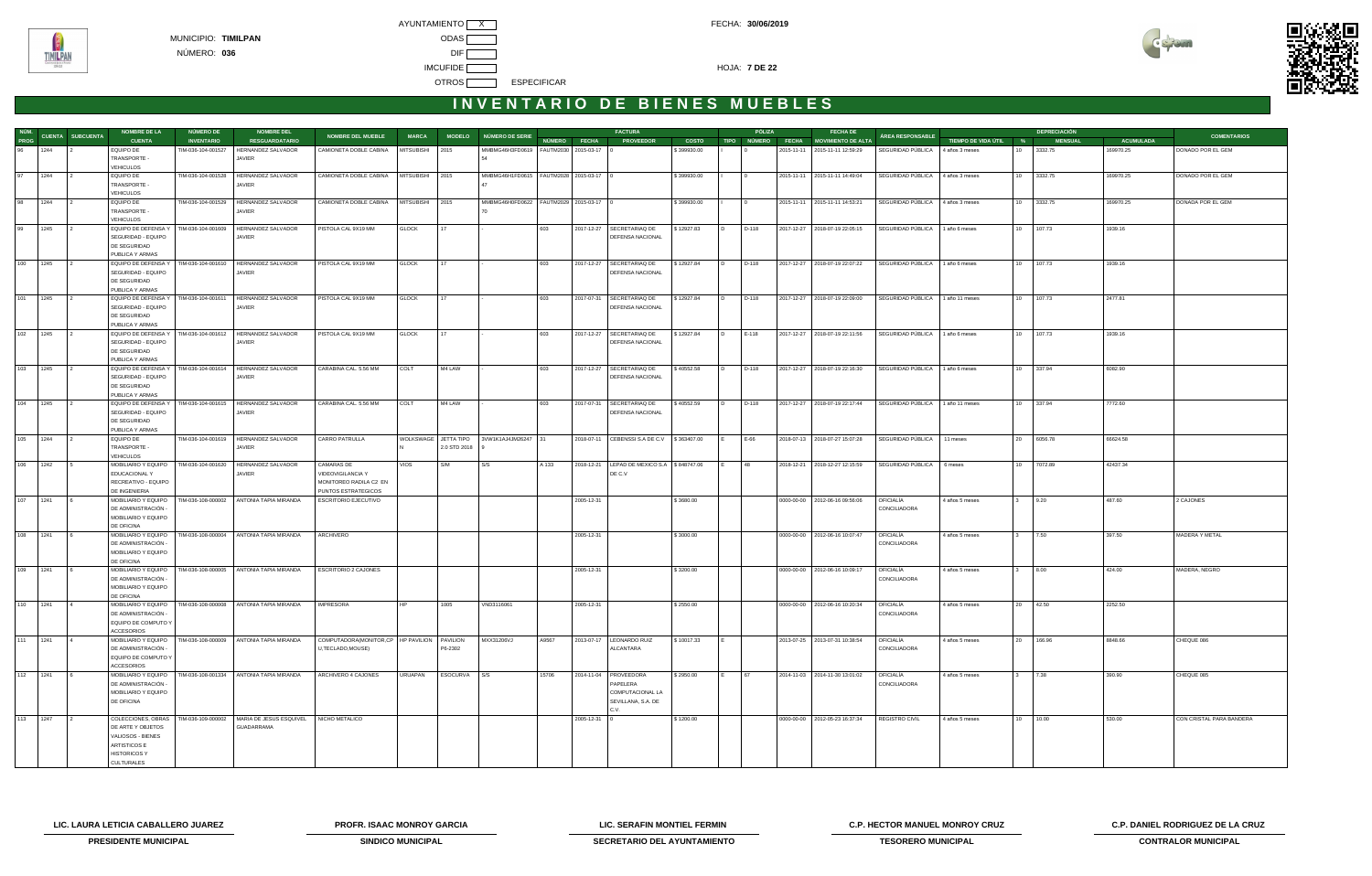



| NÚM.     |      |                         | <b>NOMBRE DE LA</b>                        | <b>NÚMERO DE</b>   | <b>NOMBRE DEL</b>                                                 |                                                                     |                 |                      |                                              |       |                    | <b>FACTURA</b>                                 |              |                | PÓLIZA            | <b>FECHA DE</b>                  |                           |                       |              | <b>DEPRECIACIÓN</b> |                  |                          |
|----------|------|-------------------------|--------------------------------------------|--------------------|-------------------------------------------------------------------|---------------------------------------------------------------------|-----------------|----------------------|----------------------------------------------|-------|--------------------|------------------------------------------------|--------------|----------------|-------------------|----------------------------------|---------------------------|-----------------------|--------------|---------------------|------------------|--------------------------|
| PROG     |      | <b>CUENTA SUBCUENTA</b> | <b>CUENTA</b>                              | <b>INVENTARIO</b>  | <b>RESGUARDATARIO</b>                                             | <b>NOMBRE DEL MUEBLE</b>                                            | <b>MARCA</b>    |                      | MODELO NÚMERO DE SERIE                       |       | NÚMERO FECHA       | <b>PROVEEDOR</b>                               | <b>COSTO</b> |                | TIPO NÚMERO FECHA | <b>MOVIMIENTO DE ALTA</b>        | ÁREA RESPONSABLE          | TIEMPO DE VIDA ÚTIL % |              | <b>MENSUAL</b>      | <b>ACUMULADA</b> | <b>COMENTARIOS</b>       |
| 96       | 1244 |                         | EQUIPO DE                                  | TIM-036-104-001527 | HERNANDEZ SALVADOR                                                | CAMIONETA DOBLE CABINA                                              | MITSUBISHI      | 2015                 | MMBMG46H3FD0619   FAUTM2030   2015-03-17   0 |       |                    |                                                | \$399930.00  |                |                   | 2015-11-11 2015-11-11 12:59:29   | SEGURIDAD PÚBLICA         | 4 años 3 meses        |              | 3332.75             | 169970.25        | DONADO POR EL GEM        |
|          |      |                         | TRANSPORTE -                               |                    | JAVIER                                                            |                                                                     |                 |                      |                                              |       |                    |                                                |              |                |                   |                                  |                           |                       |              |                     |                  |                          |
| 97       | 1244 |                         | <b>VEHICULOS</b><br>EQUIPO DE              | TIM-036-104-001528 | HERNANDEZ SALVADOR                                                | CAMIONETA DOBLE CABINA                                              | MITSUBISHI 2015 |                      | MMBMG46H1FD0615   FAUTM2028   2015-03-17   0 |       |                    |                                                | \$399930.00  |                |                   | 2015-11-11 2015-11-11 14:49:04   | SEGURIDAD PÚBLICA         | 4 años 3 meses        |              | 10 3332.75          | 169970.25        | DONADO POR EL GEM        |
|          |      |                         | TRANSPORTE -                               |                    | JAVIER                                                            |                                                                     |                 |                      |                                              |       |                    |                                                |              |                |                   |                                  |                           |                       |              |                     |                  |                          |
|          |      |                         | <b>VEHICULOS</b>                           |                    |                                                                   |                                                                     |                 |                      |                                              |       |                    |                                                |              |                |                   |                                  |                           |                       |              |                     |                  |                          |
| 98       | 1244 |                         | EQUIPO DE                                  | TIM-036-104-001529 | HERNANDEZ SALVADOR                                                | CAMIONETA DOBLE CABINA                                              | MITSUBISHI 2015 |                      | MMBMG46H0FD0622   FAUTM2029   2015-03-17   0 |       |                    |                                                | \$399930.00  |                |                   | 2015-11-11 2015-11-11 14:53:21   | SEGURIDAD PÚBLICA         | 4 años 3 meses        |              | 10 3332.75          | 169970.25        | DONADA POR EL GEM        |
|          |      |                         | TRANSPORTE -                               |                    | JAVIER                                                            |                                                                     |                 |                      |                                              |       |                    |                                                |              |                |                   |                                  |                           |                       |              |                     |                  |                          |
|          |      |                         | <b>VEHICULOS</b>                           |                    |                                                                   |                                                                     |                 |                      |                                              |       |                    |                                                |              |                |                   |                                  |                           |                       |              |                     |                  |                          |
| 99       | 1245 |                         | EQUIPO DE DEFENSA Y                        | TIM-036-104-001609 | HERNANDEZ SALVADOR                                                | PISTOLA CAL 9X19 MM                                                 | <b>GLOCK</b>    | 17                   |                                              | 603   |                    | 2017-12-27   SECRETARIAQ DE                    | \$12927.83   | I D.           | D-118             | 2017-12-27 2018-07-19 22:05:15   | SEGURIDAD PÚBLICA         | 1 año 6 meses         |              | 10 107.73           | 1939.16          |                          |
|          |      |                         | SEGURIDAD - EQUIPO                         |                    | JAVIER                                                            |                                                                     |                 |                      |                                              |       |                    | DEFENSA NACIONAL                               |              |                |                   |                                  |                           |                       |              |                     |                  |                          |
|          |      |                         | DE SEGURIDAD<br>PUBLICA Y ARMAS            |                    |                                                                   |                                                                     |                 |                      |                                              |       |                    |                                                |              |                |                   |                                  |                           |                       |              |                     |                  |                          |
| 100      | 1245 |                         | EQUIPO DE DEFENSA Y                        | TIM-036-104-001610 | HERNANDEZ SALVADOR                                                | PISTOLA CAL 9X19 MM                                                 | <b>GLOCK</b>    | 17                   |                                              | 603   |                    | 2017-12-27   SECRETARIAQ DE                    | \$12927.84   | l D.           | D-118             | 2017-12-27 2018-07-19 22:07:22   | SEGURIDAD PÚBLICA         | 1 año 6 meses         |              | 10 107.73           | 1939.16          |                          |
|          |      |                         | SEGURIDAD - EQUIPO                         |                    | JAVIER                                                            |                                                                     |                 |                      |                                              |       |                    | DEFENSA NACIONAL                               |              |                |                   |                                  |                           |                       |              |                     |                  |                          |
|          |      |                         | DE SEGURIDAD                               |                    |                                                                   |                                                                     |                 |                      |                                              |       |                    |                                                |              |                |                   |                                  |                           |                       |              |                     |                  |                          |
|          |      |                         | PUBLICA Y ARMAS                            |                    |                                                                   |                                                                     |                 |                      |                                              |       |                    |                                                |              |                |                   |                                  |                           |                       |              |                     |                  |                          |
| 101      | 1245 |                         | EQUIPO DE DEFENSA Y                        | TIM-036-104-001611 | HERNANDEZ SALVADOR                                                | PISTOLA CAL 9X19 MM                                                 | <b>GLOCK</b>    | 17                   |                                              | 603   |                    | 2017-07-31   SECRETARIAQ DE                    | \$12927.84   | I D            | D-118             | 2017-12-27 2018-07-19 22:09:00   | SEGURIDAD PÚBLICA         | 1 año 11 meses        |              | 10 107.73           | 2477.81          |                          |
|          |      |                         | SEGURIDAD - EQUIPO<br>DE SEGURIDAD         |                    | <b>JAVIER</b>                                                     |                                                                     |                 |                      |                                              |       |                    | <b>DEFENSA NACIONAL</b>                        |              |                |                   |                                  |                           |                       |              |                     |                  |                          |
|          |      |                         | PUBLICA Y ARMAS                            |                    |                                                                   |                                                                     |                 |                      |                                              |       |                    |                                                |              |                |                   |                                  |                           |                       |              |                     |                  |                          |
| 102      | 1245 |                         | EQUIPO DE DEFENSA Y                        | TIM-036-104-001612 | HERNANDEZ SALVADOR                                                | PISTOLA CAL 9X19 MM                                                 | <b>GLOCK</b>    | 17                   |                                              | 603   |                    | 2017-12-27   SECRETARIAQ DE                    | \$12927.84   | I D.           | $E-118$           | 2017-12-27 2018-07-19 22:11:56   | SEGURIDAD PÚBLICA         | 1 año 6 meses         |              | 10 107.73           | 1939.16          |                          |
|          |      |                         | SEGURIDAD - EQUIPO                         |                    | JAVIER                                                            |                                                                     |                 |                      |                                              |       |                    | DEFENSA NACIONAL                               |              |                |                   |                                  |                           |                       |              |                     |                  |                          |
|          |      |                         | DE SEGURIDAD                               |                    |                                                                   |                                                                     |                 |                      |                                              |       |                    |                                                |              |                |                   |                                  |                           |                       |              |                     |                  |                          |
|          |      |                         | PUBLICA Y ARMAS                            |                    |                                                                   |                                                                     |                 |                      |                                              |       |                    |                                                |              |                |                   |                                  |                           |                       |              |                     |                  |                          |
| 103      | 1245 |                         | EQUIPO DE DEFENSA Y                        |                    | TIM-036-104-001614 HERNANDEZ SALVADOR                             | CARABINA CAL. 5.56 MM                                               | COLT            | M4 LAW               |                                              | 603   |                    | 2017-12-27   SECRETARIAQ DE                    | \$40552.58   |                | D-118             | 2017-12-27 2018-07-19 22:16:30   | SEGURIDAD PÚBLICA         | 1 año 6 meses         |              | 10 337.94           | 6082.90          |                          |
|          |      |                         | SEGURIDAD - EQUIPO<br>DE SEGURIDAD         |                    | JAVIER                                                            |                                                                     |                 |                      |                                              |       |                    | <b>DEFENSA NACIONAL</b>                        |              |                |                   |                                  |                           |                       |              |                     |                  |                          |
|          |      |                         | PUBLICA Y ARMAS                            |                    |                                                                   |                                                                     |                 |                      |                                              |       |                    |                                                |              |                |                   |                                  |                           |                       |              |                     |                  |                          |
| 104      | 1245 |                         | EQUIPO DE DEFENSA Y                        |                    | TIM-036-104-001615 HERNANDEZ SALVADOR                             | CARABINA CAL. 5.56 MM                                               | COLT            | M4 LAW               |                                              | 603   |                    | 2017-07-31 SECRETARIAQ DE                      | \$40552.59   | $\overline{D}$ | D-118             | 2017-12-27 2018-07-19 22:17:44   | SEGURIDAD PÚBLICA         | 1 año 11 meses        |              | 10 337.94           | 7772.60          |                          |
|          |      |                         | SEGURIDAD - EQUIPO                         |                    | <b>JAVIER</b>                                                     |                                                                     |                 |                      |                                              |       |                    | <b>DEFENSA NACIONAL</b>                        |              |                |                   |                                  |                           |                       |              |                     |                  |                          |
|          |      |                         | DE SEGURIDAD                               |                    |                                                                   |                                                                     |                 |                      |                                              |       |                    |                                                |              |                |                   |                                  |                           |                       |              |                     |                  |                          |
|          |      |                         | PUBLICA Y ARMAS                            |                    |                                                                   |                                                                     |                 |                      |                                              |       |                    |                                                |              |                |                   |                                  |                           |                       |              |                     |                  |                          |
| 105      | 1244 | $\mathsf{L}$            | EQUIPO DE<br>TRANSPORTE -                  |                    | TIM-036-104-001619 HERNANDEZ SALVADOR<br><b>JAVIER</b>            | CARRO PATRULLA                                                      |                 | WOLKSWAGE JETTA TIPO | 3VW1K1AJ4JM26247 31                          |       |                    | 2018-07-11   CEBENSSI S.A DE C.V   \$363407.00 |              |                | $E-66$            | 2018-07-13 2018-07-27 15:07:28   | SEGURIDAD PÚBLICA         | 11 meses              |              | 20 6056.78          | 66624.58         |                          |
|          |      |                         | <b>VEHICULOS</b>                           |                    |                                                                   |                                                                     |                 | 2.0 STD 2018         |                                              |       |                    |                                                |              |                |                   |                                  |                           |                       |              |                     |                  |                          |
| 106      | 1242 |                         | MOBILIARIO Y EQUIPO                        | TIM-036-104-001620 | <b>HERNANDEZ SALVADOR</b>                                         | CAMARAS DE                                                          | <b>VIOS</b>     | S/M                  | S/S                                          | A 133 |                    | 2018-12-21   LEPAD DE MEXICO S.A   \$848747.06 |              |                | 48                | 2018-12-21 2018-12-27 12:15:59   | SEGURIDAD PÚBLICA         | 6 meses               |              | 10 7072.89          | 42437.34         |                          |
|          |      |                         | EDUCACIONAL Y                              |                    | JAVIER                                                            | VIDEOVIGILANCIA Y                                                   |                 |                      |                                              |       |                    | DE C.V                                         |              |                |                   |                                  |                           |                       |              |                     |                  |                          |
|          |      |                         | RECREATIVO - EQUIPO                        |                    |                                                                   | MONITOREO RADILA C2 EN                                              |                 |                      |                                              |       |                    |                                                |              |                |                   |                                  |                           |                       |              |                     |                  |                          |
|          |      |                         | DE INGENIERIA                              |                    |                                                                   | PUNTOS ESTRATEGICOS                                                 |                 |                      |                                              |       |                    |                                                |              |                |                   |                                  |                           |                       |              |                     |                  |                          |
| 107      | 1241 | $\overline{6}$          | MOBILIARIO Y EQUIPO                        |                    | TIM-036-108-000002 ANTONIA TAPIA MIRANDA                          | <b>ESCRITORIO EJECUTIVO</b>                                         |                 |                      |                                              |       | 2005-12-31         |                                                | \$3680.00    |                |                   | 0000-00-00   2012-06-16 09:56:06 | OFICIALÍA                 | 4 años 5 meses        | $\mathbf{3}$ | 9.20                | 487.60           | 2 CAJONES                |
|          |      |                         | DE ADMINISTRACIÓN -<br>MOBILIARIO Y EQUIPO |                    |                                                                   |                                                                     |                 |                      |                                              |       |                    |                                                |              |                |                   |                                  | CONCILIADORA              |                       |              |                     |                  |                          |
|          |      |                         | DE OFICINA                                 |                    |                                                                   |                                                                     |                 |                      |                                              |       |                    |                                                |              |                |                   |                                  |                           |                       |              |                     |                  |                          |
| 108      | 1241 |                         | MOBILIARIO Y EQUIPO                        |                    | TIM-036-108-000004 ANTONIA TAPIA MIRANDA                          | ARCHIVERO                                                           |                 |                      |                                              |       | 2005-12-31         |                                                | \$3000.00    |                |                   | 0000-00-00   2012-06-16 10:07:47 | OFICIALÍA                 | 4 años 5 meses        |              | 7.50                | 397.50           | MADERA Y METAL           |
|          |      |                         | DE ADMINISTRACIÓN                          |                    |                                                                   |                                                                     |                 |                      |                                              |       |                    |                                                |              |                |                   |                                  | CONCILIADORA              |                       |              |                     |                  |                          |
|          |      |                         | MOBILIARIO Y EQUIPO                        |                    |                                                                   |                                                                     |                 |                      |                                              |       |                    |                                                |              |                |                   |                                  |                           |                       |              |                     |                  |                          |
|          |      |                         | DE OFICINA                                 |                    |                                                                   |                                                                     |                 |                      |                                              |       |                    |                                                |              |                |                   |                                  |                           |                       |              |                     |                  |                          |
| 109      | 1241 |                         | MOBILIARIO Y EQUIPO                        |                    | TIM-036-108-000005 ANTONIA TAPIA MIRANDA                          | <b>ESCRITORIO 2 CAJONES</b>                                         |                 |                      |                                              |       | 2005-12-31         |                                                | \$3200.00    |                |                   | 0000-00-00 2012-06-16 10:09:17   | OFICIALÍA                 | 4 años 5 meses        |              | 8.00                | 424.00           | MADERA, NEGRO            |
|          |      |                         | DE ADMINISTRACIÓN -<br>MOBILIARIO Y EQUIPO |                    |                                                                   |                                                                     |                 |                      |                                              |       |                    |                                                |              |                |                   |                                  | CONCILIADORA              |                       |              |                     |                  |                          |
|          |      |                         | DE OFICINA                                 |                    |                                                                   |                                                                     |                 |                      |                                              |       |                    |                                                |              |                |                   |                                  |                           |                       |              |                     |                  |                          |
| 110 1241 |      | $\overline{4}$          |                                            |                    | MOBILIARIO Y EQUIPO   TIM-036-108-000008   ANTONIA TAPIA MIRANDA  | IMPRESORA                                                           | HP              | 1005                 | VND3116061                                   |       | 2005-12-31         |                                                | \$2550.00    |                |                   | 0000-00-00 2012-06-16 10:20:34   | OFICIALÍA                 | 4 años 5 meses        |              | 20 42.50            | 2252.50          |                          |
|          |      |                         | DE ADMINISTRACIÓN -                        |                    |                                                                   |                                                                     |                 |                      |                                              |       |                    |                                                |              |                |                   |                                  | CONCILIADORA              |                       |              |                     |                  |                          |
|          |      |                         | EQUIPO DE COMPUTO Y                        |                    |                                                                   |                                                                     |                 |                      |                                              |       |                    |                                                |              |                |                   |                                  |                           |                       |              |                     |                  |                          |
|          |      |                         | ACCESORIOS                                 |                    |                                                                   |                                                                     |                 |                      |                                              |       |                    |                                                |              |                |                   |                                  |                           |                       |              |                     |                  |                          |
| 111      | 1241 |                         | MOBILIARIO Y EQUIPO<br>DE ADMINISTRACIÓN   |                    | TIM-036-108-000009 ANTONIA TAPIA MIRANDA                          | COMPUTADORA(MONITOR,CP   HP PAVILION   PAVILION<br>U,TECLADO,MOUSE) |                 | P6-2302              | MXX31206VJ                                   | A9567 |                    | 2013-07-17   LEONARDO RUIZ<br>ALCANTARA        | \$10017.33   |                |                   | 2013-07-25 2013-07-31 10:38:54   | OFICIALÍA<br>CONCILIADORA | 4 años 5 meses        |              | 20 166.96           | 8848.66          | CHEQUE 086               |
|          |      |                         | EQUIPO DE COMPUTO Y                        |                    |                                                                   |                                                                     |                 |                      |                                              |       |                    |                                                |              |                |                   |                                  |                           |                       |              |                     |                  |                          |
|          |      |                         | <b>ACCESORIOS</b>                          |                    |                                                                   |                                                                     |                 |                      |                                              |       |                    |                                                |              |                |                   |                                  |                           |                       |              |                     |                  |                          |
| 112 1241 |      |                         | MOBILIARIO Y EQUIPO                        |                    | TIM-036-108-001334 ANTONIA TAPIA MIRANDA                          | ARCHIVERO 4 CAJONES                                                 | <b>URUAPAN</b>  | ESOCURVA             | $\mathsf{S}$ /S                              | 15706 |                    | 2014-11-04   PROVEEDORA                        | \$2950.00    |                | 67                | 2014-11-03 2014-11-30 13:01:02   | OFICIALÍA                 | 4 años 5 meses        |              | 7.38                | 390.90           | CHEQUE 085               |
|          |      |                         | DE ADMINISTRACIÓN                          |                    |                                                                   |                                                                     |                 |                      |                                              |       |                    | PAPELERA                                       |              |                |                   |                                  | CONCILIADORA              |                       |              |                     |                  |                          |
|          |      |                         | MOBILIARIO Y EQUIPO                        |                    |                                                                   |                                                                     |                 |                      |                                              |       |                    | COMPUTACIONAL LA                               |              |                |                   |                                  |                           |                       |              |                     |                  |                          |
|          |      |                         | DE OFICINA                                 |                    |                                                                   |                                                                     |                 |                      |                                              |       |                    | SEVILLANA, S.A. DE                             |              |                |                   |                                  |                           |                       |              |                     |                  |                          |
| 113 1247 |      | $\vert$ 2               |                                            |                    | COLECCIONES, OBRAS   TIM-036-109-000002   MARIA DE JESUS ESQUIVEL | NICHO METALICO                                                      |                 |                      |                                              |       | $2005 - 12 - 31$ 0 | C.V.                                           | \$1200.00    |                |                   | 0000-00-00 2012-05-23 16:37:34   | REGISTRO CIVIL            | 4 años 5 meses        |              | 10 10.00            | 530.00           | CON CRISTAL PARA BANDERA |
|          |      |                         | DE ARTE Y OBJETOS                          |                    | GUADARRAMA                                                        |                                                                     |                 |                      |                                              |       |                    |                                                |              |                |                   |                                  |                           |                       |              |                     |                  |                          |
|          |      |                         | VALIOSOS - BIENES                          |                    |                                                                   |                                                                     |                 |                      |                                              |       |                    |                                                |              |                |                   |                                  |                           |                       |              |                     |                  |                          |
|          |      |                         | <b>ARTISTICOS E</b>                        |                    |                                                                   |                                                                     |                 |                      |                                              |       |                    |                                                |              |                |                   |                                  |                           |                       |              |                     |                  |                          |
|          |      |                         | <b>HISTORICOS Y</b>                        |                    |                                                                   |                                                                     |                 |                      |                                              |       |                    |                                                |              |                |                   |                                  |                           |                       |              |                     |                  |                          |
|          |      |                         | CULTURALES                                 |                    |                                                                   |                                                                     |                 |                      |                                              |       |                    |                                                |              |                |                   |                                  |                           |                       |              |                     |                  |                          |

**LIC. LAURA LETICIA CABALLERO JUAREZ PROFR. ISAAC MONROY GARCIA LIC. SERAFIN MONTIEL FERMIN C.P. HECTOR MANUEL MONROY CRUZ C.P. DANIEL RODRIGUEZ DE LA CRUZ** 



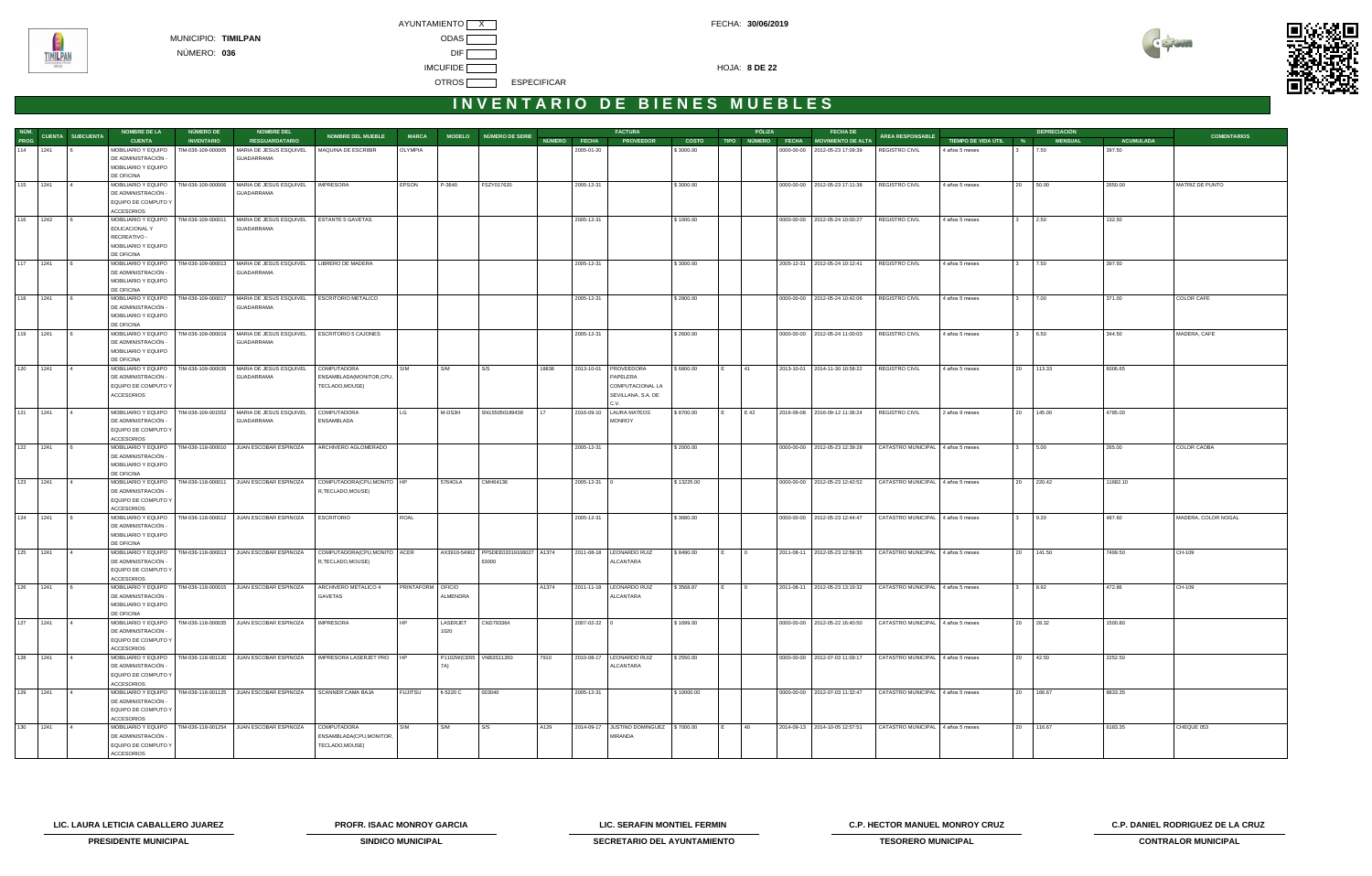



## INVENTARIO DE BIENES MUEBLES

|          |                               | <b>NOMBRE DE LA</b>                        | NÚMERO DE          | <b>NOMBRE DEL</b>                                                |                                  |                          |           |                                      |       |                    | <b>FACTURA</b>                          |              |     | PÓLIZA         | <b>FECHA DE</b>                      |                                                                  |                       |              | <b>DEPRECIACIÓN</b> |                  |                     |
|----------|-------------------------------|--------------------------------------------|--------------------|------------------------------------------------------------------|----------------------------------|--------------------------|-----------|--------------------------------------|-------|--------------------|-----------------------------------------|--------------|-----|----------------|--------------------------------------|------------------------------------------------------------------|-----------------------|--------------|---------------------|------------------|---------------------|
|          | NÚM.<br>PROG CUENTA SUBCUENTA | <b>CUENTA</b>                              | <b>INVENTARIO</b>  | <b>RESGUARDATARIO</b>                                            | <b>NOMBRE DEL MUEBLE</b>         | <b>MARCA</b>             |           | MODELO NÚMERO DE SERIE               |       | NÚMERO FECHA       | <b>PROVEEDOR</b>                        | <b>COSTO</b> |     |                | TIPO NÚMERO FECHA MOVIMIENTO DE ALTA | ÁREA RESPONSABLE                                                 | TIEMPO DE VIDA ÚTIL % |              | <b>MENSUAL</b>      | <b>ACUMULADA</b> | <b>COMENTARIOS</b>  |
| 114 1241 |                               | MOBILIARIO Y EQUIPO                        | TIM-036-109-000005 | MARIA DE JESUS ESQUIVEL                                          | MAQUINA DE ESCRIBIR              | OLYMPIA                  |           |                                      |       | 2005-01-20         |                                         | \$3000.00    |     |                | 0000-00-00 2012-05-23 17:09:39       | REGISTRO CIVIL                                                   | 4 años 5 meses        |              | 7.50                | 397.50           |                     |
|          |                               | DE ADMINISTRACIÓN -                        |                    | GUADARRAMA                                                       |                                  |                          |           |                                      |       |                    |                                         |              |     |                |                                      |                                                                  |                       |              |                     |                  |                     |
|          |                               | MOBILIARIO Y EQUIPO                        |                    |                                                                  |                                  |                          |           |                                      |       |                    |                                         |              |     |                |                                      |                                                                  |                       |              |                     |                  |                     |
|          |                               | DE OFICINA                                 |                    |                                                                  |                                  |                          |           |                                      |       |                    |                                         |              |     |                |                                      |                                                                  |                       |              |                     |                  |                     |
| 115 1241 |                               | MOBILIARIO Y EQUIPO                        | TIM-036-109-000006 | MARIA DE JESUS ESQUIVEL   IMPRESORA                              |                                  | EPSON                    | P-3640    | FSZY017620                           |       | 2005-12-31         |                                         | \$3000.00    |     |                | 0000-00-00   2012-05-23 17:11:38     | REGISTRO CIVIL                                                   | 4 años 5 meses        |              | 20 50.00            | 2650.00          | MATRIZ DE PUNTO     |
|          |                               | DE ADMINISTRACIÓN -                        |                    | GUADARRAMA                                                       |                                  |                          |           |                                      |       |                    |                                         |              |     |                |                                      |                                                                  |                       |              |                     |                  |                     |
|          |                               | EQUIPO DE COMPUTO Y                        |                    |                                                                  |                                  |                          |           |                                      |       |                    |                                         |              |     |                |                                      |                                                                  |                       |              |                     |                  |                     |
|          |                               | <b>ACCESORIOS</b>                          |                    |                                                                  | ESTANTE 5 GAVETAS                |                          |           |                                      |       |                    |                                         |              |     |                |                                      |                                                                  |                       |              |                     |                  |                     |
| 116 1242 |                               | MOBILIARIO Y EQUIPO<br>EDUCACIONAL Y       | TIM-036-109-000011 | MARIA DE JESUS ESQUIVEL<br><b>GUADARRAMA</b>                     |                                  |                          |           |                                      |       | 2005-12-31         |                                         | \$1000.00    |     |                | 0000-00-00 2012-05-24 10:00:27       | <b>REGISTRO CIVIL</b>                                            | 4 años 5 meses        |              | 2.50                | 132.50           |                     |
|          |                               | RECREATIVO -                               |                    |                                                                  |                                  |                          |           |                                      |       |                    |                                         |              |     |                |                                      |                                                                  |                       |              |                     |                  |                     |
|          |                               | MOBILIARIO Y EQUIPO                        |                    |                                                                  |                                  |                          |           |                                      |       |                    |                                         |              |     |                |                                      |                                                                  |                       |              |                     |                  |                     |
|          |                               | DE OFICINA                                 |                    |                                                                  |                                  |                          |           |                                      |       |                    |                                         |              |     |                |                                      |                                                                  |                       |              |                     |                  |                     |
| 117 1241 |                               | MOBILIARIO Y EQUIPO                        |                    | TIM-036-109-000013 MARIA DE JESUS ESQUIVEL                       | LIBRERO DE MADERA                |                          |           |                                      |       | 2005-12-31         |                                         | \$3000.00    |     |                | 2005-12-31 2012-05-24 10:12:41       | <b>REGISTRO CIVIL</b>                                            | 4 años 5 meses        |              | 7.50                | 397.50           |                     |
|          |                               | DE ADMINISTRACIÓN -                        |                    | GUADARRAMA                                                       |                                  |                          |           |                                      |       |                    |                                         |              |     |                |                                      |                                                                  |                       |              |                     |                  |                     |
|          |                               | MOBILIARIO Y EQUIPO                        |                    |                                                                  |                                  |                          |           |                                      |       |                    |                                         |              |     |                |                                      |                                                                  |                       |              |                     |                  |                     |
|          |                               | DE OFICINA                                 |                    |                                                                  |                                  |                          |           |                                      |       |                    |                                         |              |     |                |                                      |                                                                  |                       |              |                     |                  |                     |
| 118 1241 | <b>6</b>                      | MOBILIARIO Y EQUIPO                        | TIM-036-109-000017 | MARIA DE JESUS ESQUIVEL                                          | ESCRITORIO METALICO              |                          |           |                                      |       | 2005-12-31         |                                         | \$2800.00    |     |                | 0000-00-00 2012-05-24 10:42:06       | REGISTRO CIVIL                                                   | 4 años 5 meses        | $\mathbf{3}$ | 7.00                | 371.00           | COLOR CAFE          |
|          |                               | DE ADMINISTRACIÓN -                        |                    | GUADARRAMA                                                       |                                  |                          |           |                                      |       |                    |                                         |              |     |                |                                      |                                                                  |                       |              |                     |                  |                     |
|          |                               | MOBILIARIO Y EQUIPO<br>DE OFICINA          |                    |                                                                  |                                  |                          |           |                                      |       |                    |                                         |              |     |                |                                      |                                                                  |                       |              |                     |                  |                     |
| 119 1241 |                               | MOBILIARIO Y EQUIPO                        | TIM-036-109-000019 | MARIA DE JESUS ESQUIVEL                                          | ESCRITORIO 5 CAJONES             |                          |           |                                      |       | 2005-12-31         |                                         | \$2600.00    |     |                | 0000-00-00   2012-05-24 11:00:03     | <b>REGISTRO CIVIL</b>                                            | 4 años 5 meses        |              | 6.50                | 344.50           | MADERA, CAFE        |
|          |                               | DE ADMINISTRACIÓN -                        |                    | GUADARRAMA                                                       |                                  |                          |           |                                      |       |                    |                                         |              |     |                |                                      |                                                                  |                       |              |                     |                  |                     |
|          |                               | MOBILIARIO Y EQUIPO                        |                    |                                                                  |                                  |                          |           |                                      |       |                    |                                         |              |     |                |                                      |                                                                  |                       |              |                     |                  |                     |
|          |                               | DE OFICINA                                 |                    |                                                                  |                                  |                          |           |                                      |       |                    |                                         |              |     |                |                                      |                                                                  |                       |              |                     |                  |                     |
| 120 1241 |                               | MOBILIARIO Y EQUIPO                        | TIM-036-109-000026 | MARIA DE JESUS ESQUIVEL                                          | <b>COMPUTADORA</b>               | S/M                      | S/M       | S/S                                  | 18838 |                    | 2013-10-01   PROVEEDORA                 | \$6800.00    |     | 141            | 2013-10-01 2014-11-30 10:58:22       | REGISTRO CIVIL                                                   | 4 años 5 meses        |              | 20 113.33           | 6006.65          |                     |
|          |                               | DE ADMINISTRACIÓN -                        |                    | <b>GUADARRAMA</b>                                                | ENSAMBLADA(MONITOR,CPU,          |                          |           |                                      |       |                    | PAPELERA                                |              |     |                |                                      |                                                                  |                       |              |                     |                  |                     |
|          |                               | EQUIPO DE COMPUTO Y                        |                    |                                                                  | TECLADO, MOUSE)                  |                          |           |                                      |       |                    | COMPUTACIONAL LA                        |              |     |                |                                      |                                                                  |                       |              |                     |                  |                     |
|          |                               | <b>ACCESORIOS</b>                          |                    |                                                                  |                                  |                          |           |                                      |       |                    | SEVILLANA, S.A. DE                      |              |     |                |                                      |                                                                  |                       |              |                     |                  |                     |
|          |                               |                                            |                    |                                                                  |                                  |                          |           |                                      |       |                    |                                         |              |     |                |                                      |                                                                  |                       |              |                     |                  |                     |
| 121 1241 | $\overline{4}$                | MOBILIARIO Y EQUIPO<br>DE ADMINISTRACIÓN - | TIM-036-109-001552 | MARIA DE JESUS ESQUIVEL<br>GUADARRAMA                            | <b>COMPUTADORA</b><br>ENSAMBLADA | LG                       | M-DS3H    | SN155050189438                       | 17    | 2016-09-10         | <b>LAURA MATEOS</b><br><b>MONROY</b>    | \$8700.00    |     | E 42           | 2016-09-08 2016-09-12 11:36:24       | <b>REGISTRO CIVIL</b>                                            | 2 años 9 meses        |              | 20 145.00           | 4785.00          |                     |
|          |                               | EQUIPO DE COMPUTO Y                        |                    |                                                                  |                                  |                          |           |                                      |       |                    |                                         |              |     |                |                                      |                                                                  |                       |              |                     |                  |                     |
|          |                               | <b>ACCESORIOS</b>                          |                    |                                                                  |                                  |                          |           |                                      |       |                    |                                         |              |     |                |                                      |                                                                  |                       |              |                     |                  |                     |
| 122 1241 | $\overline{6}$                | MOBILIARIO Y EQUIPO                        |                    | TIM-036-118-000010 JUAN ESCOBAR ESPINOZA                         | ARCHIVERO AGLOMERADO             |                          |           |                                      |       | 2005-12-31         |                                         | \$2000.00    |     |                | 0000-00-00 2012-05-23 12:39:28       | CATASTRO MUNICIPAL 4 años 5 meses                                |                       |              | 5.00                | 265.00           | COLOR CAOBA         |
|          |                               | DE ADMINISTRACIÓN -                        |                    |                                                                  |                                  |                          |           |                                      |       |                    |                                         |              |     |                |                                      |                                                                  |                       |              |                     |                  |                     |
|          |                               | MOBILIARIO Y EQUIPO                        |                    |                                                                  |                                  |                          |           |                                      |       |                    |                                         |              |     |                |                                      |                                                                  |                       |              |                     |                  |                     |
|          |                               | DE OFICINA                                 |                    |                                                                  |                                  |                          |           |                                      |       |                    |                                         |              |     |                |                                      |                                                                  |                       |              |                     |                  |                     |
| 123 1241 |                               | MOBILIARIO Y EQUIPO                        |                    | TIM-036-118-000011 JUAN ESCOBAR ESPINOZA                         | COMPUTADORA(CPU, MONITO   HP     |                          | 5764OLA   | CMH64136                             |       | 2005-12-31         |                                         | \$13225.00   |     |                | 0000-00-00 2012-05-23 12:42:52       | CATASTRO MUNICIPAL 4 años 5 meses                                |                       |              | 20 220.42           | 11682.10         |                     |
|          |                               | DE ADMINISTRACIÓN -                        |                    |                                                                  | R,TECLADO,MOUSE)                 |                          |           |                                      |       |                    |                                         |              |     |                |                                      |                                                                  |                       |              |                     |                  |                     |
|          |                               | EQUIPO DE COMPUTO Y                        |                    |                                                                  |                                  |                          |           |                                      |       |                    |                                         |              |     |                |                                      |                                                                  |                       |              |                     |                  |                     |
| 124 1241 |                               | <b>ACCESORIOS</b><br>MOBILIARIO Y EQUIPO   |                    | TIM-036-118-000012 JUAN ESCOBAR ESPINOZA                         | <b>ESCRITORIO</b>                | ROAL                     |           |                                      |       | 2005-12-31         |                                         | \$3680.00    |     |                | 0000-00-00 2012-05-23 12:44:47       | CATASTRO MUNICIPAL 4 años 5 meses                                |                       |              | 3 9.20              | 487.60           | MADERA, COLOR NOGAL |
|          |                               | DE ADMINISTRACIÓN -                        |                    |                                                                  |                                  |                          |           |                                      |       |                    |                                         |              |     |                |                                      |                                                                  |                       |              |                     |                  |                     |
|          |                               | MOBILIARIO Y EQUIPO                        |                    |                                                                  |                                  |                          |           |                                      |       |                    |                                         |              |     |                |                                      |                                                                  |                       |              |                     |                  |                     |
|          |                               | DE OFICINA                                 |                    |                                                                  |                                  |                          |           |                                      |       |                    |                                         |              |     |                |                                      |                                                                  |                       |              |                     |                  |                     |
| 125 1241 |                               | MOBILIARIO Y EQUIPO                        |                    | TIM-036-118-000013 JUAN ESCOBAR ESPINOZA                         | COMPUTADORA(CPU, MONITO ACER     |                          |           | AX3910-54902 PPSDEE02019106027 A1374 |       |                    | 2011-08-18   LEONARDO RUIZ              | \$8490.00    | IE. | $\overline{0}$ | 2011-08-11 2012-05-23 12:59:35       | CATASTRO MUNICIPAL 4 años 5 meses                                |                       |              | 20 141.50           | 7499.50          | CH-109              |
|          |                               | DE ADMINISTRACIÓN -                        |                    |                                                                  | R, TECLADO, MOUSE)               |                          |           | 63000                                |       |                    | ALCANTARA                               |              |     |                |                                      |                                                                  |                       |              |                     |                  |                     |
|          |                               | EQUIPO DE COMPUTO Y                        |                    |                                                                  |                                  |                          |           |                                      |       |                    |                                         |              |     |                |                                      |                                                                  |                       |              |                     |                  |                     |
|          |                               | <b>ACCESORIOS</b>                          |                    |                                                                  |                                  |                          |           |                                      |       |                    |                                         |              |     |                |                                      |                                                                  |                       |              |                     |                  |                     |
| 126 1241 |                               |                                            |                    | MOBILIARIO Y EQUIPO   TIM-036-118-000015   JUAN ESCOBAR ESPINOZA | ARCHIVERO METALICO 4             | <b>PRINTAFORM OFICIO</b> |           |                                      | A1374 |                    | 2011-11-18   LEONARDO RUIZ              | \$3568.87    | E   |                |                                      | 2011-08-11 2012-05-23 13:19:32 CATASTRO MUNICIPAL 4 años 5 meses |                       | 3 8.92       |                     | 472.86           | CH-109              |
|          |                               | DE ADMINISTRACIÓN -<br>MOBILIARIO Y EQUIPO |                    |                                                                  | GAVETAS                          |                          | ALMENDRA  |                                      |       |                    | ALCANTARA                               |              |     |                |                                      |                                                                  |                       |              |                     |                  |                     |
|          |                               | DE OFICINA                                 |                    |                                                                  |                                  |                          |           |                                      |       |                    |                                         |              |     |                |                                      |                                                                  |                       |              |                     |                  |                     |
| 127 1241 | $\overline{4}$                |                                            |                    | MOBILIARIO Y EQUIPO   TIM-036-118-000035   JUAN ESCOBAR ESPINOZA | <b>IMPRESORA</b>                 | <b>HP</b>                | LASERJET  | CND793364                            |       | $2007 - 02 - 22$ 0 |                                         | \$1699.00    |     |                | 0000-00-00 2012-05-22 16:40:50       | CATASTRO MUNICIPAL 4 años 5 meses                                |                       |              | 20 28.32            | 1500.80          |                     |
|          |                               | DE ADMINISTRACIÓN -                        |                    |                                                                  |                                  |                          | 1020      |                                      |       |                    |                                         |              |     |                |                                      |                                                                  |                       |              |                     |                  |                     |
|          |                               | EQUIPO DE COMPUTO Y                        |                    |                                                                  |                                  |                          |           |                                      |       |                    |                                         |              |     |                |                                      |                                                                  |                       |              |                     |                  |                     |
|          |                               | <b>ACCESORIOS</b>                          |                    |                                                                  |                                  |                          |           |                                      |       |                    |                                         |              |     |                |                                      |                                                                  |                       |              |                     |                  |                     |
| 128 1241 | $\overline{4}$                | MOBILIARIO Y EQUIPO                        |                    | TIM-036-118-001120 JUAN ESCOBAR ESPINOZA                         | IMPRESORA LASERJET PRO HP        |                          |           | P1102W(CE65 VNB3S11260               | 7910  |                    | 2010-08-17   LEONARDO RUIZ              | \$2550.00    |     |                | 0000-00-00 2012-07-03 11:09:17       | CATASTRO MUNICIPAL 4 años 5 meses                                |                       |              | 20 42.50            | 2252.50          |                     |
|          |                               | DE ADMINISTRACIÓN -                        |                    |                                                                  |                                  |                          | 7A)       |                                      |       |                    | ALCANTARA                               |              |     |                |                                      |                                                                  |                       |              |                     |                  |                     |
|          |                               | EQUIPO DE COMPUTO Y                        |                    |                                                                  |                                  |                          |           |                                      |       |                    |                                         |              |     |                |                                      |                                                                  |                       |              |                     |                  |                     |
|          |                               | <b>ACCESORIOS</b>                          |                    | TIM-036-118-001125 JUAN ESCOBAR ESPINOZA                         |                                  |                          |           |                                      |       |                    |                                         |              |     |                |                                      |                                                                  |                       |              |                     |                  |                     |
|          | 129 1241                      | MOBILIARIO Y EQUIPO<br>DE ADMINISTRACIÓN - |                    |                                                                  | SCANNER CAMA BAJA                | <b>FUJITSU</b>           | fi-5220 C | 003040                               |       | 2005-12-31         |                                         | \$10000.00   |     |                | 0000-00-00 2012-07-03 11:32:47       | CATASTRO MUNICIPAL 4 años 5 meses                                |                       |              | 20 166.67           | 8833.35          |                     |
|          |                               | EQUIPO DE COMPUTO Y                        |                    |                                                                  |                                  |                          |           |                                      |       |                    |                                         |              |     |                |                                      |                                                                  |                       |              |                     |                  |                     |
|          |                               | <b>ACCESORIOS</b>                          |                    |                                                                  |                                  |                          |           |                                      |       |                    |                                         |              |     |                |                                      |                                                                  |                       |              |                     |                  |                     |
| 130 1241 | $\vert$ 4                     |                                            |                    | MOBILIARIO Y EQUIPO   TIM-036-118-001254   JUAN ESCOBAR ESPINOZA | COMPUTADORA                      | S/M                      | S/M       | S/S                                  | A129  |                    | 2014-09-17 JUSTINO DOMINGUEZ \\$7000.00 |              | IE. | 40             | 2014-09-13 2014-10-05 12:57:51       | CATASTRO MUNICIPAL 4 años 5 meses                                |                       |              | 20 116.67           | 6183.35          | CHEQUE 053          |
|          |                               | DE ADMINISTRACIÓN -                        |                    |                                                                  | ENSAMBLADA(CPU,MONITOR,          |                          |           |                                      |       |                    | <b>MIRANDA</b>                          |              |     |                |                                      |                                                                  |                       |              |                     |                  |                     |
|          |                               | EQUIPO DE COMPUTO Y                        |                    |                                                                  | TECLADO, MOUSE)                  |                          |           |                                      |       |                    |                                         |              |     |                |                                      |                                                                  |                       |              |                     |                  |                     |
|          |                               | ACCESORIOS                                 |                    |                                                                  |                                  |                          |           |                                      |       |                    |                                         |              |     |                |                                      |                                                                  |                       |              |                     |                  |                     |

**LIC. LAURA LETICIA CABALLERO JUAREZ PROFR. ISAAC MONROY GARCIA LIC. SERAFIN MONTIEL FERMIN C.P. HECTOR MANUEL MONROY CRUZ C.P. DANIEL RODRIGUEZ DE LA CRUZ** 



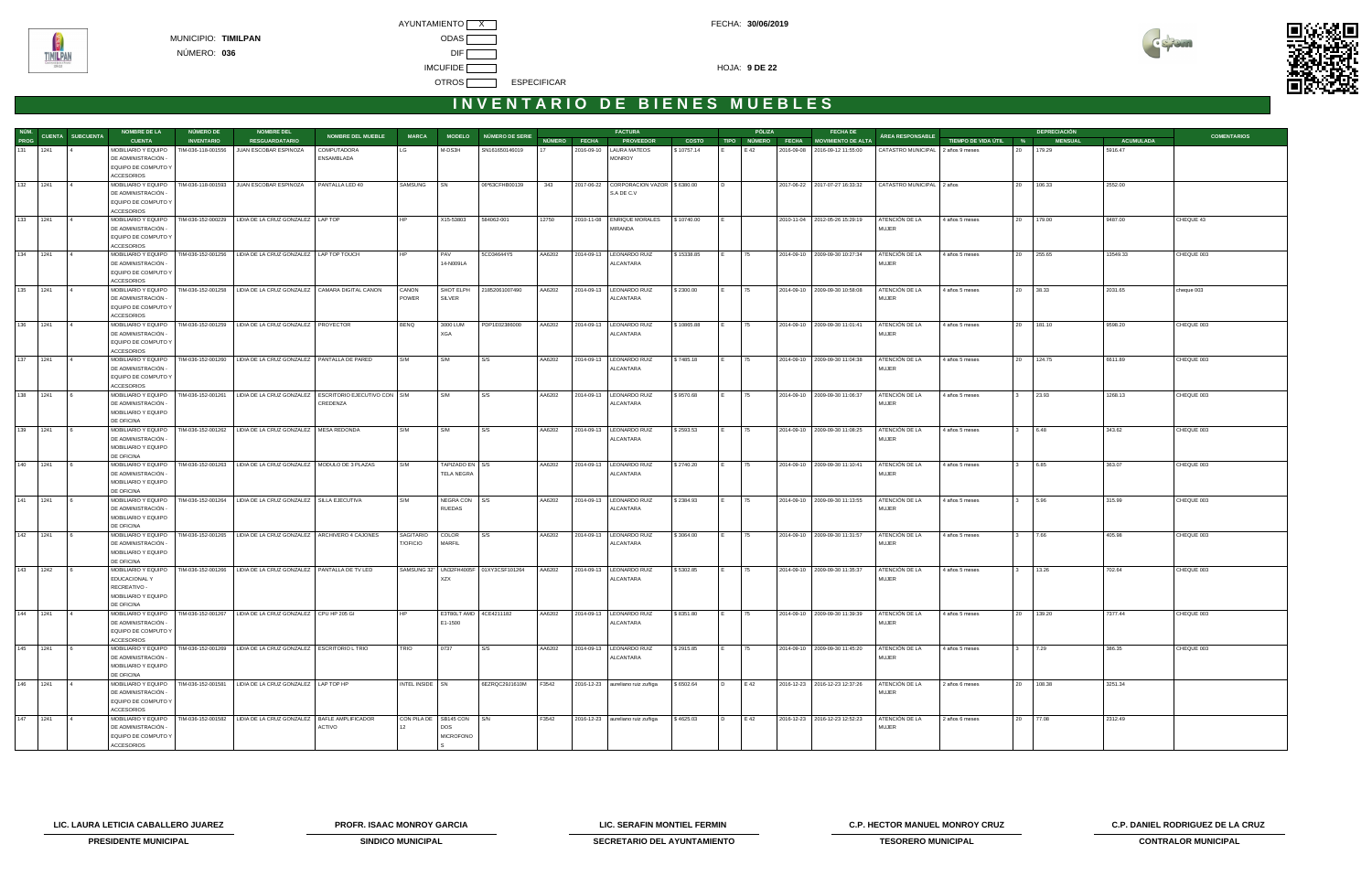

| NÚM.        |                         | <b>NOMBRE DE LA</b>                        | NÚMERO DE          | <b>NOMBRE DEL</b>                                                               |                          |                 |                           |                                        |        |              | <b>FACTURA</b>                          |              |                | PÓLIZA       | <b>FECHA DE</b>                  |                                   |                       |              | <b>DEPRECIACIÓN</b> |                  |                    |
|-------------|-------------------------|--------------------------------------------|--------------------|---------------------------------------------------------------------------------|--------------------------|-----------------|---------------------------|----------------------------------------|--------|--------------|-----------------------------------------|--------------|----------------|--------------|----------------------------------|-----------------------------------|-----------------------|--------------|---------------------|------------------|--------------------|
| PROG        | <b>CUENTA SUBCUENTA</b> | <b>CUENTA</b>                              | <b>INVENTARIO</b>  | <b>RESGUARDATARIO</b>                                                           | <b>NOMBRE DEL MUEBLE</b> | <b>MARCA</b>    |                           | MODELO NÚMERO DE SERIE                 |        | NÚMERO FECHA | <b>PROVEEDOR</b>                        | <b>COSTO</b> | <b>TIPO</b>    | NÚMERO FECHA | <b>MOVIMIENTO DE ALTA</b>        | ÁREA RESPONSABLE                  | TIEMPO DE VIDA ÚTIL % |              | <b>MENSUAL</b>      | <b>ACUMULADA</b> | <b>COMENTARIOS</b> |
| 131 1241    |                         | MOBILIARIO Y EQUIPO                        | TIM-036-118-001556 | JUAN ESCOBAR ESPINOZA                                                           | COMPUTADORA              |                 | M-DS3H                    | SN161650146019                         |        |              | 2016-09-10   LAURA MATEOS               | \$10757.14   |                | E 42         | 2016-09-08 2016-09-12 11:55:00   | CATASTRO MUNICIPAL 2 años 9 meses |                       | 20           | 179.29              | 5916.47          |                    |
|             |                         | DE ADMINISTRACIÓN ·                        |                    |                                                                                 | ENSAMBLADA               |                 |                           |                                        |        |              | <b>MONROY</b>                           |              |                |              |                                  |                                   |                       |              |                     |                  |                    |
|             |                         | EQUIPO DE COMPUTO Y<br><b>ACCESORIOS</b>   |                    |                                                                                 |                          |                 |                           |                                        |        |              |                                         |              |                |              |                                  |                                   |                       |              |                     |                  |                    |
| 132 1241    |                         | MOBILIARIO Y EQUIPO                        |                    | TIM-036-118-001593 JUAN ESCOBAR ESPINOZA                                        | PANTALLA LED 40          | SAMSUNG         | <b>SN</b>                 | 06ª63CFHB00139                         | 343    | 2017-06-22   | CORPORACION VAZOR 5 6380.00             |              |                |              | 2017-06-22 2017-07-27 16:33:32   | CATASTRO MUNICIPAL 2 años         |                       |              | 20 106.33           | 2552.00          |                    |
|             |                         | DE ADMINISTRACIÓN -                        |                    |                                                                                 |                          |                 |                           |                                        |        |              | S.A DE C.V                              |              |                |              |                                  |                                   |                       |              |                     |                  |                    |
|             |                         | EQUIPO DE COMPUTO Y                        |                    |                                                                                 |                          |                 |                           |                                        |        |              |                                         |              |                |              |                                  |                                   |                       |              |                     |                  |                    |
|             |                         | <b>ACCESORIOS</b>                          |                    |                                                                                 |                          |                 |                           |                                        |        |              |                                         |              |                |              |                                  |                                   |                       |              |                     |                  |                    |
| 133 1241    |                         | MOBILIARIO Y EQUIPO                        |                    | TIM-036-152-000229   LIDIA DE LA CRUZ GONZALEZ   LAP TOP                        |                          |                 | X15-53803                 | 584062-001                             | 12750  |              | 2010-11-08 ENRIQUE MORALES              | \$10740.00   |                |              | 2010-11-04 2012-05-26 15:29:19   | ATENCIÓN DE LA                    | 4 años 5 meses        |              | 20 179.00           | 9487.00          | CHEQUE 43          |
|             |                         | DE ADMINISTRACIÓN -                        |                    |                                                                                 |                          |                 |                           |                                        |        |              | MIRANDA                                 |              |                |              |                                  | <b>MUJER</b>                      |                       |              |                     |                  |                    |
|             |                         | EQUIPO DE COMPUTO Y<br><b>ACCESORIOS</b>   |                    |                                                                                 |                          |                 |                           |                                        |        |              |                                         |              |                |              |                                  |                                   |                       |              |                     |                  |                    |
| 1241<br>134 |                         | MOBILIARIO Y EQUIPO                        |                    | TIM-036-152-001256   LIDIA DE LA CRUZ GONZALEZ   LAP TOP TOUCH                  |                          |                 | PAV                       | 5CD34644Y5                             | AA6202 |              | 2014-09-13   LEONARDO RUIZ              | \$15338.85   |                | 75           | 2014-09-10 2009-09-30 10:27:34   | ATENCIÓN DE LA                    | 4 años 5 meses        |              | 20 255.65           | 13549.33         | CHEQUE 003         |
|             |                         | DE ADMINISTRACIÓN -                        |                    |                                                                                 |                          |                 | 14-N009LA                 |                                        |        |              | ALCANTARA                               |              |                |              |                                  | <b>MUJER</b>                      |                       |              |                     |                  |                    |
|             |                         | EQUIPO DE COMPUTO Y                        |                    |                                                                                 |                          |                 |                           |                                        |        |              |                                         |              |                |              |                                  |                                   |                       |              |                     |                  |                    |
|             |                         | <b>ACCESORIOS</b>                          |                    |                                                                                 |                          |                 |                           |                                        |        |              |                                         |              |                |              |                                  |                                   |                       |              |                     |                  |                    |
| 135<br>1241 |                         | MOBILIARIO Y EQUIPO                        |                    | TIM-036-152-001258   LIDIA DE LA CRUZ GONZALEZ   CAMARA DIGITAL CANON           |                          | CANON           | SHOT ELPH                 | 21852061007490                         | AA6202 | 2014-09-13   | LEONARDO RUIZ                           | \$2300.00    |                | 175          | 2014-09-10 2009-09-30 10:58:08   | ATENCIÓN DE LA                    | 4 años 5 meses        |              | 20 38.33            | 2031.65          | cheque 003         |
|             |                         | DE ADMINISTRACIÓN -<br>EQUIPO DE COMPUTO Y |                    |                                                                                 |                          | POWER           | <b>SILVER</b>             |                                        |        |              | ALCANTARA                               |              |                |              |                                  | <b>MUJER</b>                      |                       |              |                     |                  |                    |
|             |                         | <b>ACCESORIOS</b>                          |                    |                                                                                 |                          |                 |                           |                                        |        |              |                                         |              |                |              |                                  |                                   |                       |              |                     |                  |                    |
| 136 1241    |                         | MOBILIARIO Y EQUIPO                        |                    | TIM-036-152-001259   LIDIA DE LA CRUZ GONZALEZ   PROYECTOR                      |                          | <b>BENQ</b>     | 3000 LUM                  | PDP1E02386000                          | AA6202 |              | 2014-09-13   LEONARDO RUIZ              | \$10865.88   | IE.            | 75           | 2014-09-10 2009-09-30 11:01:41   | ATENCIÓN DE LA                    | 4 años 5 meses        |              | 20 181.10           | 9598.20          | CHEQUE 003         |
|             |                         | DE ADMINISTRACIÓN                          |                    |                                                                                 |                          |                 | XGA                       |                                        |        |              | ALCANTARA                               |              |                |              |                                  | <b>MUJER</b>                      |                       |              |                     |                  |                    |
|             |                         | EQUIPO DE COMPUTO Y                        |                    |                                                                                 |                          |                 |                           |                                        |        |              |                                         |              |                |              |                                  |                                   |                       |              |                     |                  |                    |
|             |                         | <b>ACCESORIOS</b>                          |                    | TIM-036-152-001260   LIDIA DE LA CRUZ GONZALEZ   PANTALLA DE PARED              |                          |                 |                           |                                        |        |              |                                         |              |                |              |                                  |                                   |                       |              |                     |                  |                    |
| 137<br>1241 |                         | MOBILIARIO Y EQUIPO<br>DE ADMINISTRACIÓN · |                    |                                                                                 |                          | S/M             | S/M                       | S/S                                    | AA6202 |              | 2014-09-13   LEONARDO RUIZ<br>ALCANTARA | \$7485.18    |                | 75           | 2014-09-10   2009-09-30 11:04:38 | ATENCIÓN DE LA<br><b>MUJER</b>    | 4 años 5 meses        | 20           | 124.75              | 6611.89          | CHEQUE 003         |
|             |                         | EQUIPO DE COMPUTO Y                        |                    |                                                                                 |                          |                 |                           |                                        |        |              |                                         |              |                |              |                                  |                                   |                       |              |                     |                  |                    |
|             |                         | <b>ACCESORIOS</b>                          |                    |                                                                                 |                          |                 |                           |                                        |        |              |                                         |              |                |              |                                  |                                   |                       |              |                     |                  |                    |
| 138<br>1241 |                         | MOBILIARIO Y EQUIPO                        |                    | TIM-036-152-001261   LIDIA DE LA CRUZ GONZALEZ   ESCRITORIO EJECUTIVO CON   S/M |                          |                 | S/M                       | S/S                                    | AA6202 |              | 2014-09-13   LEONARDO RUIZ              | \$9570.68    |                | 75           | 2014-09-10   2009-09-30 11:06:37 | ATENCIÓN DE LA                    | 4 años 5 meses        |              | 23.93               | 1268.13          | CHEQUE 003         |
|             |                         | DE ADMINISTRACIÓN ·                        |                    |                                                                                 | CREDENZA                 |                 |                           |                                        |        |              | ALCANTARA                               |              |                |              |                                  | <b>MUJER</b>                      |                       |              |                     |                  |                    |
|             |                         | MOBILIARIO Y EQUIPO<br>DE OFICINA          |                    |                                                                                 |                          |                 |                           |                                        |        |              |                                         |              |                |              |                                  |                                   |                       |              |                     |                  |                    |
| 139 1241    |                         | MOBILIARIO Y EQUIPO                        |                    | TIM-036-152-001262   LIDIA DE LA CRUZ GONZALEZ   MESA REDONDA                   |                          | S/M             | S/M                       | S/S                                    | AA6202 |              | 2014-09-13   LEONARDO RUIZ              | \$2593.53    | IE.            | 75           | 2014-09-10 2009-09-30 11:08:25   | ATENCIÓN DE LA                    | 4 años 5 meses        | $3^{\circ}$  | 6.48                | 343.62           | CHEQUE 003         |
|             |                         | DE ADMINISTRACIÓN                          |                    |                                                                                 |                          |                 |                           |                                        |        |              | ALCANTARA                               |              |                |              |                                  | <b>MUJER</b>                      |                       |              |                     |                  |                    |
|             |                         | MOBILIARIO Y EQUIPO                        |                    |                                                                                 |                          |                 |                           |                                        |        |              |                                         |              |                |              |                                  |                                   |                       |              |                     |                  |                    |
|             |                         | DE OFICINA                                 |                    |                                                                                 |                          |                 |                           |                                        |        |              |                                         |              |                |              |                                  |                                   |                       |              |                     |                  |                    |
| 140 1241    |                         | MOBILIARIO Y EQUIPO                        |                    | TIM-036-152-001263   LIDIA DE LA CRUZ GONZALEZ   MODULO DE 3 PLAZAS             |                          | S/M             | TAPIZADO EN S/S           |                                        | AA6202 |              | 2014-09-13   LEONARDO RUIZ              | \$2740.20    |                | 75           | 2014-09-10 2009-09-30 11:10:41   | ATENCIÓN DE LA                    | 4 años 5 meses        |              | 6.85                | 363.07           | CHEQUE 003         |
|             |                         | DE ADMINISTRACIÓN -<br>MOBILIARIO Y EQUIPO |                    |                                                                                 |                          |                 | <b>TELA NEGRA</b>         |                                        |        |              | ALCANTARA                               |              |                |              |                                  | <b>MUJER</b>                      |                       |              |                     |                  |                    |
|             |                         | DE OFICINA                                 |                    |                                                                                 |                          |                 |                           |                                        |        |              |                                         |              |                |              |                                  |                                   |                       |              |                     |                  |                    |
| 1241<br>141 |                         | MOBILIARIO Y EQUIPO                        |                    | TIM-036-152-001264   LIDIA DE LA CRUZ GONZALEZ   SILLA EJECUTIVA                |                          | S/M             | NEGRACON S/S              |                                        | AA6202 |              | 2014-09-13   LEONARDO RUIZ              | \$2384.93    |                | 75           | 2014-09-10 2009-09-30 11:13:55   | ATENCIÓN DE LA                    | 4 años 5 meses        |              | 5.96                | 315.99           | CHEQUE 003         |
|             |                         | DE ADMINISTRACIÓN -                        |                    |                                                                                 |                          |                 | RUEDAS                    |                                        |        |              | ALCANTARA                               |              |                |              |                                  | <b>MUJER</b>                      |                       |              |                     |                  |                    |
|             |                         | MOBILIARIO Y EQUIPO                        |                    |                                                                                 |                          |                 |                           |                                        |        |              |                                         |              |                |              |                                  |                                   |                       |              |                     |                  |                    |
| 142 1241    |                         | DE OFICINA<br>MOBILIARIO Y EQUIPO          |                    | TIM-036-152-001265   LIDIA DE LA CRUZ GONZALEZ   ARCHIVERO 4 CAJONES            |                          | SAGITARIO       | COLOR                     | S/S                                    | AA6202 |              | 2014-09-13   LEONARDO RUIZ              | \$3064.00    | IE.            | 75           | 2014-09-10   2009-09-30 11:31:57 | ATENCIÓN DE LA                    | 4 años 5 meses        | $\mathbf{3}$ | 7.66                | 405.98           | CHEQUE 003         |
|             |                         | DE ADMINISTRACIÓN -                        |                    |                                                                                 |                          | <b>T/OFICIO</b> | MARFIL                    |                                        |        |              | ALCANTARA                               |              |                |              |                                  | <b>MUJER</b>                      |                       |              |                     |                  |                    |
|             |                         | MOBILIARIO Y EQUIPO                        |                    |                                                                                 |                          |                 |                           |                                        |        |              |                                         |              |                |              |                                  |                                   |                       |              |                     |                  |                    |
|             |                         | DE OFICINA                                 |                    |                                                                                 |                          |                 |                           |                                        |        |              |                                         |              |                |              |                                  |                                   |                       |              |                     |                  |                    |
| 143 1242    |                         | MOBILIARIO Y EQUIPO                        |                    | TIM-036-152-001266   LIDIA DE LA CRUZ GONZALEZ   PANTALLA DE TV LED             |                          |                 |                           | SAMSUNG 32" UN32FH4005F 01XY3CSF101264 | AA6202 |              | 2014-09-13   LEONARDO RUIZ              | \$5302.85    |                | 75           | 2014-09-10   2009-09-30 11:35:37 | ATENCIÓN DE LA                    | 4 años 5 meses        |              | 13.26               | 702.64           | CHEQUE 003         |
|             |                         | EDUCACIONAL Y                              |                    |                                                                                 |                          |                 | XZX                       |                                        |        |              | ALCANTARA                               |              |                |              |                                  | <b>MUJER</b>                      |                       |              |                     |                  |                    |
|             |                         | RECREATIVO -<br>MOBILIARIO Y EQUIPO        |                    |                                                                                 |                          |                 |                           |                                        |        |              |                                         |              |                |              |                                  |                                   |                       |              |                     |                  |                    |
|             |                         | DE OFICINA                                 |                    |                                                                                 |                          |                 |                           |                                        |        |              |                                         |              |                |              |                                  |                                   |                       |              |                     |                  |                    |
| 144 1241    |                         | MOBILIARIO Y EQUIPO                        |                    | TIM-036-152-001267   LIDIA DE LA CRUZ GONZALEZ   CPU HP 205 GI                  |                          |                 | E3T80LT AMD 4CE4211182    |                                        | AA6202 |              | 2014-09-13   LEONARDO RUIZ              | \$8351.80    |                | 75           | 2014-09-10   2009-09-30 11:39:39 | ATENCIÓN DE LA                    | 4 años 5 meses        |              | 20 139.20           | 7377.44          | CHEQUE 003         |
|             |                         | DE ADMINISTRACIÓN -                        |                    |                                                                                 |                          |                 | E1-1500                   |                                        |        |              | ALCANTARA                               |              |                |              |                                  | <b>MUJER</b>                      |                       |              |                     |                  |                    |
|             |                         | EQUIPO DE COMPUTO Y                        |                    |                                                                                 |                          |                 |                           |                                        |        |              |                                         |              |                |              |                                  |                                   |                       |              |                     |                  |                    |
| 145<br>1241 |                         | <b>ACCESORIOS</b><br>MOBILIARIO Y EQUIPO   |                    | TIM-036-152-001269   LIDIA DE LA CRUZ GONZALEZ   ESCRITORIO L TRIO              |                          | <b>TRIO</b>     | 0737                      | S/S                                    | AA6202 |              | 2014-09-13   LEONARDO RUIZ              | \$2915.85    |                | 175          | 2014-09-10 2009-09-30 11:45:20   | ATENCIÓN DE LA                    | 4 años 5 meses        |              | 7.29                | 386.35           | CHEQUE 003         |
|             |                         | DE ADMINISTRACIÓN                          |                    |                                                                                 |                          |                 |                           |                                        |        |              | ALCANTARA                               |              |                |              |                                  | <b>MUJER</b>                      |                       |              |                     |                  |                    |
|             |                         | MOBILIARIO Y EQUIPO                        |                    |                                                                                 |                          |                 |                           |                                        |        |              |                                         |              |                |              |                                  |                                   |                       |              |                     |                  |                    |
|             |                         | DE OFICINA                                 |                    |                                                                                 |                          |                 |                           |                                        |        |              |                                         |              |                |              |                                  |                                   |                       |              |                     |                  |                    |
| 146<br>1241 |                         | MOBILIARIO Y EQUIPO                        |                    | TIM-036-152-001581   LIDIA DE LA CRUZ GONZALEZ   LAP TOP HP                     |                          | INTEL INSIDE SN |                           | 6EZRQC29J1610M                         | F3542  |              | 2016-12-23 aureliano ruiz zuñiga        | \$6502.64    | $\overline{D}$ | E 42         | 2016-12-23 2016-12-23 12:37:26   | ATENCIÓN DE LA                    | 2 años 6 meses        |              | 20 108.38           | 3251.34          |                    |
|             |                         | DE ADMINISTRACIÓN -                        |                    |                                                                                 |                          |                 |                           |                                        |        |              |                                         |              |                |              |                                  | <b>MUJER</b>                      |                       |              |                     |                  |                    |
|             |                         | EQUIPO DE COMPUTO Y<br>ACCESORIOS          |                    |                                                                                 |                          |                 |                           |                                        |        |              |                                         |              |                |              |                                  |                                   |                       |              |                     |                  |                    |
| 147 1241    |                         | MOBILIARIO Y EQUIPO                        |                    | TIM-036-152-001582   LIDIA DE LA CRUZ GONZALEZ   BAFLE AMPLIFICADOR             |                          |                 | CON PILA DE SB145 CON S/N |                                        | F3542  |              | 2016-12-23 aureliano ruiz zuñiga        | \$4625.03    | $\overline{D}$ | E 42         | 2016-12-23 2016-12-23 12:52:23   | ATENCIÓN DE LA                    | 2 años 6 meses        |              | 20 77.08            | 2312.49          |                    |
|             |                         | DE ADMINISTRACIÓN -                        |                    |                                                                                 | ACTIVO                   |                 | DOS                       |                                        |        |              |                                         |              |                |              |                                  | <b>MUJER</b>                      |                       |              |                     |                  |                    |
|             |                         | EQUIPO DE COMPUTO Y                        |                    |                                                                                 |                          |                 | <b>MICROFONO</b>          |                                        |        |              |                                         |              |                |              |                                  |                                   |                       |              |                     |                  |                    |
|             |                         | ACCESORIOS                                 |                    |                                                                                 |                          |                 |                           |                                        |        |              |                                         |              |                |              |                                  |                                   |                       |              |                     |                  |                    |

**LIC. LAURA LETICIA CABALLERO JUAREZ PROFR. ISAAC MONROY GARCIA LIC. SERAFIN MONTIEL FERMIN C.P. HECTOR MANUEL MONROY CRUZ C.P. DANIEL RODRIGUEZ DE LA CRUZ** 



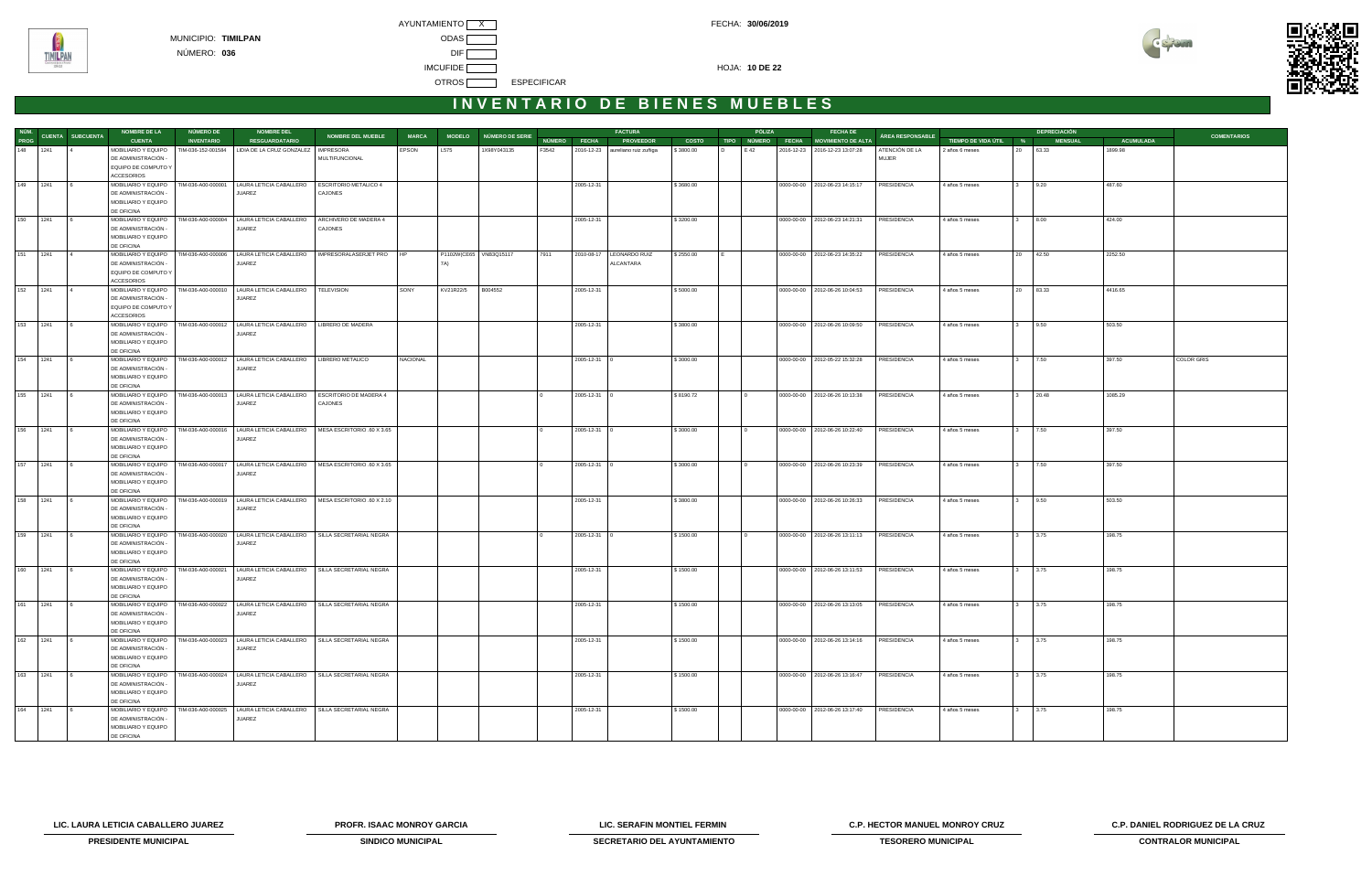



|          |          |                               | <b>NOMBRE DE LA</b>                        | <b>NÚMERO DE</b>   | <b>NOMBRE DEL</b>                                                                                         |                                  |              |                        |                        |       |                    | <b>FACTURA</b>                   |              | PÓLIZA | <b>FECHA DE</b>                      |                    |                       |                      | <b>DEPRECIACIÓN</b> |                  |                    |
|----------|----------|-------------------------------|--------------------------------------------|--------------------|-----------------------------------------------------------------------------------------------------------|----------------------------------|--------------|------------------------|------------------------|-------|--------------------|----------------------------------|--------------|--------|--------------------------------------|--------------------|-----------------------|----------------------|---------------------|------------------|--------------------|
|          |          | NÚM.<br>PROG CUENTA SUBCUENTA | <b>CUENTA</b>                              | <b>INVENTARIO</b>  | <b>RESGUARDATARIO</b>                                                                                     | <b>NOMBRE DEL MUEBLE</b>         | <b>MARCA</b> |                        | MODELO NÚMERO DE SERIE |       | NÚMERO FECHA       | <b>PROVEEDOR</b>                 | <b>COSTO</b> |        | TIPO NÚMERO FECHA MOVIMIENTO DE ALTA | ÁREA RESPONSABLE   | TIEMPO DE VIDA ÚTIL % |                      | <b>MENSUAL</b>      | <b>ACUMULADA</b> | <b>COMENTARIOS</b> |
|          | 148 1241 |                               | MOBILIARIO Y EQUIPO                        |                    | TIM-036-152-001584 LIDIA DE LA CRUZ GONZALEZ                                                              | <b>IMPRESORA</b>                 | EPSON        | L575                   | 1X98Y043135            | F3542 |                    | 2016-12-23 aureliano ruiz zuñiga | \$3800.00    | E 42   | 2016-12-23 2016-12-23 13:07:28       | ATENCIÓN DE LA     | 2 años 6 meses        | 63.33<br>20          |                     | 1899.98          |                    |
|          |          |                               | DE ADMINISTRACIÓN -                        |                    |                                                                                                           | MULTIFUNCIONAL                   |              |                        |                        |       |                    |                                  |              |        |                                      | MUJER              |                       |                      |                     |                  |                    |
|          |          |                               | EQUIPO DE COMPUTO Y                        |                    |                                                                                                           |                                  |              |                        |                        |       |                    |                                  |              |        |                                      |                    |                       |                      |                     |                  |                    |
|          |          |                               | <b>ACCESORIOS</b>                          |                    |                                                                                                           |                                  |              |                        |                        |       |                    |                                  |              |        |                                      |                    |                       |                      |                     |                  |                    |
| 149 1241 |          |                               | MOBILIARIO Y EQUIPO   TIM-036-A00-000001   |                    | LAURA LETICIA CABALLERO                                                                                   | ESCRITORIO METALICO 4            |              |                        |                        |       | 2005-12-31         |                                  | \$3680.00    |        | 0000-00-00   2012-06-23 14:15:17     | PRESIDENCIA        | 4 años 5 meses        | 9.20<br>3            |                     | 487.60           |                    |
|          |          |                               | DE ADMINISTRACIÓN -                        |                    | JUAREZ                                                                                                    | CAJONES                          |              |                        |                        |       |                    |                                  |              |        |                                      |                    |                       |                      |                     |                  |                    |
|          |          |                               | MOBILIARIO Y EQUIPO                        |                    |                                                                                                           |                                  |              |                        |                        |       |                    |                                  |              |        |                                      |                    |                       |                      |                     |                  |                    |
|          | 150 1241 |                               | DE OFICINA                                 |                    |                                                                                                           |                                  |              |                        |                        |       |                    |                                  |              |        |                                      |                    |                       |                      |                     |                  |                    |
|          |          |                               | MOBILIARIO Y EQUIPO<br>DE ADMINISTRACIÓN - | TIM-036-A00-000004 | LAURA LETICIA CABALLERO<br>JUAREZ                                                                         | ARCHIVERO DE MADERA 4<br>CAJONES |              |                        |                        |       | 2005-12-31         |                                  | \$3200.00    |        | 0000-00-00 2012-06-23 14:21:31       | PRESIDENCIA        | 4 años 5 meses        | 8.00<br>$3^{\circ}$  |                     | 424.00           |                    |
|          |          |                               | MOBILIARIO Y EQUIPO                        |                    |                                                                                                           |                                  |              |                        |                        |       |                    |                                  |              |        |                                      |                    |                       |                      |                     |                  |                    |
|          |          |                               | DE OFICINA                                 |                    |                                                                                                           |                                  |              |                        |                        |       |                    |                                  |              |        |                                      |                    |                       |                      |                     |                  |                    |
| 151 1241 |          |                               | MOBILIARIO Y EQUIPO                        |                    | TIM-036-A00-000006   LAURA LETICIA CABALLERO                                                              | IMPRESORALASERJET PRO HP         |              | P1102W(CE65 VNB3Q15117 |                        | 7911  |                    | 2010-08-17   LEONARDO RUIZ       | \$2550.00    |        | 0000-00-00 2012-06-23 14:35:22       | PRESIDENCIA        | 4 años 5 meses        | 20 42.50             |                     | 2252.50          |                    |
|          |          |                               | DE ADMINISTRACIÓN -                        |                    | JUAREZ                                                                                                    |                                  |              | 7A)                    |                        |       |                    | ALCANTARA                        |              |        |                                      |                    |                       |                      |                     |                  |                    |
|          |          |                               | EQUIPO DE COMPUTO Y                        |                    |                                                                                                           |                                  |              |                        |                        |       |                    |                                  |              |        |                                      |                    |                       |                      |                     |                  |                    |
|          |          |                               | ACCESORIOS                                 |                    |                                                                                                           |                                  |              |                        |                        |       |                    |                                  |              |        |                                      |                    |                       |                      |                     |                  |                    |
|          | 152 1241 |                               |                                            |                    | MOBILIARIO Y EQUIPO   TIM-036-A00-000010   LAURA LETICIA CABALLERO                                        | <b>TELEVISION</b>                | SONY         | KV21R22/5              | B004552                |       | 2005-12-31         |                                  | \$5000.00    |        | 0000-00-00   2012-06-26 10:04:53     | PRESIDENCIA        | 4 años 5 meses        | 20 83.33             |                     | 4416.65          |                    |
|          |          |                               | DE ADMINISTRACIÓN -                        |                    | JUAREZ                                                                                                    |                                  |              |                        |                        |       |                    |                                  |              |        |                                      |                    |                       |                      |                     |                  |                    |
|          |          |                               | EQUIPO DE COMPUTO Y                        |                    |                                                                                                           |                                  |              |                        |                        |       |                    |                                  |              |        |                                      |                    |                       |                      |                     |                  |                    |
|          |          |                               | <b>ACCESORIOS</b>                          |                    |                                                                                                           |                                  |              |                        |                        |       |                    |                                  |              |        |                                      |                    |                       |                      |                     |                  |                    |
| 153 1241 |          |                               | MOBILIARIO Y EQUIPO<br>DE ADMINISTRACIÓN - |                    | TIM-036-A00-000012   LAURA LETICIA CABALLERO<br>JUAREZ                                                    | LIBRERO DE MADERA                |              |                        |                        |       | 2005-12-31         |                                  | \$3800.00    |        | 0000-00-00 2012-06-26 10:09:50       | PRESIDENCIA        | 4 años 5 meses        | 9.50<br>3            |                     | 503.50           |                    |
|          |          |                               | MOBILIARIO Y EQUIPO                        |                    |                                                                                                           |                                  |              |                        |                        |       |                    |                                  |              |        |                                      |                    |                       |                      |                     |                  |                    |
|          |          |                               | DE OFICINA                                 |                    |                                                                                                           |                                  |              |                        |                        |       |                    |                                  |              |        |                                      |                    |                       |                      |                     |                  |                    |
| 154 1241 |          |                               |                                            |                    | MOBILIARIO Y EQUIPO   TIM-036-A00-000012   LAURA LETICIA CABALLERO   LIBRERO METALICO                     |                                  | NACIONAL     |                        |                        |       | 2005-12-31 0       |                                  | \$3000.00    |        | 0000-00-00   2012-05-22 15:32:28     | PRESIDENCIA        | 4 años 5 meses        | 7.50                 |                     | 397.50           | COLOR GRIS         |
|          |          |                               | DE ADMINISTRACIÓN -                        |                    | JUAREZ                                                                                                    |                                  |              |                        |                        |       |                    |                                  |              |        |                                      |                    |                       |                      |                     |                  |                    |
|          |          |                               | MOBILIARIO Y EQUIPO                        |                    |                                                                                                           |                                  |              |                        |                        |       |                    |                                  |              |        |                                      |                    |                       |                      |                     |                  |                    |
|          |          |                               | DE OFICINA                                 |                    |                                                                                                           |                                  |              |                        |                        |       |                    |                                  |              |        |                                      |                    |                       |                      |                     |                  |                    |
| 155 1241 |          |                               |                                            |                    | MOBILIARIO Y EQUIPO   TIM-036-A00-000013   LAURA LETICIA CABALLERO                                        | ESCRITORIO DE MADERA 4           |              |                        |                        |       | $2005 - 12 - 31$ 0 |                                  | \$8190.72    |        | 0000-00-00 2012-06-26 10:13:38       | PRESIDENCIA        | 4 años 5 meses        | 20.48                |                     | 1085.29          |                    |
|          |          |                               | DE ADMINISTRACIÓN -                        |                    | JUAREZ                                                                                                    | CAJONES                          |              |                        |                        |       |                    |                                  |              |        |                                      |                    |                       |                      |                     |                  |                    |
|          |          |                               | MOBILIARIO Y EQUIPO<br>DE OFICINA          |                    |                                                                                                           |                                  |              |                        |                        |       |                    |                                  |              |        |                                      |                    |                       |                      |                     |                  |                    |
| 156 1241 |          |                               | MOBILIARIO Y EQUIPO                        |                    | TIM-036-A00-000016   LAURA LETICIA CABALLERO   MESA ESCRITORIO .60 X 3.65                                 |                                  |              |                        |                        |       | 2005-12-31 0       |                                  | \$3000.00    |        | 0000-00-00 2012-06-26 10:22:40       | PRESIDENCIA        | 4 años 5 meses        | 7.50                 |                     | 397.50           |                    |
|          |          |                               | DE ADMINISTRACIÓN -                        |                    | JUAREZ                                                                                                    |                                  |              |                        |                        |       |                    |                                  |              |        |                                      |                    |                       |                      |                     |                  |                    |
|          |          |                               | MOBILIARIO Y EQUIPO                        |                    |                                                                                                           |                                  |              |                        |                        |       |                    |                                  |              |        |                                      |                    |                       |                      |                     |                  |                    |
|          |          |                               | DE OFICINA                                 |                    |                                                                                                           |                                  |              |                        |                        |       |                    |                                  |              |        |                                      |                    |                       |                      |                     |                  |                    |
| 157 1241 |          |                               | MOBILIARIO Y EQUIPO                        | TIM-036-A00-000017 | LAURA LETICIA CABALLERO   MESA ESCRITORIO .60 X 3.65                                                      |                                  |              |                        |                        |       | $2005 - 12 - 31$ 0 |                                  | \$3000.00    |        | 0000-00-00   2012-06-26 10:23:39     | PRESIDENCIA        | 4 años 5 meses        | 7.50                 |                     | 397.50           |                    |
|          |          |                               | DE ADMINISTRACIÓN -                        |                    | JUAREZ                                                                                                    |                                  |              |                        |                        |       |                    |                                  |              |        |                                      |                    |                       |                      |                     |                  |                    |
|          |          |                               | MOBILIARIO Y EQUIPO                        |                    |                                                                                                           |                                  |              |                        |                        |       |                    |                                  |              |        |                                      |                    |                       |                      |                     |                  |                    |
|          |          |                               | DE OFICINA                                 |                    |                                                                                                           |                                  |              |                        |                        |       |                    |                                  |              |        |                                      |                    |                       |                      |                     |                  |                    |
| 158 1241 |          |                               | DE ADMINISTRACIÓN -                        |                    | MOBILIARIO Y EQUIPO   TIM-036-A00-000019   LAURA LETICIA CABALLERO   MESA ESCRITORIO .60 X 2.10<br>JUAREZ |                                  |              |                        |                        |       | 2005-12-31         |                                  | \$3800.00    |        | 0000-00-00   2012-06-26 10:26:33     | PRESIDENCIA        | 4 años 5 meses        | 9.50<br>$\mathbf{3}$ |                     | 503.50           |                    |
|          |          |                               | MOBILIARIO Y EQUIPO                        |                    |                                                                                                           |                                  |              |                        |                        |       |                    |                                  |              |        |                                      |                    |                       |                      |                     |                  |                    |
|          |          |                               | DE OFICINA                                 |                    |                                                                                                           |                                  |              |                        |                        |       |                    |                                  |              |        |                                      |                    |                       |                      |                     |                  |                    |
| 159 1241 |          |                               | MOBILIARIO Y EQUIPO                        |                    | TIM-036-A00-000020   LAURA LETICIA CABALLERO                                                              | SILLA SECRETARIAL NEGRA          |              |                        |                        |       | $2005 - 12 - 31$ 0 |                                  | \$1500.00    |        | 0000-00-00 2012-06-26 13:11:13       | PRESIDENCIA        | 4 años 5 meses        | 3.75<br>3            |                     | 198.75           |                    |
|          |          |                               | DE ADMINISTRACIÓN -                        |                    | JUAREZ                                                                                                    |                                  |              |                        |                        |       |                    |                                  |              |        |                                      |                    |                       |                      |                     |                  |                    |
|          |          |                               | MOBILIARIO Y EQUIPO                        |                    |                                                                                                           |                                  |              |                        |                        |       |                    |                                  |              |        |                                      |                    |                       |                      |                     |                  |                    |
|          |          |                               | DE OFICINA                                 |                    |                                                                                                           |                                  |              |                        |                        |       |                    |                                  |              |        |                                      |                    |                       |                      |                     |                  |                    |
| 160 1241 |          |                               | MOBILIARIO Y EQUIPO                        | TIM-036-A00-000021 | LAURA LETICIA CABALLERO   SILLA SECRETARIAL NEGRA                                                         |                                  |              |                        |                        |       | 2005-12-31         |                                  | \$1500.00    |        | 0000-00-00   2012-06-26 13:11:53     | PRESIDENCIA        | 4 años 5 meses        | 3.75                 |                     | 198.75           |                    |
|          |          |                               | DE ADMINISTRACIÓN -                        |                    | JUAREZ                                                                                                    |                                  |              |                        |                        |       |                    |                                  |              |        |                                      |                    |                       |                      |                     |                  |                    |
|          |          |                               | <b>MOBILIARIO Y EQUIPO</b><br>DE OFICINA   |                    |                                                                                                           |                                  |              |                        |                        |       |                    |                                  |              |        |                                      |                    |                       |                      |                     |                  |                    |
|          | 161 1241 | <b>16</b>                     |                                            |                    | MOBILIARIO Y EQUIPO   TIM-036-A00-000022   LAURA LETICIA CABALLERO   SILLA SECRETARIAL NEGRA              |                                  |              |                        |                        |       | 2005-12-31         |                                  | \$1500.00    |        | 0000-00-00   2012-06-26 13:13:05     | <b>PRESIDENCIA</b> | 4 años 5 meses        | 3.75<br>$\mathbf{3}$ |                     | 198.75           |                    |
|          |          |                               | DE ADMINISTRACIÓN -                        |                    | JUAREZ                                                                                                    |                                  |              |                        |                        |       |                    |                                  |              |        |                                      |                    |                       |                      |                     |                  |                    |
|          |          |                               | MOBILIARIO Y EQUIPO                        |                    |                                                                                                           |                                  |              |                        |                        |       |                    |                                  |              |        |                                      |                    |                       |                      |                     |                  |                    |
|          |          |                               | <b>DE OFICINA</b>                          |                    |                                                                                                           |                                  |              |                        |                        |       |                    |                                  |              |        |                                      |                    |                       |                      |                     |                  |                    |
| 162      | 1241     |                               |                                            |                    | MOBILIARIO Y EQUIPO   TIM-036-A00-000023   LAURA LETICIA CABALLERO   SILLA SECRETARIAL NEGRA              |                                  |              |                        |                        |       | 2005-12-31         |                                  | \$1500.00    |        | 0000-00-00 2012-06-26 13:14:16       | PRESIDENCIA        | 4 años 5 meses        | 3.75                 |                     | 198.75           |                    |
|          |          |                               | DE ADMINISTRACIÓN -                        |                    | JUAREZ                                                                                                    |                                  |              |                        |                        |       |                    |                                  |              |        |                                      |                    |                       |                      |                     |                  |                    |
|          |          |                               | MOBILIARIO Y EQUIPO                        |                    |                                                                                                           |                                  |              |                        |                        |       |                    |                                  |              |        |                                      |                    |                       |                      |                     |                  |                    |
|          |          |                               | DE OFICINA                                 |                    |                                                                                                           |                                  |              |                        |                        |       |                    |                                  |              |        |                                      |                    |                       |                      |                     |                  |                    |
|          | 163 1241 |                               |                                            |                    | MOBILIARIO Y EQUIPO   TIM-036-A00-000024   LAURA LETICIA CABALLERO   SILLA SECRETARIAL NEGRA              |                                  |              |                        |                        |       | 2005-12-31         |                                  | \$1500.00    |        | 0000-00-00   2012-06-26 13:16:47     | PRESIDENCIA        | 4 años 5 meses        | 3.75                 |                     | 198.75           |                    |
|          |          |                               | DE ADMINISTRACIÓN -<br>MOBILIARIO Y EQUIPO |                    | JUAREZ                                                                                                    |                                  |              |                        |                        |       |                    |                                  |              |        |                                      |                    |                       |                      |                     |                  |                    |
|          |          |                               | DE OFICINA                                 |                    |                                                                                                           |                                  |              |                        |                        |       |                    |                                  |              |        |                                      |                    |                       |                      |                     |                  |                    |
| 164      | 1241     | <b>I</b> 6                    |                                            |                    | MOBILIARIO Y EQUIPO   TIM-036-A00-000025   LAURA LETICIA CABALLERO   SILLA SECRETARIAL NEGRA              |                                  |              |                        |                        |       | 2005-12-31         |                                  | \$1500.00    |        | 0000-00-00   2012-06-26 13:17:40     | PRESIDENCIA        | 4 años 5 meses        | 3.75<br>3            |                     | 198.75           |                    |
|          |          |                               | DE ADMINISTRACIÓN -                        |                    | <b>JUAREZ</b>                                                                                             |                                  |              |                        |                        |       |                    |                                  |              |        |                                      |                    |                       |                      |                     |                  |                    |
|          |          |                               | MOBILIARIO Y EQUIPO                        |                    |                                                                                                           |                                  |              |                        |                        |       |                    |                                  |              |        |                                      |                    |                       |                      |                     |                  |                    |
|          |          |                               | DE OFICINA                                 |                    |                                                                                                           |                                  |              |                        |                        |       |                    |                                  |              |        |                                      |                    |                       |                      |                     |                  |                    |

**LIC. LAURA LETICIA CABALLERO JUAREZ PROFR. ISAAC MONROY GARCIA LIC. SERAFIN MONTIEL FERMIN C.P. HECTOR MANUEL MONROY CRUZ C.P. DANIEL RODRIGUEZ DE LA CRUZ** 



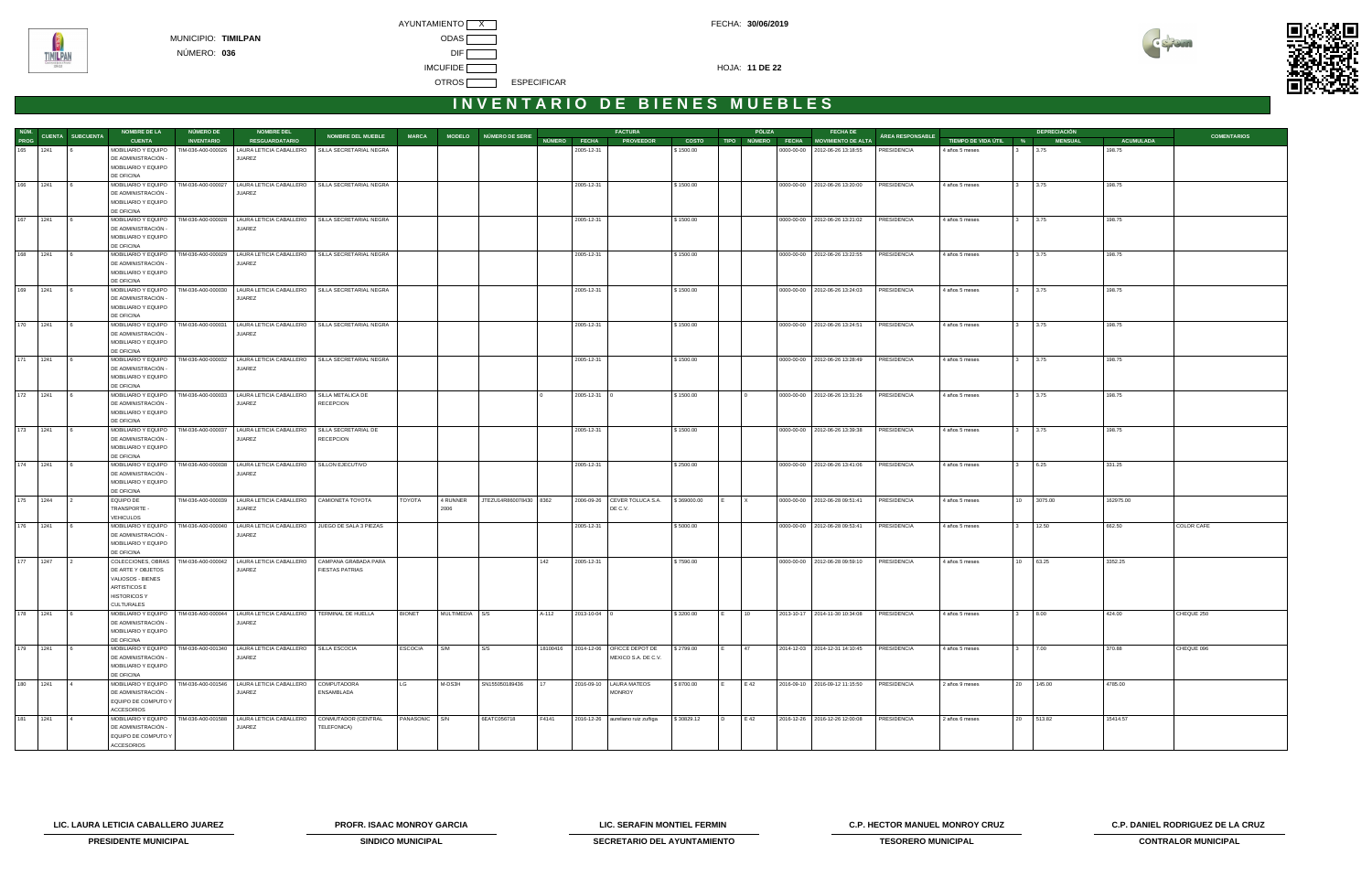



|              |            |                               | <b>NOMBRE DE LA</b>                                             | NÚMERO DE          | <b>NOMBRE DEL</b>                                                                       |                                       |                |                |                        |          |                    | <b>FACTURA</b>                   |              |   | PÓLIZA       | <b>FECHA DE</b>                      |                  |                       | <b>DEPRECIACIÓN</b>  |                  |                    |
|--------------|------------|-------------------------------|-----------------------------------------------------------------|--------------------|-----------------------------------------------------------------------------------------|---------------------------------------|----------------|----------------|------------------------|----------|--------------------|----------------------------------|--------------|---|--------------|--------------------------------------|------------------|-----------------------|----------------------|------------------|--------------------|
|              |            | NÚM.<br>TROC CUENTA SUBCUENTA | <b>CUENTA</b>                                                   | <b>INVENTARIO</b>  | <b>RESGUARDATARIO</b>                                                                   | NOMBRE DEL MUEBLE                     | <b>MARCA</b>   |                | MODELO NÚMERO DE SERIE |          | NÚMERO FECHA       | <b>PROVEEDOR</b>                 | <b>COSTO</b> |   |              | TIPO NÚMERO FECHA MOVIMIENTO DE ALTA | ÁREA RESPONSABLE | TIEMPO DE VIDA ÚTIL % | <b>MENSUAL</b>       | <b>ACUMULADA</b> | <b>COMENTARIOS</b> |
|              | 165 1241   |                               | MOBILIARIO Y EQUIPO                                             | TIM-036-A00-000026 | LAURA LETICIA CABALLERO                                                                 | SILLA SECRETARIAL NEGRA               |                |                |                        |          | 2005-12-31         |                                  | \$1500.00    |   |              | 0000-00-00 2012-06-26 13:18:55       | PRESIDENCIA      | 4 años 5 meses        | 3.75                 | 198.75           |                    |
|              |            |                               | DE ADMINISTRACIÓN -                                             |                    | <b>JUAREZ</b>                                                                           |                                       |                |                |                        |          |                    |                                  |              |   |              |                                      |                  |                       |                      |                  |                    |
|              |            |                               | MOBILIARIO Y EQUIPO                                             |                    |                                                                                         |                                       |                |                |                        |          |                    |                                  |              |   |              |                                      |                  |                       |                      |                  |                    |
|              |            |                               | DE OFICINA                                                      |                    |                                                                                         |                                       |                |                |                        |          |                    |                                  |              |   |              |                                      |                  |                       |                      |                  |                    |
| 166 1241     |            |                               | MOBILIARIO Y EQUIPO<br>DE ADMINISTRACIÓN                        | TIM-036-A00-000027 | LAURA LETICIA CABALLERO   SILLA SECRETARIAL NEGRA<br><b>JUAREZ</b>                      |                                       |                |                |                        |          | 2005-12-31         |                                  | \$1500.00    |   |              | 0000-00-00   2012-06-26 13:20:00     | PRESIDENCIA      | 4 años 5 meses        | 3.75                 | 198.75           |                    |
|              |            |                               | MOBILIARIO Y EQUIPO                                             |                    |                                                                                         |                                       |                |                |                        |          |                    |                                  |              |   |              |                                      |                  |                       |                      |                  |                    |
|              |            |                               | DE OFICINA                                                      |                    |                                                                                         |                                       |                |                |                        |          |                    |                                  |              |   |              |                                      |                  |                       |                      |                  |                    |
|              | 167 1241 6 |                               | MOBILIARIO Y EQUIPO                                             |                    | TIM-036-A00-000028   LAURA LETICIA CABALLERO   SILLA SECRETARIAL NEGRA                  |                                       |                |                |                        |          | 2005-12-31         |                                  | \$1500.00    |   |              | 0000-00-00   2012-06-26 13:21:02     | PRESIDENCIA      | 4 años 5 meses        | $3 \t3.75$           | 198.75           |                    |
|              |            |                               | DE ADMINISTRACIÓN -                                             |                    | <b>JUAREZ</b>                                                                           |                                       |                |                |                        |          |                    |                                  |              |   |              |                                      |                  |                       |                      |                  |                    |
|              |            |                               | MOBILIARIO Y EQUIPO                                             |                    |                                                                                         |                                       |                |                |                        |          |                    |                                  |              |   |              |                                      |                  |                       |                      |                  |                    |
|              |            |                               | DE OFICINA                                                      |                    |                                                                                         |                                       |                |                |                        |          |                    |                                  |              |   |              |                                      |                  |                       |                      |                  |                    |
|              | 168 1241   |                               | MOBILIARIO Y EQUIPO<br>DE ADMINISTRACIÓN -                      |                    | TIM-036-A00-000029   LAURA LETICIA CABALLERO   SILLA SECRETARIAL NEGRA<br><b>JUAREZ</b> |                                       |                |                |                        |          | 2005-12-31         |                                  | \$1500.00    |   |              | 0000-00-00 2012-06-26 13:22:55       | PRESIDENCIA      | 4 años 5 meses        | 3.75<br>$3^{\circ}$  | 198.75           |                    |
|              |            |                               | MOBILIARIO Y EQUIPO                                             |                    |                                                                                         |                                       |                |                |                        |          |                    |                                  |              |   |              |                                      |                  |                       |                      |                  |                    |
|              |            |                               | DE OFICINA                                                      |                    |                                                                                         |                                       |                |                |                        |          |                    |                                  |              |   |              |                                      |                  |                       |                      |                  |                    |
| 169 1241     |            |                               | MOBILIARIO Y EQUIPO                                             |                    | TIM-036-A00-000030   LAURA LETICIA CABALLERO   SILLA SECRETARIAL NEGRA                  |                                       |                |                |                        |          | 2005-12-31         |                                  | \$1500.00    |   |              | 0000-00-00 2012-06-26 13:24:03       | PRESIDENCIA      | 4 años 5 meses        | 3.75<br>3            | 198.75           |                    |
|              |            |                               | DE ADMINISTRACIÓN -                                             |                    | <b>JUAREZ</b>                                                                           |                                       |                |                |                        |          |                    |                                  |              |   |              |                                      |                  |                       |                      |                  |                    |
|              |            |                               | MOBILIARIO Y EQUIPO                                             |                    |                                                                                         |                                       |                |                |                        |          |                    |                                  |              |   |              |                                      |                  |                       |                      |                  |                    |
|              |            |                               | DE OFICINA                                                      |                    |                                                                                         |                                       |                |                |                        |          |                    |                                  |              |   |              |                                      |                  |                       |                      |                  |                    |
|              | 170 1241   |                               | MOBILIARIO Y EQUIPO   TIM-036-A00-000031<br>DE ADMINISTRACIÓN - |                    | LAURA LETICIA CABALLERO   SILLA SECRETARIAL NEGRA<br><b>JUAREZ</b>                      |                                       |                |                |                        |          | 2005-12-31         |                                  | \$1500.00    |   |              | 0000-00-00 2012-06-26 13:24:51       | PRESIDENCIA      | 4 años 5 meses        | 3.75<br>$3^{\circ}$  | 198.75           |                    |
|              |            |                               | MOBILIARIO Y EQUIPO                                             |                    |                                                                                         |                                       |                |                |                        |          |                    |                                  |              |   |              |                                      |                  |                       |                      |                  |                    |
|              |            |                               | DE OFICINA                                                      |                    |                                                                                         |                                       |                |                |                        |          |                    |                                  |              |   |              |                                      |                  |                       |                      |                  |                    |
| 171 1241     |            |                               | MOBILIARIO Y EQUIPO                                             |                    | TIM-036-A00-000032   LAURA LETICIA CABALLERO   SILLA SECRETARIAL NEGRA                  |                                       |                |                |                        |          | 2005-12-31         |                                  | \$1500.00    |   |              | 0000-00-00   2012-06-26 13:28:49     | PRESIDENCIA      | 4 años 5 meses        | 3.75<br>$\mathbf{3}$ | 198.75           |                    |
|              |            |                               | DE ADMINISTRACIÓN                                               |                    | JUAREZ                                                                                  |                                       |                |                |                        |          |                    |                                  |              |   |              |                                      |                  |                       |                      |                  |                    |
|              |            |                               | MOBILIARIO Y EQUIPO                                             |                    |                                                                                         |                                       |                |                |                        |          |                    |                                  |              |   |              |                                      |                  |                       |                      |                  |                    |
|              |            |                               | DE OFICINA                                                      | TIM-036-A00-000033 |                                                                                         |                                       |                |                |                        |          |                    |                                  |              |   |              |                                      |                  |                       |                      |                  |                    |
| 172 1241     |            |                               | MOBILIARIO Y EQUIPO<br>DE ADMINISTRACIÓN -                      |                    | LAURA LETICIA CABALLERO<br><b>JUAREZ</b>                                                | SILLA METALICA DE<br><b>RECEPCION</b> |                |                |                        |          | 2005-12-31 0       |                                  | \$1500.00    |   |              | 0000-00-00   2012-06-26 13:31:26     | PRESIDENCIA      | 4 años 5 meses        | 3.75<br>3            | 198.75           |                    |
|              |            |                               | MOBILIARIO Y EQUIPO                                             |                    |                                                                                         |                                       |                |                |                        |          |                    |                                  |              |   |              |                                      |                  |                       |                      |                  |                    |
|              |            |                               | DE OFICINA                                                      |                    |                                                                                         |                                       |                |                |                        |          |                    |                                  |              |   |              |                                      |                  |                       |                      |                  |                    |
|              | 173 1241   |                               | MOBILIARIO Y EQUIPO                                             | TIM-036-A00-000037 | LAURA LETICIA CABALLERO                                                                 | SILLA SECRETARIAL DE                  |                |                |                        |          | 2005-12-31         |                                  | \$1500.00    |   |              | 0000-00-00 2012-06-26 13:39:38       | PRESIDENCIA      | 4 años 5 meses        | 3.75<br>$3^{\circ}$  | 198.75           |                    |
|              |            |                               | DE ADMINISTRACIÓN -                                             |                    | JUAREZ                                                                                  | <b>RECEPCION</b>                      |                |                |                        |          |                    |                                  |              |   |              |                                      |                  |                       |                      |                  |                    |
|              |            |                               | MOBILIARIO Y EQUIPO                                             |                    |                                                                                         |                                       |                |                |                        |          |                    |                                  |              |   |              |                                      |                  |                       |                      |                  |                    |
| 174 1241     |            |                               | DE OFICINA<br>MOBILIARIO Y EQUIPO                               |                    | TIM-036-A00-000038   LAURA LETICIA CABALLERO   SILLON EJECUTIVO                         |                                       |                |                |                        |          | 2005-12-31         |                                  | \$2500.00    |   |              | 0000-00-00   2012-06-26 13:41:06     | PRESIDENCIA      | 4 años 5 meses        | 6.25                 | 331.25           |                    |
|              |            |                               | DE ADMINISTRACIÓN                                               |                    | <b>JUAREZ</b>                                                                           |                                       |                |                |                        |          |                    |                                  |              |   |              |                                      |                  |                       |                      |                  |                    |
|              |            |                               | MOBILIARIO Y EQUIPO                                             |                    |                                                                                         |                                       |                |                |                        |          |                    |                                  |              |   |              |                                      |                  |                       |                      |                  |                    |
|              |            |                               | DE OFICINA                                                      |                    |                                                                                         |                                       |                |                |                        |          |                    |                                  |              |   |              |                                      |                  |                       |                      |                  |                    |
|              | 175 1244   |                               | <b>EQUIPO DE</b>                                                |                    | TIM-036-A00-000039   LAURA LETICIA CABALLERO   CAMIONETA TOYOTA                         |                                       | TOYOTA         | 4 RUNNER       | JTEZU14R860078430 8362 |          |                    | 2006-09-26 CEVER TOLUCA S.A.     | \$369000.00  |   | $\mathsf{X}$ | 0000-00-00   2012-06-28 09:51:41     | PRESIDENCIA      | 4 años 5 meses        | 10 3075.00           | 162975.00        |                    |
|              |            |                               | TRANSPORTE -                                                    |                    | JUAREZ                                                                                  |                                       |                | 2006           |                        |          |                    | DE C.V.                          |              |   |              |                                      |                  |                       |                      |                  |                    |
|              |            |                               | <b>VEHICULOS</b>                                                |                    |                                                                                         |                                       |                |                |                        |          |                    |                                  |              |   |              |                                      |                  |                       |                      |                  |                    |
| 176 1241     |            |                               | MOBILIARIO Y EQUIPO<br>DE ADMINISTRACIÓN                        |                    | TIM-036-A00-000040   LAURA LETICIA CABALLERO   JUEGO DE SALA 3 PIEZAS<br><b>JUAREZ</b>  |                                       |                |                |                        |          | 2005-12-31         |                                  | \$5000.00    |   |              | 0000-00-00 2012-06-28 09:53:41       | PRESIDENCIA      | 4 años 5 meses        | 12.50                | 662.50           | COLOR CAFE         |
|              |            |                               | MOBILIARIO Y EQUIPO                                             |                    |                                                                                         |                                       |                |                |                        |          |                    |                                  |              |   |              |                                      |                  |                       |                      |                  |                    |
|              |            |                               | DE OFICINA                                                      |                    |                                                                                         |                                       |                |                |                        |          |                    |                                  |              |   |              |                                      |                  |                       |                      |                  |                    |
| 177 1247     |            |                               | COLECCIONES, OBRAS                                              | TIM-036-A00-000042 | LAURA LETICIA CABALLERO                                                                 | CAMPANA GRABADA PARA                  |                |                |                        | 142      | 2005-12-31         |                                  | \$7590.00    |   |              | 0000-00-00 2012-06-28 09:59:10       | PRESIDENCIA      | 4 años 5 meses        | 10 63.25             | 3352.25          |                    |
|              |            |                               | DE ARTE Y OBJETOS                                               |                    | <b>JUAREZ</b>                                                                           | <b>FIESTAS PATRIAS</b>                |                |                |                        |          |                    |                                  |              |   |              |                                      |                  |                       |                      |                  |                    |
|              |            |                               | VALIOSOS - BIENES                                               |                    |                                                                                         |                                       |                |                |                        |          |                    |                                  |              |   |              |                                      |                  |                       |                      |                  |                    |
|              |            |                               | ARTISTICOS E<br><b>HISTORICOS Y</b>                             |                    |                                                                                         |                                       |                |                |                        |          |                    |                                  |              |   |              |                                      |                  |                       |                      |                  |                    |
|              |            |                               | <b>CULTURALES</b>                                               |                    |                                                                                         |                                       |                |                |                        |          |                    |                                  |              |   |              |                                      |                  |                       |                      |                  |                    |
| 178 1241     |            |                               | MOBILIARIO Y EQUIPO                                             |                    | TIM-036-A00-000044   LAURA LETICIA CABALLERO   TERMINAL DE HUELLA                       |                                       | <b>BIONET</b>  | MULTIMEDIA S/S |                        | A-112    | $2013 - 10 - 04$ 0 |                                  | \$3200.00    |   | 10           | 2013-10-17 2014-11-30 10:34:08       | PRESIDENCIA      | 4 años 5 meses        | 8.00                 | 424.00           | CHEQUE 250         |
|              |            |                               | DE ADMINISTRACIÓN -                                             |                    | JUAREZ                                                                                  |                                       |                |                |                        |          |                    |                                  |              |   |              |                                      |                  |                       |                      |                  |                    |
|              |            |                               | MOBILIARIO Y EQUIPO                                             |                    |                                                                                         |                                       |                |                |                        |          |                    |                                  |              |   |              |                                      |                  |                       |                      |                  |                    |
|              |            |                               | DE OFICINA                                                      |                    |                                                                                         |                                       |                |                |                        |          |                    |                                  |              |   |              |                                      |                  |                       |                      |                  |                    |
| 179 1241     |            |                               |                                                                 |                    | MOBILIARIO Y EQUIPO   TIM-036-A00-001340   LAURA LETICIA CABALLERO   SILLA ESCOCIA      |                                       | <b>ESCOCIA</b> | S/M            | S/S                    | 18100416 |                    | 2014-12-06   OFICCE DEPOT DE     | \$2799.00    |   | 47           | 2014-12-03 2014-12-31 14:10:45       | PRESIDENCIA      | 4 años 5 meses        | 7.00                 | 370.88           | CHEQUE 096         |
|              |            |                               | DE ADMINISTRACIÓN -<br>MOBILIARIO Y EQUIPO                      |                    | JUAREZ                                                                                  |                                       |                |                |                        |          |                    | MEXICO S.A. DE C.V.              |              |   |              |                                      |                  |                       |                      |                  |                    |
|              |            |                               | DE OFICINA                                                      |                    |                                                                                         |                                       |                |                |                        |          |                    |                                  |              |   |              |                                      |                  |                       |                      |                  |                    |
| $180$ $1241$ |            |                               | MOBILIARIO Y EQUIPO                                             |                    | TIM-036-A00-001546   LAURA LETICIA CABALLERO                                            | COMPUTADORA                           | LG             | M-DS3H         | SN155050189436         |          |                    | 2016-09-10   LAURA MATEOS        | \$8700.00    |   | E 42         | 2016-09-10 2016-09-12 11:15:50       | PRESIDENCIA      | 2 años 9 meses        | 20 145.00            | 4785.00          |                    |
|              |            |                               | DE ADMINISTRACIÓN -                                             |                    | JUAREZ                                                                                  | ENSAMBLADA                            |                |                |                        |          |                    | <b>MONROY</b>                    |              |   |              |                                      |                  |                       |                      |                  |                    |
|              |            |                               | EQUIPO DE COMPUTO Y                                             |                    |                                                                                         |                                       |                |                |                        |          |                    |                                  |              |   |              |                                      |                  |                       |                      |                  |                    |
|              |            |                               | <b>ACCESORIOS</b>                                               |                    |                                                                                         |                                       |                |                |                        |          |                    |                                  |              |   |              |                                      |                  |                       |                      |                  |                    |
|              | 181 1241   |                               | MOBILIARIO Y EQUIPO<br>DE ADMINISTRACIÓN -                      | TIM-036-A00-001588 | LAURA LETICIA CABALLERO<br>JUAREZ                                                       | CONMUTADOR (CENTRAL<br>TELEFONICA)    | PANASONIC S/N  |                | 6EATC056718            | F4141    |                    | 2016-12-26 aureliano ruiz zuñiga | \$30829.12   | D | E 42         | 2016-12-26 2016-12-26 12:00:08       | PRESIDENCIA      | 2 años 6 meses        | 20 513.82            | 15414.57         |                    |
|              |            |                               | EQUIPO DE COMPUTO Y                                             |                    |                                                                                         |                                       |                |                |                        |          |                    |                                  |              |   |              |                                      |                  |                       |                      |                  |                    |
|              |            |                               | <b>ACCESORIOS</b>                                               |                    |                                                                                         |                                       |                |                |                        |          |                    |                                  |              |   |              |                                      |                  |                       |                      |                  |                    |

**LIC. LAURA LETICIA CABALLERO JUAREZ PROFR. ISAAC MONROY GARCIA LIC. SERAFIN MONTIEL FERMIN C.P. HECTOR MANUEL MONROY CRUZ C.P. DANIEL RODRIGUEZ DE LA CRUZ** 



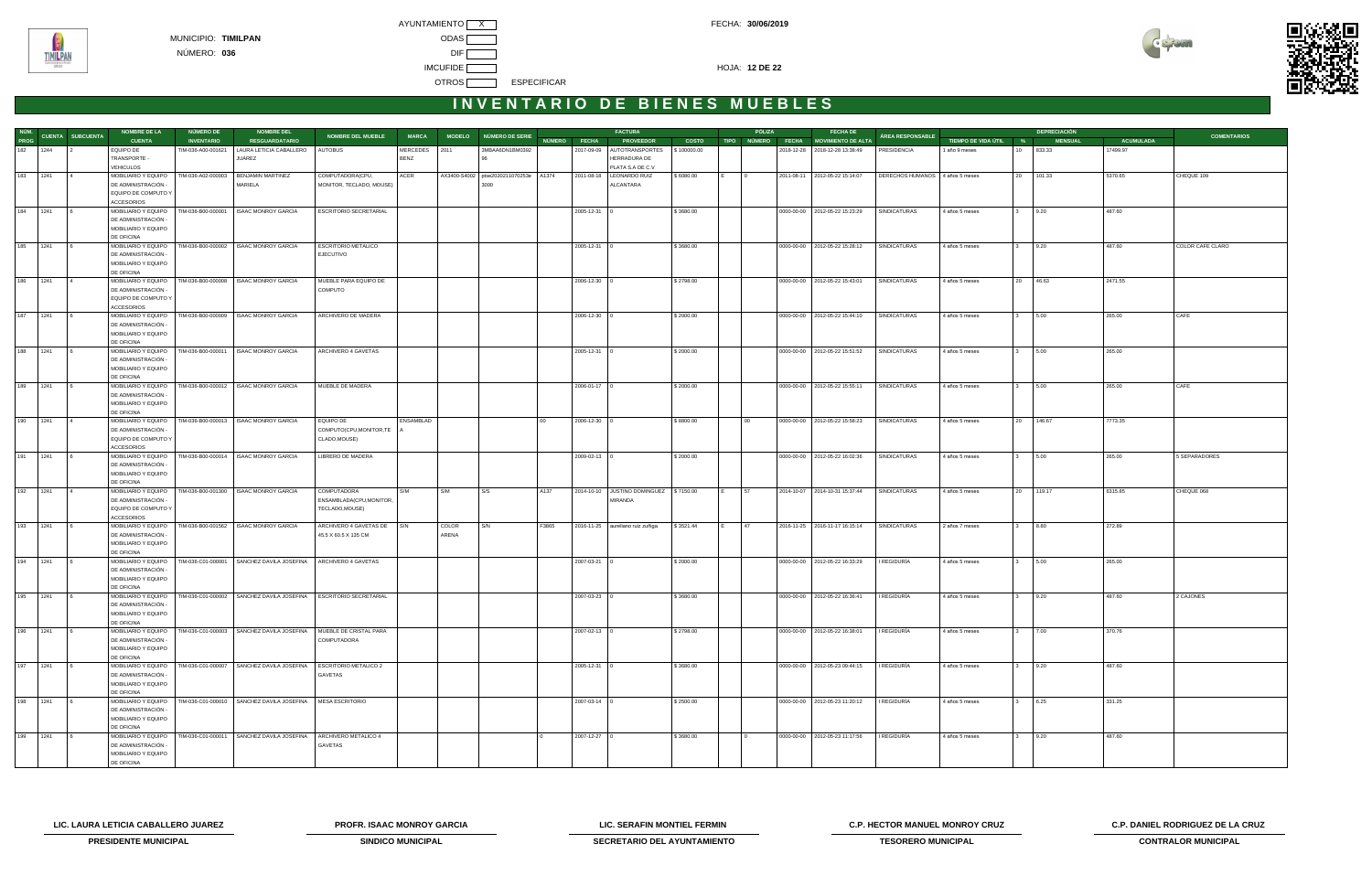

## INVENTARIO DE BIENES MUEBLES

|              |      |                       | <b>NOMBRE DE LA</b>                        | <b>NÚMERO DE</b>   | <b>NOMBRE DEL</b>                                                                           |                                              |              |              |                                  |        |                    | <b>FACTURA</b>                          |              | PÓLIZA          | <b>FECHA DE</b>                      |                                 |                       |                                 | <b>DEPRECIACIÓN</b> |                  |                    |
|--------------|------|-----------------------|--------------------------------------------|--------------------|---------------------------------------------------------------------------------------------|----------------------------------------------|--------------|--------------|----------------------------------|--------|--------------------|-----------------------------------------|--------------|-----------------|--------------------------------------|---------------------------------|-----------------------|---------------------------------|---------------------|------------------|--------------------|
| PROG         |      | NÚM. CUENTA SUBCUENTA | <b>CUENTA</b>                              | <b>INVENTARIO</b>  | <b>RESGUARDATARIO</b>                                                                       | <b>NOMBRE DEL MUEBLE</b>                     | <b>MARCA</b> |              | MODELO NÚMERO DE SERIE           |        | NÚMERO FECHA       | <b>PROVEEDOR</b>                        | <b>COSTO</b> |                 | TIPO NÚMERO FECHA MOVIMIENTO DE ALTA | ÁREA RESPONSABLE                | TIEMPO DE VIDA ÚTIL % |                                 | <b>MENSUAL</b>      | <b>ACUMULADA</b> | <b>COMENTARIOS</b> |
| 182 1244     |      |                       | EQUIPO DE                                  | TIM-036-A00-001621 | LAURA LETICIA CABALLERO   AUTOBUS                                                           |                                              | MERCEDES     | 2011         | 3MBAA6DN1BM0392                  |        |                    | 2017-09-09 AUTOTRANSPORTES              | \$100000.00  |                 | 2018-12-28 2018-12-28 13:38:49       | PRESIDENCIA                     | 1 año 9 meses         | 833.33<br>10                    |                     | 17499.97         |                    |
|              |      |                       | TRANSPORTE -                               |                    | <b>JUAREZ</b>                                                                               |                                              | <b>BENZ</b>  |              |                                  |        |                    | HERRADURA DE                            |              |                 |                                      |                                 |                       |                                 |                     |                  |                    |
|              |      |                       | <b>VEHICULOS</b>                           |                    |                                                                                             |                                              |              |              |                                  |        |                    | PLATA S.A DE C.V                        |              |                 |                                      |                                 |                       |                                 |                     |                  |                    |
| 183 1241     |      |                       | MOBILIARIO Y EQUIPO<br>DE ADMINISTRACIÓN   | TIM-036-A02-000003 | BENJAMIN MARTINEZ<br>MARIELA                                                                | COMPUTADORA(CPU,<br>MONITOR, TECLADO, MOUSE) | ACER         | AX3400-S4002 | ptse2020211070253e A1374<br>3000 |        |                    | 2011-08-18   LEONARDO RUIZ<br>ALCANTARA | \$6080.00    |                 | 2011-08-11 2012-05-22 15:14:07       | DERECHOS HUMANOS 4 años 5 meses |                       | 20 101.33                       |                     | 5370.65          | CHEQUE 109         |
|              |      |                       | EQUIPO DE COMPUTO Y                        |                    |                                                                                             |                                              |              |              |                                  |        |                    |                                         |              |                 |                                      |                                 |                       |                                 |                     |                  |                    |
|              |      |                       | <b>ACCESORIOS</b>                          |                    |                                                                                             |                                              |              |              |                                  |        |                    |                                         |              |                 |                                      |                                 |                       |                                 |                     |                  |                    |
| 184          | 1241 |                       | MOBILIARIO Y EQUIPO                        |                    | TIM-036-B00-000001   ISAAC MONROY GARCIA                                                    | ESCRITORIO SECRETARIAL                       |              |              |                                  |        | 2005-12-31 0       |                                         | \$3680.00    |                 | 0000-00-00 2012-05-22 15:23:29       | SINDICATURAS                    | 4 años 5 meses        | 9.20                            |                     | 487.60           |                    |
|              |      |                       | DE ADMINISTRACIÓN                          |                    |                                                                                             |                                              |              |              |                                  |        |                    |                                         |              |                 |                                      |                                 |                       |                                 |                     |                  |                    |
|              |      |                       | MOBILIARIO Y EQUIPO                        |                    |                                                                                             |                                              |              |              |                                  |        |                    |                                         |              |                 |                                      |                                 |                       |                                 |                     |                  |                    |
| 185 1241     |      |                       | DE OFICINA<br>MOBILIARIO Y EQUIPO          |                    | TIM-036-B00-000002 ISAAC MONROY GARCIA                                                      | <b>ESCRITORIO METALICO</b>                   |              |              |                                  |        | $2005 - 12 - 31$ 0 |                                         | \$3680.00    |                 | 0000-00-00 2012-05-22 15:28:12       | SINDICATURAS                    | 4 años 5 meses        | 9.20<br>$3^{\circ}$             |                     | 487.60           | COLOR CAFE CLARO   |
|              |      |                       | DE ADMINISTRACIÓN                          |                    |                                                                                             | <b>EJECUTIVO</b>                             |              |              |                                  |        |                    |                                         |              |                 |                                      |                                 |                       |                                 |                     |                  |                    |
|              |      |                       | MOBILIARIO Y EQUIPO                        |                    |                                                                                             |                                              |              |              |                                  |        |                    |                                         |              |                 |                                      |                                 |                       |                                 |                     |                  |                    |
|              |      |                       | DE OFICINA                                 |                    |                                                                                             |                                              |              |              |                                  |        |                    |                                         |              |                 |                                      |                                 |                       |                                 |                     |                  |                    |
| 186 1241     |      |                       | MOBILIARIO Y EQUIPO                        |                    | TIM-036-B00-000008   ISAAC MONROY GARCIA                                                    | MUEBLE PARA EQUIPO DE                        |              |              |                                  |        | 2006-12-30 0       |                                         | \$2798.00    |                 | 0000-00-00 2012-05-22 15:43:01       | SINDICATURAS                    | 4 años 5 meses        | 20 46.63                        |                     | 2471.55          |                    |
|              |      |                       | DE ADMINISTRACIÓN<br>EQUIPO DE COMPUTO Y   |                    |                                                                                             | COMPUTO                                      |              |              |                                  |        |                    |                                         |              |                 |                                      |                                 |                       |                                 |                     |                  |                    |
|              |      |                       | <b>ACCESORIOS</b>                          |                    |                                                                                             |                                              |              |              |                                  |        |                    |                                         |              |                 |                                      |                                 |                       |                                 |                     |                  |                    |
| 187 1241     |      |                       | MOBILIARIO Y EQUIPO                        |                    | TIM-036-B00-000009   ISAAC MONROY GARCIA                                                    | ARCHIVERO DE MADERA                          |              |              |                                  |        | $2006 - 12 - 30$ 0 |                                         | \$2000.00    |                 | 0000-00-00 2012-05-22 15:44:10       | SINDICATURAS                    | 4 años 5 meses        | 5.00<br>$\mathbf{3}$            |                     | 265.00           | CAFE               |
|              |      |                       | DE ADMINISTRACIÓN                          |                    |                                                                                             |                                              |              |              |                                  |        |                    |                                         |              |                 |                                      |                                 |                       |                                 |                     |                  |                    |
|              |      |                       | MOBILIARIO Y EQUIPO                        |                    |                                                                                             |                                              |              |              |                                  |        |                    |                                         |              |                 |                                      |                                 |                       |                                 |                     |                  |                    |
|              |      |                       | DE OFICINA                                 |                    |                                                                                             |                                              |              |              |                                  |        |                    |                                         |              |                 |                                      |                                 |                       |                                 |                     |                  |                    |
| 188 1241     |      |                       | MOBILIARIO Y EQUIPO<br>DE ADMINISTRACIÓN - |                    | TIM-036-B00-000011 ISAAC MONROY GARCIA                                                      | ARCHIVERO 4 GAVETAS                          |              |              |                                  |        | $2005 - 12 - 31$ 0 |                                         | \$2000.00    |                 | 0000-00-00 2012-05-22 15:51:52       | SINDICATURAS                    | 4 años 5 meses        | 5.00<br>$3^{\circ}$             |                     | 265.00           |                    |
|              |      |                       | MOBILIARIO Y EQUIPO                        |                    |                                                                                             |                                              |              |              |                                  |        |                    |                                         |              |                 |                                      |                                 |                       |                                 |                     |                  |                    |
|              |      |                       | DE OFICINA                                 |                    |                                                                                             |                                              |              |              |                                  |        |                    |                                         |              |                 |                                      |                                 |                       |                                 |                     |                  |                    |
| 189 1241     |      |                       | MOBILIARIO Y EQUIPO                        |                    | TIM-036-B00-000012 ISAAC MONROY GARCIA                                                      | MUEBLE DE MADERA                             |              |              |                                  |        | 2006-01-17 0       |                                         | \$2000.00    |                 | 0000-00-00 2012-05-22 15:55:11       | SINDICATURAS                    | 4 años 5 meses        | 5.00<br>$3^{\circ}$             |                     | 265.00           | CAFE               |
|              |      |                       | DE ADMINISTRACIÓN -                        |                    |                                                                                             |                                              |              |              |                                  |        |                    |                                         |              |                 |                                      |                                 |                       |                                 |                     |                  |                    |
|              |      |                       | MOBILIARIO Y EQUIPO<br>DE OFICINA          |                    |                                                                                             |                                              |              |              |                                  |        |                    |                                         |              |                 |                                      |                                 |                       |                                 |                     |                  |                    |
| 190 1241     |      |                       | MOBILIARIO Y EQUIPO                        |                    | TIM-036-B00-000013   ISAAC MONROY GARCIA                                                    | EQUIPO DE                                    | ENSAMBLAD    |              |                                  | $00 -$ | $2006 - 12 - 30$ 0 |                                         | \$8800.00    | 00 <sup>1</sup> | 0000-00-00 2012-05-22 15:58:23       | SINDICATURAS                    | 4 años 5 meses        | 146.67<br>20                    |                     | 7773.35          |                    |
|              |      |                       | DE ADMINISTRACIÓN                          |                    |                                                                                             | COMPUTO(CPU, MONITOR, TE                     |              |              |                                  |        |                    |                                         |              |                 |                                      |                                 |                       |                                 |                     |                  |                    |
|              |      |                       | EQUIPO DE COMPUTO Y                        |                    |                                                                                             | CLADO, MOUSE)                                |              |              |                                  |        |                    |                                         |              |                 |                                      |                                 |                       |                                 |                     |                  |                    |
|              |      |                       | <b>ACCESORIOS</b>                          |                    |                                                                                             |                                              |              |              |                                  |        |                    |                                         |              |                 |                                      |                                 |                       |                                 |                     |                  |                    |
| 191 1241     |      |                       |                                            |                    | MOBILIARIO Y EQUIPO   TIM-036-B00-000014   ISAAC MONROY GARCIA                              | LIBRERO DE MADERA                            |              |              |                                  |        | $2009 - 02 - 13$ 0 |                                         | \$2000.00    |                 | 0000-00-00 2012-05-22 16:02:36       | SINDICATURAS                    | 4 años 5 meses        | 5.00<br>$3^{\circ}$             |                     | 265.00           | 5 SEPARADORES      |
|              |      |                       | DE ADMINISTRACIÓN<br>MOBILIARIO Y EQUIPO   |                    |                                                                                             |                                              |              |              |                                  |        |                    |                                         |              |                 |                                      |                                 |                       |                                 |                     |                  |                    |
|              |      |                       | DE OFICINA                                 |                    |                                                                                             |                                              |              |              |                                  |        |                    |                                         |              |                 |                                      |                                 |                       |                                 |                     |                  |                    |
| 192 1241     |      |                       | MOBILIARIO Y EQUIPO                        |                    | TIM-036-B00-001300 ISAAC MONROY GARCIA                                                      | COMPUTADORA                                  | S/M          | S/M          | S/S                              | A137   |                    | 2014-10-10 JUSTINO DOMINGUEZ \$7150.00  |              | 57              | 2014-10-07 2014-10-31 15:37:44       | SINDICATURAS                    | 4 años 5 meses        | 20 119.17                       |                     | 6315.85          | CHEQUE 068         |
|              |      |                       | DE ADMINISTRACIÓN                          |                    |                                                                                             | ENSAMBLADA(CPU, MONITOR,                     |              |              |                                  |        |                    | <b>MIRANDA</b>                          |              |                 |                                      |                                 |                       |                                 |                     |                  |                    |
|              |      |                       | EQUIPO DE COMPUTO Y                        |                    |                                                                                             | TECLADO, MOUSE)                              |              |              |                                  |        |                    |                                         |              |                 |                                      |                                 |                       |                                 |                     |                  |                    |
| 193 1241     |      |                       | ACCESORIOS<br>MOBILIARIO Y EQUIPO          |                    | TIM-036-B00-001562 ISAAC MONROY GARCIA                                                      | ARCHIVERO 4 GAVETAS DE S/N                   |              | COLOR        | S/N                              | F3865  |                    | 2016-11-25 aureliano ruiz zuñiga        | \$3521.44    | 47              | 2016-11-25 2016-11-17 16:15:14       | SINDICATURAS                    | 2 años 7 meses        | 8.80<br>$\mathbf{3}$            |                     | 272.89           |                    |
|              |      |                       | DE ADMINISTRACIÓN                          |                    |                                                                                             | 45.5 X 60.5 X 135 CM                         |              | ARENA        |                                  |        |                    |                                         |              |                 |                                      |                                 |                       |                                 |                     |                  |                    |
|              |      |                       | MOBILIARIO Y EQUIPO                        |                    |                                                                                             |                                              |              |              |                                  |        |                    |                                         |              |                 |                                      |                                 |                       |                                 |                     |                  |                    |
|              |      |                       | DE OFICINA                                 |                    |                                                                                             |                                              |              |              |                                  |        |                    |                                         |              |                 |                                      |                                 |                       |                                 |                     |                  |                    |
| 194 1241     |      |                       | MOBILIARIO Y EQUIPO                        |                    | TIM-036-C01-000001 SANCHEZ DAVILA JOSEFINA ARCHIVERO 4 GAVETAS                              |                                              |              |              |                                  |        | $2007 - 03 - 21$ 0 |                                         | \$2000.00    |                 | 0000-00-00 2012-05-22 16:33:29       | I REGIDURÍA                     | 4 años 5 meses        | 5.00<br>$3^{\circ}$             |                     | 265.00           |                    |
|              |      |                       | DE ADMINISTRACIÓN -<br>MOBILIARIO Y EQUIPO |                    |                                                                                             |                                              |              |              |                                  |        |                    |                                         |              |                 |                                      |                                 |                       |                                 |                     |                  |                    |
|              |      |                       | DE OFICINA                                 |                    |                                                                                             |                                              |              |              |                                  |        |                    |                                         |              |                 |                                      |                                 |                       |                                 |                     |                  |                    |
| $195$ $1241$ |      |                       |                                            |                    | MOBILIARIO Y EQUIPO   TIM-036-C01-000002   SANCHEZ DAVILA JOSEFINA   ESCRITORIO SECRETARIAL |                                              |              |              |                                  |        | 2007-03-23 0       |                                         | \$3680.00    |                 | 0000-00-00 2012-05-22 16:36:41       | I REGIDURIA                     | 4 años 5 meses        | 9.20<br>$\overline{\mathbf{3}}$ |                     | 487.60           | 2 CAJONES          |
|              |      |                       | DE ADMINISTRACIÓN -                        |                    |                                                                                             |                                              |              |              |                                  |        |                    |                                         |              |                 |                                      |                                 |                       |                                 |                     |                  |                    |
|              |      |                       | MOBILIARIO Y EQUIPO                        |                    |                                                                                             |                                              |              |              |                                  |        |                    |                                         |              |                 |                                      |                                 |                       |                                 |                     |                  |                    |
| 196 1241     |      |                       | DE OFICINA<br>MOBILIARIO Y EQUIPO          |                    | TIM-036-C01-000003 SANCHEZ DAVILA JOSEFINA MUEBLE DE CRISTAL PARA                           |                                              |              |              |                                  |        | $2007 - 02 - 13$ 0 |                                         | \$2798.00    |                 | 0000-00-00 2012-05-22 16:38:01       | I REGIDURÍA                     | 4 años 5 meses        | 7.00<br>$\mathbf{3}$            |                     | 370.76           |                    |
|              |      |                       | DE ADMINISTRACIÓN -                        |                    |                                                                                             | COMPUTADORA                                  |              |              |                                  |        |                    |                                         |              |                 |                                      |                                 |                       |                                 |                     |                  |                    |
|              |      |                       | MOBILIARIO Y EQUIPO                        |                    |                                                                                             |                                              |              |              |                                  |        |                    |                                         |              |                 |                                      |                                 |                       |                                 |                     |                  |                    |
|              |      |                       | DE OFICINA                                 |                    |                                                                                             |                                              |              |              |                                  |        |                    |                                         |              |                 |                                      |                                 |                       |                                 |                     |                  |                    |
| 197 1241     |      |                       | MOBILIARIO Y EQUIPO                        |                    | TIM-036-C01-000007 SANCHEZ DAVILA JOSEFINA                                                  | ESCRITORIO METALICO 2                        |              |              |                                  |        | $2005 - 12 - 31$ 0 |                                         | \$3680.00    |                 | 0000-00-00 2012-05-23 09:44:15       | I REGIDURÍA                     | 4 años 5 meses        | 9.20<br>$3^{\circ}$             |                     | 487.60           |                    |
|              |      |                       | DE ADMINISTRACIÓN -<br>MOBILIARIO Y EQUIPO |                    |                                                                                             | GAVETAS                                      |              |              |                                  |        |                    |                                         |              |                 |                                      |                                 |                       |                                 |                     |                  |                    |
|              |      |                       | DE OFICINA                                 |                    |                                                                                             |                                              |              |              |                                  |        |                    |                                         |              |                 |                                      |                                 |                       |                                 |                     |                  |                    |
| 198 1241     |      | $\sqrt{6}$            | MOBILIARIO Y EQUIPO                        |                    | TIM-036-C01-000010 SANCHEZ DAVILA JOSEFINA   MESA ESCRITORIO                                |                                              |              |              |                                  |        | $2007 - 03 - 14$ 0 |                                         | \$2500.00    |                 | 0000-00-00 2012-05-23 11:20:12       | I REGIDURÍA                     | 4 años 5 meses        | 6.25<br>$3^{\circ}$             |                     | 331.25           |                    |
|              |      |                       | DE ADMINISTRACIÓN -                        |                    |                                                                                             |                                              |              |              |                                  |        |                    |                                         |              |                 |                                      |                                 |                       |                                 |                     |                  |                    |
|              |      |                       | MOBILIARIO Y EQUIPO                        |                    |                                                                                             |                                              |              |              |                                  |        |                    |                                         |              |                 |                                      |                                 |                       |                                 |                     |                  |                    |
| 199 1241     |      |                       | DE OFICINA<br>MOBILIARIO Y EQUIPO          |                    | TIM-036-C01-000011 SANCHEZ DAVILA JOSEFINA                                                  | ARCHIVERO METALICO 4                         |              |              |                                  |        | 2007-12-27 0       |                                         | \$3680.00    |                 | 0000-00-00   2012-05-23 11:17:56     | I REGIDURÍA                     | 4 años 5 meses        | 9.20                            |                     | 487.60           |                    |
|              |      |                       | DE ADMINISTRACIÓN -                        |                    |                                                                                             | GAVETAS                                      |              |              |                                  |        |                    |                                         |              |                 |                                      |                                 |                       |                                 |                     |                  |                    |
|              |      |                       | MOBILIARIO Y EQUIPO                        |                    |                                                                                             |                                              |              |              |                                  |        |                    |                                         |              |                 |                                      |                                 |                       |                                 |                     |                  |                    |
|              |      |                       | DE OFICINA                                 |                    |                                                                                             |                                              |              |              |                                  |        |                    |                                         |              |                 |                                      |                                 |                       |                                 |                     |                  |                    |

**LIC. LAURA LETICIA CABALLERO JUAREZ PROFR. ISAAC MONROY GARCIA LIC. SERAFIN MONTIEL FERMIN C.P. HECTOR MANUEL MONROY CRUZ C.P. DANIEL RODRIGUEZ DE LA CRUZ** 



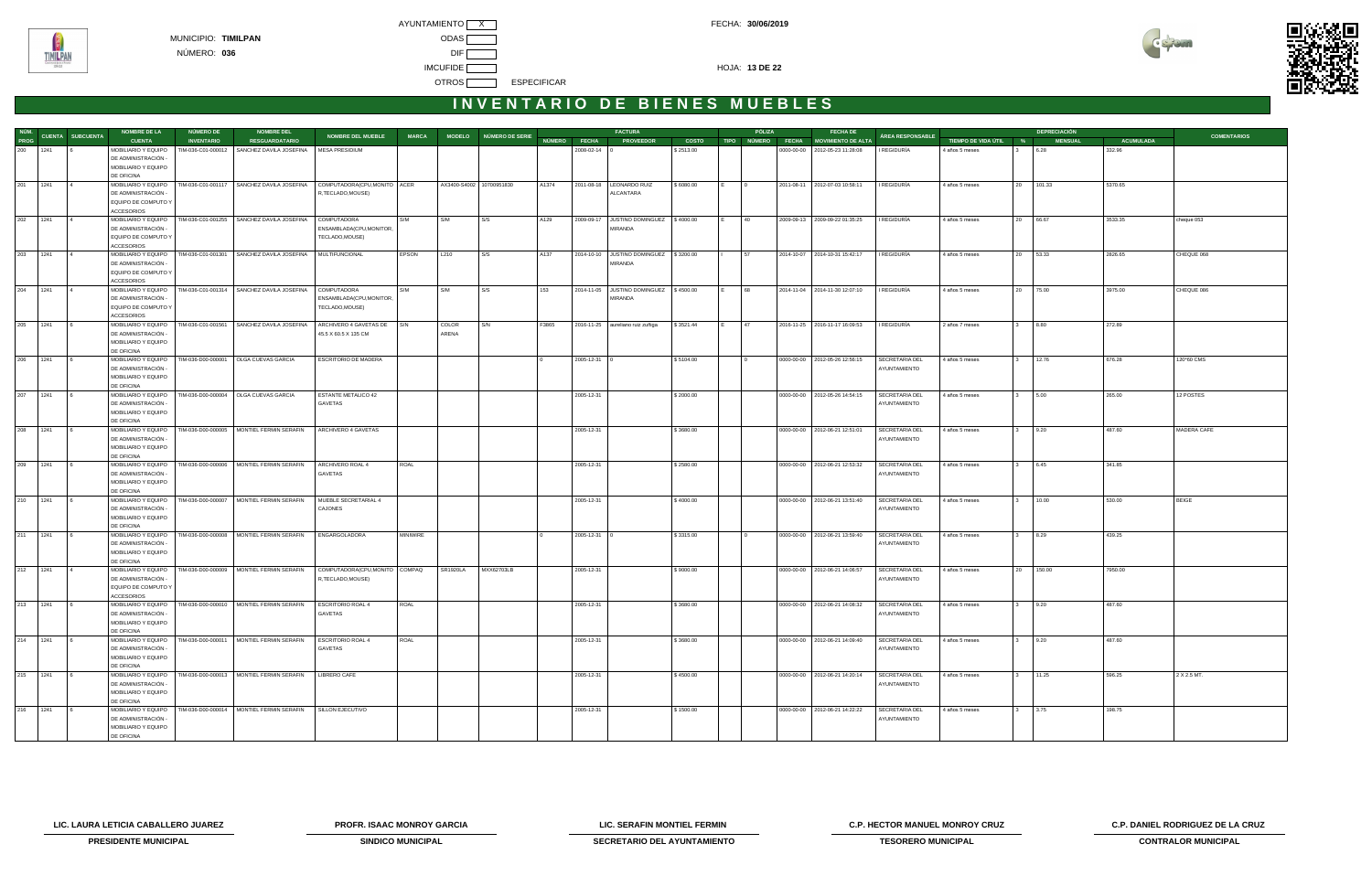



| NÚM.     |          |                         | <b>NOMBRE DE LA</b>                        | NÚMERO DE          | <b>NOMBRE DEL</b>                                             |                                                    |              |                          |                         |       |                    | <b>FACTURA</b>                                    |              |      | PÓLIZA         | <b>FECHA DE</b>                      |                                |                       |                         | <b>DEPRECIACIÓN</b> |                  |                    |
|----------|----------|-------------------------|--------------------------------------------|--------------------|---------------------------------------------------------------|----------------------------------------------------|--------------|--------------------------|-------------------------|-------|--------------------|---------------------------------------------------|--------------|------|----------------|--------------------------------------|--------------------------------|-----------------------|-------------------------|---------------------|------------------|--------------------|
| PROG     |          | <b>CUENTA SUBCUENTA</b> | <b>CUENTA</b>                              | <b>INVENTARIO</b>  | <b>RESGUARDATARIO</b>                                         | <b>NOMBRE DEL MUEBLE</b>                           | <b>MARCA</b> |                          | MODELO NÚMERO DE SERIE  |       | NÚMERO FECHA       | <b>PROVEEDOR</b>                                  | <b>COSTO</b> |      |                | TIPO NÚMERO FECHA MOVIMIENTO DE ALTA | ÁREA RESPONSABLE               | TIEMPO DE VIDA ÚTIL % |                         | <b>MENSUAL</b>      | <b>ACUMULADA</b> | <b>COMENTARIOS</b> |
| 200 1241 |          |                         | MOBILIARIO Y EQUIPO                        | TIM-036-C01-000012 | SANCHEZ DAVILA JOSEFINA                                       | MESA PRESIDIUM                                     |              |                          |                         |       | $2008 - 02 - 14$ 0 |                                                   | \$2513.00    |      |                | 0000-00-00 2012-05-23 11:28:08       | I REGIDURÍA                    | 4 años 5 meses        |                         | 6.28                | 332.96           |                    |
|          |          |                         | DE ADMINISTRACIÓN -                        |                    |                                                               |                                                    |              |                          |                         |       |                    |                                                   |              |      |                |                                      |                                |                       |                         |                     |                  |                    |
|          |          |                         | MOBILIARIO Y EQUIPO                        |                    |                                                               |                                                    |              |                          |                         |       |                    |                                                   |              |      |                |                                      |                                |                       |                         |                     |                  |                    |
|          |          |                         | DE OFICINA                                 |                    |                                                               |                                                    |              |                          |                         |       |                    |                                                   |              |      |                |                                      |                                |                       |                         |                     |                  |                    |
| 201 1241 |          |                         | MOBILIARIO Y EQUIPO                        |                    | TIM-036-C01-001117 SANCHEZ DAVILA JOSEFINA                    | COMPUTADORA(CPU,MONITO ACER                        |              | AX3400-S4002 10700951830 |                         | A1374 |                    | 2011-08-18   LEONARDO RUIZ                        | \$6080.00    |      | $\overline{0}$ | 2011-08-11 2012-07-03 10:58:11       | I REGIDURÍA                    | 4 años 5 meses        |                         | 20 101.33           | 5370.65          |                    |
|          |          |                         | DE ADMINISTRACIÓN -                        |                    |                                                               | R, TECLADO, MOUSE)                                 |              |                          |                         |       |                    | ALCANTARA                                         |              |      |                |                                      |                                |                       |                         |                     |                  |                    |
|          |          |                         | EQUIPO DE COMPUTO Y                        |                    |                                                               |                                                    |              |                          |                         |       |                    |                                                   |              |      |                |                                      |                                |                       |                         |                     |                  |                    |
|          |          |                         | ACCESORIOS                                 |                    |                                                               |                                                    |              |                          |                         |       |                    |                                                   |              |      |                |                                      |                                |                       |                         |                     |                  |                    |
|          | 202 1241 | $\overline{4}$          | MOBILIARIO Y EQUIPO<br>DE ADMINISTRACIÓN - |                    | TIM-036-C01-001255   SANCHEZ DAVILA JOSEFINA                  | COMPUTADORA                                        | S/M          | S/M                      | S/S                     | A129  |                    | 2009-09-17 JUSTINO DOMINGUEZ \$4000.00<br>MIRANDA |              | IE.  | 40             | 2009-09-13 2009-09-22 01:35:25       | I REGIDURÍA                    | 4 años 5 meses        |                         | 20 66.67            | 3533.35          | cheque 053         |
|          |          |                         | EQUIPO DE COMPUTO Y                        |                    |                                                               | ENSAMBLADA(CPU, MONITOR,<br>TECLADO, MOUSE)        |              |                          |                         |       |                    |                                                   |              |      |                |                                      |                                |                       |                         |                     |                  |                    |
|          |          |                         | <b>ACCESORIOS</b>                          |                    |                                                               |                                                    |              |                          |                         |       |                    |                                                   |              |      |                |                                      |                                |                       |                         |                     |                  |                    |
|          | 203 1241 |                         | MOBILIARIO Y EQUIPO                        |                    | TIM-036-C01-001301 SANCHEZ DAVILA JOSEFINA                    | MULTIFUNCIONAL                                     | <b>EPSON</b> | L210                     | $\mathsf{S} \mathsf{S}$ | A137  |                    | 2014-10-10 JUSTINO DOMINGUEZ \\$3200.00           |              |      | 57             | 2014-10-07 2014-10-31 15:42:17       | I REGIDURÍA                    | 4 años 5 meses        |                         | 20 53.33            | 2826.65          | CHEQUE 068         |
|          |          |                         | DE ADMINISTRACIÓN -                        |                    |                                                               |                                                    |              |                          |                         |       |                    | MIRANDA                                           |              |      |                |                                      |                                |                       |                         |                     |                  |                    |
|          |          |                         | EQUIPO DE COMPUTO Y                        |                    |                                                               |                                                    |              |                          |                         |       |                    |                                                   |              |      |                |                                      |                                |                       |                         |                     |                  |                    |
|          |          |                         | <b>ACCESORIOS</b>                          |                    |                                                               |                                                    |              |                          |                         |       |                    |                                                   |              |      |                |                                      |                                |                       |                         |                     |                  |                    |
| 204      | 1241     |                         | MOBILIARIO Y EQUIPO                        |                    | TIM-036-C01-001314 SANCHEZ DAVILA JOSEFINA                    | <b>COMPUTADORA</b>                                 | S/M          | S/M                      | S/S                     | 153   |                    | 2014-11-05 JUSTINO DOMINGUEZ \$4500.00            |              | I E. | 68             | 2014-11-04 2014-11-30 12:07:10       | I REGIDURÍA                    | 4 años 5 meses        |                         | 20 75.00            | 3975.00          | CHEQUE 086         |
|          |          |                         | DE ADMINISTRACIÓN -                        |                    |                                                               | ENSAMBLADA(CPU, MONITOR,                           |              |                          |                         |       |                    | MIRANDA                                           |              |      |                |                                      |                                |                       |                         |                     |                  |                    |
|          |          |                         | EQUIPO DE COMPUTO Y                        |                    |                                                               | TECLADO, MOUSE)                                    |              |                          |                         |       |                    |                                                   |              |      |                |                                      |                                |                       |                         |                     |                  |                    |
|          |          |                         | <b>ACCESORIOS</b>                          |                    |                                                               |                                                    |              |                          |                         |       |                    |                                                   |              |      |                |                                      |                                |                       |                         |                     |                  |                    |
|          | 205 1241 |                         | MOBILIARIO Y EQUIPO<br>DE ADMINISTRACIÓN - |                    | TIM-036-C01-001561 SANCHEZ DAVILA JOSEFINA                    | ARCHIVERO 4 GAVETAS DE S/N<br>45.5 X 60.5 X 135 CM |              | COLOR<br>ARENA           | S/N                     | F3865 |                    | 2016-11-25 aureliano ruiz zuñiga                  | \$3521.44    | IE.  | $ 47\rangle$   | 2016-11-25 2016-11-17 16:09:53       | I REGIDURÍA                    | 2 años 7 meses        | $\overline{\mathbf{3}}$ | 8.80                | 272.89           |                    |
|          |          |                         | MOBILIARIO Y EQUIPO                        |                    |                                                               |                                                    |              |                          |                         |       |                    |                                                   |              |      |                |                                      |                                |                       |                         |                     |                  |                    |
|          |          |                         | DE OFICINA                                 |                    |                                                               |                                                    |              |                          |                         |       |                    |                                                   |              |      |                |                                      |                                |                       |                         |                     |                  |                    |
| 206      | 1241     |                         |                                            |                    | MOBILIARIO Y EQUIPO   TIM-036-D00-000001   OLGA CUEVAS GARCIA | ESCRITORIO DE MADERA                               |              |                          |                         |       | $2005 - 12 - 31$ 0 |                                                   | \$5104.00    |      |                | 0000-00-00 2012-05-26 12:56:15       | SECRETARIA DEL                 | 4 años 5 meses        |                         | 12.76               | 676.28           | 120*60 CMS         |
|          |          |                         | DE ADMINISTRACIÓN -                        |                    |                                                               |                                                    |              |                          |                         |       |                    |                                                   |              |      |                |                                      | AYUNTAMIENTO                   |                       |                         |                     |                  |                    |
|          |          |                         | MOBILIARIO Y EQUIPO                        |                    |                                                               |                                                    |              |                          |                         |       |                    |                                                   |              |      |                |                                      |                                |                       |                         |                     |                  |                    |
|          |          |                         | DE OFICINA                                 |                    |                                                               |                                                    |              |                          |                         |       |                    |                                                   |              |      |                |                                      |                                |                       |                         |                     |                  |                    |
| 207      | 1241     |                         | MOBILIARIO Y EQUIPO                        |                    | TIM-036-D00-000004 OLGA CUEVAS GARCIA                         | <b>ESTANTE METALICO 42</b>                         |              |                          |                         |       | 2005-12-31         |                                                   | \$2000.00    |      |                | 0000-00-00 2012-05-26 14:54:15       | SECRETARIA DEL                 | 4 años 5 meses        |                         | 5.00                | 265.00           | 12 POSTES          |
|          |          |                         | DE ADMINISTRACIÓN -                        |                    |                                                               | GAVETAS                                            |              |                          |                         |       |                    |                                                   |              |      |                |                                      | AYUNTAMIENTO                   |                       |                         |                     |                  |                    |
|          |          |                         | MOBILIARIO Y EQUIPO                        |                    |                                                               |                                                    |              |                          |                         |       |                    |                                                   |              |      |                |                                      |                                |                       |                         |                     |                  |                    |
|          | 208 1241 |                         | DE OFICINA<br>MOBILIARIO Y EQUIPO          |                    | TIM-036-D00-000005   MONTIEL FERMIN SERAFIN                   | ARCHIVERO 4 GAVETAS                                |              |                          |                         |       | 2005-12-31         |                                                   | \$3680.00    |      |                | 0000-00-00 2012-06-21 12:51:01       | SECRETARIA DEL                 | 4 años 5 meses        | $\mathbf{3}$            | 9.20                | 487.60           | MADERA CAFE        |
|          |          |                         | DE ADMINISTRACIÓN -                        |                    |                                                               |                                                    |              |                          |                         |       |                    |                                                   |              |      |                |                                      | AYUNTAMIENTO                   |                       |                         |                     |                  |                    |
|          |          |                         | MOBILIARIO Y EQUIPO                        |                    |                                                               |                                                    |              |                          |                         |       |                    |                                                   |              |      |                |                                      |                                |                       |                         |                     |                  |                    |
|          |          |                         | DE OFICINA                                 |                    |                                                               |                                                    |              |                          |                         |       |                    |                                                   |              |      |                |                                      |                                |                       |                         |                     |                  |                    |
| 209 1241 |          |                         | MOBILIARIO Y EQUIPO                        |                    | TIM-036-D00-000006 MONTIEL FERMIN SERAFIN                     | ARCHIVERO ROAL 4                                   | ROAL         |                          |                         |       | 2005-12-31         |                                                   | \$2580.00    |      |                | 0000-00-00   2012-06-21 12:53:32     | SECRETARIA DEL                 | 4 años 5 meses        |                         | 6.45                | 341.85           |                    |
|          |          |                         | DE ADMINISTRACIÓN -                        |                    |                                                               | GAVETAS                                            |              |                          |                         |       |                    |                                                   |              |      |                |                                      | AYUNTAMIENTO                   |                       |                         |                     |                  |                    |
|          |          |                         | MOBILIARIO Y EQUIPO                        |                    |                                                               |                                                    |              |                          |                         |       |                    |                                                   |              |      |                |                                      |                                |                       |                         |                     |                  |                    |
|          |          |                         | DE OFICINA                                 |                    |                                                               |                                                    |              |                          |                         |       |                    |                                                   |              |      |                |                                      |                                |                       |                         |                     |                  |                    |
| 210 1241 |          |                         | MOBILIARIO Y EQUIPO                        |                    | TIM-036-D00-000007   MONTIEL FERMIN SERAFIN                   | MUEBLE SECRETARIAL 4                               |              |                          |                         |       | 2005-12-31         |                                                   | \$4000.00    |      |                | 0000-00-00   2012-06-21 13:51:40     | SECRETARIA DEL                 | 4 años 5 meses        |                         | 10.00               | 530.00           | <b>BEIGE</b>       |
|          |          |                         | DE ADMINISTRACIÓN -<br>MOBILIARIO Y EQUIPO |                    |                                                               | CAJONES                                            |              |                          |                         |       |                    |                                                   |              |      |                |                                      | AYUNTAMIENTO                   |                       |                         |                     |                  |                    |
|          |          |                         | DE OFICINA                                 |                    |                                                               |                                                    |              |                          |                         |       |                    |                                                   |              |      |                |                                      |                                |                       |                         |                     |                  |                    |
|          | 211 1241 |                         | MOBILIARIO Y EQUIPO                        |                    | TIM-036-D00-000008   MONTIEL FERMIN SERAFIN                   | ENGARGOLADORA                                      | MINIWIRE     |                          |                         |       | 2005-12-31 0       |                                                   | \$3315.00    |      |                | 0000-00-00 2012-06-21 13:59:40       | SECRETARIA DEL                 | 4 años 5 meses        | $\overline{\mathbf{3}}$ | 8.29                | 439.25           |                    |
|          |          |                         | DE ADMINISTRACIÓN -                        |                    |                                                               |                                                    |              |                          |                         |       |                    |                                                   |              |      |                |                                      | AYUNTAMIENTO                   |                       |                         |                     |                  |                    |
|          |          |                         | MOBILIARIO Y EQUIPO                        |                    |                                                               |                                                    |              |                          |                         |       |                    |                                                   |              |      |                |                                      |                                |                       |                         |                     |                  |                    |
|          |          |                         | DE OFICINA                                 |                    |                                                               |                                                    |              |                          |                         |       |                    |                                                   |              |      |                |                                      |                                |                       |                         |                     |                  |                    |
|          | 212 1241 |                         | MOBILIARIO Y EQUIPO                        |                    | TIM-036-D00-000009 MONTIEL FERMIN SERAFIN                     | COMPUTADORA(CPU, MONITO COMPAQ                     |              | <b>SR1920LA</b>          | MXX62703LB              |       | 2005-12-31         |                                                   | \$9000.00    |      |                | 0000-00-00 2012-06-21 14:06:57       | SECRETARIA DEL                 | 4 años 5 meses        | 20                      | 150.00              | 7950.00          |                    |
|          |          |                         | DE ADMINISTRACIÓN -                        |                    |                                                               | R, TECLADO, MOUSE)                                 |              |                          |                         |       |                    |                                                   |              |      |                |                                      | AYUNTAMIENTO                   |                       |                         |                     |                  |                    |
|          |          |                         | EQUIPO DE COMPUTO Y<br><b>ACCESORIOS</b>   |                    |                                                               |                                                    |              |                          |                         |       |                    |                                                   |              |      |                |                                      |                                |                       |                         |                     |                  |                    |
| 213 1241 |          |                         | MOBILIARIO Y EQUIPO                        |                    | TIM-036-D00-000010 MONTIEL FERMIN SERAFIN                     | <b>ESCRITORIO ROAL 4</b>                           | ROAL         |                          |                         |       | 2005-12-31         |                                                   | \$3680.00    |      |                | 0000-00-00   2012-06-21 14:08:32     | SECRETARIA DEL                 | 4 años 5 meses        |                         | 9.20                | 487.60           |                    |
|          |          |                         | DE ADMINISTRACIÓN -                        |                    |                                                               | GAVETAS                                            |              |                          |                         |       |                    |                                                   |              |      |                |                                      | AYUNTAMIENTO                   |                       |                         |                     |                  |                    |
|          |          |                         | MOBILIARIO Y EQUIPO                        |                    |                                                               |                                                    |              |                          |                         |       |                    |                                                   |              |      |                |                                      |                                |                       |                         |                     |                  |                    |
|          |          |                         | DE OFICINA                                 |                    |                                                               |                                                    |              |                          |                         |       |                    |                                                   |              |      |                |                                      |                                |                       |                         |                     |                  |                    |
|          | 214 1241 | 6                       | MOBILIARIO Y EQUIPO                        |                    | TIM-036-D00-000011   MONTIEL FERMIN SERAFIN                   | <b>ESCRITORIO ROAL 4</b>                           | ROAL         |                          |                         |       | 2005-12-31         |                                                   | \$3680.00    |      |                | 0000-00-00 2012-06-21 14:09:40       | SECRETARIA DEL                 | 4 años 5 meses        | $\mathbf{3}$            | 9.20                | 487.60           |                    |
|          |          |                         | DE ADMINISTRACIÓN -                        |                    |                                                               | GAVETAS                                            |              |                          |                         |       |                    |                                                   |              |      |                |                                      | AYUNTAMIENTO                   |                       |                         |                     |                  |                    |
|          |          |                         | MOBILIARIO Y EQUIPO                        |                    |                                                               |                                                    |              |                          |                         |       |                    |                                                   |              |      |                |                                      |                                |                       |                         |                     |                  |                    |
|          |          |                         | DE OFICINA                                 |                    |                                                               |                                                    |              |                          |                         |       |                    |                                                   |              |      |                |                                      |                                |                       |                         |                     |                  |                    |
| 215      | 1241     |                         | MOBILIARIO Y EQUIPO<br>DE ADMINISTRACIÓN - |                    | TIM-036-D00-000013   MONTIEL FERMIN SERAFIN                   | LIBRERO CAFE                                       |              |                          |                         |       | 2005-12-31         |                                                   | \$4500.00    |      |                | 0000-00-00 2012-06-21 14:20:14       | SECRETARIA DEL<br>AYUNTAMIENTO | 4 años 5 meses        |                         | 11.25               | 596.25           | 2 X 2.5 MT.        |
|          |          |                         | MOBILIARIO Y EQUIPO                        |                    |                                                               |                                                    |              |                          |                         |       |                    |                                                   |              |      |                |                                      |                                |                       |                         |                     |                  |                    |
|          |          |                         | DE OFICINA                                 |                    |                                                               |                                                    |              |                          |                         |       |                    |                                                   |              |      |                |                                      |                                |                       |                         |                     |                  |                    |
| 216      | 1241     |                         | MOBILIARIO Y EQUIPO                        |                    | TIM-036-D00-000014 MONTIEL FERMIN SERAFIN                     | SILLON EJECUTIVO                                   |              |                          |                         |       | 2005-12-31         |                                                   | \$1500.00    |      |                | 0000-00-00   2012-06-21 14:22:22     | SECRETARIA DEL                 | 4 años 5 meses        |                         | 3.75                | 198.75           |                    |
|          |          |                         | DE ADMINISTRACIÓN -                        |                    |                                                               |                                                    |              |                          |                         |       |                    |                                                   |              |      |                |                                      | AYUNTAMIENTO                   |                       |                         |                     |                  |                    |
|          |          |                         | MOBILIARIO Y EQUIPO                        |                    |                                                               |                                                    |              |                          |                         |       |                    |                                                   |              |      |                |                                      |                                |                       |                         |                     |                  |                    |
|          |          |                         | DE OFICINA                                 |                    |                                                               |                                                    |              |                          |                         |       |                    |                                                   |              |      |                |                                      |                                |                       |                         |                     |                  |                    |

**LIC. LAURA LETICIA CABALLERO JUAREZ PROFR. ISAAC MONROY GARCIA LIC. SERAFIN MONTIEL FERMIN C.P. HECTOR MANUEL MONROY CRUZ C.P. DANIEL RODRIGUEZ DE LA CRUZ** 



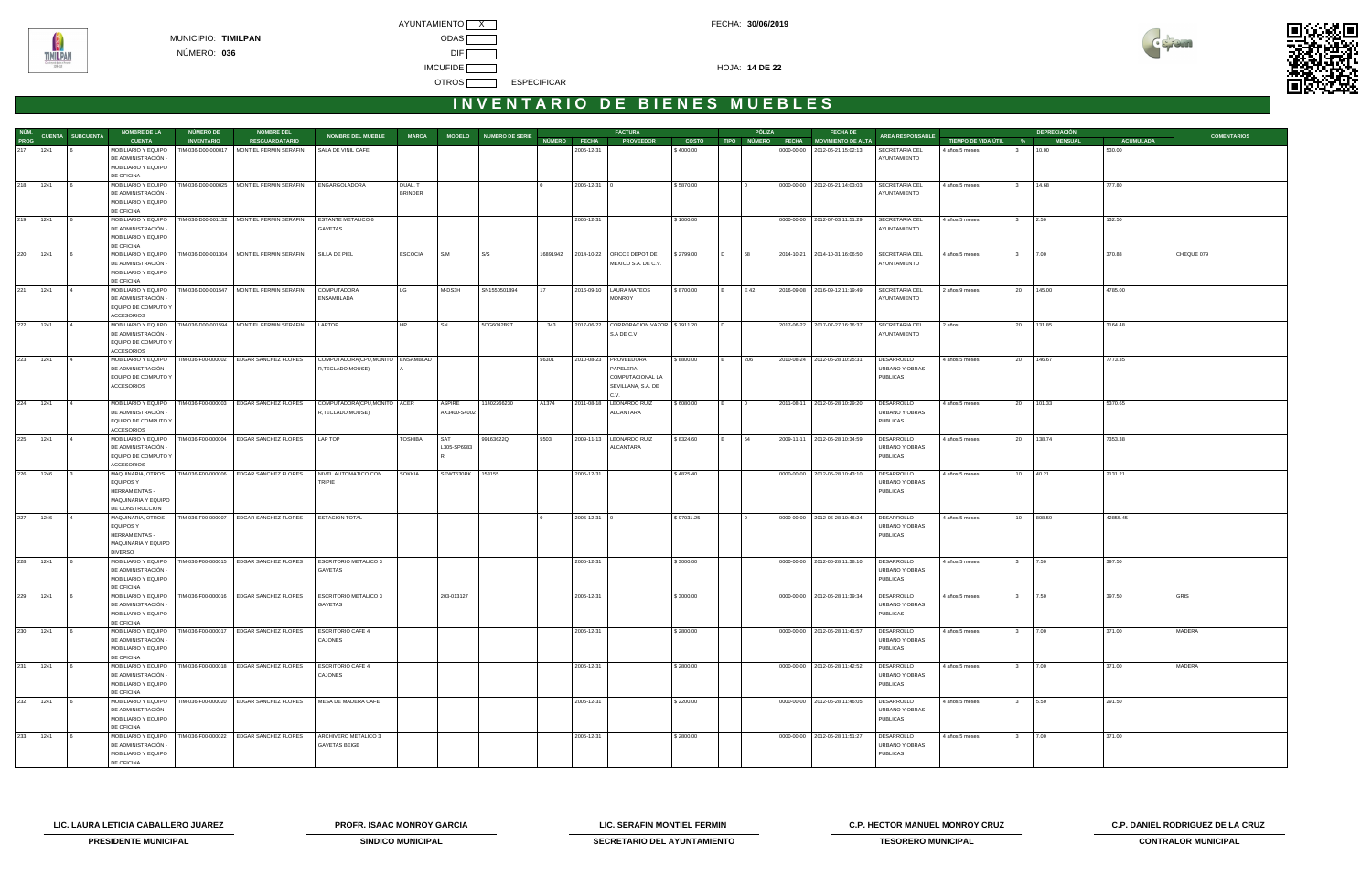AYUNTAMIENTO X CONTROL CONTROL CONTROL CONTROL CONTROL FECHA: 30/06/2019 MUNICIPIO: **TIMILPAN** ODAS NÚMERO: **036** DIF IMCUFIDE **The COVID-14 DE 22** OTROS **ESPECIFICAR** 



### **I N V E N T A R I O D E B I E N E S M U E B L E S**

|          |            |                       | <b>NOMBRE DE LA</b>                                        | NÚMERO DE          | <b>NOMBRE DEL</b>                                                          |                                  |                |                    |                        |          |              | <b>FACTURA</b>                          |              |                | PÓLIZA   | <b>FECHA DE</b>                      |                              |                       |             | <b>DEPRECIACIÓN</b> |           |                    |
|----------|------------|-----------------------|------------------------------------------------------------|--------------------|----------------------------------------------------------------------------|----------------------------------|----------------|--------------------|------------------------|----------|--------------|-----------------------------------------|--------------|----------------|----------|--------------------------------------|------------------------------|-----------------------|-------------|---------------------|-----------|--------------------|
|          |            | NÚM. CUENTA SUBCUENTA | <b>CUENTA</b>                                              | <b>INVENTARIO</b>  | <b>RESGUARDATARIO</b>                                                      | <b>NOMBRE DEL MUEBLE</b>         | <b>MARCA</b>   |                    | MODELO NÚMERO DE SERIE |          | NÚMERO FECHA | <b>PROVEEDOR</b>                        | <b>COSTO</b> |                |          | TIPO NÚMERO FECHA MOVIMIENTO DE ALTA | ÁREA RESPONSABLE             | TIEMPO DE VIDA ÚTIL % |             | <b>MENSUAL</b>      | ACUMULADA | <b>COMENTARIOS</b> |
| 217 1241 |            |                       | MOBILIARIO Y EQUIPO                                        | TIM-036-D00-000017 | MONTIEL FERMIN SERAFIN                                                     | SALA DE VINIL CAFE               |                |                    |                        |          | 2005-12-31   |                                         | \$4000.00    |                |          | 0000-00-00 2012-06-21 15:02:13       | SECRETARIA DEL               | 4 años 5 meses        |             | 10.00               | 530.00    |                    |
|          |            |                       | DE ADMINISTRACIÓN -                                        |                    |                                                                            |                                  |                |                    |                        |          |              |                                         |              |                |          |                                      | AYUNTAMIENTO                 |                       |             |                     |           |                    |
|          |            |                       | MOBILIARIO Y EQUIPO                                        |                    |                                                                            |                                  |                |                    |                        |          |              |                                         |              |                |          |                                      |                              |                       |             |                     |           |                    |
|          |            |                       | DE OFICINA                                                 |                    |                                                                            |                                  |                |                    |                        |          |              |                                         |              |                |          |                                      |                              |                       |             |                     |           |                    |
| 218 1241 |            |                       | MOBILIARIO Y EQUIPO                                        | TIM-036-D00-000025 | MONTIEL FERMIN SERAFIN                                                     | ENGARGOLADORA                    | DUAL. T        |                    |                        |          | 2005-12-31 0 |                                         | \$5870.00    |                |          | 0000-00-00   2012-06-21 14:03:03     | SECRETARIA DEL               | 4 años 5 meses        |             | 14.68               | 777.80    |                    |
|          |            |                       | DE ADMINISTRACIÓN -<br>MOBILIARIO Y EQUIPO                 |                    |                                                                            |                                  | <b>BRINDER</b> |                    |                        |          |              |                                         |              |                |          |                                      | AYUNTAMIENTO                 |                       |             |                     |           |                    |
|          |            |                       | DE OFICINA                                                 |                    |                                                                            |                                  |                |                    |                        |          |              |                                         |              |                |          |                                      |                              |                       |             |                     |           |                    |
|          | 219 1241 6 |                       |                                                            |                    | MOBILIARIO Y EQUIPO   TIM-036-D00-001132   MONTIEL FERMIN SERAFIN          | <b>ESTANTE METALICO 6</b>        |                |                    |                        |          | 2005-12-31   |                                         | \$1000.00    |                |          | 0000-00-00   2012-07-03 11:51:29     | SECRETARIA DEL               | 4 años 5 meses        | $3 \t 2.50$ |                     | 132.50    |                    |
|          |            |                       | DE ADMINISTRACIÓN -                                        |                    |                                                                            | GAVETAS                          |                |                    |                        |          |              |                                         |              |                |          |                                      | AYUNTAMIENTO                 |                       |             |                     |           |                    |
|          |            |                       | MOBILIARIO Y EQUIPO                                        |                    |                                                                            |                                  |                |                    |                        |          |              |                                         |              |                |          |                                      |                              |                       |             |                     |           |                    |
|          |            |                       | DE OFICINA                                                 |                    |                                                                            |                                  |                |                    |                        |          |              |                                         |              |                |          |                                      |                              |                       |             |                     |           |                    |
| 220 1241 |            |                       |                                                            |                    | MOBILIARIO Y EQUIPO   TIM-036-D00-001304   MONTIEL FERMIN SERAFIN          | SILLA DE PIEL                    | <b>ESCOCIA</b> | S/M                | S/S                    | 16891942 |              | 2014-10-22   OFICCE DEPOT DE            | \$2799.00    | $\overline{D}$ | 68       | 2014-10-21 2014-10-31 16:06:50       | <b>SECRETARIA DEL</b>        | 4 años 5 meses        |             | 7.00                | 370.88    | CHEQUE 079         |
|          |            |                       | DE ADMINISTRACIÓN -                                        |                    |                                                                            |                                  |                |                    |                        |          |              | MEXICO S.A. DE C.V.                     |              |                |          |                                      | AYUNTAMIENTO                 |                       |             |                     |           |                    |
|          |            |                       | MOBILIARIO Y EQUIPO                                        |                    |                                                                            |                                  |                |                    |                        |          |              |                                         |              |                |          |                                      |                              |                       |             |                     |           |                    |
|          |            |                       | DE OFICINA                                                 |                    |                                                                            |                                  |                |                    |                        |          |              |                                         |              |                |          |                                      |                              |                       |             |                     |           |                    |
| 221 1241 |            |                       | MOBILIARIO Y EQUIPO   TIM-036-D00-001547                   |                    | MONTIEL FERMIN SERAFIN                                                     | <b>COMPUTADORA</b>               | LG             | M-DS3H             | SN1550501894           | 17       |              | 2016-09-10   LAURA MATEOS               | \$8700.00    |                | E 42     | 2016-09-08 2016-09-12 11:19:49       | SECRETARIA DEL               | 2 años 9 meses        | 20 145.00   |                     | 4785.00   |                    |
|          |            |                       | DE ADMINISTRACIÓN -                                        |                    |                                                                            | ENSAMBLADA                       |                |                    |                        |          |              | <b>MONROY</b>                           |              |                |          |                                      | AYUNTAMIENTO                 |                       |             |                     |           |                    |
|          |            |                       | EQUIPO DE COMPUTO Y                                        |                    |                                                                            |                                  |                |                    |                        |          |              |                                         |              |                |          |                                      |                              |                       |             |                     |           |                    |
| 222 1241 |            | $\overline{4}$        | <b>ACCESORIOS</b>                                          |                    | MOBILIARIO Y EQUIPO   TIM-036-D00-001594   MONTIEL FERMIN SERAFIN   LAPTOP |                                  | HP             | SN                 | 5CG6042B9T             | 343      |              | 2017-06-22 CORPORACION VAZOR \$7911.20  |              | $\overline{D}$ |          | 2017-06-22 2017-07-27 16:36:37       | SECRETARIA DEL               | 2 años                | 20 131.85   |                     | 3164.48   |                    |
|          |            |                       | DE ADMINISTRACIÓN -                                        |                    |                                                                            |                                  |                |                    |                        |          |              | S.A DE C.V                              |              |                |          |                                      | AYUNTAMIENTO                 |                       |             |                     |           |                    |
|          |            |                       | EQUIPO DE COMPUTO Y                                        |                    |                                                                            |                                  |                |                    |                        |          |              |                                         |              |                |          |                                      |                              |                       |             |                     |           |                    |
|          |            |                       | <b>ACCESORIOS</b>                                          |                    |                                                                            |                                  |                |                    |                        |          |              |                                         |              |                |          |                                      |                              |                       |             |                     |           |                    |
| 223 1241 |            |                       | MOBILIARIO Y EQUIPO   TIM-036-F00-000002                   |                    | EDGAR SANCHEZ FLORES                                                       | COMPUTADORA(CPU,MONITO ENSAMBLAD |                |                    |                        | 56301    |              | 2010-08-23   PROVEEDORA                 | \$8800.00    |                | 206      | 2010-08-24 2012-06-28 10:25:31       | DESARROLLO                   | 4 años 5 meses        | 20 146.67   |                     | 7773.35   |                    |
|          |            |                       | DE ADMINISTRACIÓN -                                        |                    |                                                                            | R,TECLADO,MOUSE)                 |                |                    |                        |          |              | PAPELERA                                |              |                |          |                                      | URBANO Y OBRAS               |                       |             |                     |           |                    |
|          |            |                       | EQUIPO DE COMPUTO Y                                        |                    |                                                                            |                                  |                |                    |                        |          |              | COMPUTACIONAL LA                        |              |                |          |                                      | <b>PUBLICAS</b>              |                       |             |                     |           |                    |
|          |            |                       | <b>ACCESORIOS</b>                                          |                    |                                                                            |                                  |                |                    |                        |          |              | SEVILLANA, S.A. DE                      |              |                |          |                                      |                              |                       |             |                     |           |                    |
|          |            |                       |                                                            |                    |                                                                            |                                  |                |                    |                        |          |              | C.V.                                    |              |                |          |                                      |                              |                       |             |                     |           |                    |
| 224 1241 |            |                       |                                                            |                    | MOBILIARIO Y EQUIPO   TIM-036-F00-000003   EDGAR SANCHEZ FLORES            | COMPUTADORA(CPU,MONITO ACER      |                | ASPIRE             | 11402266230            | A1374    |              | 2011-08-18   LEONARDO RUIZ              | \$6080.00    |                | $\Omega$ | 2011-08-11 2012-06-28 10:29:20       | DESARROLLO                   | 4 años 5 meses        | 20 101.33   |                     | 5370.65   |                    |
|          |            |                       | DE ADMINISTRACIÓN -                                        |                    |                                                                            | R,TECLADO,MOUSE)                 |                | AX3400-S4002       |                        |          |              | ALCANTARA                               |              |                |          |                                      | URBANO Y OBRAS               |                       |             |                     |           |                    |
|          |            |                       | EQUIPO DE COMPUTO Y                                        |                    |                                                                            |                                  |                |                    |                        |          |              |                                         |              |                |          |                                      | <b>PUBLICAS</b>              |                       |             |                     |           |                    |
|          |            |                       | <b>ACCESORIOS</b>                                          |                    |                                                                            |                                  |                |                    |                        |          |              |                                         |              |                |          |                                      |                              |                       |             |                     |           |                    |
| 225 1241 |            |                       | DE ADMINISTRACIÓN -                                        |                    | MOBILIARIO Y EQUIPO   TIM-036-F00-000004   EDGAR SANCHEZ FLORES            | LAP TOP                          | <b>TOSHIBA</b> | SAT<br>L305-SP6983 | 99163622Q              | 5503     |              | 2009-11-13   LEONARDO RUIZ<br>ALCANTARA | \$8324.60    | IE.            | 54       | 2009-11-11 2012-06-28 10:34:59       | DESARROLLO<br>URBANO Y OBRAS | 4 años 5 meses        | 20 138.74   |                     | 7353.38   |                    |
|          |            |                       | EQUIPO DE COMPUTO Y                                        |                    |                                                                            |                                  |                |                    |                        |          |              |                                         |              |                |          |                                      | PUBLICAS                     |                       |             |                     |           |                    |
|          |            |                       | <b>ACCESORIOS</b>                                          |                    |                                                                            |                                  |                |                    |                        |          |              |                                         |              |                |          |                                      |                              |                       |             |                     |           |                    |
|          | 226 1246 3 |                       | MAQUINARIA, OTROS                                          |                    | TIM-036-F00-000006 EDGAR SANCHEZ FLORES                                    | NIVEL AUTOMATICO CON             | <b>SOKKIA</b>  | SEWT630RK 153155   |                        |          | 2005-12-31   |                                         | \$4825.40    |                |          | 0000-00-00   2012-06-28 10:43:10     | DESARROLLO                   | 4 años 5 meses        | 10 40.21    |                     | 2131.21   |                    |
|          |            |                       | EQUIPOS Y                                                  |                    |                                                                            | <b>TRIPIE</b>                    |                |                    |                        |          |              |                                         |              |                |          |                                      | URBANO Y OBRAS               |                       |             |                     |           |                    |
|          |            |                       | HERRAMIENTAS -                                             |                    |                                                                            |                                  |                |                    |                        |          |              |                                         |              |                |          |                                      | <b>PUBLICAS</b>              |                       |             |                     |           |                    |
|          |            |                       | MAQUINARIA Y EQUIPO                                        |                    |                                                                            |                                  |                |                    |                        |          |              |                                         |              |                |          |                                      |                              |                       |             |                     |           |                    |
|          |            |                       | DE CONSTRUCCION                                            |                    |                                                                            |                                  |                |                    |                        |          |              |                                         |              |                |          |                                      |                              |                       |             |                     |           |                    |
| 227 1246 |            | $\overline{4}$        | MAQUINARIA, OTROS                                          | TIM-036-F00-000007 | EDGAR SANCHEZ FLORES                                                       | <b>ESTACION TOTAL</b>            |                |                    |                        |          | 2005-12-31 0 |                                         | \$97031.25   |                |          | 0000-00-00 2012-06-28 10:46:24       | DESARROLLO                   | 4 años 5 meses        | 10 808.59   |                     | 42855.45  |                    |
|          |            |                       | <b>EQUIPOS Y</b>                                           |                    |                                                                            |                                  |                |                    |                        |          |              |                                         |              |                |          |                                      | URBANO Y OBRAS               |                       |             |                     |           |                    |
|          |            |                       | <b>HERRAMIENTAS -</b>                                      |                    |                                                                            |                                  |                |                    |                        |          |              |                                         |              |                |          |                                      | <b>PUBLICAS</b>              |                       |             |                     |           |                    |
|          |            |                       | MAQUINARIA Y EQUIPO                                        |                    |                                                                            |                                  |                |                    |                        |          |              |                                         |              |                |          |                                      |                              |                       |             |                     |           |                    |
| 228 1241 |            |                       | <b>DIVERSO</b><br>MOBILIARIO Y EQUIPO   TIM-036-F00-000015 |                    | EDGAR SANCHEZ FLORES                                                       | ESCRITORIO METALICO 3            |                |                    |                        |          | 2005-12-31   |                                         | \$3000.00    |                |          | 0000-00-00 2012-06-28 11:38:10       | DESARROLLO                   | 4 años 5 meses        |             | 7.50                | 397.50    |                    |
|          |            |                       | DE ADMINISTRACIÓN -                                        |                    |                                                                            | GAVETAS                          |                |                    |                        |          |              |                                         |              |                |          |                                      | URBANO Y OBRAS               |                       |             |                     |           |                    |
|          |            |                       | MOBILIARIO Y EQUIPO                                        |                    |                                                                            |                                  |                |                    |                        |          |              |                                         |              |                |          |                                      | <b>PUBLICAS</b>              |                       |             |                     |           |                    |
|          |            |                       | DE OFICINA                                                 |                    |                                                                            |                                  |                |                    |                        |          |              |                                         |              |                |          |                                      |                              |                       |             |                     |           |                    |
| 229 1241 |            |                       | MOBILIARIO Y EQUIPO   TIM-036-F00-000016                   |                    | <b>EDGAR SANCHEZ FLORES</b>                                                | <b>ESCRITORIO METALICO 3</b>     |                | 203-013127         |                        |          | 2005-12-31   |                                         | \$3000.00    |                |          | 0000-00-00 2012-06-28 11:39:34       | DESARROLLO                   | 4 años 5 meses        |             | 7.50                | 397.50    | GRIS               |
|          |            |                       | DE ADMINISTRACIÓN -                                        |                    |                                                                            | GAVETAS                          |                |                    |                        |          |              |                                         |              |                |          |                                      | URBANO Y OBRAS               |                       |             |                     |           |                    |
|          |            |                       | MOBILIARIO Y EQUIPO                                        |                    |                                                                            |                                  |                |                    |                        |          |              |                                         |              |                |          |                                      | <b>PUBLICAS</b>              |                       |             |                     |           |                    |
|          |            |                       | DE OFICINA                                                 |                    |                                                                            |                                  |                |                    |                        |          |              |                                         |              |                |          |                                      |                              |                       |             |                     |           |                    |
| 230 1241 |            |                       | MOBILIARIO Y EQUIPO   TIM-036-F00-000017                   |                    | <b>EDGAR SANCHEZ FLORES</b>                                                | <b>ESCRITORIO CAFE 4</b>         |                |                    |                        |          | 2005-12-31   |                                         | \$2800.00    |                |          | 0000-00-00 2012-06-28 11:41:57       | DESARROLLO                   | 4 años 5 meses        |             | 7.00                | 371.00    | MADERA             |
|          |            |                       | DE ADMINISTRACIÓN -                                        |                    |                                                                            | CAJONES                          |                |                    |                        |          |              |                                         |              |                |          |                                      | URBANO Y OBRAS               |                       |             |                     |           |                    |
|          |            |                       | MOBILIARIO Y EQUIPO                                        |                    |                                                                            |                                  |                |                    |                        |          |              |                                         |              |                |          |                                      | <b>PUBLICAS</b>              |                       |             |                     |           |                    |
|          |            |                       | DE OFICINA                                                 | TIM-036-F00-000018 | <b>EDGAR SANCHEZ FLORES</b>                                                | <b>ESCRITORIO CAFE 4</b>         |                |                    |                        |          |              |                                         |              |                |          | 0000-00-00   2012-06-28 11:42:52     | DESARROLLO                   |                       |             | 7.00                | 371.00    |                    |
| 231 1241 |            |                       | MOBILIARIO Y EQUIPO<br>DE ADMINISTRACIÓN -                 |                    |                                                                            | CAJONES                          |                |                    |                        |          | 2005-12-31   |                                         | \$2800.00    |                |          |                                      | URBANO Y OBRAS               | 4 años 5 meses        |             |                     |           | MADERA             |
|          |            |                       | MOBILIARIO Y EQUIPO                                        |                    |                                                                            |                                  |                |                    |                        |          |              |                                         |              |                |          |                                      | <b>PUBLICAS</b>              |                       |             |                     |           |                    |
|          |            |                       | DE OFICINA                                                 |                    |                                                                            |                                  |                |                    |                        |          |              |                                         |              |                |          |                                      |                              |                       |             |                     |           |                    |
| 232 1241 |            |                       | MOBILIARIO Y EQUIPO                                        | TIM-036-F00-000020 | <b>EDGAR SANCHEZ FLORES</b>                                                | MESA DE MADERA CAFE              |                |                    |                        |          | 2005-12-31   |                                         | \$2200.00    |                |          | 0000-00-00   2012-06-28 11:46:05     | DESARROLLO                   | 4 años 5 meses        | 3           | 5.50                | 291.50    |                    |
|          |            |                       | DE ADMINISTRACIÓN -                                        |                    |                                                                            |                                  |                |                    |                        |          |              |                                         |              |                |          |                                      | URBANO Y OBRAS               |                       |             |                     |           |                    |
|          |            |                       | MOBILIARIO Y EQUIPO                                        |                    |                                                                            |                                  |                |                    |                        |          |              |                                         |              |                |          |                                      | <b>PUBLICAS</b>              |                       |             |                     |           |                    |
|          |            |                       | DE OFICINA                                                 |                    |                                                                            |                                  |                |                    |                        |          |              |                                         |              |                |          |                                      |                              |                       |             |                     |           |                    |
| 233 1241 |            |                       | MOBILIARIO Y EQUIPO                                        | TIM-036-F00-000022 | EDGAR SANCHEZ FLORES                                                       | ARCHIVERO METALICO 3             |                |                    |                        |          | 2005-12-31   |                                         | \$2800.00    |                |          | 0000-00-00 2012-06-28 11:51:27       | DESARROLLO                   | 4 años 5 meses        |             | 7.00                | 371.00    |                    |
|          |            |                       | DE ADMINISTRACIÓN -                                        |                    |                                                                            | <b>GAVETAS BEIGE</b>             |                |                    |                        |          |              |                                         |              |                |          |                                      | URBANO Y OBRAS               |                       |             |                     |           |                    |
|          |            |                       | MOBILIARIO Y EQUIPO                                        |                    |                                                                            |                                  |                |                    |                        |          |              |                                         |              |                |          |                                      | <b>PUBLICAS</b>              |                       |             |                     |           |                    |
|          |            |                       | DE OFICINA                                                 |                    |                                                                            |                                  |                |                    |                        |          |              |                                         |              |                |          |                                      |                              |                       |             |                     |           |                    |





**LIC. LAURA LETICIA CABALLERO JUAREZ PROFR. ISAAC MONROY GARCIA LIC. SERAFIN MONTIEL FERMIN C.P. HECTOR MANUEL MONROY CRUZ C.P. DANIEL RODRIGUEZ DE LA CRUZ**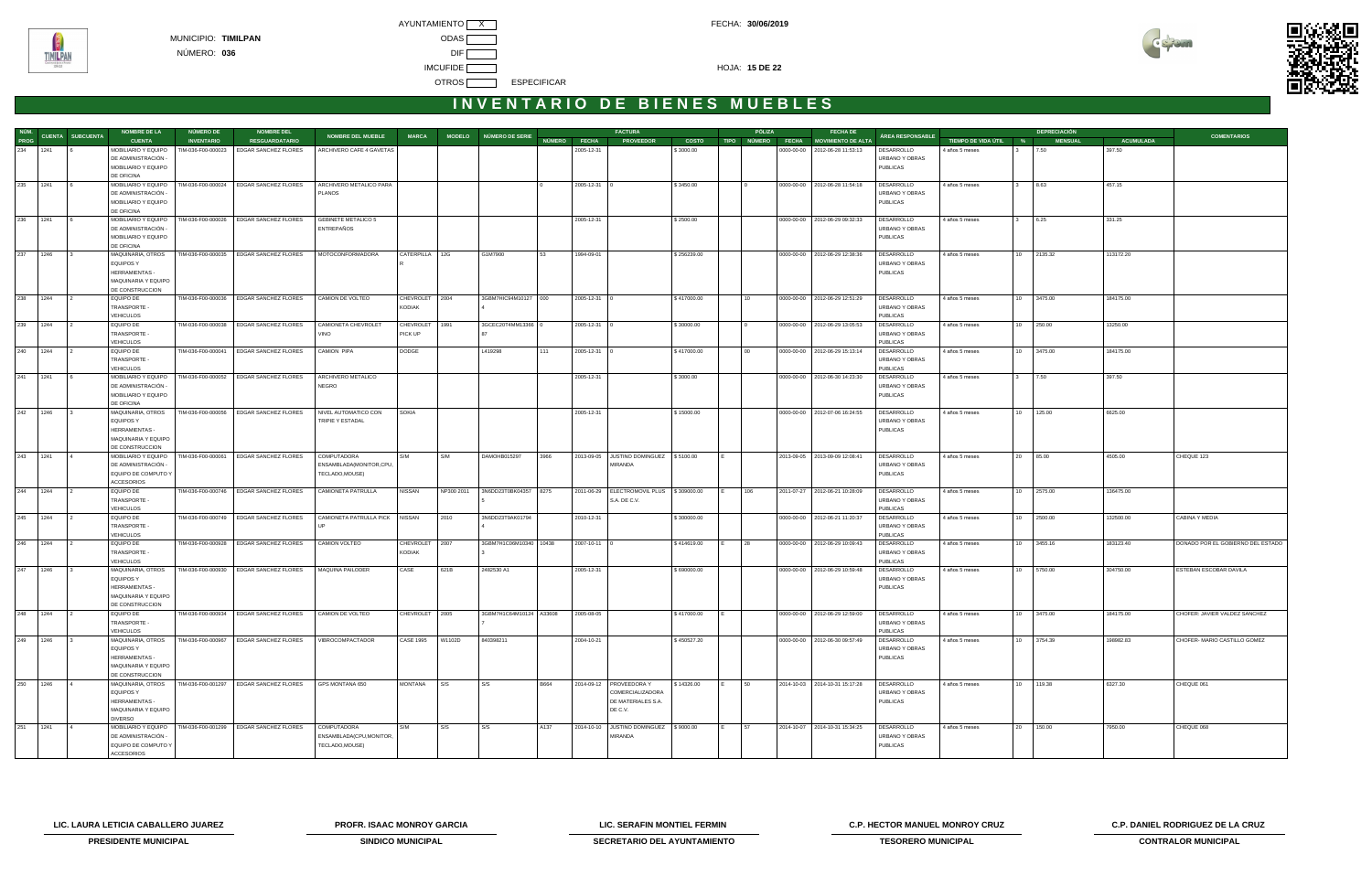AYUNTAMIENTO X CONTROL CONTROL CONTROL CONTROL CONTROL FECHA: 30/06/2019 **IMCUFIDE <b>HOJA:** 15 DE 22 OTROS **ESPECIFICAR** 



# INVENTARIO DE BIENES MUEBLES

| NÚM. |          |                  | <b>NOMBRE DE LA</b>                        | NÚMERO DE          | <b>NOMBRE DEL</b>                       |                                |                  |            |                         |              |                    | <b>FACTURA</b>                                    |              | PÓLIZA          | <b>FECHA DE</b>                      |                              |                       |    | <b>DEPRECIACIÓN</b> |                  |                                   |
|------|----------|------------------|--------------------------------------------|--------------------|-----------------------------------------|--------------------------------|------------------|------------|-------------------------|--------------|--------------------|---------------------------------------------------|--------------|-----------------|--------------------------------------|------------------------------|-----------------------|----|---------------------|------------------|-----------------------------------|
| PROG |          | CUENTA SUBCUENTA | <b>CUENTA</b>                              | <b>INVENTARIO</b>  | <b>RESGUARDATARIO</b>                   | <b>NOMBRE DEL MUEBLE</b>       | <b>MARCA</b>     |            | MODELO NÚMERO DE SERIE  | NÚMERO FECHA |                    | <b>PROVEEDOR</b>                                  | <b>COSTO</b> |                 | TIPO NÚMERO FECHA MOVIMIENTO DE ALTA | ÁREA RESPONSABLE             | TIEMPO DE VIDA ÚTIL % |    | <b>MENSUAL</b>      | <b>ACUMULADA</b> | <b>COMENTARIOS</b>                |
|      | 234 1241 |                  | MOBILIARIO Y EQUIPO                        | TIM-036-F00-000023 | <b>EDGAR SANCHEZ FLORES</b>             | ARCHIVERO CAFE 4 GAVETAS       |                  |            |                         |              | 2005-12-31         |                                                   | \$3000.00    |                 | 0000-00-00   2012-06-28 11:53:13     | DESARROLLO                   | 4 años 5 meses        |    | 7.50                | 397.50           |                                   |
|      |          |                  | DE ADMINISTRACIÓN -                        |                    |                                         |                                |                  |            |                         |              |                    |                                                   |              |                 |                                      | URBANO Y OBRAS               |                       |    |                     |                  |                                   |
|      |          |                  | MOBILIARIO Y EQUIPO                        |                    |                                         |                                |                  |            |                         |              |                    |                                                   |              |                 |                                      | <b>PUBLICAS</b>              |                       |    |                     |                  |                                   |
|      |          |                  | DE OFICINA                                 |                    |                                         |                                |                  |            |                         |              |                    |                                                   |              |                 |                                      |                              |                       |    |                     |                  |                                   |
|      | 235 1241 | <b>16</b>        | MOBILIARIO Y EQUIPO                        | TIM-036-F00-000024 | <b>EDGAR SANCHEZ FLORES</b>             | ARCHIVERO METALICO PARA        |                  |            |                         |              | 2005-12-31 0       |                                                   | \$3450.00    |                 | 0000-00-00   2012-06-28 11:54:18     | DESARROLLO                   | 4 años 5 meses        |    | 8.63                | 457.15           |                                   |
|      |          |                  | DE ADMINISTRACIÓN -                        |                    |                                         | <b>PLANOS</b>                  |                  |            |                         |              |                    |                                                   |              |                 |                                      | URBANO Y OBRAS               |                       |    |                     |                  |                                   |
|      |          |                  | MOBILIARIO Y EQUIPO                        |                    |                                         |                                |                  |            |                         |              |                    |                                                   |              |                 |                                      | <b>PUBLICAS</b>              |                       |    |                     |                  |                                   |
|      |          |                  | DE OFICINA                                 |                    |                                         |                                |                  |            |                         |              |                    |                                                   |              |                 |                                      |                              |                       |    |                     |                  |                                   |
|      | 236 1241 | $\sqrt{6}$       | MOBILIARIO Y EQUIPO                        | TIM-036-F00-000026 | <b>EDGAR SANCHEZ FLORES</b>             | <b>GEBINETE METALICO 5</b>     |                  |            |                         |              | 2005-12-31         |                                                   | \$2500.00    |                 | 0000-00-00   2012-06-29 09:32:33     | DESARROLLO                   | 4 años 5 meses        | 3  | 6.25                | 331.25           |                                   |
|      |          |                  | DE ADMINISTRACIÓN -                        |                    |                                         | ENTREPAÑOS                     |                  |            |                         |              |                    |                                                   |              |                 |                                      | URBANO Y OBRAS               |                       |    |                     |                  |                                   |
|      |          |                  | MOBILIARIO Y EQUIPO                        |                    |                                         |                                |                  |            |                         |              |                    |                                                   |              |                 |                                      | <b>PUBLICAS</b>              |                       |    |                     |                  |                                   |
|      |          |                  | DE OFICINA                                 |                    |                                         |                                |                  |            |                         |              |                    |                                                   |              |                 |                                      |                              |                       |    |                     |                  |                                   |
|      | 237 1246 |                  | MAQUINARIA, OTROS                          |                    | TIM-036-F00-000035 EDGAR SANCHEZ FLORES | MOTOCONFORMADORA               | CATERPILLA 12G   |            | G1M7900                 | 53           | 1994-09-01         |                                                   | \$256239.00  |                 | 0000-00-00 2012-06-29 12:38:36       | DESARROLLO                   | 4 años 5 meses        |    | 10 2135.32          | 113172.20        |                                   |
|      |          |                  | <b>EQUIPOS Y</b>                           |                    |                                         |                                |                  |            |                         |              |                    |                                                   |              |                 |                                      | URBANO Y OBRAS               |                       |    |                     |                  |                                   |
|      |          |                  | HERRAMIENTAS -                             |                    |                                         |                                |                  |            |                         |              |                    |                                                   |              |                 |                                      | <b>PUBLICAS</b>              |                       |    |                     |                  |                                   |
|      |          |                  | MAQUINARIA Y EQUIPO                        |                    |                                         |                                |                  |            |                         |              |                    |                                                   |              |                 |                                      |                              |                       |    |                     |                  |                                   |
|      |          |                  | DE CONSTRUCCION                            |                    |                                         |                                |                  |            |                         |              |                    |                                                   |              |                 |                                      |                              |                       |    |                     |                  |                                   |
|      | 238 1244 | $\overline{2}$   | EQUIPO DE                                  |                    | TIM-036-F00-000036 EDGAR SANCHEZ FLORES | CAMION DE VOLTEO               | CHEVROLET 2004   |            | 3GBM7HIC94M10127 000    |              | 2005-12-31 0       |                                                   | \$417000.00  | 10 <sup>1</sup> | 0000-00-00 2012-06-29 12:51:29       | <b>DESARROLLO</b>            | 4 años 5 meses        | 10 | 3475.00             | 184175.00        |                                   |
|      |          |                  | TRANSPORTE -                               |                    |                                         |                                | <b>KODIAK</b>    |            |                         |              |                    |                                                   |              |                 |                                      | URBANO Y OBRAS               |                       |    |                     |                  |                                   |
|      |          |                  | <b>VEHICULOS</b>                           |                    |                                         |                                |                  |            |                         |              |                    |                                                   |              |                 |                                      | <b>PUBLICAS</b>              |                       |    |                     |                  |                                   |
|      | 239 1244 | $\overline{2}$   | EQUIPO DE                                  | TIM-036-F00-000038 | EDGAR SANCHEZ FLORES                    | CAMIONETA CHEVROLET            | CHEVROLET        | 1991       | 3GCEC20T4MM13366 0      |              | 2005-12-31 0       |                                                   | \$30000.00   |                 | 0000-00-00   2012-06-29 13:05:53     | DESARROLLO                   | 4 años 5 meses        |    | 10 250.00           | 13250.00         |                                   |
|      |          |                  | TRANSPORTE -                               |                    |                                         | VINO                           | PICK UP          |            |                         |              |                    |                                                   |              |                 |                                      | URBANO Y OBRAS               |                       |    |                     |                  |                                   |
|      |          |                  | <b>VEHICULOS</b>                           |                    |                                         |                                |                  |            |                         |              |                    |                                                   |              |                 |                                      | <b>PUBLICAS</b>              |                       |    |                     |                  |                                   |
|      | 240 1244 | $\overline{2}$   | EQUIPO DE                                  | TIM-036-F00-000041 | <b>EDGAR SANCHEZ FLORES</b>             | <b>CAMION PIPA</b>             | <b>DODGE</b>     |            | L419298                 | 111          | 2005-12-31 0       |                                                   | \$417000.00  | $00\,$          | 0000-00-00 2012-06-29 15:13:14       | DESARROLLO                   | 4 años 5 meses        | 10 | 3475.00             | 184175.00        |                                   |
|      |          |                  | TRANSPORTE -                               |                    |                                         |                                |                  |            |                         |              |                    |                                                   |              |                 |                                      | URBANO Y OBRAS               |                       |    |                     |                  |                                   |
|      |          |                  | <b>VEHICULOS</b>                           |                    |                                         |                                |                  |            |                         |              |                    |                                                   |              |                 |                                      | <b>PUBLICAS</b>              |                       |    |                     |                  |                                   |
|      | 241 1241 |                  | MOBILIARIO Y EQUIPO                        | TIM-036-F00-000052 | <b>EDGAR SANCHEZ FLORES</b>             | ARCHIVERO METALICO             |                  |            |                         |              | 2005-12-31         |                                                   | \$3000.00    |                 | 0000-00-00   2012-06-30 14:23:30     | DESARROLLO                   | 4 años 5 meses        |    | 7.50                | 397.50           |                                   |
|      |          |                  | DE ADMINISTRACIÓN -                        |                    |                                         | NEGRO                          |                  |            |                         |              |                    |                                                   |              |                 |                                      | URBANO Y OBRAS               |                       |    |                     |                  |                                   |
|      |          |                  | MOBILIARIO Y EQUIPO<br>DE OFICINA          |                    |                                         |                                |                  |            |                         |              |                    |                                                   |              |                 |                                      | <b>PUBLICAS</b>              |                       |    |                     |                  |                                   |
|      | 242 1246 |                  |                                            | TIM-036-F00-000056 | <b>EDGAR SANCHEZ FLORES</b>             | NIVEL AUTOMATICO CON           | SOKIA            |            |                         |              |                    |                                                   |              |                 |                                      |                              |                       |    | 10 125.00           |                  |                                   |
|      |          |                  | MAQUINARIA, OTROS<br>EQUIPOS Y             |                    |                                         | TRIPIE Y ESTADAL               |                  |            |                         |              | 2005-12-31         |                                                   | \$15000.00   |                 | 0000-00-00   2012-07-06 16:24:55     | DESARROLLO<br>URBANO Y OBRAS | 4 años 5 meses        |    |                     | 6625.00          |                                   |
|      |          |                  | HERRAMIENTAS -                             |                    |                                         |                                |                  |            |                         |              |                    |                                                   |              |                 |                                      | <b>PUBLICAS</b>              |                       |    |                     |                  |                                   |
|      |          |                  | MAQUINARIA Y EQUIPO                        |                    |                                         |                                |                  |            |                         |              |                    |                                                   |              |                 |                                      |                              |                       |    |                     |                  |                                   |
|      |          |                  | DE CONSTRUCCION                            |                    |                                         |                                |                  |            |                         |              |                    |                                                   |              |                 |                                      |                              |                       |    |                     |                  |                                   |
|      | 243 1241 | $\overline{14}$  | MOBILIARIO Y EQUIPO                        | TIM-036-F00-000061 | EDGAR SANCHEZ FLORES                    | COMPUTADORA                    | S/M              | S/M        | DAMOHB015297            | 3966         |                    | 2013-09-05 JUSTINO DOMINGUEZ \$5100.00            |              |                 | 2013-09-05 2013-09-09 12:08:41       | DESARROLLO                   | 4 años 5 meses        |    | 20 85.00            | 4505.00          | CHEQUE 123                        |
|      |          |                  | DE ADMINISTRACIÓN -                        |                    |                                         | ENSAMBLADA(MONITOR,CPU,        |                  |            |                         |              |                    | MIRANDA                                           |              |                 |                                      | URBANO Y OBRAS               |                       |    |                     |                  |                                   |
|      |          |                  | EQUIPO DE COMPUTO Y                        |                    |                                         | TECLADO, MOUSE)                |                  |            |                         |              |                    |                                                   |              |                 |                                      | <b>PUBLICAS</b>              |                       |    |                     |                  |                                   |
|      |          |                  | <b>ACCESORIOS</b>                          |                    |                                         |                                |                  |            |                         |              |                    |                                                   |              |                 |                                      |                              |                       |    |                     |                  |                                   |
|      | 244 1244 | $\mathbf{1}$     | EQUIPO DE                                  | TIM-036-F00-000746 | <b>EDGAR SANCHEZ FLORES</b>             | CAMIONETA PATRULLA             | <b>NISSAN</b>    | NP300 2011 | 3N6DD23T0BK04357 8275   |              |                    | 2011-06-29   ELECTROMOVIL PLUS   \$309000.00      |              | 106             | 2011-07-27 2012-06-21 10:28:09       | DESARROLLO                   | 4 años 5 meses        |    | 10 2575.00          | 136475.00        |                                   |
|      |          |                  | TRANSPORTE -                               |                    |                                         |                                |                  |            |                         |              |                    | S.A. DE C.V.                                      |              |                 |                                      | URBANO Y OBRAS               |                       |    |                     |                  |                                   |
|      |          |                  | <b>VEHICULOS</b>                           |                    |                                         |                                |                  |            |                         |              |                    |                                                   |              |                 |                                      | <b>PUBLICAS</b>              |                       |    |                     |                  |                                   |
|      | 245 1244 | $\overline{2}$   | <b>EQUIPO DE</b>                           |                    | TIM-036-F00-000749 EDGAR SANCHEZ FLORES | CAMIONETA PATRULLA PICK NISSAN |                  | 2010       | 3N6DD23T9AK01794        |              | 2010-12-31         |                                                   | \$300000.00  |                 | 0000-00-00   2012-06-21 11:20:37     | DESARROLLO                   | 4 años 5 meses        |    | 10 2500.00          | 132500.00        | CABINA Y MEDIA                    |
|      |          |                  | TRANSPORTE -                               |                    |                                         |                                |                  |            |                         |              |                    |                                                   |              |                 |                                      | URBANO Y OBRAS               |                       |    |                     |                  |                                   |
|      |          |                  | <b>VEHICULOS</b>                           |                    |                                         |                                |                  |            |                         |              |                    |                                                   |              |                 |                                      | <b>PUBLICAS</b>              |                       |    |                     |                  |                                   |
|      | 246 1244 |                  | EQUIPO DE                                  | TIM-036-F00-000928 | <b>EDGAR SANCHEZ FLORES</b>             | CAMION VOLTEO                  | CHEVROLET        | 2007       | 3GBM7H1C06M10340 10438  |              | $2007 - 10 - 11$ 0 |                                                   | \$414619.00  | 28              | 0000-00-00   2012-06-29 10:09:43     | <b>DESARROLLO</b>            | 4 años 5 meses        | 10 | 3455.16             | 183123.40        | DONADO POR EL GOBIERNO DEL ESTADO |
|      |          |                  | TRANSPORTE -                               |                    |                                         |                                | <b>KODIAK</b>    |            |                         |              |                    |                                                   |              |                 |                                      | URBANO Y OBRAS               |                       |    |                     |                  |                                   |
|      |          |                  | <b>VEHICULOS</b>                           |                    |                                         |                                |                  |            |                         |              |                    |                                                   |              |                 |                                      | <b>PUBLICAS</b>              |                       |    |                     |                  |                                   |
|      | 247 1246 |                  | MAQUINARIA, OTROS                          |                    | TIM-036-F00-000930 EDGAR SANCHEZ FLORES | MAQUINA PAILODER               | CASE             | 621B       | 2482530 A1              |              | 2005-12-31         |                                                   | \$690000.00  |                 | 0000-00-00   2012-06-29 10:59:48     | DESARROLLO                   | 4 años 5 meses        |    | 5750.00             | 304750.00        | ESTEBAN ESCOBAR DAVILA            |
|      |          |                  | <b>EQUIPOS Y</b>                           |                    |                                         |                                |                  |            |                         |              |                    |                                                   |              |                 |                                      | URBANO Y OBRAS               |                       |    |                     |                  |                                   |
|      |          |                  | HERRAMIENTAS -                             |                    |                                         |                                |                  |            |                         |              |                    |                                                   |              |                 |                                      | PUBLICAS                     |                       |    |                     |                  |                                   |
|      |          |                  | MAQUINARIA Y EQUIPO                        |                    |                                         |                                |                  |            |                         |              |                    |                                                   |              |                 |                                      |                              |                       |    |                     |                  |                                   |
|      |          |                  | DE CONSTRUCCION                            |                    |                                         |                                |                  |            |                         |              |                    |                                                   |              |                 |                                      |                              |                       |    |                     |                  |                                   |
|      | 248 1244 | $\vert$ 2        | EQUIPO DE                                  |                    | TIM-036-F00-000934 EDGAR SANCHEZ FLORES | CAMION DE VOLTEO               | CHEVROLET 2005   |            | 3GBM7H1C64M10124 A33608 |              | 2005-08-05         |                                                   | \$417000.00  |                 | 0000-00-00   2012-06-29 12:59:00     | DESARROLLO                   | 4 años 5 meses        |    | 10 3475.00          | 184175.00        | CHOFER: JAVIER VALDEZ SANCHEZ     |
|      |          |                  | TRANSPORTE -                               |                    |                                         |                                |                  |            |                         |              |                    |                                                   |              |                 |                                      | URBANO Y OBRAS               |                       |    |                     |                  |                                   |
|      |          |                  | <b>VEHICULOS</b>                           |                    |                                         |                                |                  |            |                         |              |                    |                                                   |              |                 |                                      | PUBLICAS                     |                       |    |                     |                  |                                   |
|      | 249 1246 | $\vert$ 3        | MAQUINARIA, OTROS                          |                    | TIM-036-F00-000967 EDGAR SANCHEZ FLORES | VIBROCOMPACTADOR               | <b>CASE 1995</b> | W1102D     | 840398211               |              | 2004-10-21         |                                                   | \$450527.20  |                 | 0000-00-00   2012-06-30 09:57:49     | DESARROLLO                   | 4 años 5 meses        |    | 10 3754.39          | 198982.83        | CHOFER- MARIO CASTILLO GOMEZ      |
|      |          |                  | <b>EQUIPOS Y</b>                           |                    |                                         |                                |                  |            |                         |              |                    |                                                   |              |                 |                                      | URBANO Y OBRAS               |                       |    |                     |                  |                                   |
|      |          |                  | HERRAMIENTAS -                             |                    |                                         |                                |                  |            |                         |              |                    |                                                   |              |                 |                                      | PUBLICAS                     |                       |    |                     |                  |                                   |
|      |          |                  | MAQUINARIA Y EQUIPO                        |                    |                                         |                                |                  |            |                         |              |                    |                                                   |              |                 |                                      |                              |                       |    |                     |                  |                                   |
|      |          |                  | DE CONSTRUCCION                            |                    |                                         |                                |                  |            |                         |              |                    |                                                   |              |                 |                                      |                              |                       |    |                     |                  |                                   |
|      | 250 1246 | $\vert$ 4        | MAQUINARIA, OTROS                          | TIM-036-F00-001297 | EDGAR SANCHEZ FLORES                    | GPS MONTANA 650                | MONTANA          | S/S        | S/S                     | <b>B664</b>  |                    | 2014-09-12   PROVEEDORA Y                         | \$14326.00   | 50              | 2014-10-03 2014-10-31 15:17:28       | DESARROLLO                   | 4 años 5 meses        |    | 10 119.38           | 6327.30          | CHEQUE 061                        |
|      |          |                  | <b>EQUIPOS Y</b>                           |                    |                                         |                                |                  |            |                         |              |                    | COMERCIALIZADORA                                  |              |                 |                                      | URBANO Y OBRAS               |                       |    |                     |                  |                                   |
|      |          |                  | HERRAMIENTAS -                             |                    |                                         |                                |                  |            |                         |              |                    | DE MATERIALES S.A.                                |              |                 |                                      | <b>PUBLICAS</b>              |                       |    |                     |                  |                                   |
|      |          |                  | MAQUINARIA Y EQUIPO                        |                    |                                         |                                |                  |            |                         |              |                    | DE C.V.                                           |              |                 |                                      |                              |                       |    |                     |                  |                                   |
|      |          |                  | <b>DIVERSO</b>                             |                    |                                         |                                |                  |            |                         |              |                    |                                                   |              |                 |                                      |                              |                       |    |                     |                  |                                   |
| 251  | 1241     | $\overline{14}$  | MOBILIARIO Y EQUIPO<br>DE ADMINISTRACIÓN - |                    | TIM-036-F00-001299 EDGAR SANCHEZ FLORES | COMPUTADORA                    | S/M              | S/S        | S/S                     | A137         |                    | 2014-10-10 JUSTINO DOMINGUEZ \$9000.00<br>MIRANDA |              | 57              | 2014-10-07 2014-10-31 15:34:25       | DESARROLLO                   | 4 años 5 meses        | 20 | 150.00              | 7950.00          | CHEQUE 068                        |
|      |          |                  | EQUIPO DE COMPUTO Y                        |                    |                                         | ENSAMBLADA(CPU, MONITOR,       |                  |            |                         |              |                    |                                                   |              |                 |                                      | URBANO Y OBRAS<br>PUBLICAS   |                       |    |                     |                  |                                   |
|      |          |                  | ACCESORIOS                                 |                    |                                         | TECLADO, MOUSE)                |                  |            |                         |              |                    |                                                   |              |                 |                                      |                              |                       |    |                     |                  |                                   |
|      |          |                  |                                            |                    |                                         |                                |                  |            |                         |              |                    |                                                   |              |                 |                                      |                              |                       |    |                     |                  |                                   |

**LIC. LAURA LETICIA CABALLERO JUAREZ PROFR. ISAAC MONROY GARCIA LIC. SERAFIN MONTIEL FERMIN C.P. HECTOR MANUEL MONROY CRUZ C.P. DANIEL RODRIGUEZ DE LA CRUZ** 



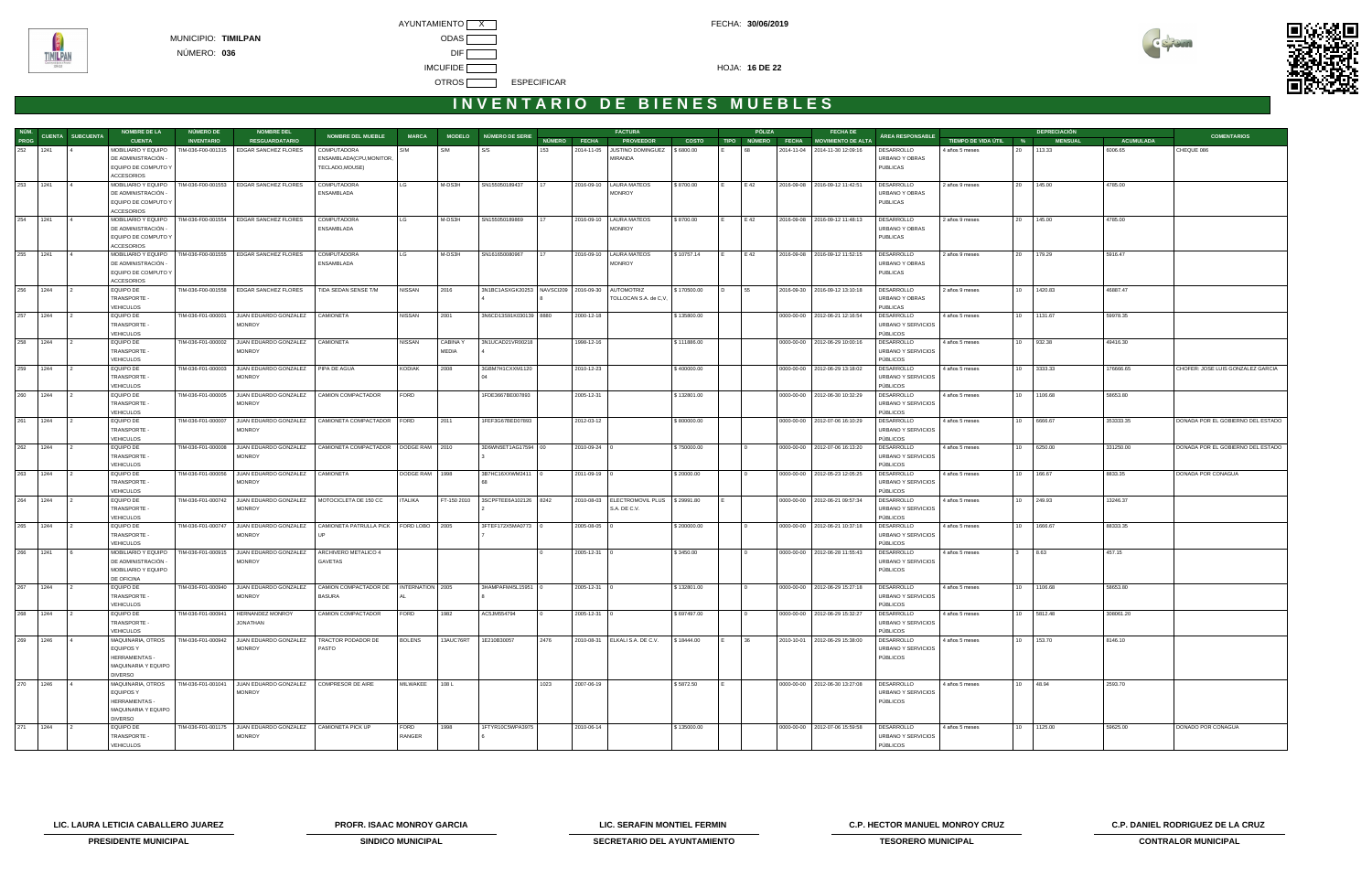AYUNTAMIENTO X CONTROL CONTROL CONTROL CONTROL CONTROL FECHA: 30/06/2019 MUNICIPIO: **TIMILPAN** ODAS NÚMERO: **036** DIF **IMCUFIDE <b>INCLUS** OTROS **ESPECIFICAR** 



## **I N V E N T A R I O D E B I E N E S M U E B L E S**

| NÚM.     |      |                         | <b>NOMBRE DE LA</b>                                                                    | NÚMERO DE          | <b>NOMBRE DEL</b>                                           |                                                            |                |                 |                                                  |      |                    | <b>FACTURA</b>                                              |              | PÓLIZA | <b>FECHA DE</b>                      |                                                        |                       |            | <b>DEPRECIACIÓN</b> |                  |                                   |
|----------|------|-------------------------|----------------------------------------------------------------------------------------|--------------------|-------------------------------------------------------------|------------------------------------------------------------|----------------|-----------------|--------------------------------------------------|------|--------------------|-------------------------------------------------------------|--------------|--------|--------------------------------------|--------------------------------------------------------|-----------------------|------------|---------------------|------------------|-----------------------------------|
| PROG     |      | <b>CUENTA SUBCUENTA</b> | <b>CUENTA</b>                                                                          | <b>INVENTARIO</b>  | <b>RESGUARDATARIO</b>                                       | <b>NOMBRE DEL MUEBLE</b>                                   | <b>MARCA</b>   |                 | MODELO NÚMERO DE SERIE                           |      | NÚMERO FECHA       | <b>PROVEEDOR</b>                                            | <b>COSTO</b> |        | TIPO NÚMERO FECHA MOVIMIENTO DE ALTA | ÁREA RESPONSABLE                                       | TIEMPO DE VIDA ÚTIL % |            | <b>MENSUAL</b>      | <b>ACUMULADA</b> | <b>COMENTARIOS</b>                |
| 252 1241 |      |                         | MOBILIARIO Y EQUIPO<br>DE ADMINISTRACIÓN -<br>EQUIPO DE COMPUTO Y                      | TIM-036-F00-001315 | EDGAR SANCHEZ FLORES                                        | COMPUTADORA<br>ENSAMBLADA(CPU, MONITOR,<br>TECLADO, MOUSE) | S/M            | S/M             | S/S                                              | 153  |                    | 2014-11-05 JUSTINO DOMINGUEZ   \$6800.00<br>MIRANDA         |              | 68     | 2014-11-04 2014-11-30 12:09:16       | DESARROLLO<br>URBANO Y OBRAS<br><b>PUBLICAS</b>        | 4 años 5 meses        | 20         | 113.33              | 6006.65          | CHEQUE 086                        |
|          |      |                         | <b>ACCESORIOS</b>                                                                      |                    |                                                             |                                                            |                |                 |                                                  |      |                    |                                                             |              |        |                                      |                                                        |                       |            |                     |                  |                                   |
| 253 1241 |      |                         | MOBILIARIO Y EQUIPO<br>DE ADMINISTRACIÓN -<br>EQUIPO DE COMPUTO Y<br><b>ACCESORIOS</b> | TIM-036-F00-001553 | <b>EDGAR SANCHEZ FLORES</b>                                 | <b>COMPUTADORA</b><br>ENSAMBLADA                           | LG             | M-DS3H          | SN155050189437                                   |      |                    | 2016-09-10   LAURA MATEOS<br><b>MONROY</b>                  | \$8700.00    | E 42   | 2016-09-08 2016-09-12 11:42:51       | DESARROLLO<br>URBANO Y OBRAS<br><b>PUBLICAS</b>        | 2 años 9 meses        | 20 145.00  |                     | 4785.00          |                                   |
| 254 1241 |      | $\overline{4}$          | MOBILIARIO Y EQUIPO                                                                    | TIM-036-F00-001554 | EDGAR SANCHEZ FLORES                                        | <b>COMPUTADORA</b>                                         | LG             | M-DS3H          | SN155050189869                                   | 17   |                    | 2016-09-10   LAURA MATEOS                                   | \$8700.00    | E 42   | 2016-09-08 2016-09-12 11:48:13       | DESARROLLO                                             | 2 años 9 meses        | 20 145.00  |                     | 4785.00          |                                   |
|          |      |                         | DE ADMINISTRACIÓN -<br>EQUIPO DE COMPUTO Y<br><b>ACCESORIOS</b>                        |                    |                                                             | ENSAMBLADA                                                 |                |                 |                                                  |      |                    | <b>MONROY</b>                                               |              |        |                                      | URBANO Y OBRAS<br><b>PUBLICAS</b>                      |                       |            |                     |                  |                                   |
| 255 1241 |      |                         | MOBILIARIO Y EQUIPO<br>DE ADMINISTRACIÓN -<br>EQUIPO DE COMPUTO Y                      | TIM-036-F00-001555 | EDGAR SANCHEZ FLORES                                        | <b>COMPUTADORA</b><br>ENSAMBLADA                           | LG             | M-DS3H          | SN161650080967                                   |      |                    | 2016-09-10   LAURA MATEOS<br>MONROY                         | \$10757.14   | E 42   | 2016-09-08 2016-09-12 11:52:15       | <b>DESARROLLO</b><br>URBANO Y OBRAS<br><b>PUBLICAS</b> | 2 años 9 meses        | 20         | 179.29              | 5916.47          |                                   |
|          |      |                         | <b>ACCESORIOS</b>                                                                      |                    |                                                             |                                                            |                |                 |                                                  |      |                    |                                                             |              |        |                                      |                                                        |                       |            |                     |                  |                                   |
| 256 1244 |      | $\frac{1}{2}$           | <b>EQUIPO DE</b><br>TRANSPORTE -<br><b>VEHICULOS</b>                                   | TIM-036-F00-001558 | EDGAR SANCHEZ FLORES                                        | TIDA SEDAN SENSE T/M                                       | <b>NISSAN</b>  | 2016            | 3N1BC1ASXGK20253 NAVSCI209 2016-09-30 AUTOMOTRIZ |      |                    | TOLLOCAN S.A. de C,V,                                       | \$170500.00  | 55     | 2016-09-30 2016-09-12 13:10:18       | DESARROLLO<br>URBANO Y OBRAS<br><b>PUBLICAS</b>        | 2 años 9 meses        | 10         | 1420.83             | 46887.47         |                                   |
| 257 1244 |      |                         | <b>EQUIPO DE</b><br>TRANSPORTE -                                                       | TIM-036-F01-000001 | JUAN EDUARDO GONZALEZ<br><b>MONROY</b>                      | CAMIONETA                                                  | <b>NISSAN</b>  | 2001            | 3N6CD13S91K030139 8880                           |      | 2000-12-18         |                                                             | \$135800.00  |        | 0000-00-00 2012-06-21 12:16:54       | DESARROLLO<br>URBANO Y SERVICIOS<br>PÚBLICOS           | 4 años 5 meses        | 10 1131.67 |                     | 59978.35         |                                   |
| 258 1244 |      |                         | VEHICULOS<br><b>EQUIPO DE</b>                                                          | TIM-036-F01-000002 | JUAN EDUARDO GONZALEZ   CAMIONETA                           |                                                            | <b>NISSAN</b>  | <b>CABINA Y</b> | 3N1UCAD21VR00218                                 |      | 1998-12-16         |                                                             | \$111886.00  |        | 0000-00-00   2012-06-29 10:00:16     | DESARROLLO                                             | 4 años 5 meses        | 10 932.38  |                     | 49416.30         |                                   |
|          |      |                         | TRANSPORTE -<br><b>VEHICULOS</b>                                                       |                    | <b>MONROY</b>                                               |                                                            |                | MEDIA           |                                                  |      |                    |                                                             |              |        |                                      | URBANO Y SERVICIOS<br>PÚBLICOS                         |                       |            |                     |                  |                                   |
| 259 1244 |      |                         | <b>EQUIPO DE</b><br>TRANSPORTE -<br>VEHICULOS                                          | TIM-036-F01-000003 | JUAN EDUARDO GONZALEZ   PIPA DE AGUA<br><b>MONROY</b>       |                                                            | <b>KODIAK</b>  | 2008            | 3GBM7H1CXXM1120<br>04                            |      | 2010-12-23         |                                                             | \$400000.00  |        | 0000-00-00   2012-06-29 13:18:02     | DESARROLLO<br>URBANO Y SERVICIOS<br>PÚBLICOS           | 4 años 5 meses        | 10 3333.33 |                     | 176666.65        | CHOFER: JOSE LUIS GONZALEZ GARCIA |
| 260 1244 |      |                         | <b>EQUIPO DE</b><br>TRANSPORTE -                                                       | TIM-036-F01-000005 | JUAN EDUARDO GONZALEZ   CAMION COMPACTADOR<br><b>MONROY</b> |                                                            | <b>FORD</b>    |                 | 1FDE3667BE007893                                 |      | 2005-12-31         |                                                             | \$132801.00  |        | 0000-00-00   2012-06-30 10:32:29     | DESARROLLO<br>URBANO Y SERVICIOS                       | 4 años 5 meses        | 10 1106.68 |                     | 58653.80         |                                   |
| 261 1244 |      |                         | <b>VEHICULOS</b><br>EQUIPO DE<br>TRANSPORTE -                                          | TIM-036-F01-000007 | <b>MONROY</b>                                               | JUAN EDUARDO GONZALEZ   CAMIONETA COMPACTADOR   FORD       |                | 2011            | 1FEF3G67BED07893                                 |      | 2012-03-12         |                                                             | \$800000.00  |        | 0000-00-00   2012-07-06 16:10:29     | PÚBLICOS<br>DESARROLLO<br>URBANO Y SERVICIOS           | 4 años 5 meses        | 10 6666.67 |                     | 353333.35        | DONADA POR EL GOBIERNO DEL ESTADO |
|          |      |                         | <b>VEHICULOS</b>                                                                       |                    |                                                             |                                                            |                |                 |                                                  |      |                    |                                                             |              |        |                                      | PÚBLICOS                                               |                       |            |                     |                  |                                   |
| 262 1244 |      |                         | <b>EQUIPO DE</b><br>TRANSPORTE -<br>VEHICULOS                                          | TIM-036-F01-000008 | JUAN EDUARDO GONZALEZ<br><b>MONROY</b>                      | CAMIONETA COMPACTADOR DODGE RAM 2010                       |                |                 | 3D6WN5ET1AG17594 00                              |      | 2010-09-24 0       |                                                             | \$750000.00  |        | 0000-00-00   2012-07-06 16:13:20     | DESARROLLO<br>URBANO Y SERVICIOS<br>PÚBLICOS           | 4 años 5 meses        | 10 6250.00 |                     | 331250.00        | DONADA POR EL GOBIERNO DEL ESTADO |
| 263 1244 |      | $\frac{1}{2}$           | <b>EQUIPO DE</b><br>TRANSPORTE -<br>VEHICULOS                                          | TIM-036-F01-000056 | JUAN EDUARDO GONZALEZ<br><b>MONROY</b>                      | <b>CAMIONETA</b>                                           | DODGE RAM 1998 |                 | 3B7HC16XXWM2411<br>68                            |      | $2011 - 09 - 19$ 0 |                                                             | \$20000.00   |        | 0000-00-00 2012-05-23 12:05:25       | DESARROLLO<br>URBANO Y SERVICIOS<br>PÚBLICOS           | 4 años 5 meses        | 10 166.67  |                     | 8833.35          | DONADA POR CONAGUA                |
| 264 1244 |      |                         | <b>EQUIPO DE</b><br>TRANSPORTE -                                                       | TIM-036-F01-000742 | JUAN EDUARDO GONZALEZ<br><b>MONROY</b>                      | MOTOCICLETA DE 150 CC                                      | <b>ITALIKA</b> | FT-150 2010     | 3SCPFTEE6A102126 8242                            |      |                    | 2010-08-03   ELECTROMOVIL PLUS   \$29991.80<br>S.A. DE C.V. |              |        | 0000-00-00 2012-06-21 09:57:34       | DESARROLLO<br>URBANO Y SERVICIOS                       | 4 años 5 meses        | 10 249.93  |                     | 13246.37         |                                   |
| 265 1244 |      |                         | <b>VEHICULOS</b><br><b>EQUIPO DE</b><br>TRANSPORTE -                                   | TIM-036-F01-000747 | JUAN EDUARDO GONZALEZ<br><b>MONROY</b>                      | CAMIONETA PATRULLA PICK FORD LOBO 2005                     |                |                 | 3FTEF172X5MA0773 0                               |      | 2005-08-05 0       |                                                             | \$200000.00  |        | 0000-00-00 2012-06-21 10:37:18       | PÚBLICOS<br>DESARROLLO<br>URBANO Y SERVICIOS           | 4 años 5 meses        | 10 1666.67 |                     | 88333.35         |                                   |
|          |      |                         | <b>VEHICULOS</b>                                                                       |                    |                                                             |                                                            |                |                 |                                                  |      |                    |                                                             |              |        |                                      | PÚBLICOS                                               |                       |            |                     |                  |                                   |
| 266 1241 |      |                         | MOBILIARIO Y EQUIPO<br>DE ADMINISTRACIÓN -<br>MOBILIARIO Y EQUIPO<br>DE OFICINA        | TIM-036-F01-000915 | JUAN EDUARDO GONZALEZ<br><b>MONROY</b>                      | ARCHIVERO METALICO 4<br>GAVETAS                            |                |                 |                                                  |      | 2005-12-31 0       |                                                             | \$3450.00    |        | 0000-00-00 2012-06-28 11:55:43       | DESARROLLO<br>URBANO Y SERVICIOS<br>PÚBLICOS           | 4 años 5 meses        | 3          | 8.63                | 457.15           |                                   |
| 267      | 1244 |                         | <b>EQUIPO DE</b><br>TRANSPORTE -<br><b>VEHICULOS</b>                                   | TIM-036-F01-000940 | JUAN EDUARDO GONZALEZ<br><b>MONROY</b>                      | CAMION COMPACTADOR DE INTERNATION 2005<br><b>BASURA</b>    |                |                 | 3HAMPAFM45L15951 0                               |      | $2005-12-31$ 0     |                                                             | \$132801.00  |        | 0000-00-00 2012-06-29 15:27:18       | DESARROLLO<br>URBANO Y SERVICIOS<br>PÚBLICOS           | 4 años 5 meses        |            | 1106.68             | 58653.80         |                                   |
| 268 1244 |      |                         | EQUIPO DE<br>TRANSPORTE -                                                              | TIM-036-F01-000941 | HERNANDEZ MONROY<br>JONATHAN                                | CAMION COMPACTADOR                                         | FORD           | 1982            | AC5JM554794                                      |      | $2005 - 12 - 31$ 0 |                                                             | \$697497.00  |        | 0000-00-00   2012-06-29 15:32:27     | DESARROLLO<br>URBANO Y SERVICIOS                       | 4 años 5 meses        | 10 5812.48 |                     | 308061.20        |                                   |
|          |      |                         | <b>VEHICULOS</b>                                                                       |                    |                                                             |                                                            |                |                 |                                                  |      |                    |                                                             |              |        |                                      | PÚBLICOS                                               |                       |            |                     |                  |                                   |
| 269 1246 |      | $\overline{4}$          | MAQUINARIA, OTROS<br><b>EQUIPOS Y</b><br>HERRAMIENTAS -<br>MAQUINARIA Y EQUIPO         | TIM-036-F01-000942 | JUAN EDUARDO GONZALEZ<br><b>MONROY</b>                      | TRACTOR PODADOR DE<br>PASTO                                | <b>BOLENS</b>  | 13AUC76RT       | 1E210B30057                                      | 2476 |                    | 2010-08-31   ELKALI S.A. DE C.V.                            | \$18444.00   | 36     | 2010-10-01 2012-06-29 15:38:00       | DESARROLLO<br>URBANO Y SERVICIOS<br>PÚBLICOS           | 4 años 5 meses        | 10 153.70  |                     | 8146.10          |                                   |
| 270 1246 |      |                         | <b>DIVERSO</b><br>MAQUINARIA, OTROS                                                    | TIM-036-F01-001041 | JUAN EDUARDO GONZALEZ   COMPRESOR DE AIRE                   |                                                            | MILWAKEE 108 L |                 |                                                  | 1023 | 2007-06-19         |                                                             | \$5872.50    |        | 0000-00-00 2012-06-30 13:27:08       | DESARROLLO                                             | 4 años 5 meses        | 10 48.94   |                     | 2593.70          |                                   |
|          |      |                         | <b>EQUIPOS Y</b><br>HERRAMIENTAS -<br>MAQUINARIA Y EQUIPO                              |                    | <b>MONROY</b>                                               |                                                            |                |                 |                                                  |      |                    |                                                             |              |        |                                      | URBANO Y SERVICIOS<br>PÚBLICOS                         |                       |            |                     |                  |                                   |
| 271 1244 |      |                         | <b>DIVERSO</b><br>EQUIPO DE<br>TRANSPORTE -<br>VEHICULOS                               | TIM-036-F01-001175 | JUAN EDUARDO GONZALEZ   CAMIONETA PICK UP<br>MONROY         |                                                            | FORD<br>RANGER | 1998            | 1FTYR10C5WPA3975                                 |      | 2010-06-14         |                                                             | \$135000.00  |        | 0000-00-00   2012-07-06 15:59:58     | DESARROLLO<br>URBANO Y SERVICIOS<br>PÚBLICOS           | 4 años 5 meses        | 10 1125.00 |                     | 59625.00         | DONADO POR CONAGUA                |

**LIC. LAURA LETICIA CABALLERO JUAREZ PROFR. ISAAC MONROY GARCIA LIC. SERAFIN MONTIEL FERMIN C.P. HECTOR MANUEL MONROY CRUZ C.P. DANIEL RODRIGUEZ DE LA CRUZ** 



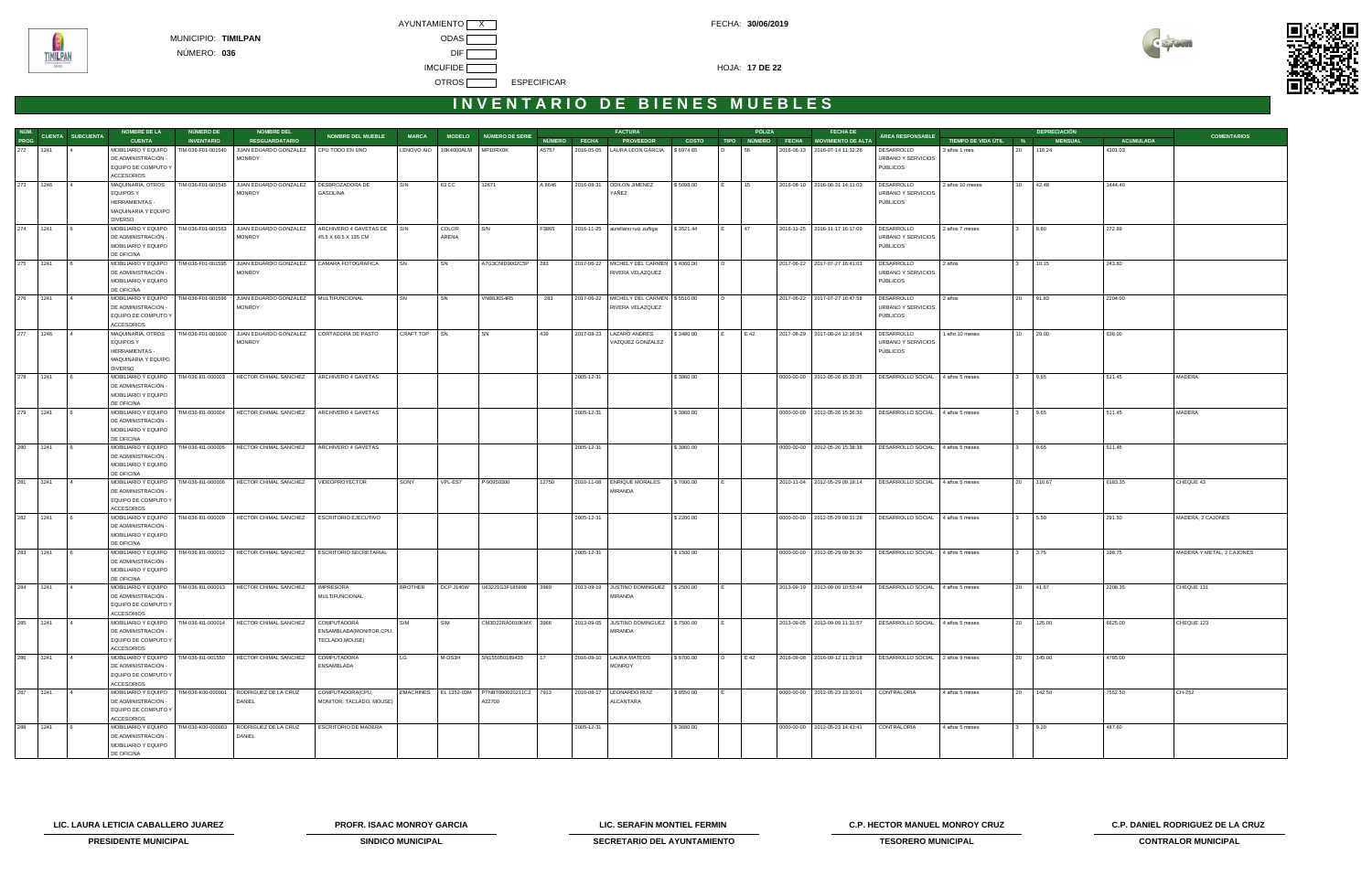AYUNTAMIENTO X CONTROL CONTROL CONTROL CONTROL CONTROL FECHA: 30/06/2019 MUNICIPIO: **TIMILPAN** ODAS NÚMERO: **036** DIF **IMCUFIDE HOJA: 17 DE 22** OTROS **ESPECIFICAR** 



## INVENTARIO DE BIENES MUEBLES

|          |          |                               | <b>NOMBRE DE LA</b>                        | NÚMERO DE          | <b>NOMBRE DEL</b>                                                            |                            |                   |                     |                                             |        |                     | <b>FACTURA</b>                                                  |              | PÓLIZA                 |              | <b>FECHA DE</b>                  |                                                                 |                       |              | <b>DEPRECIACIÓN</b> |                  |                           |
|----------|----------|-------------------------------|--------------------------------------------|--------------------|------------------------------------------------------------------------------|----------------------------|-------------------|---------------------|---------------------------------------------|--------|---------------------|-----------------------------------------------------------------|--------------|------------------------|--------------|----------------------------------|-----------------------------------------------------------------|-----------------------|--------------|---------------------|------------------|---------------------------|
|          |          | NÚM.<br>TRAS CUENTA SUBCUENTA | <b>CUENTA</b>                              | <b>INVENTARIO</b>  | <b>RESGUARDATARIO</b>                                                        | <b>NOMBRE DEL MUEBLE</b>   | <b>MARCA</b>      |                     | MODELO NÚMERO DE SERIE                      |        | <b>NÚMERO FECHA</b> | <b>PROVEEDOR</b>                                                | <b>COSTO</b> | <b>TIPO</b>            | NÚMERO FECHA | MOVIMIENTO DE ALTA               | ÁREA RESPONSABLE                                                | TIEMPO DE VIDA ÚTIL % |              | <b>MENSUAL</b>      | <b>ACUMULADA</b> | <b>COMENTARIOS</b>        |
| 272 1241 |          |                               | MOBILIARIO Y EQUIPO                        | TIM-036-F01-001540 | JUAN EDUARDO GONZALEZ                                                        | CPU TODO EN UNO            | <b>LENOVO AIO</b> | 10K4000ALM MP10RX0K |                                             | A5757  |                     | 2016-05-05   LAURA LEON GARCIA                                  | \$6974.65    | 56<br>$\overline{D}$   |              | 2016-06-13 2016-07-14 11:32:26   | DESARROLLO                                                      | 3 años 1 mes          |              | 20 116.24           | 4301.03          |                           |
|          |          |                               | DE ADMINISTRACIÓN                          |                    | <b>MONROY</b>                                                                |                            |                   |                     |                                             |        |                     |                                                                 |              |                        |              |                                  | URBANO Y SERVICIOS                                              |                       |              |                     |                  |                           |
|          |          |                               | EQUIPO DE COMPUTO Y                        |                    |                                                                              |                            |                   |                     |                                             |        |                     |                                                                 |              |                        |              |                                  | PÚBLICOS                                                        |                       |              |                     |                  |                           |
|          |          |                               | <b>ACCESORIOS</b>                          |                    |                                                                              |                            |                   |                     |                                             |        |                     |                                                                 |              |                        |              |                                  |                                                                 |                       |              |                     |                  |                           |
| 273 1246 |          |                               | MAQUINARIA, OTROS                          |                    | TIM-036-F01-001545 JUAN EDUARDO GONZALEZ                                     | DESBROZADORA DE            | S/N               | 63 CC               | 12671                                       | A 8646 |                     | 2016-08-31 ODILON JIMENEZ                                       | \$5098.00    | 15                     |              | 2016-08-10 2016-08-31 14:11:03   | DESARROLLO                                                      | 2 años 10 meses       |              | 10 42.48            | 1444.40          |                           |
|          |          |                               | <b>EQUIPOS Y</b><br><b>HERRAMIENTAS -</b>  |                    | <b>MONROY</b>                                                                | GASOLINA                   |                   |                     |                                             |        |                     | YAÑEZ                                                           |              |                        |              |                                  | URBANO Y SERVICIOS<br>PÚBLICOS                                  |                       |              |                     |                  |                           |
|          |          |                               | MAQUINARIA Y EQUIPO                        |                    |                                                                              |                            |                   |                     |                                             |        |                     |                                                                 |              |                        |              |                                  |                                                                 |                       |              |                     |                  |                           |
|          |          |                               | <b>DIVERSO</b>                             |                    |                                                                              |                            |                   |                     |                                             |        |                     |                                                                 |              |                        |              |                                  |                                                                 |                       |              |                     |                  |                           |
| 274 1241 |          |                               | MOBILIARIO Y EQUIPO                        |                    | TIM-036-F01-001563 JUAN EDUARDO GONZALEZ                                     | ARCHIVERO 4 GAVETAS DE S/N |                   | COLOR               | S/N                                         | F3865  |                     | 2016-11-25 aureliano ruiz zuñiga                                | \$3521.44    | 47                     |              | 2016-11-25 2016-11-17 16:17:09   | DESARROLLO                                                      | 2 años 7 meses        |              | 8.80                | 272.89           |                           |
|          |          |                               | DE ADMINISTRACIÓN -                        |                    | <b>MONROY</b>                                                                | 45.5 X 60.5 X 135 CM       |                   | ARENA               |                                             |        |                     |                                                                 |              |                        |              |                                  | URBANO Y SERVICIOS                                              |                       |              |                     |                  |                           |
|          |          |                               | MOBILIARIO Y EQUIPO                        |                    |                                                                              |                            |                   |                     |                                             |        |                     |                                                                 |              |                        |              |                                  | PÚBLICOS                                                        |                       |              |                     |                  |                           |
|          |          |                               | DE OFICINA                                 |                    |                                                                              |                            |                   |                     |                                             |        |                     |                                                                 |              |                        |              |                                  |                                                                 |                       |              |                     |                  |                           |
|          | 275 1241 |                               | MOBILIARIO Y EQUIPO                        | TIM-036-F01-001595 | JUAN EDUARDO GONZALEZ                                                        | CAMARA FOTOGRAFICA         | <b>SN</b>         | SN                  | A7G3CNID9002C5P                             | 283    |                     | 2017-06-22   MICHELY DEL CARMEN   \$4060.00                     |              | ID.                    |              | 2017-06-22 2017-07-27 16:41:03   | DESARROLLO                                                      | 2 años                | $\mathbf{3}$ | 10.15               | 243.60           |                           |
|          |          |                               | DE ADMINISTRACIÓN -                        |                    | <b>MONROY</b>                                                                |                            |                   |                     |                                             |        |                     | RIVERA VELAZQUEZ                                                |              |                        |              |                                  | URBANO Y SERVICIOS                                              |                       |              |                     |                  |                           |
|          |          |                               | MOBILIARIO Y EQUIPO                        |                    |                                                                              |                            |                   |                     |                                             |        |                     |                                                                 |              |                        |              |                                  | PÚBLICOS                                                        |                       |              |                     |                  |                           |
|          |          |                               | DE OFICINA                                 |                    |                                                                              |                            |                   |                     |                                             |        |                     |                                                                 |              |                        |              |                                  |                                                                 |                       |              |                     |                  |                           |
| 276 1241 |          |                               | MOBILIARIO Y EQUIPO<br>DE ADMINISTRACIÓN   |                    | TIM-036-F01-001596 JUAN EDUARDO GONZALEZ<br><b>MONROY</b>                    | MULTIFUNCIONAL             |                   | SN                  | VNB8J6S4R5                                  | 283    |                     | 2017-06-22   MICHELY DEL CARMEN   \$5510.00<br>RIVERA VELAZQUEZ |              |                        |              | 2017-06-22 2017-07-27 16:47:58   | DESARROLLO<br>URBANO Y SERVICIOS                                | 2 años                |              | 20 91.83            | 2204.00          |                           |
|          |          |                               | EQUIPO DE COMPUTO Y                        |                    |                                                                              |                            |                   |                     |                                             |        |                     |                                                                 |              |                        |              |                                  | PÚBLICOS                                                        |                       |              |                     |                  |                           |
|          |          |                               | <b>ACCESORIOS</b>                          |                    |                                                                              |                            |                   |                     |                                             |        |                     |                                                                 |              |                        |              |                                  |                                                                 |                       |              |                     |                  |                           |
| 277      | 1246     |                               | MAQUINARIA, OTROS                          | TIM-036-F01-001600 | JUAN EDUARDO GONZALEZ                                                        | CORTADORA DE PASTO         | CRAFT TOP         | <b>SN</b>           | SN                                          | 439    |                     | 2017-08-23   LAZARO ANDRES                                      | \$3480.00    | E 42                   |              | 2017-08-29 2017-08-24 12:16:54   | DESARROLLO                                                      | 1 año 10 meses        |              | 10 29.00            | 638.00           |                           |
|          |          |                               | <b>EQUIPOS Y</b>                           |                    | <b>MONROY</b>                                                                |                            |                   |                     |                                             |        |                     | VAZQUEZ GONZALEZ                                                |              |                        |              |                                  | URBANO Y SERVICIOS                                              |                       |              |                     |                  |                           |
|          |          |                               | <b>HERRAMIENTAS -</b>                      |                    |                                                                              |                            |                   |                     |                                             |        |                     |                                                                 |              |                        |              |                                  | <b>PÚBLICOS</b>                                                 |                       |              |                     |                  |                           |
|          |          |                               | MAQUINARIA Y EQUIPO                        |                    |                                                                              |                            |                   |                     |                                             |        |                     |                                                                 |              |                        |              |                                  |                                                                 |                       |              |                     |                  |                           |
|          |          |                               | <b>DIVERSO</b>                             |                    |                                                                              |                            |                   |                     |                                             |        |                     |                                                                 |              |                        |              |                                  |                                                                 |                       |              |                     |                  |                           |
| 278 1241 |          |                               | MOBILIARIO Y EQUIPO                        | TIM-036-I01-000003 | HECTOR CHIMAL SANCHEZ                                                        | ARCHIVERO 4 GAVETAS        |                   |                     |                                             |        | 2005-12-31          |                                                                 | \$3860.00    |                        |              | 0000-00-00 2012-05-26 15:35:35   | DESARROLLO SOCIAL 4 años 5 meses                                |                       |              | 9.65                | 511.45           | MADERA                    |
|          |          |                               | DE ADMINISTRACIÓN                          |                    |                                                                              |                            |                   |                     |                                             |        |                     |                                                                 |              |                        |              |                                  |                                                                 |                       |              |                     |                  |                           |
|          |          |                               | MOBILIARIO Y EQUIPO                        |                    |                                                                              |                            |                   |                     |                                             |        |                     |                                                                 |              |                        |              |                                  |                                                                 |                       |              |                     |                  |                           |
|          |          |                               | DE OFICINA                                 |                    |                                                                              |                            |                   |                     |                                             |        |                     |                                                                 |              |                        |              |                                  |                                                                 |                       |              |                     |                  |                           |
| 279 1241 |          |                               | MOBILIARIO Y EQUIPO<br>DE ADMINISTRACIÓN - | TIM-036-I01-000004 | HECTOR CHIMAL SANCHEZ                                                        | ARCHIVERO 4 GAVETAS        |                   |                     |                                             |        | 2005-12-31          |                                                                 | \$3860.00    |                        |              | 0000-00-00 2012-05-26 15:36:30   | DESARROLLO SOCIAL                                               | 4 años 5 meses        |              | 9.65                | 511.45           | MADERA                    |
|          |          |                               | MOBILIARIO Y EQUIPO                        |                    |                                                                              |                            |                   |                     |                                             |        |                     |                                                                 |              |                        |              |                                  |                                                                 |                       |              |                     |                  |                           |
|          |          |                               | DE OFICINA                                 |                    |                                                                              |                            |                   |                     |                                             |        |                     |                                                                 |              |                        |              |                                  |                                                                 |                       |              |                     |                  |                           |
| 280      | 1241     |                               | MOBILIARIO Y EQUIPO                        | TIM-036-I01-000005 | HECTOR CHIMAL SANCHEZ                                                        | ARCHIVERO 4 GAVETAS        |                   |                     |                                             |        | 2005-12-31          |                                                                 | \$3860.00    |                        |              | 0000-00-00 2012-05-26 15:38:38   | DESARROLLO SOCIAL 4 años 5 meses                                |                       |              | 9.65                | 511.45           |                           |
|          |          |                               | DE ADMINISTRACIÓN -                        |                    |                                                                              |                            |                   |                     |                                             |        |                     |                                                                 |              |                        |              |                                  |                                                                 |                       |              |                     |                  |                           |
|          |          |                               | MOBILIARIO Y EQUIPO                        |                    |                                                                              |                            |                   |                     |                                             |        |                     |                                                                 |              |                        |              |                                  |                                                                 |                       |              |                     |                  |                           |
|          |          |                               | DE OFICINA                                 |                    |                                                                              |                            |                   |                     |                                             |        |                     |                                                                 |              |                        |              |                                  |                                                                 |                       |              |                     |                  |                           |
| 281 1241 |          |                               | MOBILIARIO Y EQUIPO   TIM-036-101-000006   |                    | HECTOR CHIMAL SANCHEZ                                                        | VIDEOPROYECTOR             | SONY              | VPL-ES7             | P-90950300                                  | 12750  |                     | 2010-11-08 ENRIQUE MORALES                                      | \$7000.00    |                        |              | 2010-11-04 2012-05-29 09:18:14   | DESARROLLO SOCIAL 4 años 5 meses                                |                       |              | 20 116.67           | 6183.35          | CHEQUE 43                 |
|          |          |                               | DE ADMINISTRACIÓN                          |                    |                                                                              |                            |                   |                     |                                             |        |                     | MIRANDA                                                         |              |                        |              |                                  |                                                                 |                       |              |                     |                  |                           |
|          |          |                               | EQUIPO DE COMPUTO Y                        |                    |                                                                              |                            |                   |                     |                                             |        |                     |                                                                 |              |                        |              |                                  |                                                                 |                       |              |                     |                  |                           |
| 282 1241 |          |                               | <b>ACCESORIOS</b><br>MOBILIARIO Y EQUIPO   | TIM-036-I01-000009 | HECTOR CHIMAL SANCHEZ                                                        | ESCRITORIO EJECUTIVO       |                   |                     |                                             |        | 2005-12-31          |                                                                 | \$2200.00    |                        |              | 0000-00-00 2012-05-29 09:31:28   | DESARROLLO SOCIAL                                               | 4 años 5 meses        |              | 3 5.50              | 291.50           | MADERA, 2 CAJONES         |
|          |          |                               | DE ADMINISTRACIÓN -                        |                    |                                                                              |                            |                   |                     |                                             |        |                     |                                                                 |              |                        |              |                                  |                                                                 |                       |              |                     |                  |                           |
|          |          |                               | MOBILIARIO Y EQUIPO                        |                    |                                                                              |                            |                   |                     |                                             |        |                     |                                                                 |              |                        |              |                                  |                                                                 |                       |              |                     |                  |                           |
|          |          |                               | DE OFICINA                                 |                    |                                                                              |                            |                   |                     |                                             |        |                     |                                                                 |              |                        |              |                                  |                                                                 |                       |              |                     |                  |                           |
| 283 1241 |          |                               | MOBILIARIO Y EQUIPO                        | TIM-036-I01-000012 | HECTOR CHIMAL SANCHEZ                                                        | ESCRITORIO SECRETARIAL     |                   |                     |                                             |        | 2005-12-31          |                                                                 | \$1500.00    |                        |              | 0000-00-00   2012-05-29 09:36:30 | DESARROLLO SOCIAL 4 años 5 meses                                |                       |              | $3 \t3.75$          | 198.75           | MADERA Y METAL, 2 CAJONES |
|          |          |                               | DE ADMINISTRACIÓN -                        |                    |                                                                              |                            |                   |                     |                                             |        |                     |                                                                 |              |                        |              |                                  |                                                                 |                       |              |                     |                  |                           |
|          |          |                               | MOBILIARIO Y EQUIPO                        |                    |                                                                              |                            |                   |                     |                                             |        |                     |                                                                 |              |                        |              |                                  |                                                                 |                       |              |                     |                  |                           |
|          |          |                               | DE OFICINA                                 |                    |                                                                              |                            |                   |                     |                                             |        |                     |                                                                 |              |                        |              |                                  |                                                                 |                       |              |                     |                  |                           |
| 284 1241 |          |                               |                                            |                    | MOBILIARIO Y EQUIPO   TIM-036-101-000013   HECTOR CHIMAL SANCHEZ   IMPRESORA |                            |                   |                     | BROTHER DCP J140W U63221G3F185998 3989      |        |                     | 2013-09-19 JUSTINO DOMINGUEZ \\$2500.00                         |              |                        |              |                                  | 2013-09-19 2013-09-09 10:53:44 DESARROLLO SOCIAL 4 años 5 meses |                       |              | 41.67               | 2208.35          | CHEQUE 131                |
|          |          |                               | DE ADMINISTRACIÓN -                        |                    |                                                                              | MULTIFUNCIONAL             |                   |                     |                                             |        |                     | MIRANDA                                                         |              |                        |              |                                  |                                                                 |                       |              |                     |                  |                           |
|          |          |                               | EQUIPO DE COMPUTO Y<br><b>ACCESORIOS</b>   |                    |                                                                              |                            |                   |                     |                                             |        |                     |                                                                 |              |                        |              |                                  |                                                                 |                       |              |                     |                  |                           |
| 285 1241 |          |                               | MOBILIARIO Y EQUIPO                        | TIM-036-I01-000014 | HECTOR CHIMAL SANCHEZ                                                        | COMPUTADORA                | S/M               | S/M                 | CM3D22RA0010KMX 3966                        |        |                     | 2013-09-05 JUSTINO DOMINGUEZ \\$7500.00                         |              |                        |              | 2013-09-05 2013-09-09 11:31:57   | DESARROLLO SOCIAL 4 años 5 meses                                |                       |              | 20 125.00           | 6625.00          | CHEQUE 123                |
|          |          |                               | DE ADMINISTRACIÓN -                        |                    |                                                                              | ENSAMBLADA(MONITOR,CPU,    |                   |                     |                                             |        |                     | MIRANDA                                                         |              |                        |              |                                  |                                                                 |                       |              |                     |                  |                           |
|          |          |                               | EQUIPO DE COMPUTO Y                        |                    |                                                                              | TECLADO, MOUSE)            |                   |                     |                                             |        |                     |                                                                 |              |                        |              |                                  |                                                                 |                       |              |                     |                  |                           |
|          |          |                               | <b>ACCESORIOS</b>                          |                    |                                                                              |                            |                   |                     |                                             |        |                     |                                                                 |              |                        |              |                                  |                                                                 |                       |              |                     |                  |                           |
| 286 1241 |          |                               | MOBILIARIO Y EQUIPO                        | TIM-036-I01-001550 | HECTOR CHIMAL SANCHEZ                                                        | COMPUTADORA                | LG                | M-DS3H              | SN155050189435                              | 17     |                     | 2016-09-10   LAURA MATEOS                                       | \$8700.00    | E 42<br>$\overline{D}$ |              | 2016-09-08 2016-09-12 11:29:18   | DESARROLLO SOCIAL 2 años 9 meses                                |                       |              | 20 145.00           | 4785.00          |                           |
|          |          |                               | DE ADMINISTRACIÓN -                        |                    |                                                                              | ENSAMBLADA                 |                   |                     |                                             |        |                     | MONROY                                                          |              |                        |              |                                  |                                                                 |                       |              |                     |                  |                           |
|          |          |                               | EQUIPO DE COMPUTO Y                        |                    |                                                                              |                            |                   |                     |                                             |        |                     |                                                                 |              |                        |              |                                  |                                                                 |                       |              |                     |                  |                           |
|          |          |                               | <b>ACCESORIOS</b>                          |                    |                                                                              |                            |                   |                     |                                             |        |                     |                                                                 |              |                        |              |                                  |                                                                 |                       |              |                     |                  |                           |
| 287 1241 |          |                               | MOBILIARIO Y EQUIPO                        |                    | TIM-036-K00-000001 RODRIGUEZ DE LA CRUZ                                      | COMPUTADORA(CPU,           |                   |                     | EMACHINES EL 1352-03M PTNBT090020211C2 7913 |        |                     | 2010-08-17   LEONARDO RUIZ                                      | \$8550.00    |                        |              | 0000-00-00 2012-05-23 13:30:01   | CONTRALORIA                                                     | 4 años 5 meses        |              | 20 142.50           | 7552.50          | CH-252                    |
|          |          |                               | DE ADMINISTRACIÓN -                        |                    | DANIEL                                                                       | MONITOR, TACLADO, MOUSE)   |                   |                     | A22700                                      |        |                     | ALCANTARA                                                       |              |                        |              |                                  |                                                                 |                       |              |                     |                  |                           |
|          |          |                               | EQUIPO DE COMPUTO Y<br><b>ACCESORIOS</b>   |                    |                                                                              |                            |                   |                     |                                             |        |                     |                                                                 |              |                        |              |                                  |                                                                 |                       |              |                     |                  |                           |
| 288      | 1241     |                               | MOBILIARIO Y EQUIPO                        | TIM-036-K00-000003 | RODRIGUEZ DE LA CRUZ                                                         | ESCRITORIO DE MADERA       |                   |                     |                                             |        | 2005-12-31          |                                                                 | \$3680.00    |                        |              | 0000-00-00 2012-05-23 14:43:41   | CONTRALORIA                                                     | 4 años 5 meses        |              | 9.20                | 487.60           |                           |
|          |          |                               | DE ADMINISTRACIÓN -                        |                    | DANIEL                                                                       |                            |                   |                     |                                             |        |                     |                                                                 |              |                        |              |                                  |                                                                 |                       |              |                     |                  |                           |
|          |          |                               | MOBILIARIO Y EQUIPO                        |                    |                                                                              |                            |                   |                     |                                             |        |                     |                                                                 |              |                        |              |                                  |                                                                 |                       |              |                     |                  |                           |
|          |          |                               | DE OFICINA                                 |                    |                                                                              |                            |                   |                     |                                             |        |                     |                                                                 |              |                        |              |                                  |                                                                 |                       |              |                     |                  |                           |

**LIC. LAURA LETICIA CABALLERO JUAREZ PROFR. ISAAC MONROY GARCIA LIC. SERAFIN MONTIEL FERMIN C.P. HECTOR MANUEL MONROY CRUZ C.P. DANIEL RODRIGUEZ DE LA CRUZ** 



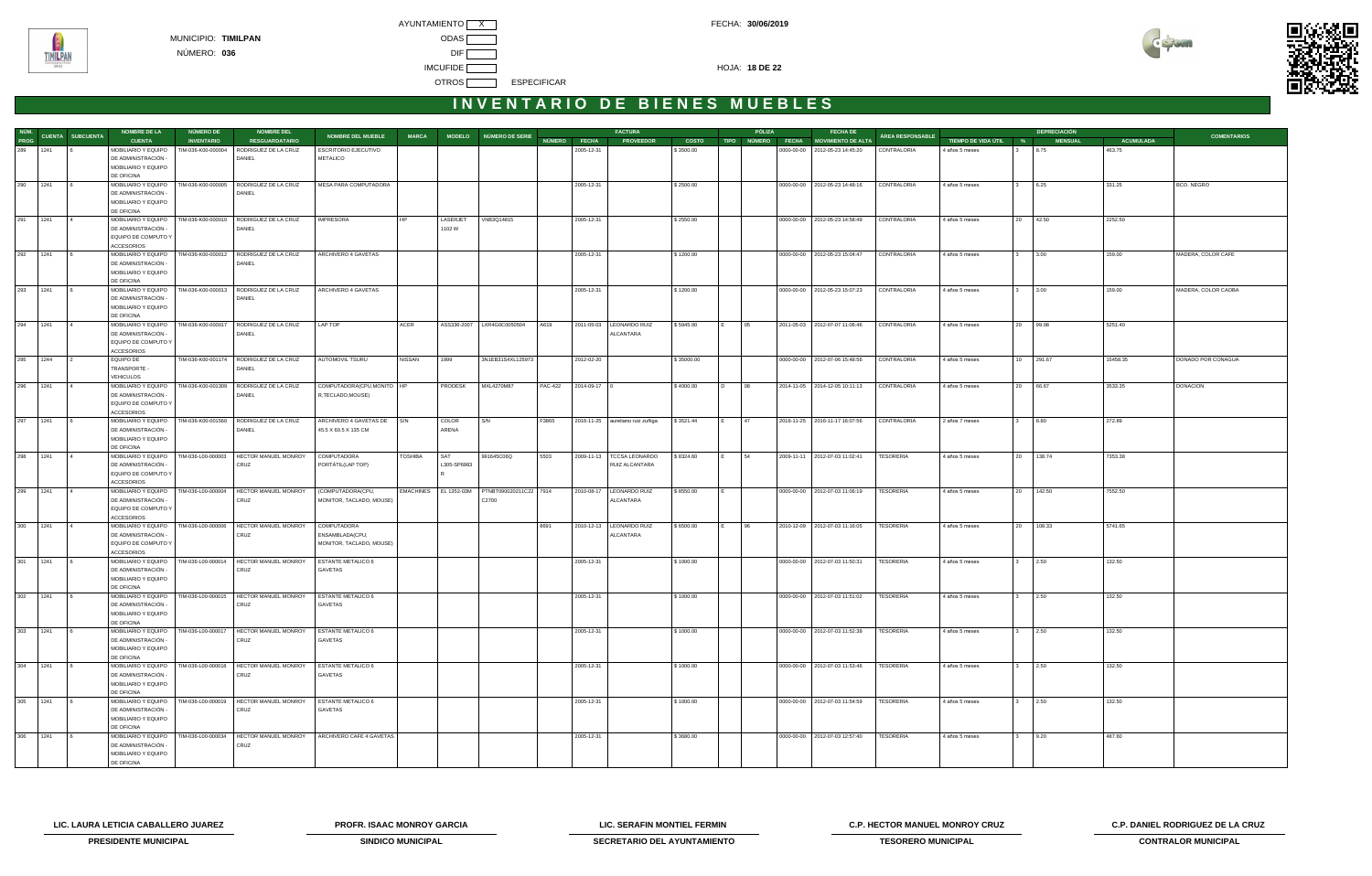



## INVENTARIO DE BIENES MUEBLES

|            |            |                               | <b>NOMBRE DE LA</b>                        | NÚMERO DE          | <b>NOMBRE DEL</b>                                               |                                  |                  |             |                            |                |              | <b>FACTURA</b>                                |              |                      | PÓLIZA | <b>FECHA DE</b>                      |                  |                       |              | <b>DEPRECIACIÓN</b> |                  |                     |
|------------|------------|-------------------------------|--------------------------------------------|--------------------|-----------------------------------------------------------------|----------------------------------|------------------|-------------|----------------------------|----------------|--------------|-----------------------------------------------|--------------|----------------------|--------|--------------------------------------|------------------|-----------------------|--------------|---------------------|------------------|---------------------|
|            |            | NÚM.<br>DROC CUENTA SUBCUENTA | <b>CUENTA</b>                              | <b>INVENTARIO</b>  | <b>RESGUARDATARIO</b>                                           | NOMBRE DEL MUEBLE                | <b>MARCA</b>     |             | MODELO NÚMERO DE SERIE     |                | NÚMERO FECHA | <b>PROVEEDOR</b>                              | <b>COSTO</b> |                      |        | TIPO NÚMERO FECHA MOVIMIENTO DE ALTA | ÁREA RESPONSABLE | TIEMPO DE VIDA ÚTIL % |              | <b>MENSUAL</b>      | <b>ACUMULADA</b> | <b>COMENTARIOS</b>  |
|            | 289 1241   |                               | MOBILIARIO Y EQUIPO                        | TIM-036-K00-000004 | RODRIGUEZ DE LA CRUZ                                            | <b>ESCRITORIO EJECUTIVO</b>      |                  |             |                            |                | 2005-12-31   |                                               | \$3500.00    |                      |        | 0000-00-00   2012-05-23 14:45:20     | CONTRALORIA      | 4 años 5 meses        |              | 8.75                | 463.75           |                     |
|            |            |                               | DE ADMINISTRACIÓN -                        |                    | DANIEL                                                          | <b>METALICO</b>                  |                  |             |                            |                |              |                                               |              |                      |        |                                      |                  |                       |              |                     |                  |                     |
|            |            |                               | MOBILIARIO Y EQUIPO                        |                    |                                                                 |                                  |                  |             |                            |                |              |                                               |              |                      |        |                                      |                  |                       |              |                     |                  |                     |
|            |            |                               | DE OFICINA                                 |                    |                                                                 |                                  |                  |             |                            |                |              |                                               |              |                      |        |                                      |                  |                       |              |                     |                  |                     |
| 290 1241   |            |                               | MOBILIARIO Y EQUIPO                        | TIM-036-K00-000005 | RODRIGUEZ DE LA CRUZ                                            | MESA PARA COMPUTADORA            |                  |             |                            |                | 2005-12-31   |                                               | \$2500.00    |                      |        | 0000-00-00 2012-05-23 14:48:16       | CONTRALORIA      | 4 años 5 meses        |              | 6.25                | 331.25           | BCO. NEGRO          |
|            |            |                               | DE ADMINISTRACIÓN -                        |                    | DANIEL                                                          |                                  |                  |             |                            |                |              |                                               |              |                      |        |                                      |                  |                       |              |                     |                  |                     |
|            |            |                               | MOBILIARIO Y EQUIPO                        |                    |                                                                 |                                  |                  |             |                            |                |              |                                               |              |                      |        |                                      |                  |                       |              |                     |                  |                     |
|            |            |                               | DE OFICINA                                 |                    |                                                                 |                                  |                  |             |                            |                |              |                                               |              |                      |        |                                      |                  |                       |              |                     |                  |                     |
|            | 291 1241 4 |                               | MOBILIARIO Y EQUIPO                        |                    | TIM-036-K00-000010 RODRIGUEZ DE LA CRUZ                         | <b>IMPRESORA</b>                 | HP               | LASERJET    | VNB3Q14815                 |                | 2005-12-31   |                                               | \$2550.00    |                      |        | 0000-00-00   2012-05-23 14:58:49     | CONTRALORIA      | 4 años 5 meses        |              | 20 42.50            | 2252.50          |                     |
|            |            |                               | DE ADMINISTRACIÓN -<br>EQUIPO DE COMPUTO Y |                    | DANIEL                                                          |                                  |                  | 1102W       |                            |                |              |                                               |              |                      |        |                                      |                  |                       |              |                     |                  |                     |
|            |            |                               | <b>ACCESORIOS</b>                          |                    |                                                                 |                                  |                  |             |                            |                |              |                                               |              |                      |        |                                      |                  |                       |              |                     |                  |                     |
|            | 292 1241   |                               | MOBILIARIO Y EQUIPO                        |                    | TIM-036-K00-000012 RODRIGUEZ DE LA CRUZ                         | ARCHIVERO 4 GAVETAS              |                  |             |                            |                | 2005-12-31   |                                               | \$1200.00    |                      |        | 0000-00-00 2012-05-23 15:04:47       | CONTRALORIA      | 4 años 5 meses        |              | 3.00                | 159.00           | MADERA, COLOR CAFE  |
|            |            |                               | DE ADMINISTRACIÓN -                        |                    | DANIEL                                                          |                                  |                  |             |                            |                |              |                                               |              |                      |        |                                      |                  |                       |              |                     |                  |                     |
|            |            |                               | MOBILIARIO Y EQUIPO                        |                    |                                                                 |                                  |                  |             |                            |                |              |                                               |              |                      |        |                                      |                  |                       |              |                     |                  |                     |
|            |            |                               | DE OFICINA                                 |                    |                                                                 |                                  |                  |             |                            |                |              |                                               |              |                      |        |                                      |                  |                       |              |                     |                  |                     |
|            | 293 1241   |                               | MOBILIARIO Y EQUIPO                        |                    | TIM-036-K00-000013 RODRIGUEZ DE LA CRUZ                         | ARCHIVERO 4 GAVETAS              |                  |             |                            |                | 2005-12-31   |                                               | \$1200.00    |                      |        | 0000-00-00 2012-05-23 15:07:23       | CONTRALORIA      | 4 años 5 meses        |              | 3.00                | 159.00           | MADERA, COLOR CAOBA |
|            |            |                               | DE ADMINISTRACIÓN -                        |                    | DANIEL                                                          |                                  |                  |             |                            |                |              |                                               |              |                      |        |                                      |                  |                       |              |                     |                  |                     |
|            |            |                               | MOBILIARIO Y EQUIPO                        |                    |                                                                 |                                  |                  |             |                            |                |              |                                               |              |                      |        |                                      |                  |                       |              |                     |                  |                     |
|            |            |                               | DE OFICINA                                 |                    |                                                                 |                                  |                  |             |                            |                |              |                                               |              |                      |        |                                      |                  |                       |              |                     |                  |                     |
|            | 294 1241   |                               | MOBILIARIO Y EQUIPO                        |                    | TIM-036-K00-000017 RODRIGUEZ DE LA CRUZ                         | LAP TOP                          | ACER             |             | ASS336-2007 LXR4G0C0050504 | A619           |              | 2011-05-03   LEONARDO RUIZ                    | \$5945.00    | 05<br>IE.            |        | 2011-05-03 2012-07-07 11:06:46       | CONTRALORIA      | 4 años 5 meses        |              | 20 99.08            | 5251.40          |                     |
|            |            |                               | DE ADMINISTRACIÓN -                        |                    | DANIEL                                                          |                                  |                  |             |                            |                |              | ALCANTARA                                     |              |                      |        |                                      |                  |                       |              |                     |                  |                     |
|            |            |                               | EQUIPO DE COMPUTO Y<br><b>ACCESORIOS</b>   |                    |                                                                 |                                  |                  |             |                            |                |              |                                               |              |                      |        |                                      |                  |                       |              |                     |                  |                     |
|            | 295 1244   |                               | <b>EQUIPO DE</b>                           |                    | TIM-036-K00-001174   RODRIGUEZ DE LA CRUZ                       | AUTOMOVIL TSURU                  | <b>NISSAN</b>    | 1999        | 3N1EB31S4XL125973          |                | 2012-02-20   |                                               | \$35000.00   |                      |        | 0000-00-00   2012-07-06 15:48:56     | CONTRALORIA      | 4 años 5 meses        |              | 10 291.67           | 15458.35         | DONADO POR CONAGUA  |
|            |            |                               | TRANSPORTE -                               |                    | DANIEL                                                          |                                  |                  |             |                            |                |              |                                               |              |                      |        |                                      |                  |                       |              |                     |                  |                     |
|            |            |                               | <b>VEHICULOS</b>                           |                    |                                                                 |                                  |                  |             |                            |                |              |                                               |              |                      |        |                                      |                  |                       |              |                     |                  |                     |
|            | 296 1241   |                               | MOBILIARIO Y EQUIPO                        | TIM-036-K00-001309 | RODRIGUEZ DE LA CRUZ                                            | COMPUTADORA(CPU,MONITO HP        |                  | PRODESK     | MXL4270M87                 | <b>PAC-422</b> | 2014-09-17 0 |                                               | \$4000.00    | $\overline{D}$<br>08 |        | 2014-11-05 2014-12-05 10:11:13       | CONTRALORIA      | 4 años 5 meses        |              | 20 66.67            | 3533.35          | <b>DONACION</b>     |
|            |            |                               | DE ADMINISTRACIÓN -                        |                    | DANIEL                                                          | R,TECLADO,MOUSE)                 |                  |             |                            |                |              |                                               |              |                      |        |                                      |                  |                       |              |                     |                  |                     |
|            |            |                               | EQUIPO DE COMPUTO Y                        |                    |                                                                 |                                  |                  |             |                            |                |              |                                               |              |                      |        |                                      |                  |                       |              |                     |                  |                     |
|            |            |                               | <b>ACCESORIOS</b>                          |                    |                                                                 |                                  |                  |             |                            |                |              |                                               |              |                      |        |                                      |                  |                       |              |                     |                  |                     |
|            | 297 1241   |                               | MOBILIARIO Y EQUIPO                        |                    | TIM-036-K00-001560 RODRIGUEZ DE LA CRUZ                         | ARCHIVERO 4 GAVETAS DE S/N       |                  | COLOR       | S/N                        | F3865          |              | 2016-11-25 aureliano ruiz zuñiga              | \$3521.44    | 47<br>IE.            |        | 2016-11-25 2016-11-17 16:07:56       | CONTRALORIA      | 2 años 7 meses        |              | 8.80                | 272.89           |                     |
|            |            |                               | DE ADMINISTRACIÓN -                        |                    | DANIEL                                                          | 45.5 X 60.5 X 135 CM             |                  | ARENA       |                            |                |              |                                               |              |                      |        |                                      |                  |                       |              |                     |                  |                     |
|            |            |                               | MOBILIARIO Y EQUIPO                        |                    |                                                                 |                                  |                  |             |                            |                |              |                                               |              |                      |        |                                      |                  |                       |              |                     |                  |                     |
|            |            |                               | DE OFICINA                                 |                    |                                                                 |                                  |                  |             |                            |                |              |                                               |              |                      |        |                                      |                  |                       |              |                     |                  |                     |
|            | 298 1241   |                               | MOBILIARIO Y EQUIPO<br>DE ADMINISTRACIÓN - |                    | TIM-036-L00-000003   HECTOR MANUEL MONROY                       | COMPUTADORA<br>PORTÁTIL(LAP TOP) | <b>TOSHIBA</b>   | <b>SAT</b>  | 991645C06Q                 | 5503           |              | 2009-11-13   TCCSA LEONARDO<br>RUIZ ALCANTARA | \$8324.60    | 154<br>IE.           |        | 2009-11-11 2012-07-03 11:02:41       | <b>TESORERIA</b> | 4 años 5 meses        |              | 20 138.74           | 7353.38          |                     |
|            |            |                               | EQUIPO DE COMPUTO Y                        |                    | CRUZ                                                            |                                  |                  | L305-SP6983 |                            |                |              |                                               |              |                      |        |                                      |                  |                       |              |                     |                  |                     |
|            |            |                               | <b>ACCESORIOS</b>                          |                    |                                                                 |                                  |                  |             |                            |                |              |                                               |              |                      |        |                                      |                  |                       |              |                     |                  |                     |
|            | 299 1241   |                               | MOBILIARIO Y EQUIPO                        | TIM-036-L00-000004 | HECTOR MANUEL MONROY                                            | (COMPUTADORA(CPU,                | <b>EMACHINES</b> |             |                            |                |              | 2010-08-17   LEONARDO RUIZ                    | \$8550.00    |                      |        | 0000-00-00   2012-07-03 11:06:19     | <b>TESORERIA</b> | 4 años 5 meses        |              | 20 142.50           | 7552.50          |                     |
|            |            |                               | DE ADMINISTRACIÓN -                        |                    | CRUZ                                                            | MONITOR, TACLADO, MOUSE)         |                  |             | C2700                      |                |              | ALCANTARA                                     |              |                      |        |                                      |                  |                       |              |                     |                  |                     |
|            |            |                               | EQUIPO DE COMPUTO Y                        |                    |                                                                 |                                  |                  |             |                            |                |              |                                               |              |                      |        |                                      |                  |                       |              |                     |                  |                     |
|            |            |                               | <b>ACCESORIOS</b>                          |                    |                                                                 |                                  |                  |             |                            |                |              |                                               |              |                      |        |                                      |                  |                       |              |                     |                  |                     |
|            | 300 1241   |                               |                                            |                    | MOBILIARIO Y EQUIPO   TIM-036-L00-000006   HECTOR MANUEL MONROY | <b>COMPUTADORA</b>               |                  |             |                            | 8691           |              | 2010-12-13   LEONARDO RUIZ                    | \$6500.00    | 96<br>IE.            |        | 2010-12-09 2012-07-03 11:16:05       | TESORERIA        | 4 años 5 meses        |              | 20 108.33           | 5741.65          |                     |
|            |            |                               | DE ADMINISTRACIÓN -                        |                    | CRUZ                                                            | ENSAMBLADA(CPU,                  |                  |             |                            |                |              | ALCANTARA                                     |              |                      |        |                                      |                  |                       |              |                     |                  |                     |
|            |            |                               | EQUIPO DE COMPUTO Y                        |                    |                                                                 | MONITOR, TACLADO, MOUSE)         |                  |             |                            |                |              |                                               |              |                      |        |                                      |                  |                       |              |                     |                  |                     |
|            |            |                               | ACCESORIOS                                 |                    |                                                                 |                                  |                  |             |                            |                |              |                                               |              |                      |        |                                      |                  |                       |              |                     |                  |                     |
|            | 301 1241   |                               | MOBILIARIO Y EQUIPO                        |                    | TIM-036-L00-000014   HECTOR MANUEL MONROY                       | <b>ESTANTE METALICO 6</b>        |                  |             |                            |                | 2005-12-31   |                                               | \$1000.00    |                      |        | 0000-00-00 2012-07-03 11:50:31       | <b>TESORERIA</b> | 4 años 5 meses        |              | 2.50                | 132.50           |                     |
|            |            |                               | DE ADMINISTRACIÓN -<br>MOBILIARIO Y EQUIPO |                    | CRUZ                                                            | GAVETAS                          |                  |             |                            |                |              |                                               |              |                      |        |                                      |                  |                       |              |                     |                  |                     |
|            |            |                               | DE OFICINA                                 |                    |                                                                 |                                  |                  |             |                            |                |              |                                               |              |                      |        |                                      |                  |                       |              |                     |                  |                     |
| $302$ 1241 |            |                               |                                            |                    | MOBILIARIO Y EQUIPO   TIM-036-L00-000015   HECTOR MANUEL MONROY | <b>ESTANTE METALICO 6</b>        |                  |             |                            |                | 2005-12-31   |                                               | \$1000.00    |                      |        | 0000-00-00   2012-07-03 11:51:02     | TESORERIA        | 4 años 5 meses        | $\mathbf{3}$ | 2.50                | 132.50           |                     |
|            |            |                               | DE ADMINISTRACIÓN -                        |                    | CRUZ                                                            | GAVETAS                          |                  |             |                            |                |              |                                               |              |                      |        |                                      |                  |                       |              |                     |                  |                     |
|            |            |                               | MOBILIARIO Y EQUIPO                        |                    |                                                                 |                                  |                  |             |                            |                |              |                                               |              |                      |        |                                      |                  |                       |              |                     |                  |                     |
|            |            |                               | DE OFICINA                                 |                    |                                                                 |                                  |                  |             |                            |                |              |                                               |              |                      |        |                                      |                  |                       |              |                     |                  |                     |
| 303        | 1241       |                               |                                            |                    | MOBILIARIO Y EQUIPO   TIM-036-L00-000017   HECTOR MANUEL MONROY | <b>ESTANTE METALICO 6</b>        |                  |             |                            |                | 2005-12-31   |                                               | \$1000.00    |                      |        | 0000-00-00 2012-07-03 11:52:38       | TESORERIA        | 4 años 5 meses        |              | 2.50                | 132.50           |                     |
|            |            |                               | DE ADMINISTRACIÓN -                        |                    | CRUZ                                                            | GAVETAS                          |                  |             |                            |                |              |                                               |              |                      |        |                                      |                  |                       |              |                     |                  |                     |
|            |            |                               | MOBILIARIO Y EQUIPO                        |                    |                                                                 |                                  |                  |             |                            |                |              |                                               |              |                      |        |                                      |                  |                       |              |                     |                  |                     |
|            |            |                               | DE OFICINA                                 |                    |                                                                 |                                  |                  |             |                            |                |              |                                               |              |                      |        |                                      |                  |                       |              |                     |                  |                     |
| 304        | 1241       |                               | MOBILIARIO Y EQUIPO                        |                    | TIM-036-L00-000018   HECTOR MANUEL MONROY                       | <b>ESTANTE METALICO 6</b>        |                  |             |                            |                | 2005-12-31   |                                               | \$1000.00    |                      |        | 0000-00-00 2012-07-03 11:53:46       | TESORERIA        | 4 años 5 meses        |              | 2.50                | 132.50           |                     |
|            |            |                               | DE ADMINISTRACIÓN -<br>MOBILIARIO Y EQUIPO |                    | CRUZ                                                            | GAVETAS                          |                  |             |                            |                |              |                                               |              |                      |        |                                      |                  |                       |              |                     |                  |                     |
|            |            |                               | DE OFICINA                                 |                    |                                                                 |                                  |                  |             |                            |                |              |                                               |              |                      |        |                                      |                  |                       |              |                     |                  |                     |
|            | 305 1241   |                               | MOBILIARIO Y EQUIPO                        |                    | TIM-036-L00-000019   HECTOR MANUEL MONROY                       | ESTANTE METALICO 6               |                  |             |                            |                | 2005-12-31   |                                               | \$1000.00    |                      |        | 0000-00-00   2012-07-03 11:54:59     | TESORERIA        | 4 años 5 meses        | $3^{\circ}$  | 2.50                | 132.50           |                     |
|            |            |                               | DE ADMINISTRACIÓN -                        |                    | CRUZ                                                            | GAVETAS                          |                  |             |                            |                |              |                                               |              |                      |        |                                      |                  |                       |              |                     |                  |                     |
|            |            |                               | MOBILIARIO Y EQUIPO                        |                    |                                                                 |                                  |                  |             |                            |                |              |                                               |              |                      |        |                                      |                  |                       |              |                     |                  |                     |
|            |            |                               | DE OFICINA                                 |                    |                                                                 |                                  |                  |             |                            |                |              |                                               |              |                      |        |                                      |                  |                       |              |                     |                  |                     |
| 306        | 1241       |                               | MOBILIARIO Y EQUIPO   TIM-036-L00-000034   |                    | <b>HECTOR MANUEL MONROY</b>                                     | ARCHIVERO CAFE 4 GAVETAS         |                  |             |                            |                | 2005-12-31   |                                               | \$3680.00    |                      |        | 0000-00-00 2012-07-03 12:57:40       | <b>TESORERIA</b> | 4 años 5 meses        |              | 9.20                | 487.60           |                     |
|            |            |                               | DE ADMINISTRACIÓN -                        |                    | CRUZ                                                            |                                  |                  |             |                            |                |              |                                               |              |                      |        |                                      |                  |                       |              |                     |                  |                     |
|            |            |                               | MOBILIARIO Y EQUIPO                        |                    |                                                                 |                                  |                  |             |                            |                |              |                                               |              |                      |        |                                      |                  |                       |              |                     |                  |                     |
|            |            |                               | DE OFICINA                                 |                    |                                                                 |                                  |                  |             |                            |                |              |                                               |              |                      |        |                                      |                  |                       |              |                     |                  |                     |

**LIC. LAURA LETICIA CABALLERO JUAREZ PROFR. ISAAC MONROY GARCIA LIC. SERAFIN MONTIEL FERMIN C.P. HECTOR MANUEL MONROY CRUZ C.P. DANIEL RODRIGUEZ DE LA CRUZ** 



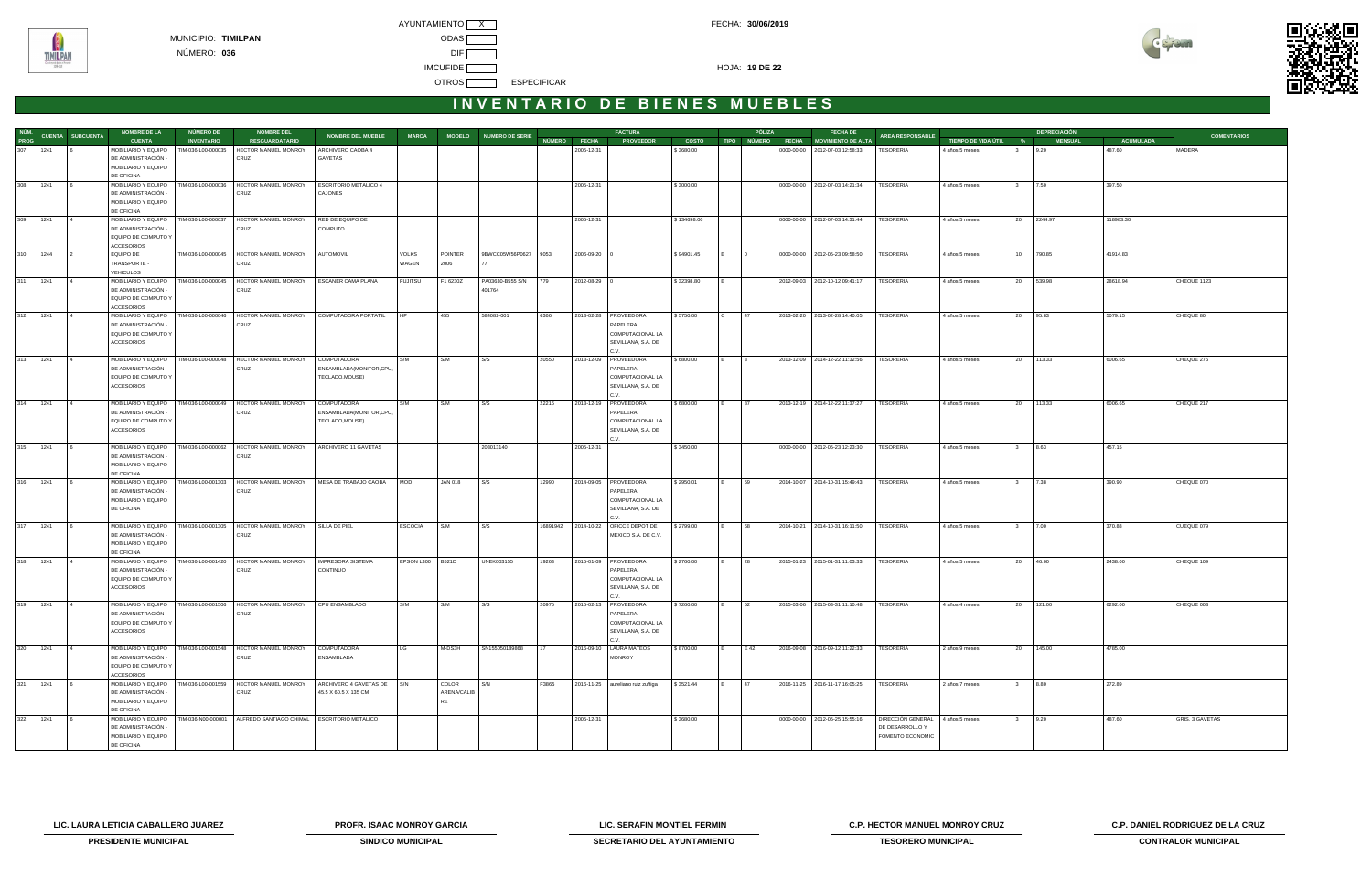

|             |                       | <b>NOMBRE DE LA</b>                        | NÚMERO DE          | <b>NOMBRE DEL</b>                                                  |                                        |                  |             |                            |       |              | <b>FACTURA</b>                         |              |       | PÓLIZA                  | <b>FECHA DE</b>                      |                   |                       |              | <b>DEPRECIACIÓN</b> |                  |                    |
|-------------|-----------------------|--------------------------------------------|--------------------|--------------------------------------------------------------------|----------------------------------------|------------------|-------------|----------------------------|-------|--------------|----------------------------------------|--------------|-------|-------------------------|--------------------------------------|-------------------|-----------------------|--------------|---------------------|------------------|--------------------|
|             | NÚM. CUENTA SUBCUENTA | <b>CUENTA</b>                              | <b>INVENTARIO</b>  | <b>RESGUARDATARIO</b>                                              | <b>NOMBRE DEL MUEBLE</b>               | <b>MARCA</b>     |             | MODELO NÚMERO DE SERIE     |       |              | NÚMERO FECHA PROVEEDOR                 | <b>COSTO</b> |       |                         | TIPO NÚMERO FECHA MOVIMIENTO DE ALTA | ÁREA RESPONSABLE  | TIEMPO DE VIDA ÚTIL % |              | <b>MENSUAL</b>      | <b>ACUMULADA</b> | <b>COMENTARIOS</b> |
| 307 1241    |                       | MOBILIARIO Y EQUIPO                        | TIM-036-L00-000035 | HECTOR MANUEL MONROY                                               | ARCHIVERO CAOBA 4                      |                  |             |                            |       | 2005-12-31   |                                        | \$3680.00    |       |                         | 0000-00-00   2012-07-03 12:58:33     | TESORERIA         | 4 años 5 meses        |              | 9.20                | 487.60           | MADERA             |
|             |                       | DE ADMINISTRACIÓN -                        |                    | CRUZ                                                               | GAVETAS                                |                  |             |                            |       |              |                                        |              |       |                         |                                      |                   |                       |              |                     |                  |                    |
|             |                       | MOBILIARIO Y EQUIPO                        |                    |                                                                    |                                        |                  |             |                            |       |              |                                        |              |       |                         |                                      |                   |                       |              |                     |                  |                    |
|             |                       | DE OFICINA                                 |                    |                                                                    |                                        |                  |             |                            |       |              |                                        |              |       |                         |                                      |                   |                       |              |                     |                  |                    |
| 308 1241    |                       | MOBILIARIO Y EQUIPO                        | TIM-036-L00-000036 | HECTOR MANUEL MONROY                                               | <b>ESCRITORIO METALICO 4</b>           |                  |             |                            |       | 2005-12-31   |                                        | \$3000.00    |       |                         | 0000-00-00 2012-07-03 14:21:34       | TESORERIA         | 4 años 5 meses        |              | 7.50                | 397.50           |                    |
|             |                       | DE ADMINISTRACIÓN<br>MOBILIARIO Y EQUIPO   |                    | CRUZ                                                               | CAJONES                                |                  |             |                            |       |              |                                        |              |       |                         |                                      |                   |                       |              |                     |                  |                    |
|             |                       | DE OFICINA                                 |                    |                                                                    |                                        |                  |             |                            |       |              |                                        |              |       |                         |                                      |                   |                       |              |                     |                  |                    |
| 309 1241    |                       | MOBILIARIO Y EQUIPO                        | TIM-036-L00-000037 | HECTOR MANUEL MONROY                                               | RED DE EQUIPO DE                       |                  |             |                            |       | 2005-12-31   |                                        | \$134698.06  |       |                         | 0000-00-00   2012-07-03 14:31:44     | TESORERIA         | 4 años 5 meses        |              | 20 2244.97          | 118983.30        |                    |
|             |                       | DE ADMINISTRACIÓN -                        |                    | CRUZ                                                               | COMPUTO                                |                  |             |                            |       |              |                                        |              |       |                         |                                      |                   |                       |              |                     |                  |                    |
|             |                       | EQUIPO DE COMPUTO Y                        |                    |                                                                    |                                        |                  |             |                            |       |              |                                        |              |       |                         |                                      |                   |                       |              |                     |                  |                    |
|             |                       | <b>ACCESORIOS</b>                          |                    |                                                                    |                                        |                  |             |                            |       |              |                                        |              |       |                         |                                      |                   |                       |              |                     |                  |                    |
| 310 1244    |                       | EQUIPO DE                                  |                    | TIM-036-L00-000045   HECTOR MANUEL MONROY                          | AUTOMOVIL                              | <b>VOLKS</b>     | POINTER     | 9BWCC05W56P0627 9053       |       | 2006-09-20 0 |                                        | \$94901.45   |       | $\overline{10}$         | 0000-00-00   2012-05-23 09:58:50     | TESORERIA         | 4 años 5 meses        |              | 10 790.85           | 41914.83         |                    |
|             |                       | TRANSPORTE -                               |                    | CRUZ                                                               |                                        | WAGEN            | 2006        |                            |       |              |                                        |              |       |                         |                                      |                   |                       |              |                     |                  |                    |
| 311 1241    |                       | <b>VEHICULOS</b>                           |                    |                                                                    |                                        |                  |             |                            |       |              |                                        |              |       |                         |                                      |                   |                       |              |                     |                  |                    |
|             |                       | MOBILIARIO Y EQUIPO<br>DE ADMINISTRACIÓN - | TIM-036-L00-000045 | HECTOR MANUEL MONROY<br>CRUZ                                       | <b>ESCANER CAMA PLANA</b>              | <b>FUJITSU</b>   | F1 6230Z    | PA03630-B555 S/N<br>401764 | 779   | 2012-08-29 0 |                                        | \$32398.80   |       |                         | 2012-09-03 2012-10-12 09:41:17       | TESORERIA         | 4 años 5 meses        |              | 20 539.98           | 28618.94         | CHEQUE 1123        |
|             |                       | EQUIPO DE COMPUTO Y                        |                    |                                                                    |                                        |                  |             |                            |       |              |                                        |              |       |                         |                                      |                   |                       |              |                     |                  |                    |
|             |                       | <b>ACCESORIOS</b>                          |                    |                                                                    |                                        |                  |             |                            |       |              |                                        |              |       |                         |                                      |                   |                       |              |                     |                  |                    |
| 312 1241    |                       | MOBILIARIO Y EQUIPO                        | TIM-036-L00-000046 | HECTOR MANUEL MONROY                                               | COMPUTADORA PORTATIL                   |                  | 455         | 584082-001                 | 6366  |              | 2013-02-28   PROVEEDORA                | \$5750.00    | l C   | 47                      | 2013-02-20 2013-02-28 14:40:05       | TESORERIA         | 4 años 5 meses        |              | 20 95.83            | 5079.15          | CHEQUE 80          |
|             |                       | DE ADMINISTRACIÓN -                        |                    | CRUZ                                                               |                                        |                  |             |                            |       |              | PAPELERA                               |              |       |                         |                                      |                   |                       |              |                     |                  |                    |
|             |                       | EQUIPO DE COMPUTO Y                        |                    |                                                                    |                                        |                  |             |                            |       |              | COMPUTACIONAL LA                       |              |       |                         |                                      |                   |                       |              |                     |                  |                    |
|             |                       | <b>ACCESORIOS</b>                          |                    |                                                                    |                                        |                  |             |                            |       |              | SEVILLANA, S.A. DE                     |              |       |                         |                                      |                   |                       |              |                     |                  |                    |
| 313 1241    |                       |                                            | TIM-036-L00-000048 |                                                                    |                                        | S/M              | S/M         | S/S                        |       |              | C.V.<br>PROVEEDORA                     | \$6800.00    | I F I | $\overline{\mathbf{3}}$ | 2013-12-09 2014-12-22 11:32:56       |                   |                       |              |                     | 6006.65          |                    |
|             |                       | MOBILIARIO Y EQUIPO<br>DE ADMINISTRACIÓN - |                    | HECTOR MANUEL MONROY<br>CRUZ                                       | COMPUTADORA<br>ENSAMBLADA(MONITOR,CPU, |                  |             |                            | 20550 | 2013-12-09   | PAPELERA                               |              |       |                         |                                      | <b>TESORERIA</b>  | 4 años 5 meses        |              | 20 113.33           |                  | CHEQUE 276         |
|             |                       | EQUIPO DE COMPUTO Y                        |                    |                                                                    | TECLADO, MOUSE)                        |                  |             |                            |       |              | COMPUTACIONAL LA                       |              |       |                         |                                      |                   |                       |              |                     |                  |                    |
|             |                       | ACCESORIOS                                 |                    |                                                                    |                                        |                  |             |                            |       |              | SEVILLANA, S.A. DE                     |              |       |                         |                                      |                   |                       |              |                     |                  |                    |
|             |                       |                                            |                    |                                                                    |                                        |                  |             |                            |       |              | C.V.                                   |              |       |                         |                                      |                   |                       |              |                     |                  |                    |
| 314 1241    |                       | MOBILIARIO Y EQUIPO                        |                    | TIM-036-L00-000049   HECTOR MANUEL MONROY                          | COMPUTADORA                            | S/M              | S/M         | S/S                        | 22216 |              | 2013-12-19   PROVEEDORA                | \$6800.00    | I F I | 87                      | 2013-12-19 2014-12-22 11:37:27       | <b>TESORERIA</b>  | 4 años 5 meses        |              | 20 113.33           | 6006.65          | CHEQUE 217         |
|             |                       | DE ADMINISTRACIÓN -                        |                    | CRUZ                                                               | ENSAMBLADA(MONITOR,CPU,                |                  |             |                            |       |              | PAPELERA                               |              |       |                         |                                      |                   |                       |              |                     |                  |                    |
|             |                       | EQUIPO DE COMPUTO Y                        |                    |                                                                    | TECLADO, MOUSE)                        |                  |             |                            |       |              | COMPUTACIONAL LA                       |              |       |                         |                                      |                   |                       |              |                     |                  |                    |
|             |                       | <b>ACCESORIOS</b>                          |                    |                                                                    |                                        |                  |             |                            |       |              | SEVILLANA, S.A. DE<br>C.V              |              |       |                         |                                      |                   |                       |              |                     |                  |                    |
| 315 1241    |                       |                                            |                    | MOBILIARIO Y EQUIPO   TIM-036-L00-000062   HECTOR MANUEL MONROY    | ARCHIVERO 11 GAVETAS                   |                  |             | 203013140                  |       | 2005-12-31   |                                        | \$3450.00    |       |                         | 0000-00-00   2012-05-23 12:23:30     | <b>TESORERIA</b>  | 4 años 5 meses        | $\mathbf{3}$ | 8.63                | 457.15           |                    |
|             |                       | DE ADMINISTRACIÓN -                        |                    | CRUZ                                                               |                                        |                  |             |                            |       |              |                                        |              |       |                         |                                      |                   |                       |              |                     |                  |                    |
|             |                       | MOBILIARIO Y EQUIPO                        |                    |                                                                    |                                        |                  |             |                            |       |              |                                        |              |       |                         |                                      |                   |                       |              |                     |                  |                    |
|             |                       | DE OFICINA                                 |                    |                                                                    |                                        |                  |             |                            |       |              |                                        |              |       |                         |                                      |                   |                       |              |                     |                  |                    |
| 316 1241    |                       | MOBILIARIO Y EQUIPO                        |                    | TIM-036-L00-001303   HECTOR MANUEL MONROY   MESA DE TRABAJO CAOBA  |                                        | <b>MOD</b>       | JAN 018     | S/S                        | 12990 |              | 2014-09-05   PROVEEDORA                | \$2950.01    |       | 59                      | 2014-10-07 2014-10-31 15:49:43       | <b>TESORERIA</b>  | 4 años 5 meses        |              | 7.38                | 390.90           | CHEQUE 070         |
|             |                       | DE ADMINISTRACIÓN -                        |                    | CRUZ                                                               |                                        |                  |             |                            |       |              | PAPELERA                               |              |       |                         |                                      |                   |                       |              |                     |                  |                    |
|             |                       | MOBILIARIO Y EQUIPO<br>DE OFICINA          |                    |                                                                    |                                        |                  |             |                            |       |              | COMPUTACIONAL LA<br>SEVILLANA, S.A. DE |              |       |                         |                                      |                   |                       |              |                     |                  |                    |
|             |                       |                                            |                    |                                                                    |                                        |                  |             |                            |       |              |                                        |              |       |                         |                                      |                   |                       |              |                     |                  |                    |
| 317 1241    |                       | MOBILIARIO Y EQUIPO                        |                    | TIM-036-L00-001305   HECTOR MANUEL MONROY                          | SILLA DE PIEL                          | <b>ESCOCIA</b>   | S/M         | S/S                        |       |              | 16891942 2014-10-22 OFICCE DEPOT DE    | \$2799.00    |       | 68                      | 2014-10-21 2014-10-31 16:11:50       | TESORERIA         | 4 años 5 meses        |              | 7.00                | 370.88           | CUEQUE 079         |
|             |                       | DE ADMINISTRACIÓN -                        |                    | CRUZ                                                               |                                        |                  |             |                            |       |              | MEXICO S.A. DE C.V.                    |              |       |                         |                                      |                   |                       |              |                     |                  |                    |
|             |                       | MOBILIARIO Y EQUIPO                        |                    |                                                                    |                                        |                  |             |                            |       |              |                                        |              |       |                         |                                      |                   |                       |              |                     |                  |                    |
|             |                       | DE OFICINA                                 |                    |                                                                    |                                        |                  |             |                            |       |              |                                        |              |       |                         |                                      |                   |                       |              |                     |                  |                    |
| 318 1241    |                       | MOBILIARIO Y EQUIPO                        |                    | TIM-036-L00-001420   HECTOR MANUEL MONROY                          | IMPRESORA SISTEMA                      | EPSON L300 B521D |             | <b>UNEK003155</b>          | 19263 |              | 2015-01-09   PROVEEDORA                | \$2760.00    | IE.   | 28                      | 2015-01-23 2015-01-31 11:03:33       | TESORERIA         | 4 años 5 meses        |              | 20 46.00            | 2438.00          | CHEQUE 109         |
|             |                       | DE ADMINISTRACIÓN -                        |                    | CRUZ                                                               | CONTINUO                               |                  |             |                            |       |              | PAPELERA                               |              |       |                         |                                      |                   |                       |              |                     |                  |                    |
|             |                       | EQUIPO DE COMPUTO Y<br><b>ACCESORIOS</b>   |                    |                                                                    |                                        |                  |             |                            |       |              | COMPUTACIONAL LA<br>SEVILLANA, S.A. DE |              |       |                         |                                      |                   |                       |              |                     |                  |                    |
|             |                       |                                            |                    |                                                                    |                                        |                  |             |                            |       |              | C.V.                                   |              |       |                         |                                      |                   |                       |              |                     |                  |                    |
| 319<br>1241 |                       |                                            |                    | MOBILIARIO Y EQUIPO   TIM-036-L00-001506   HECTOR MANUEL MONROY    | CPU ENSAMBLADO                         | S/M              | S/M         | S/S                        | 20975 |              | 2015-02-13   PROVEEDORA                | \$7260.00    |       | 52                      | 2015-03-06 2015-03-31 11:10:48       | <b>TESORERIA</b>  | 4 años 4 meses        |              | 20 121.00           | 6292.00          | CHEQUE 003         |
|             |                       | DE ADMINISTRACIÓN -                        |                    | CRUZ                                                               |                                        |                  |             |                            |       |              | PAPELERA                               |              |       |                         |                                      |                   |                       |              |                     |                  |                    |
|             |                       | EQUIPO DE COMPUTO Y                        |                    |                                                                    |                                        |                  |             |                            |       |              | COMPUTACIONAL LA                       |              |       |                         |                                      |                   |                       |              |                     |                  |                    |
|             |                       | ACCESORIOS                                 |                    |                                                                    |                                        |                  |             |                            |       |              | SEVILLANA, S.A. DE                     |              |       |                         |                                      |                   |                       |              |                     |                  |                    |
|             |                       |                                            |                    |                                                                    |                                        |                  |             |                            |       |              | C.V.                                   |              |       |                         |                                      |                   |                       |              |                     |                  |                    |
| 320<br>1241 |                       | DE ADMINISTRACIÓN -                        |                    | MOBILIARIO Y EQUIPO   TIM-036-L00-001548   HECTOR MANUEL MONROY    | COMPUTADORA                            |                  | M-DS3H      | SN155050189868             | 17    |              | 2016-09-10   LAURA MATEOS              | \$8700.00    |       | E 42                    | 2016-09-08 2016-09-12 11:22:33       | TESORERIA         | 2 años 9 meses        | 20           | 145.00              | 4785.00          |                    |
|             |                       | EQUIPO DE COMPUTO Y                        |                    | CRUZ                                                               | ENSAMBLADA                             |                  |             |                            |       |              | <b>MONROY</b>                          |              |       |                         |                                      |                   |                       |              |                     |                  |                    |
|             |                       | ACCESORIOS                                 |                    |                                                                    |                                        |                  |             |                            |       |              |                                        |              |       |                         |                                      |                   |                       |              |                     |                  |                    |
| 321<br>1241 |                       | MOBILIARIO Y EQUIPO                        | TIM-036-L00-001559 | HECTOR MANUEL MONROY                                               | ARCHIVERO 4 GAVETAS DE S/N             |                  | COLOR       | S/N                        | F3865 |              | 2016-11-25 aureliano ruiz zuñiga       | \$3521.44    |       | 47                      | 2016-11-25 2016-11-17 16:05:25       | TESORERIA         | 2 años 7 meses        |              | 8.80                | 272.89           |                    |
|             |                       | DE ADMINISTRACIÓN -                        |                    | CRUZ                                                               | 45.5 X 60.5 X 135 CM                   |                  | ARENA/CALIB |                            |       |              |                                        |              |       |                         |                                      |                   |                       |              |                     |                  |                    |
|             |                       | MOBILIARIO Y EQUIPO                        |                    |                                                                    |                                        |                  | <b>RE</b>   |                            |       |              |                                        |              |       |                         |                                      |                   |                       |              |                     |                  |                    |
|             |                       | DE OFICINA                                 |                    |                                                                    |                                        |                  |             |                            |       |              |                                        |              |       |                         |                                      |                   |                       |              |                     |                  |                    |
| 322 1241    |                       | MOBILIARIO Y EQUIPO                        |                    | TIM-036-N00-000001   ALFREDO SANTIAGO CHIMAL   ESCRITORIO METALICO |                                        |                  |             |                            |       | 2005-12-31   |                                        | \$3680.00    |       |                         | 0000-00-00 2012-05-25 15:55:16       | DIRECCIÓN GENERAL | 4 años 5 meses        |              | 3 9.20              | 487.60           | GRIS, 3 GAVETAS    |
|             |                       | DE ADMINISTRACIÓN -                        |                    |                                                                    |                                        |                  |             |                            |       |              |                                        |              |       |                         |                                      | DE DESARROLLO Y   |                       |              |                     |                  |                    |
|             |                       | MOBILIARIO Y EQUIPO<br>DE OFICINA          |                    |                                                                    |                                        |                  |             |                            |       |              |                                        |              |       |                         |                                      | FOMENTO ECONOMIC  |                       |              |                     |                  |                    |
|             |                       |                                            |                    |                                                                    |                                        |                  |             |                            |       |              |                                        |              |       |                         |                                      |                   |                       |              |                     |                  |                    |

**LIC. LAURA LETICIA CABALLERO JUAREZ PROFR. ISAAC MONROY GARCIA LIC. SERAFIN MONTIEL FERMIN C.P. HECTOR MANUEL MONROY CRUZ C.P. DANIEL RODRIGUEZ DE LA CRUZ** 



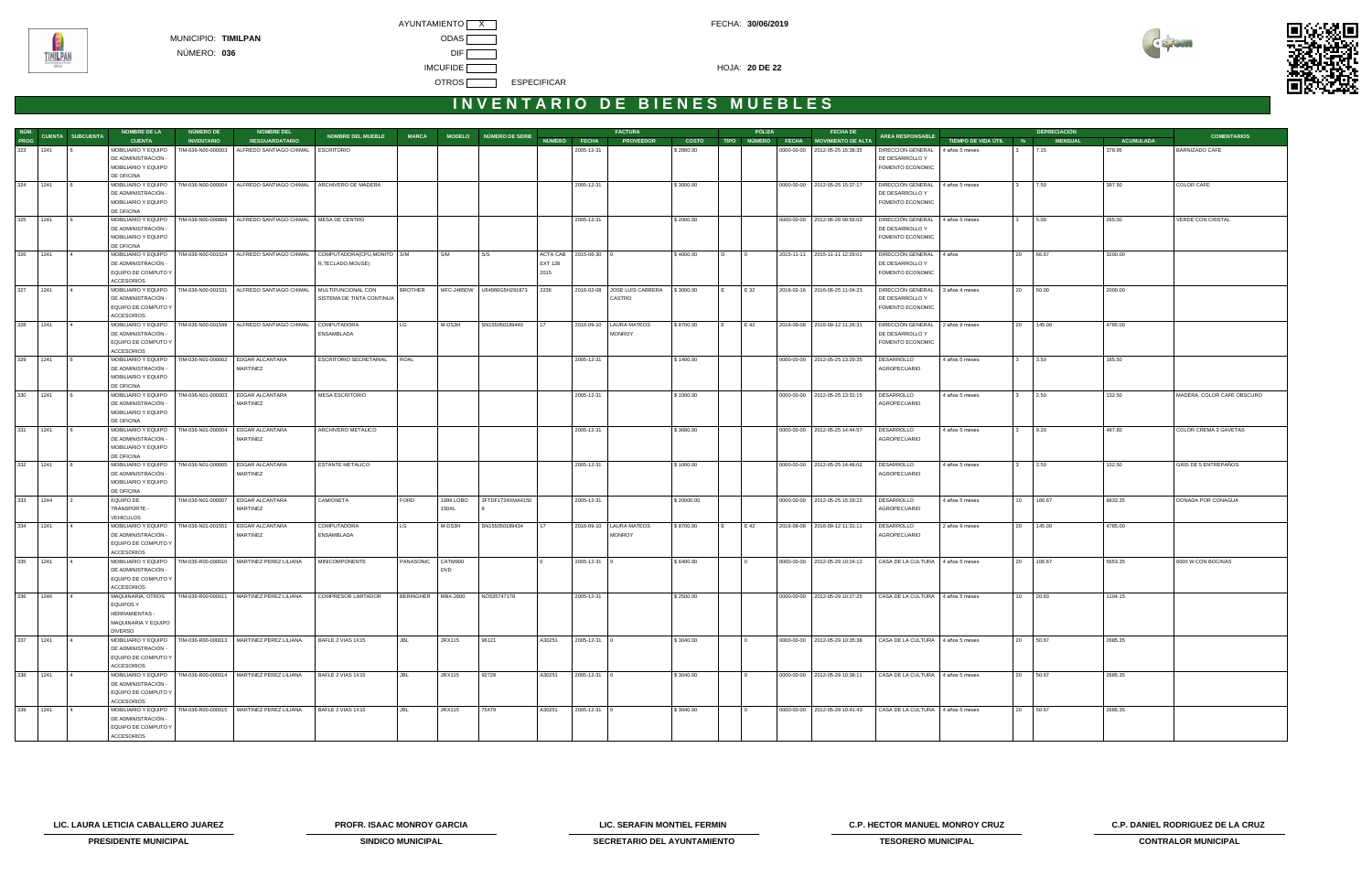AYUNTAMIENTO X CONTROL CONTROL CONTROL CONTROL CONTROL FECHA: 30/06/2019 IMCUFIDE **The Contract of the Contract of the Contract of the Contract of the Contract of the Contract of the Contract of the Contract of the Contract of the Contract of the Contract of the Contract of the Contract of the** OTROS **ESPECIFICAR** 



# **I N V E N T A R I O D E B I E N E S M U E B L E S**

|             |          |                          | <b>NOMBRE DE LA</b>                        | <b>NÚMERO DE</b>   | <b>NOMBRE DEL</b>                                                            |                                                 |                      |               |                            |                |                    | <b>FACTURA</b>                                    |              |                | PÓLIZA       | <b>FECHA DE</b>                      |                                      |                       |                        | <b>DEPRECIACIÓN</b> |                  |                            |
|-------------|----------|--------------------------|--------------------------------------------|--------------------|------------------------------------------------------------------------------|-------------------------------------------------|----------------------|---------------|----------------------------|----------------|--------------------|---------------------------------------------------|--------------|----------------|--------------|--------------------------------------|--------------------------------------|-----------------------|------------------------|---------------------|------------------|----------------------------|
| <b>PROG</b> |          | NÚM.<br>CUENTA SUBCUENTA | <b>CUENTA</b>                              | <b>INVENTARIO</b>  | <b>RESGUARDATARIO</b>                                                        | <b>NOMBRE DEL MUEBLE</b>                        | <b>MARCA</b>         |               | MODELO NÚMERO DE SERIE     | NÚMERO FECHA   |                    | <b>PROVEEDOR</b>                                  | <b>COSTO</b> |                |              | TIPO NÚMERO FECHA MOVIMIENTO DE ALTA | ÁREA RESPONSABLE                     | TIEMPO DE VIDA ÚTIL % |                        | <b>MENSUAL</b>      | <b>ACUMULADA</b> | <b>COMENTARIOS</b>         |
|             | 323 1241 |                          | MOBILIARIO Y EQUIPO                        | TIM-036-N00-000003 | ALFREDO SANTIAGO CHIMAL   ESCRITORIO                                         |                                                 |                      |               |                            |                | 2005-12-31         |                                                   | \$2860.00    |                |              | 0000-00-00 2012-05-25 15:38:35       | DIRECCIÓN GENERAL 4 años 5 meses     |                       | 3                      | 7.15                | 378.95           | BARNIZADO CAFE             |
|             |          |                          | DE ADMINISTRACIÓN -                        |                    |                                                                              |                                                 |                      |               |                            |                |                    |                                                   |              |                |              |                                      | DE DESARROLLO Y                      |                       |                        |                     |                  |                            |
|             |          |                          | MOBILIARIO Y EQUIPO                        |                    |                                                                              |                                                 |                      |               |                            |                |                    |                                                   |              |                |              |                                      | FOMENTO ECONOMIC                     |                       |                        |                     |                  |                            |
|             |          |                          | DE OFICINA                                 |                    |                                                                              |                                                 |                      |               |                            |                |                    |                                                   |              |                |              |                                      |                                      |                       |                        |                     |                  |                            |
| 324 1241    |          |                          | MOBILIARIO Y EQUIPO                        | TIM-036-N00-000004 | ALFREDO SANTIAGO CHIMAL ARCHIVERO DE MADERA                                  |                                                 |                      |               |                            |                | 2005-12-31         |                                                   | \$3000.00    |                |              | 0000-00-00 2012-05-25 15:37:17       | DIRECCIÓN GENERAL                    | 4 años 5 meses        | 7.50<br>$3^{\circ}$    |                     | 397.50           | COLOR CAFE                 |
|             |          |                          | DE ADMINISTRACIÓN -<br>MOBILIARIO Y EQUIPO |                    |                                                                              |                                                 |                      |               |                            |                |                    |                                                   |              |                |              |                                      | DE DESARROLLO Y                      |                       |                        |                     |                  |                            |
|             |          |                          | DE OFICINA                                 |                    |                                                                              |                                                 |                      |               |                            |                |                    |                                                   |              |                |              |                                      | FOMENTO ECONOMIC                     |                       |                        |                     |                  |                            |
|             | 325 1241 |                          | MOBILIARIO Y EQUIPO                        | TIM-036-N00-000869 | ALFREDO SANTIAGO CHIMAL   MESA DE CENTRO                                     |                                                 |                      |               |                            |                | 2005-12-31         |                                                   | \$2000.00    |                |              | 0000-00-00   2012-06-28 09:56:03     | DIRECCIÓN GENERAL                    | 4 años 5 meses        | 5.00<br>$3^{\circ}$    |                     | 265.00           | VERDE CON CRISTAL          |
|             |          |                          | DE ADMINISTRACIÓN -                        |                    |                                                                              |                                                 |                      |               |                            |                |                    |                                                   |              |                |              |                                      | DE DESARROLLO Y                      |                       |                        |                     |                  |                            |
|             |          |                          | MOBILIARIO Y EQUIPO                        |                    |                                                                              |                                                 |                      |               |                            |                |                    |                                                   |              |                |              |                                      | FOMENTO ECONOMIC                     |                       |                        |                     |                  |                            |
|             |          |                          | DE OFICINA                                 |                    |                                                                              |                                                 |                      |               |                            |                |                    |                                                   |              |                |              |                                      |                                      |                       |                        |                     |                  |                            |
|             | 326 1241 |                          | MOBILIARIO Y EQUIPO                        |                    | TIM-036-N00-001524   ALFREDO SANTIAGO CHIMAL   COMPUTADORA(CPU, MONITO   S/M |                                                 |                      | S/M           | S/S                        | ACTA CAB       | $2015-06-30$ 0     |                                                   | \$4000.00    | $\overline{D}$ | $\mathbf{0}$ | 2015-11-11 2015-11-11 12:29:01       | DIRECCIÓN GENERAL 4 años             |                       | 20 66.67               |                     | 3200.00          |                            |
|             |          |                          | DE ADMINISTRACIÓN -                        |                    |                                                                              | R, TECLADO, MOUSE)                              |                      |               |                            | <b>EXT 128</b> |                    |                                                   |              |                |              |                                      | DE DESARROLLO Y                      |                       |                        |                     |                  |                            |
|             |          |                          | EQUIPO DE COMPUTO Y                        |                    |                                                                              |                                                 |                      |               |                            | 2015           |                    |                                                   |              |                |              |                                      | FOMENTO ECONOMIC                     |                       |                        |                     |                  |                            |
|             |          |                          | <b>ACCESORIOS</b>                          |                    |                                                                              |                                                 |                      |               |                            |                |                    |                                                   |              |                |              |                                      |                                      |                       |                        |                     |                  |                            |
| 327 1241    |          |                          | MOBILIARIO Y EQUIPO<br>DE ADMINISTRACIÓN - | TIM-036-N00-001531 | ALFREDO SANTIAGO CHIMAL                                                      | MULTIFUNCIONAL CON<br>SISTEMA DE TINTA CONTINUA | <b>BROTHER</b>       |               | MFC-J485DW U64066G5H291873 | 2236           |                    | 2016-02-08 JOSE LUIS CABRERA \\$3000.00<br>CASTRO |              | IE.            | E 32         | 2016-02-16 2016-06-25 11:04:23       | DIRECCIÓN GENERAL<br>DE DESARROLLO Y | 3 años 4 meses        | 20 50.00               |                     | 2000.00          |                            |
|             |          |                          | EQUIPO DE COMPUTO Y                        |                    |                                                                              |                                                 |                      |               |                            |                |                    |                                                   |              |                |              |                                      | FOMENTO ECONOMIC                     |                       |                        |                     |                  |                            |
|             |          |                          | <b>ACCESORIOS</b>                          |                    |                                                                              |                                                 |                      |               |                            |                |                    |                                                   |              |                |              |                                      |                                      |                       |                        |                     |                  |                            |
| 328 1241    |          |                          | MOBILIARIO Y EQUIPO                        |                    | TIM-036-N00-001549   ALFREDO SANTIAGO CHIMAL   COMPUTADORA                   |                                                 | LG                   | M-DS3H        | SN155050189440             | 17             |                    | 2016-09-10   LAURA MATEOS                         | \$8700.00    |                | E 42         | 2016-09-08 2016-09-12 11:26:31       | DIRECCIÓN GENERAL                    | 2 años 9 meses        | 20 145.00              |                     | 4785.00          |                            |
|             |          |                          | DE ADMINISTRACIÓN -                        |                    |                                                                              | ENSAMBLADA                                      |                      |               |                            |                |                    | <b>MONROY</b>                                     |              |                |              |                                      | DE DESARROLLO Y                      |                       |                        |                     |                  |                            |
|             |          |                          | EQUIPO DE COMPUTO Y                        |                    |                                                                              |                                                 |                      |               |                            |                |                    |                                                   |              |                |              |                                      | FOMENTO ECONOMIC                     |                       |                        |                     |                  |                            |
|             |          |                          | <b>ACCESORIOS</b>                          |                    |                                                                              |                                                 |                      |               |                            |                |                    |                                                   |              |                |              |                                      |                                      |                       |                        |                     |                  |                            |
| 329 1241    |          | <b>16</b>                | MOBILIARIO Y EQUIPO                        | TIM-036-N01-000002 | <b>EDGAR ALCANTARA</b>                                                       | <b>ESCRITORIO SECRETARIAL</b>                   | ROAL                 |               |                            |                | 2005-12-31         |                                                   | \$1400.00    |                |              | 0000-00-00 2012-05-25 13:29:35       | DESARROLLO                           | 4 años 5 meses        | 3.50<br>3 <sup>3</sup> |                     | 185.50           |                            |
|             |          |                          | DE ADMINISTRACIÓN -                        |                    | MARTINEZ                                                                     |                                                 |                      |               |                            |                |                    |                                                   |              |                |              |                                      | AGROPECUARIO                         |                       |                        |                     |                  |                            |
|             |          |                          | MOBILIARIO Y EQUIPO                        |                    |                                                                              |                                                 |                      |               |                            |                |                    |                                                   |              |                |              |                                      |                                      |                       |                        |                     |                  |                            |
|             | 330 1241 |                          | DE OFICINA<br>MOBILIARIO Y EQUIPO          | TIM-036-N01-000003 | <b>EDGAR ALCANTARA</b>                                                       | <b>MESA ESCRITORIO</b>                          |                      |               |                            |                | 2005-12-31         |                                                   | \$1000.00    |                |              | 0000-00-00 2012-05-25 13:31:15       | DESARROLLO                           | 4 años 5 meses        | 3 2.50                 |                     | 132.50           | MADERA, COLOR CAFE OBSCURO |
|             |          |                          | DE ADMINISTRACIÓN -                        |                    | MARTINEZ                                                                     |                                                 |                      |               |                            |                |                    |                                                   |              |                |              |                                      | AGROPECUARIO                         |                       |                        |                     |                  |                            |
|             |          |                          | MOBILIARIO Y EQUIPO                        |                    |                                                                              |                                                 |                      |               |                            |                |                    |                                                   |              |                |              |                                      |                                      |                       |                        |                     |                  |                            |
|             |          |                          | DE OFICINA                                 |                    |                                                                              |                                                 |                      |               |                            |                |                    |                                                   |              |                |              |                                      |                                      |                       |                        |                     |                  |                            |
|             | 331 1241 |                          | MOBILIARIO Y EQUIPO                        | TIM-036-N01-000004 | EDGAR ALCANTARA                                                              | ARCHIVERO METALICO                              |                      |               |                            |                | 2005-12-31         |                                                   | \$3680.00    |                |              | 0000-00-00 2012-05-25 14:44:57       | DESARROLLO                           | 4 años 5 meses        | 9.20                   |                     | 487.60           | COLOR CREMA 3 GAVETAS      |
|             |          |                          | DE ADMINISTRACIÓN -                        |                    | MARTINEZ                                                                     |                                                 |                      |               |                            |                |                    |                                                   |              |                |              |                                      | AGROPECUARIO                         |                       |                        |                     |                  |                            |
|             |          |                          | MOBILIARIO Y EQUIPO                        |                    |                                                                              |                                                 |                      |               |                            |                |                    |                                                   |              |                |              |                                      |                                      |                       |                        |                     |                  |                            |
|             |          |                          | DE OFICINA                                 |                    |                                                                              |                                                 |                      |               |                            |                |                    |                                                   |              |                |              |                                      |                                      |                       |                        |                     |                  |                            |
|             | 332 1241 | <b>16</b>                | MOBILIARIO Y EQUIPO                        | TIM-036-N01-000005 | <b>EDGAR ALCANTARA</b>                                                       | ESTANTE METALICO                                |                      |               |                            |                | 2005-12-31         |                                                   | \$1000.00    |                |              | 0000-00-00   2012-05-25 14:48:02     | DESARROLLO                           | 4 años 5 meses        | 2.50<br>$3^{\circ}$    |                     | 132.50           | GRIS DE 5 ENTREPAÑOS       |
|             |          |                          | DE ADMINISTRACIÓN -                        |                    | MARTINEZ                                                                     |                                                 |                      |               |                            |                |                    |                                                   |              |                |              |                                      | AGROPECUARIO                         |                       |                        |                     |                  |                            |
|             |          |                          | MOBILIARIO Y EQUIPO<br>DE OFICINA          |                    |                                                                              |                                                 |                      |               |                            |                |                    |                                                   |              |                |              |                                      |                                      |                       |                        |                     |                  |                            |
| 333 1244    |          |                          | <b>EQUIPO DE</b>                           | TIM-036-N01-000007 | <b>EDGAR ALCANTARA</b>                                                       | CAMIONETA                                       | FORD                 | 1999 LOBO     | 3FTDF1724XMA4150           |                | 2005-12-31         |                                                   | \$20000.00   |                |              | 0000-00-00 2012-05-25 15:29:22       | DESARROLLO                           | 4 años 5 meses        | 10 166.67              |                     | 8833.35          | DONADA POR CONAGUA         |
|             |          |                          | TRANSPORTE -                               |                    | MARTINEZ                                                                     |                                                 |                      | 150XL         |                            |                |                    |                                                   |              |                |              |                                      | AGROPECUARIO                         |                       |                        |                     |                  |                            |
|             |          |                          | <b>VEHICULOS</b>                           |                    |                                                                              |                                                 |                      |               |                            |                |                    |                                                   |              |                |              |                                      |                                      |                       |                        |                     |                  |                            |
| 334 1241    |          |                          | MOBILIARIO Y EQUIPO                        | TIM-036-N01-001551 | EDGAR ALCANTARA                                                              | COMPUTADORA                                     | LG                   | M-DS3H        | SN155050189434             | 17             |                    | 2016-09-10   LAURA MATEOS                         | \$8700.00    |                | E 42         | 2016-09-08 2016-09-12 11:31:11       | DESARROLLO                           | 2 años 9 meses        | 20                     | 145.00              | 4785.00          |                            |
|             |          |                          | DE ADMINISTRACIÓN -                        |                    | MARTINEZ                                                                     | ENSAMBLADA                                      |                      |               |                            |                |                    | <b>MONROY</b>                                     |              |                |              |                                      | AGROPECUARIO                         |                       |                        |                     |                  |                            |
|             |          |                          | EQUIPO DE COMPUTO Y                        |                    |                                                                              |                                                 |                      |               |                            |                |                    |                                                   |              |                |              |                                      |                                      |                       |                        |                     |                  |                            |
|             |          |                          | <b>ACCESORIOS</b>                          |                    |                                                                              |                                                 |                      |               |                            |                |                    |                                                   |              |                |              |                                      |                                      |                       |                        |                     |                  |                            |
| 335 1241    |          |                          | MOBILIARIO Y EQUIPO                        |                    | TIM-036-R00-000010   MARTINEZ PEREZ LILIANA                                  | <b>MINICOMPONENTE</b>                           | PANASONIC CATM900    |               |                            |                | 2005-12-31 0       |                                                   | \$6400.00    |                |              | 0000-00-00   2012-05-29 10:24:12     | CASA DE LA CULTURA 4 años 5 meses    |                       | 20 106.67              |                     | 5653.35          | 6000 W CON BOCINAS         |
|             |          |                          | DE ADMINISTRACIÓN -<br>EQUIPO DE COMPUTO Y |                    |                                                                              |                                                 |                      | <b>DVD</b>    |                            |                |                    |                                                   |              |                |              |                                      |                                      |                       |                        |                     |                  |                            |
|             |          |                          | <b>ACCESORIOS</b>                          |                    |                                                                              |                                                 |                      |               |                            |                |                    |                                                   |              |                |              |                                      |                                      |                       |                        |                     |                  |                            |
| 336 1246    |          |                          | MAQUINARIA, OTROS                          |                    | TIM-036-R00-000011 MARTINEZ PEREZ LILIANA                                    | COMPRESOR LIMITADOR                             | BERINGHER   MBX-2600 |               | NO535747178                |                | 2005-12-31         |                                                   | \$2500.00    |                |              | 0000-00-00   2012-05-29 10:27:25     | CASA DE LA CULTURA 4 años 5 meses    |                       | 10<br>20.83            |                     | 1104.15          |                            |
|             |          |                          | <b>EQUIPOS Y</b>                           |                    |                                                                              |                                                 |                      |               |                            |                |                    |                                                   |              |                |              |                                      |                                      |                       |                        |                     |                  |                            |
|             |          |                          | HERRAMIENTAS -                             |                    |                                                                              |                                                 |                      |               |                            |                |                    |                                                   |              |                |              |                                      |                                      |                       |                        |                     |                  |                            |
|             |          |                          | MAQUINARIA Y EQUIPO                        |                    |                                                                              |                                                 |                      |               |                            |                |                    |                                                   |              |                |              |                                      |                                      |                       |                        |                     |                  |                            |
|             |          |                          | <b>DIVERSO</b>                             |                    |                                                                              |                                                 |                      |               |                            |                |                    |                                                   |              |                |              |                                      |                                      |                       |                        |                     |                  |                            |
| 337 1241    |          |                          | MOBILIARIO Y EQUIPO                        |                    | TIM-036-R00-000013   MARTINEZ PEREZ LILIANA                                  | BAFLE 2 VIAS 1X15                               | JBL                  | JRX115        | 96121                      | A30251         | $2005 - 12 - 31$ 0 |                                                   | \$3040.00    |                |              | 0000-00-00   2012-05-29 10:35:38     | CASA DE LA CULTURA 4 años 5 meses    |                       | 20 50.67               |                     | 2685.35          |                            |
|             |          |                          | DE ADMINISTRACIÓN -                        |                    |                                                                              |                                                 |                      |               |                            |                |                    |                                                   |              |                |              |                                      |                                      |                       |                        |                     |                  |                            |
|             |          |                          | EQUIPO DE COMPUTO Y                        |                    |                                                                              |                                                 |                      |               |                            |                |                    |                                                   |              |                |              |                                      |                                      |                       |                        |                     |                  |                            |
| 338 1241    |          |                          | <b>ACCESORIOS</b>                          |                    | MOBILIARIO Y EQUIPO   TIM-036-R00-000014   MARTINEZ PEREZ LILIANA            | BAFLE 2 VIAS 1X15                               | <b>JBL</b>           | <b>JRX115</b> | 92728                      | A30251         | $2005 - 12 - 31$ 0 |                                                   | \$3040.00    |                |              | 0000-00-00 2012-05-29 10:38:11       | CASA DE LA CULTURA 4 años 5 meses    |                       | 20 50.67               |                     | 2685.35          |                            |
|             |          |                          | DE ADMINISTRACIÓN -                        |                    |                                                                              |                                                 |                      |               |                            |                |                    |                                                   |              |                |              |                                      |                                      |                       |                        |                     |                  |                            |
|             |          |                          | EQUIPO DE COMPUTO Y                        |                    |                                                                              |                                                 |                      |               |                            |                |                    |                                                   |              |                |              |                                      |                                      |                       |                        |                     |                  |                            |
|             |          |                          | <b>ACCESORIOS</b>                          |                    |                                                                              |                                                 |                      |               |                            |                |                    |                                                   |              |                |              |                                      |                                      |                       |                        |                     |                  |                            |
| 339 1241    |          |                          | MOBILIARIO Y EQUIPO                        |                    | TIM-036-R00-000015   MARTINEZ PEREZ LILIANA                                  | BAFLE 2 VIAS 1X15                               | <b>JBL</b>           | <b>JRX115</b> | 75479                      | A30251         | 2005-12-31 0       |                                                   | \$3040.00    |                |              | 0000-00-00   2012-05-29 10:41:43     | CASA DE LA CULTURA 4 años 5 meses    |                       | 20 50.67               |                     | 2685.35          |                            |
|             |          |                          | DE ADMINISTRACIÓN -                        |                    |                                                                              |                                                 |                      |               |                            |                |                    |                                                   |              |                |              |                                      |                                      |                       |                        |                     |                  |                            |
|             |          |                          | EQUIPO DE COMPUTO Y                        |                    |                                                                              |                                                 |                      |               |                            |                |                    |                                                   |              |                |              |                                      |                                      |                       |                        |                     |                  |                            |
|             |          |                          | <b>ACCESORIOS</b>                          |                    |                                                                              |                                                 |                      |               |                            |                |                    |                                                   |              |                |              |                                      |                                      |                       |                        |                     |                  |                            |

**LIC. LAURA LETICIA CABALLERO JUAREZ PROFR. ISAAC MONROY GARCIA LIC. SERAFIN MONTIEL FERMIN C.P. HECTOR MANUEL MONROY CRUZ C.P. DANIEL RODRIGUEZ DE LA CRUZ** 



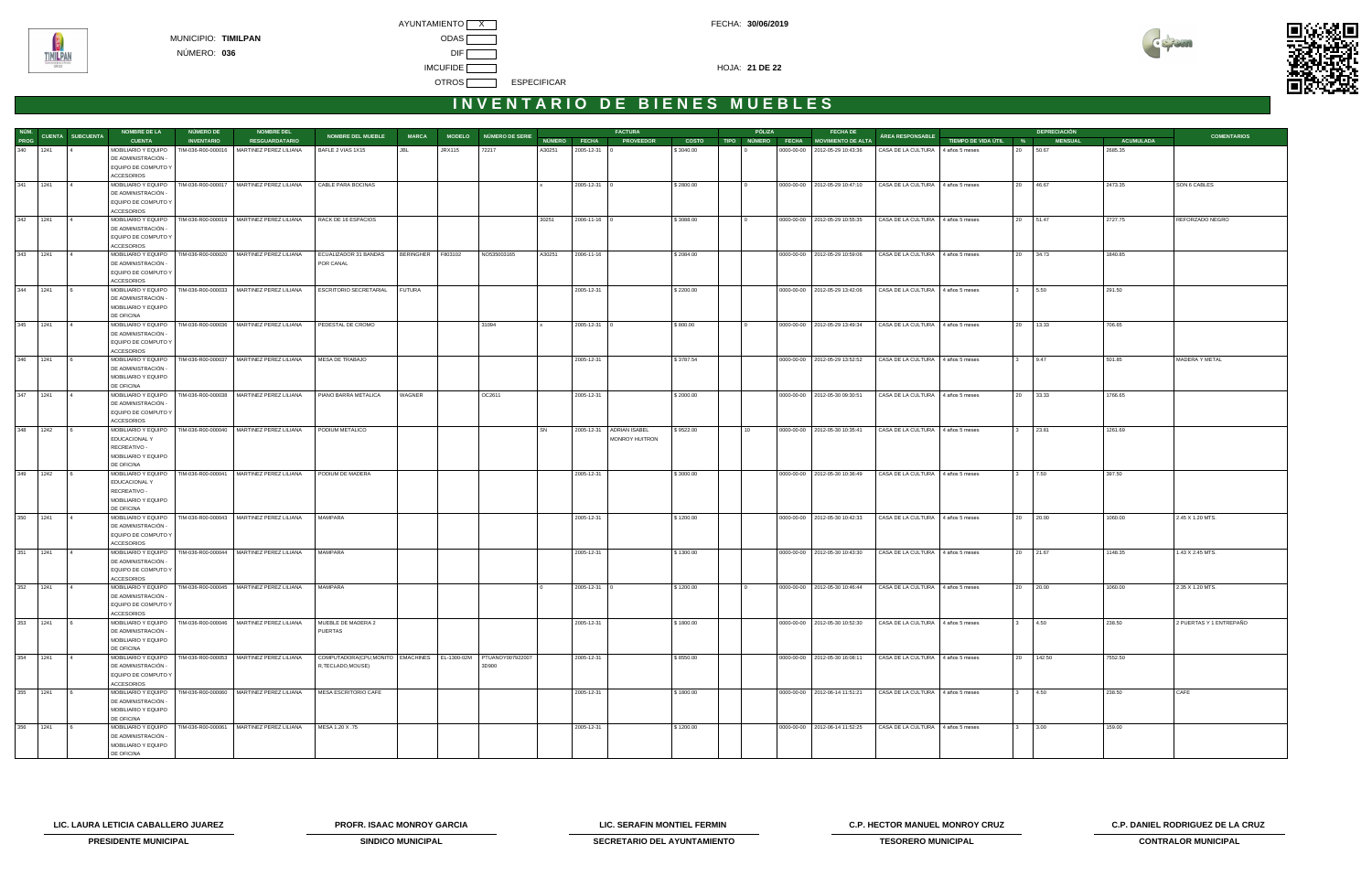



|          |                               | <b>NOMBRE DE LA</b>                      | <b>NÚMERO DE</b>  | <b>NOMBRE DEL</b>                                                           |                                                                     |                   |               |                        |        |                    | <b>FACTURA</b>           |           | PÓLIZA | <b>FECHA DE</b>                      |                                   |                       | <b>DEPRECIACIÓN</b> |                  |                         |
|----------|-------------------------------|------------------------------------------|-------------------|-----------------------------------------------------------------------------|---------------------------------------------------------------------|-------------------|---------------|------------------------|--------|--------------------|--------------------------|-----------|--------|--------------------------------------|-----------------------------------|-----------------------|---------------------|------------------|-------------------------|
|          | NÚM.<br>PROG CUENTA SUBCUENTA | <b>CUENTA</b>                            | <b>INVENTARIO</b> | <b>RESGUARDATARIO</b>                                                       | <b>NOMBRE DEL MUEBLE</b>                                            | <b>MARCA</b>      |               | MODELO NÚMERO DE SERIE |        | NÚMERO FECHA       | <b>PROVEEDOR</b>         | COSTO     |        | TIPO NÚMERO FECHA MOVIMIENTO DE ALTA | ÁREA RESPONSABLE                  | TIEMPO DE VIDA ÚTIL % | <b>MENSUAL</b>      | <b>ACUMULADA</b> | <b>COMENTARIOS</b>      |
| 340 1241 |                               | MOBILIARIO Y EQUIPO                      |                   | TIM-036-R00-000016 MARTINEZ PEREZ LILIANA                                   | BAFLE 2 VIAS 1X15                                                   | JBL               | <b>JRX115</b> | 72217                  | A30251 | 2005-12-31 0       |                          | \$3040.00 |        | 0000-00-00   2012-05-29 10:43:36     | CASA DE LA CULTURA 4 años 5 meses |                       | 20 50.67            | 2685.35          |                         |
|          |                               | DE ADMINISTRACIÓN -                      |                   |                                                                             |                                                                     |                   |               |                        |        |                    |                          |           |        |                                      |                                   |                       |                     |                  |                         |
|          |                               | EQUIPO DE COMPUTO Y                      |                   |                                                                             |                                                                     |                   |               |                        |        |                    |                          |           |        |                                      |                                   |                       |                     |                  |                         |
|          |                               | <b>ACCESORIOS</b>                        |                   |                                                                             |                                                                     |                   |               |                        |        |                    |                          |           |        |                                      |                                   |                       |                     |                  |                         |
| 341 1241 | $\overline{14}$               |                                          |                   | MOBILIARIO Y EQUIPO   TIM-036-R00-000017   MARTINEZ PEREZ LILIANA           | CABLE PARA BOCINAS                                                  |                   |               |                        |        | $2005 - 12 - 31$ 0 |                          | \$2800.00 |        | 0000-00-00 2012-05-29 10:47:10       | CASA DE LA CULTURA 4 años 5 meses |                       | 20 46.67            | 2473.35          | SON 6 CABLES            |
|          |                               | DE ADMINISTRACIÓN -                      |                   |                                                                             |                                                                     |                   |               |                        |        |                    |                          |           |        |                                      |                                   |                       |                     |                  |                         |
|          |                               | EQUIPO DE COMPUTO Y                      |                   |                                                                             |                                                                     |                   |               |                        |        |                    |                          |           |        |                                      |                                   |                       |                     |                  |                         |
|          |                               | <b>ACCESORIOS</b>                        |                   |                                                                             |                                                                     |                   |               |                        |        |                    |                          |           |        |                                      |                                   |                       |                     |                  |                         |
| 342 1241 | $\overline{14}$               | MOBILIARIO Y EQUIPO                      |                   | TIM-036-R00-000019 MARTINEZ PEREZ LILIANA                                   | RACK DE 16 ESPACIOS                                                 |                   |               |                        | 30251  | 2006-11-16 0       |                          | \$3088.00 |        | 0000-00-00 2012-05-29 10:55:35       | CASA DE LA CULTURA 4 años 5 meses |                       | 20 51.47            | 2727.75          | REFORZADO NEGRO         |
|          |                               | DE ADMINISTRACIÓN -                      |                   |                                                                             |                                                                     |                   |               |                        |        |                    |                          |           |        |                                      |                                   |                       |                     |                  |                         |
|          |                               | EQUIPO DE COMPUTO Y                      |                   |                                                                             |                                                                     |                   |               |                        |        |                    |                          |           |        |                                      |                                   |                       |                     |                  |                         |
|          |                               | <b>ACCESORIOS</b>                        |                   |                                                                             |                                                                     |                   |               |                        |        |                    |                          |           |        |                                      |                                   |                       |                     |                  |                         |
|          | $343$   1241   4              | MOBILIARIO Y EQUIPO                      |                   | TIM-036-R00-000020 MARTINEZ PEREZ LILIANA                                   | ECUALIZADOR 31 BANDAS                                               | BERINGHER F803102 |               | NO535003165            | A30251 | 2006-11-16         |                          | \$2084.00 |        | 0000-00-00   2012-05-29 10:59:06     | CASA DE LA CULTURA 4 años 5 meses |                       | 20 34.73            | 1840.85          |                         |
|          |                               | DE ADMINISTRACIÓN -                      |                   |                                                                             | POR CANAL                                                           |                   |               |                        |        |                    |                          |           |        |                                      |                                   |                       |                     |                  |                         |
|          |                               | EQUIPO DE COMPUTO Y                      |                   |                                                                             |                                                                     |                   |               |                        |        |                    |                          |           |        |                                      |                                   |                       |                     |                  |                         |
| 344 1241 |                               | <b>ACCESORIOS</b>                        |                   | MOBILIARIO Y EQUIPO   TIM-036-R00-000033   MARTINEZ PEREZ LILIANA           | <b>ESCRITORIO SECRETARIAL</b>                                       | <b>FUTURA</b>     |               |                        |        | 2005-12-31         |                          |           |        | 0000-00-00 2012-05-29 13:42:06       | CASA DE LA CULTURA 4 años 5 meses |                       | 3 5.50              | 291.50           |                         |
|          |                               | DE ADMINISTRACIÓN -                      |                   |                                                                             |                                                                     |                   |               |                        |        |                    |                          | \$2200.00 |        |                                      |                                   |                       |                     |                  |                         |
|          |                               | MOBILIARIO Y EQUIPO                      |                   |                                                                             |                                                                     |                   |               |                        |        |                    |                          |           |        |                                      |                                   |                       |                     |                  |                         |
|          |                               | DE OFICINA                               |                   |                                                                             |                                                                     |                   |               |                        |        |                    |                          |           |        |                                      |                                   |                       |                     |                  |                         |
| 345 1241 |                               | MOBILIARIO Y EQUIPO                      |                   | TIM-036-R00-000036   MARTINEZ PEREZ LILIANA                                 | PEDESTAL DE CROMO                                                   |                   |               | 31094                  |        | 2005-12-31         |                          | \$800.00  |        | 0000-00-00 2012-05-29 13:49:34       | CASA DE LA CULTURA 4 años 5 meses |                       | 20 13.33            | 706.65           |                         |
|          |                               | DE ADMINISTRACIÓN -                      |                   |                                                                             |                                                                     |                   |               |                        |        |                    |                          |           |        |                                      |                                   |                       |                     |                  |                         |
|          |                               | EQUIPO DE COMPUTO Y                      |                   |                                                                             |                                                                     |                   |               |                        |        |                    |                          |           |        |                                      |                                   |                       |                     |                  |                         |
|          |                               | <b>ACCESORIOS</b>                        |                   |                                                                             |                                                                     |                   |               |                        |        |                    |                          |           |        |                                      |                                   |                       |                     |                  |                         |
| 346 1241 | $6\overline{6}$               |                                          |                   | MOBILIARIO Y EQUIPO   TIM-036-R00-000037   MARTINEZ PEREZ LILIANA           | MESA DE TRABAJO                                                     |                   |               |                        |        | 2005-12-31         |                          | \$3787.54 |        | 0000-00-00 2012-05-29 13:52:52       | CASA DE LA CULTURA 4 años 5 meses |                       | 3 9.47              | 501.85           | MADERA Y METAL          |
|          |                               | DE ADMINISTRACIÓN -                      |                   |                                                                             |                                                                     |                   |               |                        |        |                    |                          |           |        |                                      |                                   |                       |                     |                  |                         |
|          |                               | MOBILIARIO Y EQUIPO                      |                   |                                                                             |                                                                     |                   |               |                        |        |                    |                          |           |        |                                      |                                   |                       |                     |                  |                         |
|          |                               | DE OFICINA                               |                   |                                                                             |                                                                     |                   |               |                        |        |                    |                          |           |        |                                      |                                   |                       |                     |                  |                         |
| 347 1241 | $\overline{14}$               | DE ADMINISTRACIÓN -                      |                   | MOBILIARIO Y EQUIPO   TIM-036-R00-000038   MARTINEZ PEREZ LILIANA           | PIANO BARRA METALICA                                                | WAGNER            |               | OC2611                 |        | 2005-12-31         |                          | \$2000.00 |        | 0000-00-00 2012-05-30 09:30:51       | CASA DE LA CULTURA 4 años 5 meses |                       | 20 33.33            | 1766.65          |                         |
|          |                               | EQUIPO DE COMPUTO Y                      |                   |                                                                             |                                                                     |                   |               |                        |        |                    |                          |           |        |                                      |                                   |                       |                     |                  |                         |
|          |                               | <b>ACCESORIOS</b>                        |                   |                                                                             |                                                                     |                   |               |                        |        |                    |                          |           |        |                                      |                                   |                       |                     |                  |                         |
| 348 1242 |                               | MOBILIARIO Y EQUIPO                      |                   | TIM-036-R00-000040 MARTINEZ PEREZ LILIANA                                   | PODIUM METALICO                                                     |                   |               |                        | SN     |                    | 2005-12-31 ADRIAN ISABEL | \$9522.00 | 10     | 0000-00-00 2012-05-30 10:35:41       | CASA DE LA CULTURA 4 años 5 meses |                       | 3 23.81             | 1261.69          |                         |
|          |                               | EDUCACIONAL Y                            |                   |                                                                             |                                                                     |                   |               |                        |        |                    | MONROY HUITRON           |           |        |                                      |                                   |                       |                     |                  |                         |
|          |                               | RECREATIVO -                             |                   |                                                                             |                                                                     |                   |               |                        |        |                    |                          |           |        |                                      |                                   |                       |                     |                  |                         |
|          |                               | MOBILIARIO Y EQUIPO                      |                   |                                                                             |                                                                     |                   |               |                        |        |                    |                          |           |        |                                      |                                   |                       |                     |                  |                         |
|          |                               | DE OFICINA                               |                   |                                                                             |                                                                     |                   |               |                        |        |                    |                          |           |        |                                      |                                   |                       |                     |                  |                         |
| 349 1242 |                               | MOBILIARIO Y EQUIPO                      |                   | TIM-036-R00-000041 MARTINEZ PEREZ LILIANA                                   | PODIUM DE MADERA                                                    |                   |               |                        |        | 2005-12-31         |                          | \$3000.00 |        | 0000-00-00   2012-05-30 10:36:49     | CASA DE LA CULTURA 4 años 5 meses |                       | 3 7.50              | 397.50           |                         |
|          |                               | EDUCACIONAL Y                            |                   |                                                                             |                                                                     |                   |               |                        |        |                    |                          |           |        |                                      |                                   |                       |                     |                  |                         |
|          |                               | RECREATIVO -                             |                   |                                                                             |                                                                     |                   |               |                        |        |                    |                          |           |        |                                      |                                   |                       |                     |                  |                         |
|          |                               | MOBILIARIO Y EQUIPO<br>DE OFICINA        |                   |                                                                             |                                                                     |                   |               |                        |        |                    |                          |           |        |                                      |                                   |                       |                     |                  |                         |
| 350 1241 | $\overline{4}$                |                                          |                   | MOBILIARIO Y EQUIPO   TIM-036-R00-000043   MARTINEZ PEREZ LILIANA           | MAMPARA                                                             |                   |               |                        |        | 2005-12-31         |                          | \$1200.00 |        | 0000-00-00 2012-05-30 10:42:33       | CASA DE LA CULTURA 4 años 5 meses |                       | 20 20.00            | 1060.00          | 2.45 X 1.20 MTS.        |
|          |                               | DE ADMINISTRACIÓN -                      |                   |                                                                             |                                                                     |                   |               |                        |        |                    |                          |           |        |                                      |                                   |                       |                     |                  |                         |
|          |                               | EQUIPO DE COMPUTO Y                      |                   |                                                                             |                                                                     |                   |               |                        |        |                    |                          |           |        |                                      |                                   |                       |                     |                  |                         |
|          |                               | <b>ACCESORIOS</b>                        |                   |                                                                             |                                                                     |                   |               |                        |        |                    |                          |           |        |                                      |                                   |                       |                     |                  |                         |
| 351 1241 |                               |                                          |                   | MOBILIARIO Y EQUIPO   TIM-036-R00-000044   MARTINEZ PEREZ LILIANA           | MAMPARA                                                             |                   |               |                        |        | 2005-12-31         |                          | \$1300.00 |        | 0000-00-00   2012-05-30 10:43:30     | CASA DE LA CULTURA 4 años 5 meses |                       | 20 21.67            | 1148.35          | 1.43 X 2.45 MTS.        |
|          |                               | DE ADMINISTRACIÓN -                      |                   |                                                                             |                                                                     |                   |               |                        |        |                    |                          |           |        |                                      |                                   |                       |                     |                  |                         |
|          |                               | EQUIPO DE COMPUTO Y                      |                   |                                                                             |                                                                     |                   |               |                        |        |                    |                          |           |        |                                      |                                   |                       |                     |                  |                         |
|          |                               | <b>ACCESORIOS</b>                        |                   |                                                                             |                                                                     |                   |               |                        |        |                    |                          |           |        |                                      |                                   |                       |                     |                  |                         |
| 352 1241 |                               | DE ADMINISTRACIÓN -                      |                   | MOBILIARIO Y EQUIPO   TIM-036-R00-000045   MARTINEZ PEREZ LILIANA   MAMPARA |                                                                     |                   |               |                        |        | 2005-12-31 0       |                          | \$1200.00 |        | 0000-00-00 2012-05-30 10:46:44       | CASA DE LA CULTURA 4 años 5 meses |                       | 20 20.00            | 1060.00          | 2.35 X 1.20 MTS.        |
|          |                               | EQUIPO DE COMPUTO Y                      |                   |                                                                             |                                                                     |                   |               |                        |        |                    |                          |           |        |                                      |                                   |                       |                     |                  |                         |
|          |                               | <b>ACCESORIOS</b>                        |                   |                                                                             |                                                                     |                   |               |                        |        |                    |                          |           |        |                                      |                                   |                       |                     |                  |                         |
| 353 1241 | $\sqrt{6}$                    |                                          |                   | MOBILIARIO Y EQUIPO   TIM-036-R00-000046   MARTINEZ PEREZ LILIANA           | MUEBLE DE MADERA 2                                                  |                   |               |                        |        | 2005-12-31         |                          | \$1800.00 |        | 0000-00-00   2012-05-30 10:52:30     | CASA DE LA CULTURA 4 años 5 meses |                       | 3 4.50              | 238.50           | 2 PUERTAS Y 1 ENTREPAÑO |
|          |                               | DE ADMINISTRACIÓN -                      |                   |                                                                             | <b>PUERTAS</b>                                                      |                   |               |                        |        |                    |                          |           |        |                                      |                                   |                       |                     |                  |                         |
|          |                               | MOBILIARIO Y EQUIPO                      |                   |                                                                             |                                                                     |                   |               |                        |        |                    |                          |           |        |                                      |                                   |                       |                     |                  |                         |
|          |                               | DE OFICINA                               |                   |                                                                             |                                                                     |                   |               |                        |        |                    |                          |           |        |                                      |                                   |                       |                     |                  |                         |
| 354 1241 | $\overline{4}$                | MOBILIARIO Y EQUIPO                      |                   | TIM-036-R00-000053 MARTINEZ PEREZ LILIANA                                   | COMPUTADORA(CPU,MONITO   EMACHINES   EL-1300-02M   PTUANOY007922007 |                   |               |                        |        | 2005-12-31         |                          | \$8550.00 |        | 0000-00-00 2012-05-30 16:08:11       | CASA DE LA CULTURA 4 años 5 meses |                       | 20 142.50           | 7552.50          |                         |
|          |                               | DE ADMINISTRACIÓN -                      |                   |                                                                             | R,TECLADO,MOUSE)                                                    |                   |               | 3D900                  |        |                    |                          |           |        |                                      |                                   |                       |                     |                  |                         |
|          |                               | EQUIPO DE COMPUTO Y<br><b>ACCESORIOS</b> |                   |                                                                             |                                                                     |                   |               |                        |        |                    |                          |           |        |                                      |                                   |                       |                     |                  |                         |
| 355 1241 |                               | MOBILIARIO Y EQUIPO                      |                   | TIM-036-R00-000060 MARTINEZ PEREZ LILIANA                                   | MESA ESCRITORIO CAFE                                                |                   |               |                        |        | 2005-12-31         |                          | \$1800.00 |        | 0000-00-00   2012-06-14 11:51:21     | CASA DE LA CULTURA 4 años 5 meses |                       | 3 4.50              | 238.50           | CAFE                    |
|          |                               | DE ADMINISTRACIÓN -                      |                   |                                                                             |                                                                     |                   |               |                        |        |                    |                          |           |        |                                      |                                   |                       |                     |                  |                         |
|          |                               | MOBILIARIO Y EQUIPO                      |                   |                                                                             |                                                                     |                   |               |                        |        |                    |                          |           |        |                                      |                                   |                       |                     |                  |                         |
|          |                               | DE OFICINA                               |                   |                                                                             |                                                                     |                   |               |                        |        |                    |                          |           |        |                                      |                                   |                       |                     |                  |                         |
| 356 1241 | $\sqrt{6}$                    |                                          |                   | MOBILIARIO Y EQUIPO   TIM-036-R00-000061   MARTINEZ PEREZ LILIANA           | MESA 1.20 X .75                                                     |                   |               |                        |        | 2005-12-31         |                          | \$1200.00 |        | 0000-00-00 2012-06-14 11:52:25       | CASA DE LA CULTURA 4 años 5 meses |                       | $3 \t3.00$          | 159.00           |                         |
|          |                               | DE ADMINISTRACIÓN -                      |                   |                                                                             |                                                                     |                   |               |                        |        |                    |                          |           |        |                                      |                                   |                       |                     |                  |                         |
|          |                               | MOBILIARIO Y EQUIPO                      |                   |                                                                             |                                                                     |                   |               |                        |        |                    |                          |           |        |                                      |                                   |                       |                     |                  |                         |
|          |                               | DE OFICINA                               |                   |                                                                             |                                                                     |                   |               |                        |        |                    |                          |           |        |                                      |                                   |                       |                     |                  |                         |

**LIC. LAURA LETICIA CABALLERO JUAREZ PROFR. ISAAC MONROY GARCIA LIC. SERAFIN MONTIEL FERMIN C.P. HECTOR MANUEL MONROY CRUZ C.P. DANIEL RODRIGUEZ DE LA CRUZ**